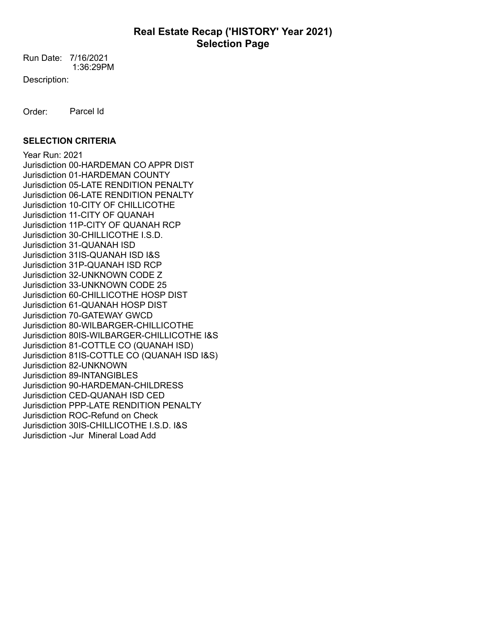1:36:29PM Run Date: 7/16/2021

Description:

Order: Parcel Id

### **SELECTION CRITERIA**

Year Run: 2021 Jurisdiction 00-HARDEMAN CO APPR DIST Jurisdiction 01-HARDEMAN COUNTY Jurisdiction 05-LATE RENDITION PENALTY Jurisdiction 06-LATE RENDITION PENALTY Jurisdiction 10-CITY OF CHILLICOTHE Jurisdiction 11-CITY OF QUANAH Jurisdiction 11P-CITY OF QUANAH RCP Jurisdiction 30-CHILLICOTHE I.S.D. Jurisdiction 31-QUANAH ISD Jurisdiction 31IS-QUANAH ISD I&S Jurisdiction 31P-QUANAH ISD RCP Jurisdiction 32-UNKNOWN CODE Z Jurisdiction 33-UNKNOWN CODE 25 Jurisdiction 60-CHILLICOTHE HOSP DIST Jurisdiction 61-QUANAH HOSP DIST Jurisdiction 70-GATEWAY GWCD Jurisdiction 80-WILBARGER-CHILLICOTHE Jurisdiction 80IS-WILBARGER-CHILLICOTHE I&S Jurisdiction 81-COTTLE CO (QUANAH ISD) Jurisdiction 81IS-COTTLE CO (QUANAH ISD I&S) Jurisdiction 82-UNKNOWN Jurisdiction 89-INTANGIBLES Jurisdiction 90-HARDEMAN-CHILDRESS Jurisdiction CED-QUANAH ISD CED Jurisdiction PPP-LATE RENDITION PENALTY Jurisdiction ROC-Refund on Check Jurisdiction 30IS-CHILLICOTHE I.S.D. I&S Jurisdiction -Jur Mineral Load Add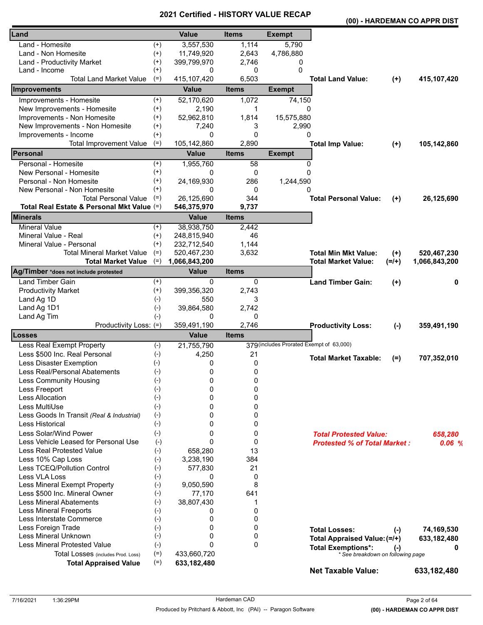|                                                                           |                |                             |                       |                                          |                                     |           | (00) - HARDEMAN CO APPR DIST |
|---------------------------------------------------------------------------|----------------|-----------------------------|-----------------------|------------------------------------------|-------------------------------------|-----------|------------------------------|
| Land                                                                      |                | <b>Value</b>                | <b>Items</b>          | <b>Exempt</b>                            |                                     |           |                              |
| Land - Homesite                                                           | $^{(+)}$       | 3,557,530                   | 1,114                 | 5,790                                    |                                     |           |                              |
| Land - Non Homesite                                                       | $^{(+)}$       | 11,749,920                  | 2,643                 | 4,786,880                                |                                     |           |                              |
| Land - Productivity Market                                                | $^{(+)}$       | 399,799,970                 | 2,746                 | 0                                        |                                     |           |                              |
| Land - Income                                                             | $^{(+)}$       | 0                           | 0                     | 0                                        |                                     |           |                              |
| <b>Total Land Market Value</b>                                            | $(=)$          | 415, 107, 420               | 6,503                 |                                          | <b>Total Land Value:</b>            | $(+)$     | 415,107,420                  |
| Improvements                                                              |                | <b>Value</b>                | <b>Items</b>          | <b>Exempt</b>                            |                                     |           |                              |
| Improvements - Homesite                                                   | $^{(+)}$       | 52,170,620                  | 1,072                 | 74,150                                   |                                     |           |                              |
| New Improvements - Homesite                                               | $^{(+)}$       | 2,190                       | 1                     | 0                                        |                                     |           |                              |
| Improvements - Non Homesite                                               | $^{(+)}$       | 52,962,810                  | 1,814                 | 15,575,880                               |                                     |           |                              |
| New Improvements - Non Homesite                                           | $^{(+)}$       | 7,240                       | 3                     | 2,990                                    |                                     |           |                              |
| Improvements - Income                                                     | $(+)$          | 0                           | 0                     | 0                                        |                                     |           |                              |
| <b>Total Improvement Value</b>                                            | $(=)$          | 105,142,860                 | 2,890                 |                                          | <b>Total Imp Value:</b>             | $(+)$     | 105,142,860                  |
| Personal                                                                  |                | <b>Value</b>                | <b>Items</b>          | <b>Exempt</b>                            |                                     |           |                              |
| Personal - Homesite                                                       | $^{(+)}$       | 1,955,760                   | 58                    | 0                                        |                                     |           |                              |
| New Personal - Homesite                                                   | $^{(+)}$       | 0                           | 0                     | $\Omega$                                 |                                     |           |                              |
| Personal - Non Homesite                                                   | $^{(+)}$       | 24,169,930                  | 286                   | 1,244,590                                |                                     |           |                              |
| New Personal - Non Homesite                                               | $^{(+)}$       | 0                           | 0                     | 0                                        |                                     |           |                              |
| <b>Total Personal Value</b><br>Total Real Estate & Personal Mkt Value (=) | $(=)$          | 26,125,690                  | 344                   |                                          | <b>Total Personal Value:</b>        | $(+)$     | 26,125,690                   |
| <b>Minerals</b>                                                           |                | 546,375,970<br><b>Value</b> | 9,737<br><b>Items</b> |                                          |                                     |           |                              |
| <b>Mineral Value</b>                                                      | $^{(+)}$       | 38,938,750                  | 2,442                 |                                          |                                     |           |                              |
| Mineral Value - Real                                                      | $^{(+)}$       | 248,815,940                 | 46                    |                                          |                                     |           |                              |
| Mineral Value - Personal                                                  | $(+)$          | 232,712,540                 | 1,144                 |                                          |                                     |           |                              |
| <b>Total Mineral Market Value</b>                                         | $(=)$          | 520,467,230                 | 3,632                 |                                          | <b>Total Min Mkt Value:</b>         | $(+)$     | 520,467,230                  |
| <b>Total Market Value</b>                                                 | $(=)$          | 1,066,843,200               |                       |                                          | <b>Total Market Value:</b>          | $(=/+)$   | 1,066,843,200                |
| Ag/Timber *does not include protested                                     |                | <b>Value</b>                | <b>Items</b>          |                                          |                                     |           |                              |
| <b>Land Timber Gain</b>                                                   | $^{(+)}$       | 0                           | 0                     |                                          | <b>Land Timber Gain:</b>            | $(+)$     | 0                            |
| <b>Productivity Market</b>                                                | $^{(+)}$       | 399,356,320                 | 2,743                 |                                          |                                     |           |                              |
| Land Ag 1D                                                                | $(-)$          | 550                         | 3                     |                                          |                                     |           |                              |
| Land Ag 1D1                                                               | $(-)$          | 39,864,580                  | 2,742                 |                                          |                                     |           |                              |
| Land Ag Tim                                                               | $(-)$          | 0                           | 0                     |                                          |                                     |           |                              |
| Productivity Loss: (=)                                                    |                | 359,491,190                 | 2,746                 |                                          | <b>Productivity Loss:</b>           | $(-)$     | 359,491,190                  |
| Losses                                                                    |                | <b>Value</b>                | <b>Items</b>          |                                          |                                     |           |                              |
| Less Real Exempt Property                                                 | $(-)$          | 21,755,790                  |                       | 379 (includes Prorated Exempt of 63,000) |                                     |           |                              |
| Less \$500 Inc. Real Personal                                             | $(-)$          | 4,250                       | 21                    |                                          | <b>Total Market Taxable:</b>        | $(=)$     | 707,352,010                  |
| Less Disaster Exemption                                                   | $(-)$          | 0                           | 0                     |                                          |                                     |           |                              |
| Less Real/Personal Abatements                                             | $(-)$          | 0                           | 0                     |                                          |                                     |           |                              |
| Less Community Housing                                                    | $(-)$<br>$(-)$ | 0<br>0                      | 0<br>0                |                                          |                                     |           |                              |
| Less Freeport<br><b>Less Allocation</b>                                   | $(-)$          | 0                           | 0                     |                                          |                                     |           |                              |
| Less MultiUse                                                             | $(-)$          | 0                           | 0                     |                                          |                                     |           |                              |
| Less Goods In Transit (Real & Industrial)                                 | $(-)$          | 0                           | 0                     |                                          |                                     |           |                              |
| Less Historical                                                           | $(-)$          | 0                           | 0                     |                                          |                                     |           |                              |
| Less Solar/Wind Power                                                     | $(-)$          | 0                           | 0                     |                                          | <b>Total Protested Value:</b>       |           |                              |
| Less Vehicle Leased for Personal Use                                      | $(-)$          | 0                           | 0                     |                                          | <b>Protested % of Total Market:</b> |           | 658,280<br>0.06%             |
| <b>Less Real Protested Value</b>                                          | $(-)$          | 658,280                     | 13                    |                                          |                                     |           |                              |
| Less 10% Cap Loss                                                         | $(-)$          | 3,238,190                   | 384                   |                                          |                                     |           |                              |
| Less TCEQ/Pollution Control                                               | $(-)$          | 577,830                     | 21                    |                                          |                                     |           |                              |
| Less VLA Loss                                                             | $(-)$          | 0                           | 0                     |                                          |                                     |           |                              |
| Less Mineral Exempt Property                                              | $(-)$          | 9,050,590                   | 8                     |                                          |                                     |           |                              |
| Less \$500 Inc. Mineral Owner                                             | $(-)$          | 77,170                      | 641                   |                                          |                                     |           |                              |
| <b>Less Mineral Abatements</b>                                            | $(-)$          | 38,807,430                  | 1                     |                                          |                                     |           |                              |
| <b>Less Mineral Freeports</b>                                             | $(-)$          | 0                           | 0                     |                                          |                                     |           |                              |
| Less Interstate Commerce                                                  | $(-)$          | 0                           | 0                     |                                          |                                     |           |                              |
| Less Foreign Trade                                                        | $(-)$          | 0                           | 0                     |                                          | <b>Total Losses:</b>                | $(-)$     | 74,169,530                   |
| Less Mineral Unknown                                                      | $(-)$          | 0                           | 0                     |                                          | Total Appraised Value: (=/+)        |           | 633,182,480                  |
| <b>Less Mineral Protested Value</b>                                       | $(-)$          | 0                           | 0                     |                                          | <b>Total Exemptions*:</b>           | $(\cdot)$ | 0                            |
| Total Losses (includes Prod. Loss)                                        | $(=)$          | 433,660,720                 |                       |                                          | * See breakdown on following page   |           |                              |
| <b>Total Appraised Value</b>                                              | $(=)$          | 633,182,480                 |                       |                                          |                                     |           |                              |
|                                                                           |                |                             |                       |                                          | <b>Net Taxable Value:</b>           |           | 633,182,480                  |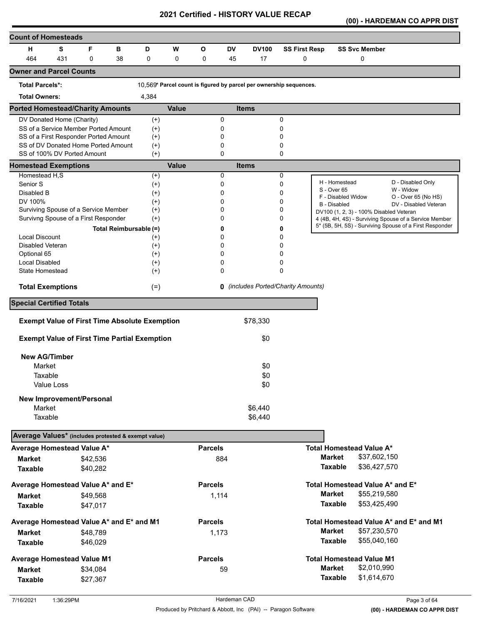**(00) - HARDEMAN CO APPR DIST** 

| <b>Count of Homesteads</b>                           |                                 |          |                        |                   |              |                |     |              |                                                                    |                     |                                         |                                                         |
|------------------------------------------------------|---------------------------------|----------|------------------------|-------------------|--------------|----------------|-----|--------------|--------------------------------------------------------------------|---------------------|-----------------------------------------|---------------------------------------------------------|
| н                                                    | s                               | F        | в                      | D                 | W            | O              | DV  | <b>DV100</b> | <b>SS First Resp</b>                                               |                     | <b>SS Svc Member</b>                    |                                                         |
| 464                                                  | 431                             | 0        | 38                     | 0                 | 0            | 0              | 45  | 17           | 0                                                                  |                     | 0                                       |                                                         |
| <b>Owner and Parcel Counts</b>                       |                                 |          |                        |                   |              |                |     |              |                                                                    |                     |                                         |                                                         |
| <b>Total Parcels*:</b>                               |                                 |          |                        |                   |              |                |     |              | 10,569* Parcel count is figured by parcel per ownership sequences. |                     |                                         |                                                         |
| <b>Total Owners:</b>                                 |                                 |          |                        | 4,384             |              |                |     |              |                                                                    |                     |                                         |                                                         |
| <b>Ported Homestead/Charity Amounts</b>              |                                 |          |                        |                   | <b>Value</b> |                |     | <b>Items</b> |                                                                    |                     |                                         |                                                         |
| DV Donated Home (Charity)                            |                                 |          |                        | $^{(+)}$          |              |                | 0   |              | 0                                                                  |                     |                                         |                                                         |
| SS of a Service Member Ported Amount                 |                                 |          |                        | $(+)$             |              |                | 0   |              | 0                                                                  |                     |                                         |                                                         |
| SS of a First Responder Ported Amount                |                                 |          |                        | $(+)$             |              |                | 0   |              | 0                                                                  |                     |                                         |                                                         |
| SS of DV Donated Home Ported Amount                  |                                 |          |                        | $^{(+)}$          |              |                | 0   |              | 0                                                                  |                     |                                         |                                                         |
| SS of 100% DV Ported Amount                          |                                 |          |                        | $(+)$             |              |                | 0   |              | 0                                                                  |                     |                                         |                                                         |
| <b>Homestead Exemptions</b><br>Homestead H,S         |                                 |          |                        |                   | <b>Value</b> |                | 0   | <b>Items</b> | 0                                                                  |                     |                                         |                                                         |
| Senior S                                             |                                 |          |                        | $^{(+)}$<br>$(+)$ |              |                | 0   |              | 0                                                                  |                     | H - Homestead                           | D - Disabled Only                                       |
| Disabled B                                           |                                 |          |                        | $^{(+)}$          |              |                | 0   |              | 0                                                                  | S - Over 65         |                                         | W - Widow                                               |
| DV 100%                                              |                                 |          |                        | $^{(+)}$          |              |                | 0   |              | 0                                                                  |                     | F - Disabled Widow                      | O - Over 65 (No HS)                                     |
| Surviving Spouse of a Service Member                 |                                 |          |                        | $^{(+)}$          |              |                | 0   |              | 0                                                                  | <b>B</b> - Disabled | DV100 (1, 2, 3) - 100% Disabled Veteran | DV - Disabled Veteran                                   |
| Survivng Spouse of a First Responder                 |                                 |          |                        | $(+)$             |              |                | 0   |              | 0                                                                  |                     |                                         | 4 (4B, 4H, 4S) - Surviving Spouse of a Service Member   |
|                                                      |                                 |          | Total Reimbursable (=) |                   |              |                | 0   |              | 0                                                                  |                     |                                         | 5* (5B, 5H, 5S) - Surviving Spouse of a First Responder |
| <b>Local Discount</b>                                |                                 |          |                        | $^{(+)}$          |              |                | 0   |              | 0                                                                  |                     |                                         |                                                         |
| Disabled Veteran                                     |                                 |          |                        | $^{(+)}$          |              |                | 0   |              | 0                                                                  |                     |                                         |                                                         |
| Optional 65                                          |                                 |          |                        | $(+)$             |              |                | 0   |              | 0                                                                  |                     |                                         |                                                         |
| Local Disabled                                       |                                 |          |                        | $^{(+)}$          |              |                | 0   |              | 0                                                                  |                     |                                         |                                                         |
| State Homestead                                      |                                 |          |                        | $^{(+)}$          |              |                | 0   |              | 0                                                                  |                     |                                         |                                                         |
| <b>Total Exemptions</b>                              |                                 |          |                        | $(=)$             |              |                |     |              | <b>0</b> (includes Ported/Charity Amounts)                         |                     |                                         |                                                         |
|                                                      | <b>Special Certified Totals</b> |          |                        |                   |              |                |     |              |                                                                    |                     |                                         |                                                         |
| <b>Exempt Value of First Time Absolute Exemption</b> |                                 |          |                        |                   |              |                |     | \$78,330     |                                                                    |                     |                                         |                                                         |
|                                                      |                                 |          |                        |                   |              |                |     |              |                                                                    |                     |                                         |                                                         |
| <b>Exempt Value of First Time Partial Exemption</b>  |                                 |          |                        |                   |              |                |     | \$0          |                                                                    |                     |                                         |                                                         |
| <b>New AG/Timber</b>                                 |                                 |          |                        |                   |              |                |     |              |                                                                    |                     |                                         |                                                         |
| Market                                               |                                 |          |                        |                   |              |                |     | \$0          |                                                                    |                     |                                         |                                                         |
| Taxable                                              |                                 |          |                        |                   |              |                |     | \$0          |                                                                    |                     |                                         |                                                         |
| Value Loss                                           |                                 |          |                        |                   |              |                |     | \$0          |                                                                    |                     |                                         |                                                         |
| <b>New Improvement/Personal</b>                      |                                 |          |                        |                   |              |                |     |              |                                                                    |                     |                                         |                                                         |
| Market                                               |                                 |          |                        |                   |              |                |     | \$6,440      |                                                                    |                     |                                         |                                                         |
| Taxable                                              |                                 |          |                        |                   |              |                |     | \$6,440      |                                                                    |                     |                                         |                                                         |
|                                                      |                                 |          |                        |                   |              |                |     |              |                                                                    |                     |                                         |                                                         |
| Average Values* (includes protested & exempt value)  |                                 |          |                        |                   |              |                |     |              |                                                                    |                     |                                         |                                                         |
| Average Homestead Value A*                           |                                 |          |                        |                   |              | <b>Parcels</b> |     |              |                                                                    |                     | <b>Total Homestead Value A*</b>         |                                                         |
| <b>Market</b>                                        |                                 | \$42,536 |                        |                   |              |                | 884 |              |                                                                    | <b>Market</b>       | \$37,602,150                            |                                                         |
| <b>Taxable</b>                                       |                                 | \$40,282 |                        |                   |              |                |     |              |                                                                    | <b>Taxable</b>      | \$36,427,570                            |                                                         |
| Average Homestead Value A* and E*                    |                                 |          |                        |                   |              | <b>Parcels</b> |     |              |                                                                    |                     | Total Homestead Value A* and E*         |                                                         |
| <b>Market</b>                                        |                                 | \$49,568 |                        |                   |              | 1,114          |     |              |                                                                    | <b>Market</b>       | \$55,219,580                            |                                                         |
| <b>Taxable</b>                                       |                                 | \$47,017 |                        |                   |              |                |     |              |                                                                    | <b>Taxable</b>      | \$53,425,490                            |                                                         |
| Average Homestead Value A* and E* and M1             |                                 |          |                        |                   |              | <b>Parcels</b> |     |              |                                                                    |                     |                                         | Total Homestead Value A* and E* and M1                  |
| <b>Market</b>                                        |                                 | \$48,789 |                        |                   |              | 1,173          |     |              |                                                                    | <b>Market</b>       | \$57,230,570                            |                                                         |
| <b>Taxable</b>                                       |                                 | \$46,029 |                        |                   |              |                |     |              |                                                                    | <b>Taxable</b>      | \$55,040,160                            |                                                         |
| <b>Average Homestead Value M1</b>                    |                                 |          |                        |                   |              | <b>Parcels</b> |     |              |                                                                    |                     | <b>Total Homestead Value M1</b>         |                                                         |
|                                                      |                                 |          |                        |                   |              |                |     |              |                                                                    | <b>Market</b>       | \$2,010,990                             |                                                         |
| <b>Market</b>                                        |                                 | \$34,084 |                        |                   |              |                | 59  |              |                                                                    | <b>Taxable</b>      | \$1,614,670                             |                                                         |
| <b>Taxable</b>                                       |                                 | \$27,367 |                        |                   |              |                |     |              |                                                                    |                     |                                         |                                                         |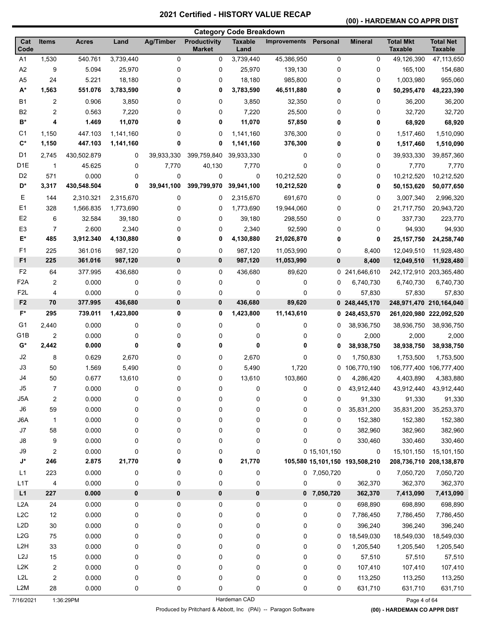#### **(00) - HARDEMAN CO APPR DIST**

|                  |                     |                |           |            |                                      | <b>Category Code Breakdown</b> |                     |                  |                                |                                    |                                    |
|------------------|---------------------|----------------|-----------|------------|--------------------------------------|--------------------------------|---------------------|------------------|--------------------------------|------------------------------------|------------------------------------|
| Cat<br>Code      | <b>Items</b>        | <b>Acres</b>   | Land      | Ag/Timber  | <b>Productivity</b><br><b>Market</b> | <b>Taxable</b><br>Land         | <b>Improvements</b> | Personal         | <b>Mineral</b>                 | <b>Total Mkt</b><br><b>Taxable</b> | <b>Total Net</b><br><b>Taxable</b> |
| A <sub>1</sub>   | 1,530               | 540.761        | 3,739,440 | 0          | 0                                    | 3,739,440                      | 45,386,950          | 0                | 0                              | 49,126,390                         | 47,113,650                         |
| A <sub>2</sub>   | 9                   | 5.094          | 25,970    | 0          | 0                                    | 25,970                         | 139,130             | 0                | 0                              | 165,100                            | 154,680                            |
| A <sub>5</sub>   | 24                  | 5.221          | 18,180    | 0          | 0                                    | 18,180                         | 985,800             | 0                | 0                              | 1,003,980                          | 955,060                            |
| $A^*$            | 1,563               | 551.076        | 3,783,590 | 0          | 0                                    | 3,783,590                      | 46,511,880          | 0                | 0                              | 50,295,470                         | 48,223,390                         |
| <b>B1</b>        | 2                   | 0.906          | 3,850     | 0          | 0                                    | 3,850                          | 32,350              | 0                | 0                              | 36,200                             | 36,200                             |
| <b>B2</b>        | 2                   | 0.563          | 7,220     | 0          | 0                                    | 7,220                          | 25,500              | 0                | 0                              | 32,720                             | 32,720                             |
| B*               | 4                   | 1.469          | 11,070    | 0          | 0                                    | 11,070                         | 57,850              | 0                | 0                              | 68,920                             | 68,920                             |
| C1               | 1,150               | 447.103        | 1,141,160 | 0          | 0                                    | 1,141,160                      | 376,300             | 0                | 0                              | 1,517,460                          | 1,510,090                          |
| $\mathbf{C}^*$   | 1,150               | 447.103        | 1,141,160 | 0          | 0                                    | 1,141,160                      | 376,300             | 0                | 0                              | 1,517,460                          | 1,510,090                          |
| D1               | 2,745               | 430,502.879    | 0         | 39,933,330 | 399,759,840                          | 39,933,330                     | 0                   | 0                | 0                              | 39,933,330                         | 39,857,360                         |
| D <sub>1</sub> E | $\mathbf{1}$        | 45.625         | 0         | 7,770      | 40,130                               | 7,770                          | 0                   | 0                | 0                              | 7,770                              | 7,770                              |
| D <sub>2</sub>   | 571                 | 0.000          | 0         | 0          | 0                                    | 0                              | 10,212,520          | 0                | 0                              | 10,212,520                         | 10,212,520                         |
| D*               | 3,317               | 430,548.504    | 0         | 39,941,100 | 399,799,970                          | 39,941,100                     | 10,212,520          | 0                | 0                              | 50,153,620                         | 50,077,650                         |
| Е                | 144                 | 2,310.321      | 2,315,670 | 0          | 0                                    | 2,315,670                      | 691,670             | 0                | 0                              | 3,007,340                          | 2,996,320                          |
| E1               | 328                 | 1,566.835      | 1,773,690 | 0          | 0                                    | 1,773,690                      | 19,944,060          | 0                | 0                              | 21,717,750                         | 20,943,720                         |
| E <sub>2</sub>   | 6                   | 32.584         | 39,180    | 0          | 0                                    | 39,180                         | 298,550             | 0                | 0                              | 337,730                            | 223,770                            |
| E <sub>3</sub>   | $\overline{7}$      | 2.600          | 2,340     | 0          | 0                                    | 2,340                          | 92,590              | 0                | 0                              | 94,930                             | 94,930                             |
| E*               | 485                 | 3,912.340      | 4,130,880 | 0          | 0                                    | 4,130,880                      | 21,026,870          | 0                | 0                              | 25, 157, 750                       | 24,258,740                         |
| F <sub>1</sub>   | 225                 | 361.016        | 987,120   | 0          | 0                                    | 987,120                        | 11,053,990          | 0                | 8,400                          | 12,049,510                         | 11,928,480                         |
| F <sub>1</sub>   | 225                 | 361.016        | 987,120   | 0          | $\bf{0}$                             | 987,120                        | 11,053,990          | 0                | 8,400                          | 12,049,510                         | 11,928,480                         |
| F <sub>2</sub>   | 64                  | 377.995        | 436,680   | 0          | 0                                    | 436,680                        | 89,620              | 0                | 241,646,610                    |                                    | 242,172,910 203,365,480            |
| F <sub>2</sub> A | 2                   | 0.000          | 0         | 0          | 0                                    | 0                              | 0                   | 0                | 6,740,730                      | 6,740,730                          | 6,740,730                          |
| F <sub>2</sub> L | 4                   | 0.000          | 0         | 0          | 0                                    | 0                              | 0                   | 0                | 57,830                         | 57,830                             | 57,830                             |
| F <sub>2</sub>   | 70                  | 377.995        | 436,680   | 0          | 0                                    | 436,680                        | 89,620              | 0                | 248,445,170                    | 248,971,470                        | 210,164,040                        |
| F*               | 295                 | 739.011        | 1,423,800 | 0          | 0                                    | 1,423,800                      | 11,143,610          | 0                | 248,453,570                    |                                    | 261,020,980 222,092,520            |
| G1               | 2,440               | 0.000          | 0         | 0          | 0                                    | 0                              | 0                   | 0                | 38,936,750                     | 38,936,750                         | 38,936,750                         |
| G <sub>1</sub> B | $\overline{2}$      | 0.000          | 0         | 0          | 0                                    | 0                              | 0                   | 0                | 2,000                          | 2,000                              | 2,000                              |
| G*               | 2,442               | 0.000          | 0         | 0          | 0                                    | 0                              | 0                   | 0                | 38,938,750                     | 38,938,750                         | 38,938,750                         |
| J2               | 8                   | 0.629          | 2,670     | 0          | 0                                    | 2,670                          | 0                   | 0                | 1,750,830                      | 1,753,500                          | 1,753,500                          |
| J3               | 50                  | 1.569          | 5,490     | 0          | 0                                    | 5,490                          | 1,720               | 0                | 106,770,190                    | 106,777,400                        | 106,777,400                        |
| J4               | 50                  | 0.677          | 13,610    | 0          | 0                                    | 13,610                         | 103,860             | 0                | 4,286,420                      | 4,403,890                          | 4,383,880                          |
| J5               | $\overline{7}$      | 0.000          | 0         | 0          | 0                                    | 0                              | 0                   | 0                | 43,912,440                     | 43,912,440                         | 43,912,440                         |
| J5A              | $\overline{c}$      | 0.000          | 0         | 0          | 0                                    | $\pmb{0}$                      | 0                   | 0                | 91,330                         | 91,330                             | 91,330                             |
| J6               | 59                  | 0.000          | 0         | 0          | 0                                    | $\pmb{0}$                      | 0                   | 0                | 35,831,200                     | 35,831,200                         | 35,253,370                         |
| J6A              | $\mathbf{1}$        | 0.000          | 0         | 0          | 0                                    | 0                              | 0                   | 0                | 152,380                        | 152,380                            | 152,380                            |
| J7<br>J8         | 58                  | 0.000          | 0         | 0          | 0                                    | 0                              | 0                   | 0<br>$\mathbf 0$ | 382,960                        | 382,960                            | 382,960                            |
| J9               | 9<br>$\overline{c}$ | 0.000<br>0.000 | 0<br>0    | 0<br>0     | 0<br>0                               | $\mathbf 0$<br>$\pmb{0}$       | 0                   | 0 15,101,150     | 330,460<br>0                   | 330,460<br>15,101,150              | 330,460<br>15,101,150              |
| J*               | 246                 | 2.875          | 21,770    | 0          | 0                                    | 21,770                         |                     |                  | 105,580 15,101,150 193,508,210 |                                    | 208,736,710 208,138,870            |
| L1               | 223                 | 0.000          | 0         | 0          | 0                                    | $\pmb{0}$                      |                     | 0 7,050,720      | 0                              | 7,050,720                          | 7,050,720                          |
| L <sub>1</sub> T | 4                   | 0.000          | 0         | 0          | 0                                    | $\pmb{0}$                      | 0                   | 0                | 362,370                        | 362,370                            | 362,370                            |
| L1               | 227                 | 0.000          | 0         | 0          | $\pmb{0}$                            | $\pmb{0}$                      |                     | $0$ 7,050,720    | 362,370                        | 7,413,090                          | 7,413,090                          |
| L <sub>2</sub> A | 24                  | 0.000          | 0         | 0          | 0                                    | $\pmb{0}$                      | 0                   | 0                | 698,890                        | 698,890                            | 698,890                            |
| L <sub>2</sub> C | 12                  | 0.000          | 0         | 0          | 0                                    | $\pmb{0}$                      | 0                   | 0                | 7,786,450                      | 7,786,450                          | 7,786,450                          |
| L <sub>2</sub> D | 30                  | 0.000          | 0         | 0          | 0                                    | $\pmb{0}$                      | 0                   | 0                | 396,240                        | 396,240                            | 396,240                            |
| L2G              | 75                  | 0.000          | 0         | 0          | 0                                    | $\pmb{0}$                      | 0                   | 0                | 18,549,030                     | 18,549,030                         | 18,549,030                         |
| L <sub>2</sub> H | 33                  | 0.000          | 0         | 0          | 0                                    | 0                              | 0                   | 0                | 1,205,540                      | 1,205,540                          | 1,205,540                          |
| L2J              | 15                  | 0.000          | 0         | 0          | 0                                    | 0                              | 0                   | 0                | 57,510                         | 57,510                             | 57,510                             |
| L <sub>2</sub> K | 2                   | 0.000          | 0         | 0          | 0                                    | $\pmb{0}$                      | 0                   | 0                | 107,410                        | 107,410                            | 107,410                            |
| L <sub>2</sub> L | 2                   | 0.000          | 0         | 0          | 0                                    | $\pmb{0}$                      | 0                   | 0                | 113,250                        | 113,250                            | 113,250                            |
| L <sub>2</sub> M | 28                  | 0.000          | 0         | 0          | 0                                    | 0                              | 0                   | 0                | 631,710                        | 631,710                            | 631,710                            |
|                  |                     |                |           |            |                                      |                                |                     |                  |                                |                                    |                                    |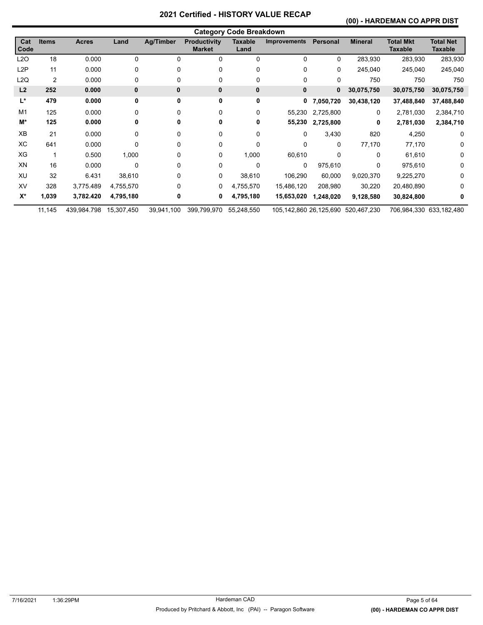#### **(00) - HARDEMAN CO APPR DIST**

|                | <b>Category Code Breakdown</b> |              |              |            |                                      |                        |                        |           |                |                                    |                                    |
|----------------|--------------------------------|--------------|--------------|------------|--------------------------------------|------------------------|------------------------|-----------|----------------|------------------------------------|------------------------------------|
| Cat<br>Code    | <b>Items</b>                   | <b>Acres</b> | Land         | Ag/Timber  | <b>Productivity</b><br><b>Market</b> | <b>Taxable</b><br>Land | <b>Improvements</b>    | Personal  | <b>Mineral</b> | <b>Total Mkt</b><br><b>Taxable</b> | <b>Total Net</b><br><b>Taxable</b> |
| L2O            | 18                             | 0.000        | 0            | $\Omega$   | 0                                    | 0                      | 0                      | 0         | 283,930        | 283,930                            | 283,930                            |
| L2P            | 11                             | 0.000        | 0            | 0          | 0                                    | 0                      | 0                      | 0         | 245,040        | 245,040                            | 245,040                            |
| L2Q            | $\overline{c}$                 | 0.000        | 0            | $\Omega$   | 0                                    | 0                      | 0                      | $\Omega$  | 750            | 750                                | 750                                |
| L <sub>2</sub> | 252                            | 0.000        | $\mathbf{0}$ | 0          | $\bf{0}$                             | 0                      | $\bf{0}$               | 0         | 30,075,750     | 30,075,750                         | 30,075,750                         |
| L*             | 479                            | 0.000        | 0            | 0          | 0                                    | 0                      | 0                      | 7,050,720 | 30,438,120     | 37,488,840                         | 37,488,840                         |
| M <sub>1</sub> | 125                            | 0.000        | 0            | 0          | 0                                    | 0                      | 55,230                 | 2,725,800 | 0              | 2,781,030                          | 2,384,710                          |
| M*             | 125                            | 0.000        | 0            | 0          | 0                                    | 0                      | 55,230                 | 2,725,800 | 0              | 2,781,030                          | 2,384,710                          |
| XB             | 21                             | 0.000        | 0            | $\Omega$   | 0                                    | 0                      | 0                      | 3,430     | 820            | 4,250                              | $\Omega$                           |
| ХC             | 641                            | 0.000        | 0            | $\Omega$   | 0                                    | 0                      | 0                      | 0         | 77,170         | 77,170                             | $\Omega$                           |
| XG             |                                | 0.500        | 1,000        | 0          | 0                                    | 1,000                  | 60,610                 | 0         | 0              | 61,610                             | $\Omega$                           |
| XN             | 16                             | 0.000        | 0            | 0          | 0                                    | 0                      | $\mathbf{0}$           | 975,610   | 0              | 975,610                            | $\Omega$                           |
| XU             | 32                             | 6.431        | 38,610       | 0          | 0                                    | 38,610                 | 106,290                | 60,000    | 9,020,370      | 9,225,270                          | 0                                  |
| XV             | 328                            | 3,775.489    | 4,755,570    | 0          | 0                                    | 4,755,570              | 15,486,120             | 208,980   | 30,220         | 20,480,890                         | 0                                  |
| $X^*$          | 1,039                          | 3,782.420    | 4,795,180    | 0          | 0                                    | 4,795,180              | 15,653,020             | 1,248,020 | 9,128,580      | 30,824,800                         | 0                                  |
|                | 11,145                         | 439,984.798  | 15,307,450   | 39,941,100 | 399,799,970                          | 55,248,550             | 105,142,860 26,125,690 |           | 520,467,230    |                                    | 706,984,330 633,182,480            |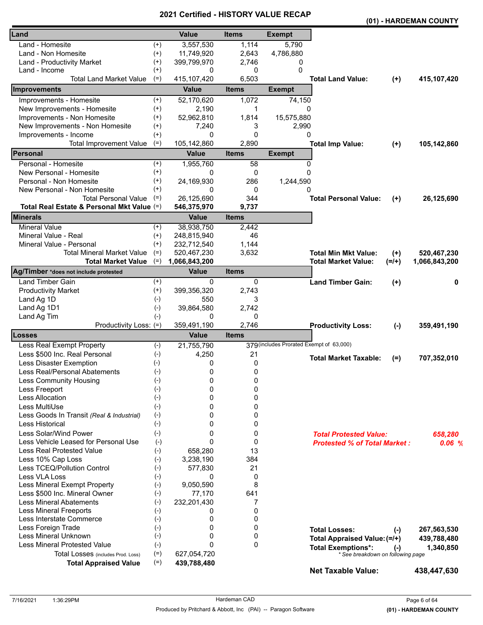|                                            |          |               | - 1110       |                                          |                                     |         | (01) - HARDEMAN COUNTY |
|--------------------------------------------|----------|---------------|--------------|------------------------------------------|-------------------------------------|---------|------------------------|
| Land                                       |          | <b>Value</b>  | <b>Items</b> | <b>Exempt</b>                            |                                     |         |                        |
| Land - Homesite                            | $^{(+)}$ | 3,557,530     | 1,114        | 5,790                                    |                                     |         |                        |
| Land - Non Homesite                        | $(+)$    | 11,749,920    | 2,643        | 4,786,880                                |                                     |         |                        |
| Land - Productivity Market                 | $^{(+)}$ | 399,799,970   | 2,746        | 0                                        |                                     |         |                        |
| Land - Income                              | $^{(+)}$ | 0             | 0            | 0                                        |                                     |         |                        |
| <b>Total Land Market Value</b>             | $(=)$    | 415, 107, 420 | 6,503        |                                          | <b>Total Land Value:</b>            | $(+)$   | 415,107,420            |
| Improvements                               |          | <b>Value</b>  | <b>Items</b> | <b>Exempt</b>                            |                                     |         |                        |
| Improvements - Homesite                    | $^{(+)}$ | 52,170,620    | 1,072        | 74,150                                   |                                     |         |                        |
| New Improvements - Homesite                | $(+)$    | 2,190         | 1            | $\Omega$                                 |                                     |         |                        |
| Improvements - Non Homesite                | $^{(+)}$ | 52,962,810    | 1,814        | 15,575,880                               |                                     |         |                        |
| New Improvements - Non Homesite            | $^{(+)}$ | 7,240         | 3            | 2,990                                    |                                     |         |                        |
| Improvements - Income                      | $(+)$    | 0             | $\mathbf{0}$ | 0                                        |                                     |         |                        |
| <b>Total Improvement Value</b>             | $(=)$    | 105,142,860   | 2,890        |                                          | <b>Total Imp Value:</b>             | $(+)$   | 105,142,860            |
| Personal                                   |          | <b>Value</b>  | <b>Items</b> | <b>Exempt</b>                            |                                     |         |                        |
| Personal - Homesite                        | $^{(+)}$ | 1,955,760     | 58           | 0                                        |                                     |         |                        |
| New Personal - Homesite                    | $^{(+)}$ | 0             | 0            | $\Omega$                                 |                                     |         |                        |
| Personal - Non Homesite                    | $^{(+)}$ | 24,169,930    | 286          | 1,244,590                                |                                     |         |                        |
| New Personal - Non Homesite                | $^{(+)}$ | 0             | 0            | <sup>0</sup>                             |                                     |         |                        |
| <b>Total Personal Value</b>                | $(=)$    | 26,125,690    | 344          |                                          | <b>Total Personal Value:</b>        | $(+)$   | 26,125,690             |
| Total Real Estate & Personal Mkt Value (=) |          | 546,375,970   | 9,737        |                                          |                                     |         |                        |
| <b>Minerals</b>                            |          | <b>Value</b>  | <b>Items</b> |                                          |                                     |         |                        |
| <b>Mineral Value</b>                       | $^{(+)}$ | 38,938,750    | 2,442        |                                          |                                     |         |                        |
| Mineral Value - Real                       | $(+)$    | 248,815,940   | 46           |                                          |                                     |         |                        |
| Mineral Value - Personal                   | $(+)$    | 232,712,540   | 1,144        |                                          |                                     |         |                        |
| <b>Total Mineral Market Value</b>          | $(=)$    | 520,467,230   | 3,632        |                                          | <b>Total Min Mkt Value:</b>         | $(+)$   | 520,467,230            |
| <b>Total Market Value</b>                  | $(=)$    | 1,066,843,200 |              |                                          | <b>Total Market Value:</b>          | $(=/+)$ | 1,066,843,200          |
| Ag/Timber *does not include protested      |          | <b>Value</b>  | <b>Items</b> |                                          |                                     |         |                        |
| Land Timber Gain                           | $^{(+)}$ | 0             | 0            |                                          | <b>Land Timber Gain:</b>            | $(+)$   | 0                      |
| <b>Productivity Market</b>                 | $^{(+)}$ | 399,356,320   | 2,743        |                                          |                                     |         |                        |
| Land Ag 1D                                 | $(-)$    | 550           | 3            |                                          |                                     |         |                        |
| Land Ag 1D1                                | $(-)$    | 39,864,580    | 2,742        |                                          |                                     |         |                        |
| Land Ag Tim                                | $(-)$    | 0             | 0            |                                          |                                     |         |                        |
| Productivity Loss: (=)                     |          | 359,491,190   | 2,746        |                                          | <b>Productivity Loss:</b>           | $(-)$   | 359,491,190            |
| <b>Losses</b>                              |          | Value         | <b>Items</b> |                                          |                                     |         |                        |
| Less Real Exempt Property                  | $(-)$    | 21,755,790    |              | 379 (includes Prorated Exempt of 63,000) |                                     |         |                        |
| Less \$500 Inc. Real Personal              | $(-)$    | 4,250         | 21           |                                          |                                     |         |                        |
| Less Disaster Exemption                    | $(-)$    | 0             | 0            |                                          | <b>Total Market Taxable:</b>        | $(=)$   | 707,352,010            |
| Less Real/Personal Abatements              | $(-)$    | 0             | 0            |                                          |                                     |         |                        |
| Less Community Housing                     | $(-)$    | 0             | 0            |                                          |                                     |         |                        |
| Less Freeport                              | $(-)$    | 0             | 0            |                                          |                                     |         |                        |
| Less Allocation                            | $(-)$    | 0             | 0            |                                          |                                     |         |                        |
| Less MultiUse                              | $(-)$    | 0             | 0            |                                          |                                     |         |                        |
| Less Goods In Transit (Real & Industrial)  | $(-)$    | 0             | 0            |                                          |                                     |         |                        |
| Less Historical                            | $(-)$    | 0             | 0            |                                          |                                     |         |                        |
| Less Solar/Wind Power                      | $(-)$    | 0             | 0            |                                          | <b>Total Protested Value:</b>       |         | 658,280                |
| Less Vehicle Leased for Personal Use       | $(-)$    | $\mathbf{0}$  | 0            |                                          | <b>Protested % of Total Market:</b> |         | 0.06%                  |
| Less Real Protested Value                  | $(-)$    | 658,280       | 13           |                                          |                                     |         |                        |
| Less 10% Cap Loss                          | $(-)$    | 3,238,190     | 384          |                                          |                                     |         |                        |
| Less TCEQ/Pollution Control                | $(-)$    | 577,830       | 21           |                                          |                                     |         |                        |
| Less VLA Loss                              | $(-)$    | 0             | 0            |                                          |                                     |         |                        |
| Less Mineral Exempt Property               | $(-)$    | 9,050,590     | 8            |                                          |                                     |         |                        |
| Less \$500 Inc. Mineral Owner              | $(-)$    | 77,170        | 641          |                                          |                                     |         |                        |
| <b>Less Mineral Abatements</b>             | $(-)$    | 232,201,430   | 7            |                                          |                                     |         |                        |
| <b>Less Mineral Freeports</b>              | $(-)$    | 0             | 0            |                                          |                                     |         |                        |
| Less Interstate Commerce                   | $(-)$    | 0             | 0            |                                          |                                     |         |                        |
| Less Foreign Trade                         | $(-)$    | 0             | 0            |                                          | <b>Total Losses:</b>                | $(-)$   | 267,563,530            |
| Less Mineral Unknown                       | $(-)$    | 0             | 0            |                                          | Total Appraised Value: (=/+)        |         | 439,788,480            |
| <b>Less Mineral Protested Value</b>        | $(-)$    | 0             | $\mathbf{0}$ |                                          | <b>Total Exemptions*:</b>           |         | 1,340,850              |
| Total Losses (includes Prod. Loss)         | $(=)$    | 627,054,720   |              |                                          | * See breakdown on following page   | $(-)$   |                        |
| <b>Total Appraised Value</b>               | $(=)$    | 439,788,480   |              |                                          |                                     |         |                        |
|                                            |          |               |              |                                          | <b>Net Taxable Value:</b>           |         | 438,447,630            |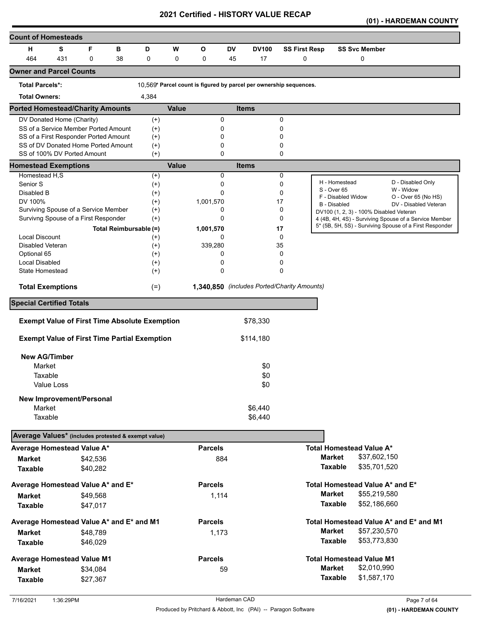| <b>Count of Homesteads</b>                                         |     |             |    |                        |              |                                                                    |           |                                             |                      |                                           |                                                         |
|--------------------------------------------------------------------|-----|-------------|----|------------------------|--------------|--------------------------------------------------------------------|-----------|---------------------------------------------|----------------------|-------------------------------------------|---------------------------------------------------------|
| н                                                                  | S   | F           | в  | D                      | W            | O                                                                  | <b>DV</b> | <b>DV100</b>                                | <b>SS First Resp</b> | <b>SS Svc Member</b>                      |                                                         |
| 464                                                                | 431 | $\mathbf 0$ | 38 | 0                      | 0            | 0                                                                  | 45        | 17                                          | 0                    | 0                                         |                                                         |
| <b>Owner and Parcel Counts</b>                                     |     |             |    |                        |              |                                                                    |           |                                             |                      |                                           |                                                         |
| <b>Total Parcels*:</b>                                             |     |             |    |                        |              | 10.569* Parcel count is figured by parcel per ownership sequences. |           |                                             |                      |                                           |                                                         |
| <b>Total Owners:</b>                                               |     |             |    | 4,384                  |              |                                                                    |           |                                             |                      |                                           |                                                         |
| <b>Ported Homestead/Charity Amounts</b>                            |     |             |    |                        | <b>Value</b> |                                                                    |           | <b>Items</b>                                |                      |                                           |                                                         |
| DV Donated Home (Charity)                                          |     |             |    | $^{(+)}$               |              | 0                                                                  |           |                                             | 0                    |                                           |                                                         |
| SS of a Service Member Ported Amount                               |     |             |    | $^{(+)}$               |              | 0                                                                  |           |                                             | 0                    |                                           |                                                         |
| SS of a First Responder Ported Amount                              |     |             |    | $^{(+)}$               |              | 0                                                                  |           |                                             | 0                    |                                           |                                                         |
| SS of DV Donated Home Ported Amount<br>SS of 100% DV Ported Amount |     |             |    | $^{(+)}$<br>$(+)$      |              | 0<br>0                                                             |           |                                             | 0<br>0               |                                           |                                                         |
| <b>Homestead Exemptions</b>                                        |     |             |    |                        | <b>Value</b> |                                                                    |           | <b>Items</b>                                |                      |                                           |                                                         |
| Homestead H,S                                                      |     |             |    | $(+)$                  |              | 0                                                                  |           |                                             | 0                    |                                           |                                                         |
| Senior <sub>S</sub>                                                |     |             |    | $^{(+)}$               |              | 0                                                                  |           |                                             | 0                    | H - Homestead                             | D - Disabled Only                                       |
| Disabled B                                                         |     |             |    | $(+)$                  |              | 0                                                                  |           |                                             | 0                    | S - Over 65                               | W - Widow                                               |
| DV 100%                                                            |     |             |    | $^{(+)}$               |              | 1,001,570                                                          |           |                                             | 17                   | F - Disabled Widow<br><b>B</b> - Disabled | O - Over 65 (No HS)<br>DV - Disabled Veteran            |
| Surviving Spouse of a Service Member                               |     |             |    | $(+)$                  |              | 0                                                                  |           |                                             | 0                    | DV100 (1, 2, 3) - 100% Disabled Veteran   |                                                         |
| Survivng Spouse of a First Responder                               |     |             |    | $^{(+)}$               |              | 0                                                                  |           |                                             | 0                    |                                           | 4 (4B, 4H, 4S) - Surviving Spouse of a Service Member   |
|                                                                    |     |             |    | Total Reimbursable (=) |              | 1,001,570                                                          |           |                                             | 17                   |                                           | 5* (5B, 5H, 5S) - Surviving Spouse of a First Responder |
| <b>Local Discount</b>                                              |     |             |    | $^{(+)}$               |              | 0                                                                  |           |                                             | 0                    |                                           |                                                         |
| Disabled Veteran                                                   |     |             |    | $^{(+)}$               |              | 339,280                                                            |           |                                             | 35                   |                                           |                                                         |
| Optional 65                                                        |     |             |    | $^{(+)}$               |              | 0                                                                  |           |                                             | 0                    |                                           |                                                         |
| <b>Local Disabled</b>                                              |     |             |    | $^{(+)}$               |              | 0                                                                  |           |                                             | 0                    |                                           |                                                         |
| State Homestead                                                    |     |             |    | $^{(+)}$               |              | 0                                                                  |           |                                             | 0                    |                                           |                                                         |
| <b>Total Exemptions</b>                                            |     |             |    | $(=)$                  |              |                                                                    |           | 1,340,850 (includes Ported/Charity Amounts) |                      |                                           |                                                         |
| <b>Special Certified Totals</b>                                    |     |             |    |                        |              |                                                                    |           |                                             |                      |                                           |                                                         |
| <b>Exempt Value of First Time Absolute Exemption</b>               |     |             |    |                        |              |                                                                    |           | \$78,330                                    |                      |                                           |                                                         |
|                                                                    |     |             |    |                        |              |                                                                    |           |                                             |                      |                                           |                                                         |
| <b>Exempt Value of First Time Partial Exemption</b>                |     |             |    |                        |              |                                                                    |           | \$114,180                                   |                      |                                           |                                                         |
| <b>New AG/Timber</b>                                               |     |             |    |                        |              |                                                                    |           |                                             |                      |                                           |                                                         |
| Market                                                             |     |             |    |                        |              |                                                                    |           | \$0                                         |                      |                                           |                                                         |
| Taxable                                                            |     |             |    |                        |              |                                                                    |           | \$0                                         |                      |                                           |                                                         |
| Value Loss                                                         |     |             |    |                        |              |                                                                    |           | \$0                                         |                      |                                           |                                                         |
| <b>New Improvement/Personal</b>                                    |     |             |    |                        |              |                                                                    |           |                                             |                      |                                           |                                                         |
| Market                                                             |     |             |    |                        |              |                                                                    |           | \$6,440                                     |                      |                                           |                                                         |
| Taxable                                                            |     |             |    |                        |              |                                                                    |           | \$6,440                                     |                      |                                           |                                                         |
| Average Values* (includes protested & exempt value)                |     |             |    |                        |              |                                                                    |           |                                             |                      |                                           |                                                         |
| Average Homestead Value A*                                         |     |             |    |                        |              | <b>Parcels</b>                                                     |           |                                             |                      | <b>Total Homestead Value A*</b>           |                                                         |
| <b>Market</b>                                                      |     | \$42,536    |    |                        |              | 884                                                                |           |                                             |                      | <b>Market</b><br>\$37,602,150             |                                                         |
| <b>Taxable</b>                                                     |     | \$40,282    |    |                        |              |                                                                    |           |                                             |                      | <b>Taxable</b><br>\$35,701,520            |                                                         |
| Average Homestead Value A* and E*                                  |     |             |    |                        |              | <b>Parcels</b>                                                     |           |                                             |                      | Total Homestead Value A* and E*           |                                                         |
|                                                                    |     |             |    |                        |              |                                                                    |           |                                             |                      | <b>Market</b><br>\$55,219,580             |                                                         |
| Market                                                             |     | \$49,568    |    |                        |              | 1,114                                                              |           |                                             |                      | <b>Taxable</b>                            |                                                         |
| <b>Taxable</b>                                                     |     | \$47,017    |    |                        |              |                                                                    |           |                                             |                      | \$52,186,660                              |                                                         |
| Average Homestead Value A* and E* and M1                           |     |             |    |                        |              | <b>Parcels</b>                                                     |           |                                             |                      |                                           | Total Homestead Value A* and E* and M1                  |
| Market                                                             |     | \$48,789    |    |                        |              | 1,173                                                              |           |                                             |                      | <b>Market</b><br>\$57,230,570             |                                                         |
| <b>Taxable</b>                                                     |     | \$46,029    |    |                        |              |                                                                    |           |                                             |                      | <b>Taxable</b><br>\$53,773,830            |                                                         |
| <b>Average Homestead Value M1</b>                                  |     |             |    |                        |              | <b>Parcels</b>                                                     |           |                                             |                      | <b>Total Homestead Value M1</b>           |                                                         |
| <b>Market</b>                                                      |     | \$34,084    |    |                        |              |                                                                    | 59        |                                             |                      | <b>Market</b><br>\$2,010,990              |                                                         |
| <b>Taxable</b>                                                     |     | \$27,367    |    |                        |              |                                                                    |           |                                             |                      | <b>Taxable</b><br>\$1,587,170             |                                                         |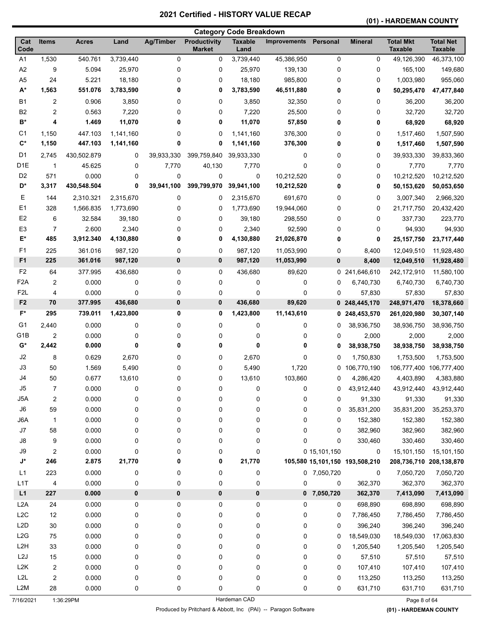# **(01) - HARDEMAN COUNTY**

| <b>Total Mkt</b><br><b>Productivity</b><br><b>Taxable</b><br>Cat<br>Items<br>Land<br><b>Ag/Timber</b><br>Personal<br><b>Mineral</b><br><b>Acres</b><br><b>Improvements</b><br>Code<br><b>Market</b><br><b>Taxable</b><br>Land<br>A <sub>1</sub><br>1,530<br>540.761<br>3,739,440<br>0<br>3,739,440<br>45,386,950<br>0<br>0<br>0<br>49,126,390<br>A2<br>9<br>5.094<br>25,970<br>0<br>0<br>0<br>25,970<br>139,130<br>0<br>165,100<br>A <sub>5</sub><br>24<br>5.221<br>18,180<br>985,800<br>0<br>0<br>0<br>0<br>18,180<br>1,003,980<br>$A^*$<br>1,563<br>551.076<br>3,783,590<br>0<br>0<br>3,783,590<br>46,511,880<br>0<br>0<br>50,295,470<br><b>B1</b><br>0.906<br>36,200<br>2<br>3,850<br>0<br>0<br>3,850<br>32,350<br>0<br>0<br><b>B2</b><br>2<br>0.563<br>7,220<br>0<br>0<br>7,220<br>25,500<br>0<br>0<br>32,720<br>B*<br>4<br>1.469<br>11,070<br>0<br>0<br>11,070<br>57,850<br>0<br>0<br>68,920<br>C1<br>1,150<br>447.103<br>1,141,160<br>0<br>0<br>1,141,160<br>376,300<br>0<br>0<br>1,517,460<br>$\mathbf{C}^*$<br>1,150<br>447.103<br>0<br>0<br>1,141,160<br>376,300<br>1,141,160<br>0<br>0<br>1,517,460<br>D <sub>1</sub><br>399,759,840<br>0<br>2,745<br>430,502.879<br>0<br>39,933,330<br>39,933,330<br>0<br>0<br>39,933,330<br>D <sub>1</sub> E<br>$\mathbf{1}$<br>7,770<br>0<br>45.625<br>0<br>40,130<br>0<br>0<br>7,770<br>7,770<br>D <sub>2</sub><br>571<br>0.000<br>0<br>0<br>0<br>10,212,520<br>0<br>0<br>0<br>10,212,520<br>D*<br>430,548.504<br>39,941,100<br>399,799,970<br>39,941,100<br>3,317<br>0<br>10,212,520<br>0<br>0<br>50,153,620<br>Ε<br>0<br>144<br>2,310.321<br>2,315,670<br>0<br>2,315,670<br>691,670<br>0<br>0<br>3,007,340<br>E1<br>0<br>0<br>328<br>1,566.835<br>1,773,690<br>0<br>0<br>1,773,690<br>19,944,060<br>21,717,750<br>E <sub>2</sub><br>6<br>32.584<br>39,180<br>0<br>0<br>39,180<br>298,550<br>0<br>0<br>337,730<br>E <sub>3</sub><br>7<br>2.600<br>2,340<br>0<br>0<br>2,340<br>92,590<br>0<br>0<br>94,930<br>E*<br>485<br>3,912.340<br>4,130,880<br>0<br>4,130,880<br>21,026,870<br>0<br>0<br>0<br>25, 157, 750<br>F1<br>361.016<br>0<br>0<br>225<br>987,120<br>0<br>987,120<br>11,053,990<br>8,400<br>12,049,510<br>F <sub>1</sub><br>0<br>0<br>225<br>361.016<br>987,120<br>987,120<br>11,053,990<br>0<br>12,049,510<br>8,400<br>F <sub>2</sub><br>0<br>0<br>241,646,610<br>64<br>377.995<br>436,680<br>436,680<br>89,620<br>0<br>242,172,910<br>F <sub>2</sub> A<br>0.000<br>6,740,730<br>2<br>0<br>0<br>0<br>0<br>0<br>0<br>6,740,730<br>F <sub>2</sub> L<br>0<br>4<br>0.000<br>0<br>0<br>0<br>0<br>0<br>57,830<br>57,830 |                                    |
|-----------------------------------------------------------------------------------------------------------------------------------------------------------------------------------------------------------------------------------------------------------------------------------------------------------------------------------------------------------------------------------------------------------------------------------------------------------------------------------------------------------------------------------------------------------------------------------------------------------------------------------------------------------------------------------------------------------------------------------------------------------------------------------------------------------------------------------------------------------------------------------------------------------------------------------------------------------------------------------------------------------------------------------------------------------------------------------------------------------------------------------------------------------------------------------------------------------------------------------------------------------------------------------------------------------------------------------------------------------------------------------------------------------------------------------------------------------------------------------------------------------------------------------------------------------------------------------------------------------------------------------------------------------------------------------------------------------------------------------------------------------------------------------------------------------------------------------------------------------------------------------------------------------------------------------------------------------------------------------------------------------------------------------------------------------------------------------------------------------------------------------------------------------------------------------------------------------------------------------------------------------------------------------------------------------------------------------------------------------------------------------------------------------------------------------------------------------------------------------------------------------------------------------------------------------------------------|------------------------------------|
|                                                                                                                                                                                                                                                                                                                                                                                                                                                                                                                                                                                                                                                                                                                                                                                                                                                                                                                                                                                                                                                                                                                                                                                                                                                                                                                                                                                                                                                                                                                                                                                                                                                                                                                                                                                                                                                                                                                                                                                                                                                                                                                                                                                                                                                                                                                                                                                                                                                                                                                                                                             | <b>Total Net</b><br><b>Taxable</b> |
|                                                                                                                                                                                                                                                                                                                                                                                                                                                                                                                                                                                                                                                                                                                                                                                                                                                                                                                                                                                                                                                                                                                                                                                                                                                                                                                                                                                                                                                                                                                                                                                                                                                                                                                                                                                                                                                                                                                                                                                                                                                                                                                                                                                                                                                                                                                                                                                                                                                                                                                                                                             | 46,373,100                         |
|                                                                                                                                                                                                                                                                                                                                                                                                                                                                                                                                                                                                                                                                                                                                                                                                                                                                                                                                                                                                                                                                                                                                                                                                                                                                                                                                                                                                                                                                                                                                                                                                                                                                                                                                                                                                                                                                                                                                                                                                                                                                                                                                                                                                                                                                                                                                                                                                                                                                                                                                                                             | 149,680                            |
|                                                                                                                                                                                                                                                                                                                                                                                                                                                                                                                                                                                                                                                                                                                                                                                                                                                                                                                                                                                                                                                                                                                                                                                                                                                                                                                                                                                                                                                                                                                                                                                                                                                                                                                                                                                                                                                                                                                                                                                                                                                                                                                                                                                                                                                                                                                                                                                                                                                                                                                                                                             | 955,060                            |
|                                                                                                                                                                                                                                                                                                                                                                                                                                                                                                                                                                                                                                                                                                                                                                                                                                                                                                                                                                                                                                                                                                                                                                                                                                                                                                                                                                                                                                                                                                                                                                                                                                                                                                                                                                                                                                                                                                                                                                                                                                                                                                                                                                                                                                                                                                                                                                                                                                                                                                                                                                             | 47,477,840                         |
|                                                                                                                                                                                                                                                                                                                                                                                                                                                                                                                                                                                                                                                                                                                                                                                                                                                                                                                                                                                                                                                                                                                                                                                                                                                                                                                                                                                                                                                                                                                                                                                                                                                                                                                                                                                                                                                                                                                                                                                                                                                                                                                                                                                                                                                                                                                                                                                                                                                                                                                                                                             | 36,200                             |
|                                                                                                                                                                                                                                                                                                                                                                                                                                                                                                                                                                                                                                                                                                                                                                                                                                                                                                                                                                                                                                                                                                                                                                                                                                                                                                                                                                                                                                                                                                                                                                                                                                                                                                                                                                                                                                                                                                                                                                                                                                                                                                                                                                                                                                                                                                                                                                                                                                                                                                                                                                             | 32,720                             |
|                                                                                                                                                                                                                                                                                                                                                                                                                                                                                                                                                                                                                                                                                                                                                                                                                                                                                                                                                                                                                                                                                                                                                                                                                                                                                                                                                                                                                                                                                                                                                                                                                                                                                                                                                                                                                                                                                                                                                                                                                                                                                                                                                                                                                                                                                                                                                                                                                                                                                                                                                                             | 68,920                             |
|                                                                                                                                                                                                                                                                                                                                                                                                                                                                                                                                                                                                                                                                                                                                                                                                                                                                                                                                                                                                                                                                                                                                                                                                                                                                                                                                                                                                                                                                                                                                                                                                                                                                                                                                                                                                                                                                                                                                                                                                                                                                                                                                                                                                                                                                                                                                                                                                                                                                                                                                                                             | 1,507,590                          |
|                                                                                                                                                                                                                                                                                                                                                                                                                                                                                                                                                                                                                                                                                                                                                                                                                                                                                                                                                                                                                                                                                                                                                                                                                                                                                                                                                                                                                                                                                                                                                                                                                                                                                                                                                                                                                                                                                                                                                                                                                                                                                                                                                                                                                                                                                                                                                                                                                                                                                                                                                                             | 1,507,590                          |
|                                                                                                                                                                                                                                                                                                                                                                                                                                                                                                                                                                                                                                                                                                                                                                                                                                                                                                                                                                                                                                                                                                                                                                                                                                                                                                                                                                                                                                                                                                                                                                                                                                                                                                                                                                                                                                                                                                                                                                                                                                                                                                                                                                                                                                                                                                                                                                                                                                                                                                                                                                             | 39,833,360                         |
|                                                                                                                                                                                                                                                                                                                                                                                                                                                                                                                                                                                                                                                                                                                                                                                                                                                                                                                                                                                                                                                                                                                                                                                                                                                                                                                                                                                                                                                                                                                                                                                                                                                                                                                                                                                                                                                                                                                                                                                                                                                                                                                                                                                                                                                                                                                                                                                                                                                                                                                                                                             | 7,770                              |
|                                                                                                                                                                                                                                                                                                                                                                                                                                                                                                                                                                                                                                                                                                                                                                                                                                                                                                                                                                                                                                                                                                                                                                                                                                                                                                                                                                                                                                                                                                                                                                                                                                                                                                                                                                                                                                                                                                                                                                                                                                                                                                                                                                                                                                                                                                                                                                                                                                                                                                                                                                             | 10,212,520                         |
|                                                                                                                                                                                                                                                                                                                                                                                                                                                                                                                                                                                                                                                                                                                                                                                                                                                                                                                                                                                                                                                                                                                                                                                                                                                                                                                                                                                                                                                                                                                                                                                                                                                                                                                                                                                                                                                                                                                                                                                                                                                                                                                                                                                                                                                                                                                                                                                                                                                                                                                                                                             | 50,053,650                         |
|                                                                                                                                                                                                                                                                                                                                                                                                                                                                                                                                                                                                                                                                                                                                                                                                                                                                                                                                                                                                                                                                                                                                                                                                                                                                                                                                                                                                                                                                                                                                                                                                                                                                                                                                                                                                                                                                                                                                                                                                                                                                                                                                                                                                                                                                                                                                                                                                                                                                                                                                                                             | 2,966,320                          |
|                                                                                                                                                                                                                                                                                                                                                                                                                                                                                                                                                                                                                                                                                                                                                                                                                                                                                                                                                                                                                                                                                                                                                                                                                                                                                                                                                                                                                                                                                                                                                                                                                                                                                                                                                                                                                                                                                                                                                                                                                                                                                                                                                                                                                                                                                                                                                                                                                                                                                                                                                                             | 20,432,420                         |
|                                                                                                                                                                                                                                                                                                                                                                                                                                                                                                                                                                                                                                                                                                                                                                                                                                                                                                                                                                                                                                                                                                                                                                                                                                                                                                                                                                                                                                                                                                                                                                                                                                                                                                                                                                                                                                                                                                                                                                                                                                                                                                                                                                                                                                                                                                                                                                                                                                                                                                                                                                             | 223,770                            |
|                                                                                                                                                                                                                                                                                                                                                                                                                                                                                                                                                                                                                                                                                                                                                                                                                                                                                                                                                                                                                                                                                                                                                                                                                                                                                                                                                                                                                                                                                                                                                                                                                                                                                                                                                                                                                                                                                                                                                                                                                                                                                                                                                                                                                                                                                                                                                                                                                                                                                                                                                                             | 94,930                             |
|                                                                                                                                                                                                                                                                                                                                                                                                                                                                                                                                                                                                                                                                                                                                                                                                                                                                                                                                                                                                                                                                                                                                                                                                                                                                                                                                                                                                                                                                                                                                                                                                                                                                                                                                                                                                                                                                                                                                                                                                                                                                                                                                                                                                                                                                                                                                                                                                                                                                                                                                                                             | 23,717,440                         |
|                                                                                                                                                                                                                                                                                                                                                                                                                                                                                                                                                                                                                                                                                                                                                                                                                                                                                                                                                                                                                                                                                                                                                                                                                                                                                                                                                                                                                                                                                                                                                                                                                                                                                                                                                                                                                                                                                                                                                                                                                                                                                                                                                                                                                                                                                                                                                                                                                                                                                                                                                                             |                                    |
|                                                                                                                                                                                                                                                                                                                                                                                                                                                                                                                                                                                                                                                                                                                                                                                                                                                                                                                                                                                                                                                                                                                                                                                                                                                                                                                                                                                                                                                                                                                                                                                                                                                                                                                                                                                                                                                                                                                                                                                                                                                                                                                                                                                                                                                                                                                                                                                                                                                                                                                                                                             | 11,928,480<br>11,928,480           |
|                                                                                                                                                                                                                                                                                                                                                                                                                                                                                                                                                                                                                                                                                                                                                                                                                                                                                                                                                                                                                                                                                                                                                                                                                                                                                                                                                                                                                                                                                                                                                                                                                                                                                                                                                                                                                                                                                                                                                                                                                                                                                                                                                                                                                                                                                                                                                                                                                                                                                                                                                                             | 11,580,100                         |
|                                                                                                                                                                                                                                                                                                                                                                                                                                                                                                                                                                                                                                                                                                                                                                                                                                                                                                                                                                                                                                                                                                                                                                                                                                                                                                                                                                                                                                                                                                                                                                                                                                                                                                                                                                                                                                                                                                                                                                                                                                                                                                                                                                                                                                                                                                                                                                                                                                                                                                                                                                             | 6,740,730                          |
|                                                                                                                                                                                                                                                                                                                                                                                                                                                                                                                                                                                                                                                                                                                                                                                                                                                                                                                                                                                                                                                                                                                                                                                                                                                                                                                                                                                                                                                                                                                                                                                                                                                                                                                                                                                                                                                                                                                                                                                                                                                                                                                                                                                                                                                                                                                                                                                                                                                                                                                                                                             |                                    |
| 70<br>F <sub>2</sub><br>377.995<br>436,680<br>0<br>$\bf{0}$<br>436,680<br>89,620<br>0                                                                                                                                                                                                                                                                                                                                                                                                                                                                                                                                                                                                                                                                                                                                                                                                                                                                                                                                                                                                                                                                                                                                                                                                                                                                                                                                                                                                                                                                                                                                                                                                                                                                                                                                                                                                                                                                                                                                                                                                                                                                                                                                                                                                                                                                                                                                                                                                                                                                                       | 57,830                             |
| 248,445,170<br>248,971,470<br>$F^*$<br>1,423,800<br>295<br>739.011<br>1,423,800<br>0<br>0<br>11,143,610<br>0                                                                                                                                                                                                                                                                                                                                                                                                                                                                                                                                                                                                                                                                                                                                                                                                                                                                                                                                                                                                                                                                                                                                                                                                                                                                                                                                                                                                                                                                                                                                                                                                                                                                                                                                                                                                                                                                                                                                                                                                                                                                                                                                                                                                                                                                                                                                                                                                                                                                | 18,378,660                         |
| 248,453,570<br>261,020,980                                                                                                                                                                                                                                                                                                                                                                                                                                                                                                                                                                                                                                                                                                                                                                                                                                                                                                                                                                                                                                                                                                                                                                                                                                                                                                                                                                                                                                                                                                                                                                                                                                                                                                                                                                                                                                                                                                                                                                                                                                                                                                                                                                                                                                                                                                                                                                                                                                                                                                                                                  | 30,307,140                         |
| G1<br>0.000<br>2,440<br>0<br>0<br>0<br>0<br>0<br>38,936,750<br>38,936,750<br>0                                                                                                                                                                                                                                                                                                                                                                                                                                                                                                                                                                                                                                                                                                                                                                                                                                                                                                                                                                                                                                                                                                                                                                                                                                                                                                                                                                                                                                                                                                                                                                                                                                                                                                                                                                                                                                                                                                                                                                                                                                                                                                                                                                                                                                                                                                                                                                                                                                                                                              | 38,936,750                         |
| G <sub>1</sub> B<br>$\overline{2}$<br>0.000<br>0<br>0<br>0<br>0<br>0<br>0<br>2,000<br>2,000                                                                                                                                                                                                                                                                                                                                                                                                                                                                                                                                                                                                                                                                                                                                                                                                                                                                                                                                                                                                                                                                                                                                                                                                                                                                                                                                                                                                                                                                                                                                                                                                                                                                                                                                                                                                                                                                                                                                                                                                                                                                                                                                                                                                                                                                                                                                                                                                                                                                                 | 2,000                              |
| $\mathsf{G}^\star$<br>2,442<br>0.000<br>0<br>0<br>0<br>0<br>0<br>38,938,750<br>38,938,750<br>0                                                                                                                                                                                                                                                                                                                                                                                                                                                                                                                                                                                                                                                                                                                                                                                                                                                                                                                                                                                                                                                                                                                                                                                                                                                                                                                                                                                                                                                                                                                                                                                                                                                                                                                                                                                                                                                                                                                                                                                                                                                                                                                                                                                                                                                                                                                                                                                                                                                                              | 38,938,750                         |
| J2<br>8<br>0.629<br>2,670<br>0<br>0<br>2,670<br>0<br>1,750,830<br>1,753,500<br>0                                                                                                                                                                                                                                                                                                                                                                                                                                                                                                                                                                                                                                                                                                                                                                                                                                                                                                                                                                                                                                                                                                                                                                                                                                                                                                                                                                                                                                                                                                                                                                                                                                                                                                                                                                                                                                                                                                                                                                                                                                                                                                                                                                                                                                                                                                                                                                                                                                                                                            | 1,753,500                          |
| J3<br>50<br>1.569<br>5,490<br>0<br>0<br>5,490<br>1,720<br>106,770,190<br>106,777,400<br>0                                                                                                                                                                                                                                                                                                                                                                                                                                                                                                                                                                                                                                                                                                                                                                                                                                                                                                                                                                                                                                                                                                                                                                                                                                                                                                                                                                                                                                                                                                                                                                                                                                                                                                                                                                                                                                                                                                                                                                                                                                                                                                                                                                                                                                                                                                                                                                                                                                                                                   | 106,777,400                        |
| J4<br>50<br>0.677<br>13,610<br>0<br>0<br>13,610<br>103,860<br>0<br>4,286,420<br>4,403,890                                                                                                                                                                                                                                                                                                                                                                                                                                                                                                                                                                                                                                                                                                                                                                                                                                                                                                                                                                                                                                                                                                                                                                                                                                                                                                                                                                                                                                                                                                                                                                                                                                                                                                                                                                                                                                                                                                                                                                                                                                                                                                                                                                                                                                                                                                                                                                                                                                                                                   | 4,383,880                          |
| $\overline{7}$<br>0<br>0<br>$\pmb{0}$<br>$\mathsf 0$<br>J5<br>0.000<br>0<br>43,912,440<br>0<br>43,912,440                                                                                                                                                                                                                                                                                                                                                                                                                                                                                                                                                                                                                                                                                                                                                                                                                                                                                                                                                                                                                                                                                                                                                                                                                                                                                                                                                                                                                                                                                                                                                                                                                                                                                                                                                                                                                                                                                                                                                                                                                                                                                                                                                                                                                                                                                                                                                                                                                                                                   | 43,912,440                         |
| J5A<br>2<br>0.000<br>0<br>0<br>0<br>0<br>0<br>91,330<br>91,330<br>0                                                                                                                                                                                                                                                                                                                                                                                                                                                                                                                                                                                                                                                                                                                                                                                                                                                                                                                                                                                                                                                                                                                                                                                                                                                                                                                                                                                                                                                                                                                                                                                                                                                                                                                                                                                                                                                                                                                                                                                                                                                                                                                                                                                                                                                                                                                                                                                                                                                                                                         | 91,330                             |
| J6<br>59<br>0.000<br>0<br>0<br>0<br>0<br>0<br>35,831,200<br>35,831,200<br>0                                                                                                                                                                                                                                                                                                                                                                                                                                                                                                                                                                                                                                                                                                                                                                                                                                                                                                                                                                                                                                                                                                                                                                                                                                                                                                                                                                                                                                                                                                                                                                                                                                                                                                                                                                                                                                                                                                                                                                                                                                                                                                                                                                                                                                                                                                                                                                                                                                                                                                 | 35,253,370                         |
| J6A<br>0.000<br>0<br>0<br>0<br>152,380<br>$\mathbf{1}$<br>0<br>0<br>0<br>152,380                                                                                                                                                                                                                                                                                                                                                                                                                                                                                                                                                                                                                                                                                                                                                                                                                                                                                                                                                                                                                                                                                                                                                                                                                                                                                                                                                                                                                                                                                                                                                                                                                                                                                                                                                                                                                                                                                                                                                                                                                                                                                                                                                                                                                                                                                                                                                                                                                                                                                            | 152,380                            |
| J7<br>58<br>0.000<br>0<br>0<br>0<br>0<br>0<br>0<br>382,960<br>382,960                                                                                                                                                                                                                                                                                                                                                                                                                                                                                                                                                                                                                                                                                                                                                                                                                                                                                                                                                                                                                                                                                                                                                                                                                                                                                                                                                                                                                                                                                                                                                                                                                                                                                                                                                                                                                                                                                                                                                                                                                                                                                                                                                                                                                                                                                                                                                                                                                                                                                                       | 382,960                            |
| J8<br>9<br>0.000<br>0<br>0<br>0<br>0<br>0<br>0<br>330,460<br>330,460                                                                                                                                                                                                                                                                                                                                                                                                                                                                                                                                                                                                                                                                                                                                                                                                                                                                                                                                                                                                                                                                                                                                                                                                                                                                                                                                                                                                                                                                                                                                                                                                                                                                                                                                                                                                                                                                                                                                                                                                                                                                                                                                                                                                                                                                                                                                                                                                                                                                                                        | 330,460                            |
| 0<br>J9<br>2<br>0.000<br>$\mathbf 0$<br>0 15,101,150<br>0<br>0<br>0<br>15,101,150                                                                                                                                                                                                                                                                                                                                                                                                                                                                                                                                                                                                                                                                                                                                                                                                                                                                                                                                                                                                                                                                                                                                                                                                                                                                                                                                                                                                                                                                                                                                                                                                                                                                                                                                                                                                                                                                                                                                                                                                                                                                                                                                                                                                                                                                                                                                                                                                                                                                                           | 15,101,150                         |
| $\mathsf{J}^\star$<br>246<br>21,770<br>2.875<br>0<br>21,770<br>105,580 15,101,150 193,508,210<br>0<br>208,736,710 208,138,870                                                                                                                                                                                                                                                                                                                                                                                                                                                                                                                                                                                                                                                                                                                                                                                                                                                                                                                                                                                                                                                                                                                                                                                                                                                                                                                                                                                                                                                                                                                                                                                                                                                                                                                                                                                                                                                                                                                                                                                                                                                                                                                                                                                                                                                                                                                                                                                                                                               |                                    |
| L1<br>223<br>0.000<br>0<br>0<br>0<br>$\pmb{0}$<br>0 7,050,720<br>0<br>7,050,720                                                                                                                                                                                                                                                                                                                                                                                                                                                                                                                                                                                                                                                                                                                                                                                                                                                                                                                                                                                                                                                                                                                                                                                                                                                                                                                                                                                                                                                                                                                                                                                                                                                                                                                                                                                                                                                                                                                                                                                                                                                                                                                                                                                                                                                                                                                                                                                                                                                                                             | 7,050,720                          |
| L <sub>1</sub> T<br>0<br>0<br>0<br>362,370<br>4<br>0.000<br>0<br>$\pmb{0}$<br>0<br>362,370                                                                                                                                                                                                                                                                                                                                                                                                                                                                                                                                                                                                                                                                                                                                                                                                                                                                                                                                                                                                                                                                                                                                                                                                                                                                                                                                                                                                                                                                                                                                                                                                                                                                                                                                                                                                                                                                                                                                                                                                                                                                                                                                                                                                                                                                                                                                                                                                                                                                                  | 362,370                            |
| L1<br>0<br>0<br>$\pmb{0}$<br>$\pmb{0}$<br>0 7,050,720<br>227<br>0.000<br>362,370<br>7,413,090                                                                                                                                                                                                                                                                                                                                                                                                                                                                                                                                                                                                                                                                                                                                                                                                                                                                                                                                                                                                                                                                                                                                                                                                                                                                                                                                                                                                                                                                                                                                                                                                                                                                                                                                                                                                                                                                                                                                                                                                                                                                                                                                                                                                                                                                                                                                                                                                                                                                               | 7,413,090                          |
| L <sub>2</sub> A<br>24<br>0.000<br>0<br>0<br>0<br>$\pmb{0}$<br>0<br>698,890<br>0<br>698,890                                                                                                                                                                                                                                                                                                                                                                                                                                                                                                                                                                                                                                                                                                                                                                                                                                                                                                                                                                                                                                                                                                                                                                                                                                                                                                                                                                                                                                                                                                                                                                                                                                                                                                                                                                                                                                                                                                                                                                                                                                                                                                                                                                                                                                                                                                                                                                                                                                                                                 | 698,890                            |
| L <sub>2</sub> C<br>12<br>0.000<br>0<br>0<br>0<br>$\pmb{0}$<br>0<br>7,786,450<br>7,786,450<br>0                                                                                                                                                                                                                                                                                                                                                                                                                                                                                                                                                                                                                                                                                                                                                                                                                                                                                                                                                                                                                                                                                                                                                                                                                                                                                                                                                                                                                                                                                                                                                                                                                                                                                                                                                                                                                                                                                                                                                                                                                                                                                                                                                                                                                                                                                                                                                                                                                                                                             | 7,786,450                          |
| L2D<br>30<br>0.000<br>0<br>0<br>0<br>0<br>0<br>0<br>396,240<br>396,240                                                                                                                                                                                                                                                                                                                                                                                                                                                                                                                                                                                                                                                                                                                                                                                                                                                                                                                                                                                                                                                                                                                                                                                                                                                                                                                                                                                                                                                                                                                                                                                                                                                                                                                                                                                                                                                                                                                                                                                                                                                                                                                                                                                                                                                                                                                                                                                                                                                                                                      | 396,240                            |
| L2G<br>${\bf 75}$<br>0.000<br>0<br>0<br>0<br>0<br>0<br>0<br>18,549,030<br>18,549,030                                                                                                                                                                                                                                                                                                                                                                                                                                                                                                                                                                                                                                                                                                                                                                                                                                                                                                                                                                                                                                                                                                                                                                                                                                                                                                                                                                                                                                                                                                                                                                                                                                                                                                                                                                                                                                                                                                                                                                                                                                                                                                                                                                                                                                                                                                                                                                                                                                                                                        | 17,063,830                         |
| L <sub>2</sub> H<br>33<br>0.000<br>0<br>0<br>$\pmb{0}$<br>0<br>1,205,540<br>1,205,540<br>0<br>0                                                                                                                                                                                                                                                                                                                                                                                                                                                                                                                                                                                                                                                                                                                                                                                                                                                                                                                                                                                                                                                                                                                                                                                                                                                                                                                                                                                                                                                                                                                                                                                                                                                                                                                                                                                                                                                                                                                                                                                                                                                                                                                                                                                                                                                                                                                                                                                                                                                                             | 1,205,540                          |
| L2J<br>15<br>0.000<br>0<br>0<br>$\pmb{0}$<br>0<br>0<br>57,510<br>57,510<br>0                                                                                                                                                                                                                                                                                                                                                                                                                                                                                                                                                                                                                                                                                                                                                                                                                                                                                                                                                                                                                                                                                                                                                                                                                                                                                                                                                                                                                                                                                                                                                                                                                                                                                                                                                                                                                                                                                                                                                                                                                                                                                                                                                                                                                                                                                                                                                                                                                                                                                                | 57,510                             |
| L2K<br>0<br>$\pmb{0}$<br>2<br>0.000<br>0<br>0<br>0<br>0<br>107,410<br>107,410                                                                                                                                                                                                                                                                                                                                                                                                                                                                                                                                                                                                                                                                                                                                                                                                                                                                                                                                                                                                                                                                                                                                                                                                                                                                                                                                                                                                                                                                                                                                                                                                                                                                                                                                                                                                                                                                                                                                                                                                                                                                                                                                                                                                                                                                                                                                                                                                                                                                                               | 107,410                            |
| L2L<br>2<br>0.000<br>0<br>0<br>0<br>0<br>0<br>0<br>113,250<br>113,250                                                                                                                                                                                                                                                                                                                                                                                                                                                                                                                                                                                                                                                                                                                                                                                                                                                                                                                                                                                                                                                                                                                                                                                                                                                                                                                                                                                                                                                                                                                                                                                                                                                                                                                                                                                                                                                                                                                                                                                                                                                                                                                                                                                                                                                                                                                                                                                                                                                                                                       | 113,250                            |
| L2M<br>28<br>0.000<br>0<br>0<br>0<br>0<br>631,710<br>631,710<br>0<br>0                                                                                                                                                                                                                                                                                                                                                                                                                                                                                                                                                                                                                                                                                                                                                                                                                                                                                                                                                                                                                                                                                                                                                                                                                                                                                                                                                                                                                                                                                                                                                                                                                                                                                                                                                                                                                                                                                                                                                                                                                                                                                                                                                                                                                                                                                                                                                                                                                                                                                                      |                                    |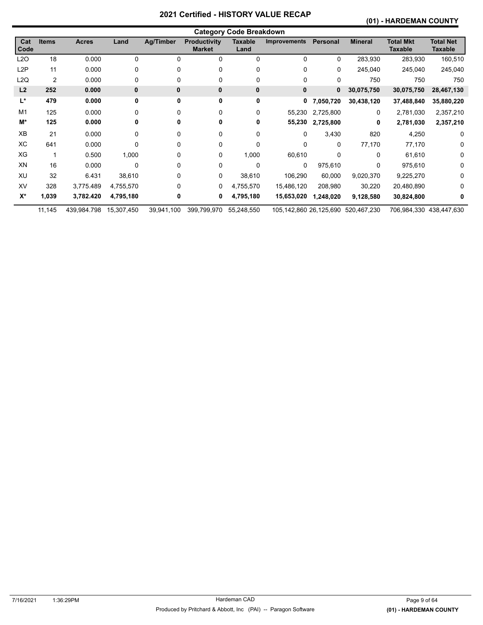# **(01) - HARDEMAN COUNTY**

|                | <b>Category Code Breakdown</b> |              |              |            |                                      |                        |                        |                |                |                             |                             |  |
|----------------|--------------------------------|--------------|--------------|------------|--------------------------------------|------------------------|------------------------|----------------|----------------|-----------------------------|-----------------------------|--|
| Cat<br>Code    | <b>Items</b>                   | <b>Acres</b> | Land         | Ag/Timber  | <b>Productivity</b><br><b>Market</b> | <b>Taxable</b><br>Land | <b>Improvements</b>    | Personal       | <b>Mineral</b> | Total Mkt<br><b>Taxable</b> | <b>Total Net</b><br>Taxable |  |
| L2O            | 18                             | 0.000        | 0            | 0          | 0                                    | 0                      | 0                      | 0              | 283,930        | 283,930                     | 160,510                     |  |
| L2P            | 11                             | 0.000        | 0            | 0          | 0                                    | 0                      | 0                      | 0              | 245,040        | 245,040                     | 245,040                     |  |
| L2Q            | $\overline{2}$                 | 0.000        | 0            | 0          | 0                                    | 0                      | 0                      | 0              | 750            | 750                         | 750                         |  |
| L2             | 252                            | 0.000        | $\mathbf{0}$ | 0          | $\bf{0}$                             | 0                      | $\mathbf 0$            | 0              | 30,075,750     | 30,075,750                  | 28,467,130                  |  |
| L*             | 479                            | 0.000        | 0            | 0          | 0                                    | 0                      |                        | 0, 7, 050, 720 | 30,438,120     | 37,488,840                  | 35,880,220                  |  |
| M <sub>1</sub> | 125                            | 0.000        | 0            | 0          | 0                                    | 0                      | 55,230                 | 2,725,800      | $\Omega$       | 2,781,030                   | 2,357,210                   |  |
| M*             | 125                            | 0.000        | 0            | 0          | 0                                    | 0                      | 55,230                 | 2,725,800      | 0              | 2,781,030                   | 2,357,210                   |  |
| XB             | 21                             | 0.000        | 0            | 0          | 0                                    | 0                      | 0                      | 3,430          | 820            | 4,250                       | $\Omega$                    |  |
| ХC             | 641                            | 0.000        | 0            | 0          | 0                                    | 0                      | 0                      | 0              | 77,170         | 77,170                      | 0                           |  |
| XG             |                                | 0.500        | 1,000        | 0          | 0                                    | 1,000                  | 60,610                 | $\Omega$       | 0              | 61,610                      | $\Omega$                    |  |
| XN             | 16                             | 0.000        | 0            | 0          | 0                                    | 0                      | 0                      | 975,610        | 0              | 975,610                     | <sup>0</sup>                |  |
| XU             | 32                             | 6.431        | 38,610       | 0          | 0                                    | 38,610                 | 106,290                | 60,000         | 9,020,370      | 9,225,270                   | 0                           |  |
| XV             | 328                            | 3,775.489    | 4,755,570    | 0          | 0                                    | 4,755,570              | 15,486,120             | 208,980        | 30,220         | 20,480,890                  | 0                           |  |
| $X^*$          | 1,039                          | 3,782.420    | 4,795,180    | 0          | 0                                    | 4,795,180              | 15,653,020             | 1,248,020      | 9,128,580      | 30,824,800                  | 0                           |  |
|                | 11,145                         | 439,984.798  | 15,307,450   | 39,941,100 | 399,799,970                          | 55,248,550             | 105,142,860 26,125,690 |                | 520,467,230    |                             | 706,984,330 438,447,630     |  |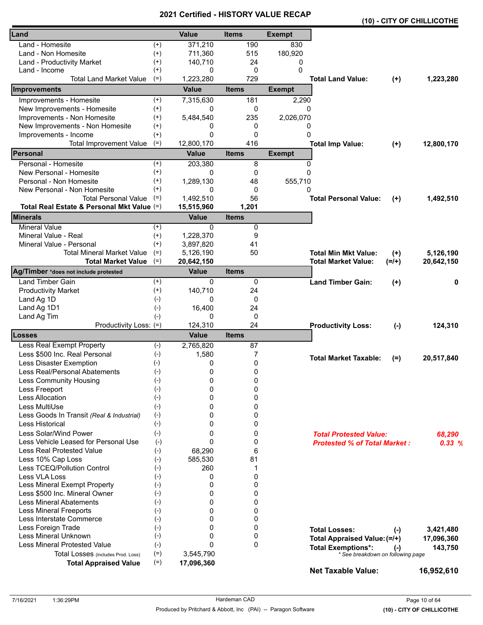|                                            |          | VEI UIIEU - FIIJ I UN I |              |               |                                                                |           | (10) - CITY OF CHILLICOTHE |
|--------------------------------------------|----------|-------------------------|--------------|---------------|----------------------------------------------------------------|-----------|----------------------------|
| Land                                       |          | <b>Value</b>            | <b>Items</b> | <b>Exempt</b> |                                                                |           |                            |
| Land - Homesite                            | $^{(+)}$ | 371,210                 | 190          | 830           |                                                                |           |                            |
| Land - Non Homesite                        | $(+)$    | 711,360                 | 515          | 180,920       |                                                                |           |                            |
| Land - Productivity Market                 | $^{(+)}$ | 140,710                 | 24           | 0             |                                                                |           |                            |
| Land - Income                              | $^{(+)}$ | 0                       | 0            | $\Omega$      |                                                                |           |                            |
| <b>Total Land Market Value</b>             | $(=)$    | 1,223,280               | 729          |               | <b>Total Land Value:</b>                                       | $(+)$     | 1,223,280                  |
| Improvements                               |          | <b>Value</b>            | <b>Items</b> | <b>Exempt</b> |                                                                |           |                            |
| Improvements - Homesite                    | $^{(+)}$ | 7,315,630               | 181          | 2,290         |                                                                |           |                            |
| New Improvements - Homesite                | $(+)$    | 0                       | 0            | 0             |                                                                |           |                            |
| Improvements - Non Homesite                | $^{(+)}$ | 5,484,540               | 235          | 2,026,070     |                                                                |           |                            |
| New Improvements - Non Homesite            | $^{(+)}$ | 0                       | 0            | 0             |                                                                |           |                            |
| Improvements - Income                      | $^{(+)}$ | 0                       | $\mathbf{0}$ | $\Omega$      |                                                                |           |                            |
| <b>Total Improvement Value</b>             | $(=)$    | 12,800,170              | 416          |               | <b>Total Imp Value:</b>                                        | $(+)$     | 12,800,170                 |
| Personal                                   |          | <b>Value</b>            | <b>Items</b> | <b>Exempt</b> |                                                                |           |                            |
| Personal - Homesite                        | $^{(+)}$ | 203,380                 | 8            | 0             |                                                                |           |                            |
| New Personal - Homesite                    | $^{(+)}$ | 0                       | 0            | 0             |                                                                |           |                            |
| Personal - Non Homesite                    | $^{(+)}$ | 1,289,130               | 48           | 555,710       |                                                                |           |                            |
| New Personal - Non Homesite                | $^{(+)}$ | $\Omega$                | 0            | 0             |                                                                |           |                            |
| <b>Total Personal Value</b>                | $(=)$    | 1,492,510               | 56           |               | <b>Total Personal Value:</b>                                   | $(+)$     | 1,492,510                  |
| Total Real Estate & Personal Mkt Value (=) |          | 15,515,960              | 1,201        |               |                                                                |           |                            |
| <b>Minerals</b>                            |          | <b>Value</b>            | <b>Items</b> |               |                                                                |           |                            |
| <b>Mineral Value</b>                       | $(+)$    | $\Omega$                | 0            |               |                                                                |           |                            |
| Mineral Value - Real                       | $^{(+)}$ | 1,228,370               | 9            |               |                                                                |           |                            |
| Mineral Value - Personal                   | $^{(+)}$ | 3,897,820               | 41           |               |                                                                |           |                            |
| <b>Total Mineral Market Value</b>          | $(=)$    | 5,126,190               | 50           |               | <b>Total Min Mkt Value:</b>                                    | $^{(+)}$  | 5,126,190                  |
| <b>Total Market Value</b>                  | $(=)$    | 20,642,150              |              |               | <b>Total Market Value:</b>                                     | $(=/+)$   | 20,642,150                 |
| Ag/Timber *does not include protested      |          | <b>Value</b>            | <b>Items</b> |               |                                                                |           |                            |
| <b>Land Timber Gain</b>                    | $^{(+)}$ | 0                       | 0            |               | <b>Land Timber Gain:</b>                                       | $^{(+)}$  | 0                          |
| <b>Productivity Market</b>                 | $(+)$    | 140,710                 | 24           |               |                                                                |           |                            |
| Land Ag 1D                                 | $(-)$    | 0                       | 0            |               |                                                                |           |                            |
| Land Ag 1D1                                | $(-)$    | 16,400                  | 24           |               |                                                                |           |                            |
| Land Ag Tim                                | $(-)$    | 0                       | 0            |               |                                                                |           |                            |
| Productivity Loss: (=)                     |          | 124,310                 | 24           |               | <b>Productivity Loss:</b>                                      | $(-)$     | 124,310                    |
| Losses                                     |          | <b>Value</b>            | <b>Items</b> |               |                                                                |           |                            |
| Less Real Exempt Property                  | $(-)$    | 2,765,820               | 87           |               |                                                                |           |                            |
| Less \$500 Inc. Real Personal              | $(-)$    | 1,580                   | 7            |               | <b>Total Market Taxable:</b>                                   |           | 20,517,840                 |
| Less Disaster Exemption                    | $(-)$    | 0                       | 0            |               |                                                                | $(=)$     |                            |
| Less Real/Personal Abatements              | $(-)$    | 0                       | 0            |               |                                                                |           |                            |
| Less Community Housing                     | $(-)$    | 0                       | 0            |               |                                                                |           |                            |
| Less Freeport                              | $(-)$    | 0                       | 0            |               |                                                                |           |                            |
| Less Allocation                            | $(-)$    | 0                       | 0            |               |                                                                |           |                            |
| Less MultiUse                              | $(-)$    | 0                       | 0            |               |                                                                |           |                            |
| Less Goods In Transit (Real & Industrial)  | $(-)$    | 0                       | 0            |               |                                                                |           |                            |
| Less Historical                            | $(-)$    | 0                       | 0            |               |                                                                |           |                            |
| Less Solar/Wind Power                      | $(-)$    | 0                       | 0            |               | <b>Total Protested Value:</b>                                  |           | 68,290                     |
| Less Vehicle Leased for Personal Use       | $(-)$    | 0                       | 0            |               | <b>Protested % of Total Market:</b>                            |           | 0.33%                      |
| <b>Less Real Protested Value</b>           | $(-)$    | 68,290                  | 6            |               |                                                                |           |                            |
| Less 10% Cap Loss                          | $(-)$    | 585,530                 | 81           |               |                                                                |           |                            |
| Less TCEQ/Pollution Control                | $(-)$    | 260                     | 1            |               |                                                                |           |                            |
| Less VLA Loss                              | $(-)$    | 0                       | 0            |               |                                                                |           |                            |
| Less Mineral Exempt Property               | $(-)$    | 0                       | 0            |               |                                                                |           |                            |
| Less \$500 Inc. Mineral Owner              | $(-)$    | 0                       | 0            |               |                                                                |           |                            |
| <b>Less Mineral Abatements</b>             | $(-)$    | 0                       | 0            |               |                                                                |           |                            |
| <b>Less Mineral Freeports</b>              | $(-)$    | 0                       | 0            |               |                                                                |           |                            |
| Less Interstate Commerce                   | $(-)$    | 0                       | 0            |               |                                                                |           |                            |
| Less Foreign Trade                         | $(-)$    | 0                       | 0            |               | <b>Total Losses:</b>                                           |           |                            |
| Less Mineral Unknown                       | $(-)$    | 0                       | 0            |               |                                                                | $(\cdot)$ | 3,421,480                  |
| Less Mineral Protested Value               | $(-)$    | $\Omega$                | $\mathbf{0}$ |               | Total Appraised Value: (=/+)                                   |           | 17,096,360                 |
| Total Losses (includes Prod. Loss)         | $(=)$    | 3,545,790               |              |               | <b>Total Exemptions*:</b><br>* See breakdown on following page | $(-)$     | 143,750                    |
| <b>Total Appraised Value</b>               | $(=)$    | 17,096,360              |              |               |                                                                |           |                            |
|                                            |          |                         |              |               | <b>Net Taxable Value:</b>                                      |           | 16,952,610                 |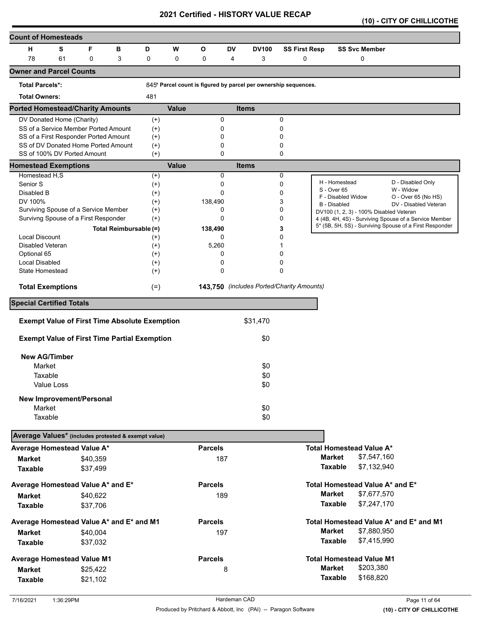|  |  |  |  | (10) - CITY OF CHILLICOTHE |
|--|--|--|--|----------------------------|
|--|--|--|--|----------------------------|

| <b>Count of Homesteads</b>                          |                                                      |          |                        |                      |              |                |           |                                                                 |                      |               |                                         |                                                         |
|-----------------------------------------------------|------------------------------------------------------|----------|------------------------|----------------------|--------------|----------------|-----------|-----------------------------------------------------------------|----------------------|---------------|-----------------------------------------|---------------------------------------------------------|
| н                                                   | S                                                    | F        | в                      | D                    | W            | О              | <b>DV</b> | <b>DV100</b>                                                    | <b>SS First Resp</b> |               | <b>SS Svc Member</b>                    |                                                         |
| 78                                                  | 61                                                   | 0        | 3                      | 0                    | 0            | 0              | 4         | 3                                                               | 0                    |               | 0                                       |                                                         |
| <b>Owner and Parcel Counts</b>                      |                                                      |          |                        |                      |              |                |           |                                                                 |                      |               |                                         |                                                         |
| <b>Total Parcels*:</b>                              |                                                      |          |                        |                      |              |                |           | 845* Parcel count is figured by parcel per ownership sequences. |                      |               |                                         |                                                         |
| <b>Total Owners:</b>                                |                                                      |          |                        | 481                  |              |                |           |                                                                 |                      |               |                                         |                                                         |
| <b>Ported Homestead/Charity Amounts</b>             |                                                      |          |                        |                      | <b>Value</b> |                |           | <b>Items</b>                                                    |                      |               |                                         |                                                         |
|                                                     | DV Donated Home (Charity)                            |          |                        | $^{(+)}$             |              | 0              |           |                                                                 | 0                    |               |                                         |                                                         |
|                                                     | SS of a Service Member Ported Amount                 |          |                        | $^{(+)}$             |              | 0              |           |                                                                 | 0                    |               |                                         |                                                         |
|                                                     | SS of a First Responder Ported Amount                |          |                        | $^{(+)}$             |              | 0              |           |                                                                 | 0                    |               |                                         |                                                         |
|                                                     | SS of DV Donated Home Ported Amount                  |          |                        | $(+)$                |              | 0              |           |                                                                 | 0                    |               |                                         |                                                         |
|                                                     | SS of 100% DV Ported Amount                          |          |                        | $(+)$                |              | $\Omega$       |           |                                                                 | 0                    |               |                                         |                                                         |
| <b>Homestead Exemptions</b>                         |                                                      |          |                        |                      | <b>Value</b> | 0              |           | <b>Items</b>                                                    |                      |               |                                         |                                                         |
| Homestead H,S<br>Senior S                           |                                                      |          |                        | $^{(+)}$             |              | 0              |           |                                                                 | 0<br>0               |               | H - Homestead                           | D - Disabled Only                                       |
| Disabled B                                          |                                                      |          |                        | $^{(+)}$<br>$^{(+)}$ |              | 0              |           |                                                                 | 0                    | S - Over 65   |                                         | W - Widow                                               |
| DV 100%                                             |                                                      |          |                        | $^{(+)}$             |              | 138,490        |           |                                                                 | 3                    |               | F - Disabled Widow                      | O - Over 65 (No HS)                                     |
|                                                     | Surviving Spouse of a Service Member                 |          |                        | $^{(+)}$             |              | 0              |           |                                                                 | 0                    |               | <b>B</b> - Disabled                     | DV - Disabled Veteran                                   |
| Survivng Spouse of a First Responder                |                                                      |          |                        | $(+)$                |              | 0              |           |                                                                 | 0                    |               | DV100 (1, 2, 3) - 100% Disabled Veteran | 4 (4B, 4H, 4S) - Surviving Spouse of a Service Member   |
|                                                     |                                                      |          | Total Reimbursable (=) |                      |              | 138,490        |           |                                                                 | 3                    |               |                                         | 5* (5B, 5H, 5S) - Surviving Spouse of a First Responder |
| <b>Local Discount</b>                               |                                                      |          |                        | $^{(+)}$             |              | 0              |           |                                                                 | 0                    |               |                                         |                                                         |
| Disabled Veteran                                    |                                                      |          |                        | $^{(+)}$             |              | 5,260          |           |                                                                 |                      |               |                                         |                                                         |
| Optional 65                                         |                                                      |          |                        | $^{(+)}$             |              | 0              |           |                                                                 | 0                    |               |                                         |                                                         |
| Local Disabled                                      |                                                      |          |                        | $^{(+)}$             |              | 0              |           |                                                                 | 0                    |               |                                         |                                                         |
| State Homestead                                     |                                                      |          |                        | $^{(+)}$             |              | 0              |           |                                                                 | 0                    |               |                                         |                                                         |
| <b>Total Exemptions</b>                             |                                                      |          |                        | $(=)$                |              |                |           | 143,750 (includes Ported/Charity Amounts)                       |                      |               |                                         |                                                         |
| <b>Special Certified Totals</b>                     |                                                      |          |                        |                      |              |                |           |                                                                 |                      |               |                                         |                                                         |
|                                                     | <b>Exempt Value of First Time Absolute Exemption</b> |          |                        |                      |              |                |           | \$31,470                                                        |                      |               |                                         |                                                         |
|                                                     | <b>Exempt Value of First Time Partial Exemption</b>  |          |                        |                      |              |                |           | \$0                                                             |                      |               |                                         |                                                         |
|                                                     |                                                      |          |                        |                      |              |                |           |                                                                 |                      |               |                                         |                                                         |
| <b>New AG/Timber</b>                                |                                                      |          |                        |                      |              |                |           |                                                                 |                      |               |                                         |                                                         |
| Market                                              |                                                      |          |                        |                      |              |                |           | \$0                                                             |                      |               |                                         |                                                         |
| Taxable                                             |                                                      |          |                        |                      |              |                |           | \$0                                                             |                      |               |                                         |                                                         |
|                                                     | Value Loss                                           |          |                        |                      |              |                |           | \$0                                                             |                      |               |                                         |                                                         |
|                                                     | <b>New Improvement/Personal</b>                      |          |                        |                      |              |                |           |                                                                 |                      |               |                                         |                                                         |
| Market                                              |                                                      |          |                        |                      |              |                |           | \$0                                                             |                      |               |                                         |                                                         |
| Taxable                                             |                                                      |          |                        |                      |              |                |           | \$0                                                             |                      |               |                                         |                                                         |
| Average Values* (includes protested & exempt value) |                                                      |          |                        |                      |              |                |           |                                                                 |                      |               |                                         |                                                         |
| Average Homestead Value A*                          |                                                      |          |                        |                      |              | <b>Parcels</b> |           |                                                                 |                      |               | <b>Total Homestead Value A*</b>         |                                                         |
| <b>Market</b>                                       |                                                      | \$40,359 |                        |                      |              | 187            |           |                                                                 |                      | <b>Market</b> | \$7,547,160                             |                                                         |
| <b>Taxable</b>                                      |                                                      | \$37,499 |                        |                      |              |                |           |                                                                 |                      |               | <b>Taxable</b><br>\$7,132,940           |                                                         |
| Average Homestead Value A* and E*                   |                                                      |          |                        |                      |              | <b>Parcels</b> |           |                                                                 |                      |               | Total Homestead Value A* and E*         |                                                         |
| Market                                              |                                                      | \$40,622 |                        |                      |              | 189            |           |                                                                 |                      | <b>Market</b> | \$7,677,570                             |                                                         |
|                                                     |                                                      |          |                        |                      |              |                |           |                                                                 |                      |               | \$7,247,170<br><b>Taxable</b>           |                                                         |
| <b>Taxable</b>                                      |                                                      | \$37,706 |                        |                      |              |                |           |                                                                 |                      |               |                                         |                                                         |
| Average Homestead Value A* and E* and M1            |                                                      |          |                        |                      |              | <b>Parcels</b> |           |                                                                 |                      |               |                                         | Total Homestead Value A* and E* and M1                  |
| <b>Market</b>                                       |                                                      | \$40,004 |                        |                      |              | 197            |           |                                                                 |                      | <b>Market</b> | \$7,880,950                             |                                                         |
| <b>Taxable</b>                                      |                                                      | \$37,032 |                        |                      |              |                |           |                                                                 |                      |               | <b>Taxable</b><br>\$7,415,990           |                                                         |
| <b>Average Homestead Value M1</b>                   |                                                      |          |                        |                      |              | <b>Parcels</b> |           |                                                                 |                      |               | <b>Total Homestead Value M1</b>         |                                                         |
| <b>Market</b>                                       |                                                      | \$25,422 |                        |                      |              |                | 8         |                                                                 |                      | <b>Market</b> | \$203,380                               |                                                         |
| <b>Taxable</b>                                      |                                                      | \$21,102 |                        |                      |              |                |           |                                                                 |                      |               | <b>Taxable</b><br>\$168,820             |                                                         |
|                                                     |                                                      |          |                        |                      |              |                |           |                                                                 |                      |               |                                         |                                                         |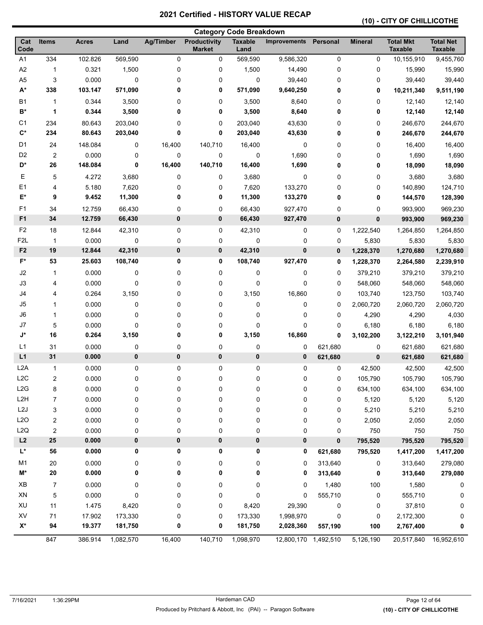# **(10) - CITY OF CHILLICOTHE**

| <b>Category Code Breakdown</b>  |                |              |           |           |                                      |                        |                      |              |                |                                    |                                    |
|---------------------------------|----------------|--------------|-----------|-----------|--------------------------------------|------------------------|----------------------|--------------|----------------|------------------------------------|------------------------------------|
| Cat<br>Code                     | <b>Items</b>   | <b>Acres</b> | Land      | Ag/Timber | <b>Productivity</b><br><b>Market</b> | <b>Taxable</b><br>Land | <b>Improvements</b>  | Personal     | <b>Mineral</b> | <b>Total Mkt</b><br><b>Taxable</b> | <b>Total Net</b><br><b>Taxable</b> |
| A <sub>1</sub>                  | 334            | 102.826      | 569,590   | 0         | 0                                    | 569,590                | 9,586,320            | 0            | 0              | 10,155,910                         | 9,455,760                          |
| A2                              | $\mathbf{1}$   | 0.321        | 1,500     | 0         | 0                                    | 1,500                  | 14,490               | 0            | 0              | 15,990                             | 15,990                             |
| A <sub>5</sub>                  | 3              | 0.000        | 0         | 0         | 0                                    | 0                      | 39,440               | 0            | 0              | 39,440                             | 39,440                             |
| $A^*$                           | 338            | 103.147      | 571,090   | 0         | 0                                    | 571,090                | 9,640,250            | 0            | 0              | 10,211,340                         | 9,511,190                          |
| B <sub>1</sub>                  | $\mathbf{1}$   | 0.344        | 3,500     | 0         | 0                                    | 3,500                  | 8,640                | 0            | 0              | 12,140                             | 12,140                             |
| B*                              | 1              | 0.344        | 3,500     | 0         | 0                                    | 3,500                  | 8,640                | 0            | 0              | 12,140                             | 12,140                             |
| C <sub>1</sub>                  | 234            | 80.643       | 203,040   | 0         | 0                                    | 203,040                | 43,630               | 0            | 0              | 246,670                            | 244,670                            |
| $\mathsf{C}^\star$              | 234            | 80.643       | 203,040   | 0         | 0                                    | 203,040                | 43,630               | 0            | 0              | 246,670                            | 244,670                            |
| D <sub>1</sub>                  | 24             | 148.084      | 0         | 16,400    | 140,710                              | 16,400                 | 0                    | 0            | 0              | 16,400                             | 16,400                             |
| D <sub>2</sub>                  | $\overline{c}$ | 0.000        | 0         | 0         | 0                                    | 0                      | 1,690                | 0            | 0              | 1,690                              | 1,690                              |
| D*                              | 26             | 148.084      | 0         | 16,400    | 140,710                              | 16,400                 | 1,690                | 0            | 0              | 18,090                             | 18,090                             |
| Е                               | 5              | 4.272        | 3,680     | 0         | 0                                    | 3,680                  | 0                    | 0            | 0              | 3,680                              | 3,680                              |
| E1                              | 4              | 5.180        | 7,620     | 0         | 0                                    | 7,620                  | 133,270              | 0            | 0              | 140,890                            | 124,710                            |
| E*                              | 9              | 9.452        | 11,300    | 0         | 0                                    | 11,300                 | 133,270              | 0            | 0              | 144,570                            | 128,390                            |
| F <sub>1</sub>                  | 34             | 12.759       | 66,430    | 0         | 0                                    | 66,430                 | 927,470              | 0            | 0              | 993,900                            | 969,230                            |
| F <sub>1</sub>                  | 34             | 12.759       | 66,430    | 0         | $\pmb{0}$                            | 66,430                 | 927,470              | $\bf{0}$     | 0              | 993,900                            | 969,230                            |
| F <sub>2</sub>                  | 18             | 12.844       | 42,310    | 0         | 0                                    | 42,310                 | 0                    | 0            | 1,222,540      | 1,264,850                          | 1,264,850                          |
| F <sub>2</sub> L                | $\mathbf{1}$   | 0.000        | 0         | 0         | 0                                    | 0                      | 0                    | 0            | 5,830          | 5,830                              | 5,830                              |
| F <sub>2</sub>                  | 19             | 12.844       | 42,310    | 0         | $\pmb{0}$                            | 42,310                 | 0                    | $\mathbf{0}$ | 1,228,370      | 1,270,680                          | 1,270,680                          |
| $F^*$                           | 53             | 25.603       | 108,740   | 0         | 0                                    | 108,740                | 927,470              | $\mathbf 0$  | 1,228,370      | 2,264,580                          | 2,239,910                          |
| J2                              | $\mathbf{1}$   | 0.000        | 0         | 0         | 0                                    | 0                      | 0                    | 0            | 379,210        | 379,210                            | 379,210                            |
| J3                              | 4              | 0.000        | 0         | 0         | 0                                    | 0                      | 0                    | 0            | 548,060        | 548,060                            | 548,060                            |
| J4                              | 4              | 0.264        | 3,150     | 0         | 0                                    | 3,150                  | 16,860               | 0            | 103,740        | 123,750                            | 103,740                            |
| J5                              | 1              | 0.000        | 0         | 0         | 0                                    | 0                      | 0                    | 0            | 2,060,720      | 2,060,720                          | 2,060,720                          |
| J6                              | 1              | 0.000        | 0         | 0         | 0                                    | 0                      | 0                    | $\mathbf 0$  | 4,290          | 4,290                              | 4,030                              |
| J7                              | 5              | 0.000        | 0         | 0         | 0                                    | 0                      | 0                    | $\mathbf 0$  | 6,180          | 6,180                              | 6,180                              |
| $\mathsf{J}^\star$              | 16             | 0.264        | 3,150     | 0         | 0                                    | 3,150                  | 16,860               | $\mathbf 0$  | 3,102,200      | 3,122,210                          | 3,101,940                          |
| L1                              | 31             | 0.000        | 0         | 0         | 0                                    | 0                      | 0                    | 621,680      | 0              | 621,680                            | 621,680                            |
| L1                              | 31             | 0.000        | 0         | 0         | $\pmb{0}$                            | 0                      | 0                    | 621,680      | 0              | 621,680                            | 621,680                            |
| L <sub>2</sub> A                | $\mathbf{1}$   | 0.000        | 0         | 0         | 0                                    | 0                      | 0                    | 0            | 42,500         | 42,500                             | 42,500                             |
| L <sub>2</sub> C                | 2              | 0.000        | 0         | 0         | 0                                    | 0                      | 0                    | $\mathbf 0$  | 105,790        | 105,790                            | 105,790                            |
| L2G                             | 8              | 0.000        | 0         | 0         | 0                                    | 0                      | 0                    | 0            | 634,100        | 634,100                            | 634,100                            |
| L <sub>2</sub> H                | 7              | 0.000        | 0         | 0         | 0                                    | 0                      | 0                    | 0            | 5,120          | 5,120                              | 5,120                              |
| L <sub>2</sub> J                | 3              | 0.000        | 0         | 0         | 0                                    | 0                      | 0                    | 0            | 5,210          | 5,210                              | 5,210                              |
| L2O                             | 2              | 0.000        | 0         | 0         | 0                                    | 0                      | 0                    | 0            | 2,050          | 2,050                              | 2,050                              |
| L <sub>2</sub> Q                | 2              | 0.000        | 0         | 0         | 0                                    | 0                      | 0                    | 0            | 750            | 750                                | 750                                |
| L2                              | 25             | 0.000        | 0         | 0         | $\pmb{0}$                            | $\pmb{0}$              | 0                    | $\pmb{0}$    | 795,520        | 795,520                            | 795,520                            |
| L*                              | 56             | 0.000        | 0         | 0         | 0                                    | 0                      | 0                    | 621,680      | 795,520        | 1,417,200                          | 1,417,200                          |
| M1                              | 20             | 0.000        | 0         | 0         | 0                                    | 0                      | 0                    | 313,640      | 0              | 313,640                            | 279,080                            |
| M*                              | ${\bf 20}$     | 0.000        | 0         | 0         | 0                                    | 0                      | 0                    | 313,640      | 0              | 313,640                            | 279,080                            |
| $\pmb{\times} \pmb{\mathsf{B}}$ | $\overline{7}$ | 0.000        | 0         | 0         | 0                                    | 0                      | 0                    | 1,480        | 100            | 1,580                              | 0                                  |
| XN                              | 5              | 0.000        | 0         | 0         | 0                                    | 0                      | 0                    | 555,710      | 0              | 555,710                            | 0                                  |
| XU                              | 11             | 1.475        | 8,420     | 0         | 0                                    | 8,420                  | 29,390               | $\pmb{0}$    | 0              | 37,810                             | 0                                  |
| XV                              | 71             | 17.902       | 173,330   | 0         | 0                                    | 173,330                | 1,998,970            | $\mathbf 0$  | 0              | 2,172,300                          | 0                                  |
| $X^*$                           | 94             | 19.377       | 181,750   | 0         | 0                                    | 181,750                | 2,028,360            | 557,190      | 100            | 2,767,400                          | 0                                  |
|                                 | 847            | 386.914      | 1,082,570 | 16,400    | 140,710                              | 1,098,970              | 12,800,170 1,492,510 |              | 5,126,190      | 20,517,840                         | 16,952,610                         |
|                                 |                |              |           |           |                                      |                        |                      |              |                |                                    |                                    |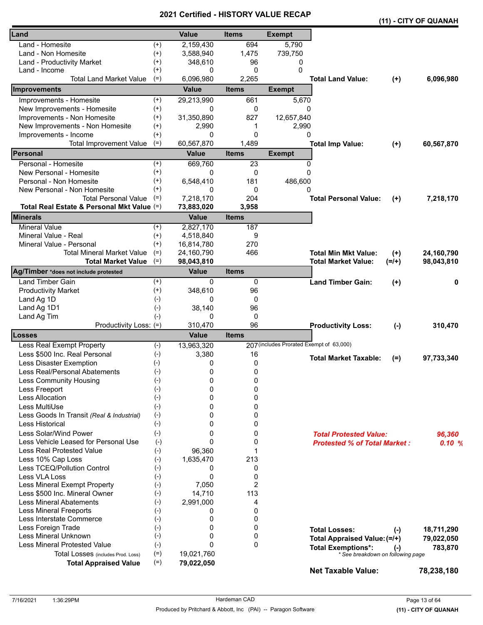|                                            |          |              | VEILIIIEU - NIJTUNT VALUE |                                          |                                     |          | (11) - CITY OF QUANAH |
|--------------------------------------------|----------|--------------|---------------------------|------------------------------------------|-------------------------------------|----------|-----------------------|
| Land                                       |          | <b>Value</b> | <b>Items</b>              | <b>Exempt</b>                            |                                     |          |                       |
| Land - Homesite                            | $^{(+)}$ | 2,159,430    | 694                       | 5,790                                    |                                     |          |                       |
| Land - Non Homesite                        | $(+)$    | 3,588,940    | 1,475                     | 739,750                                  |                                     |          |                       |
| Land - Productivity Market                 | $^{(+)}$ | 348,610      | 96                        | 0                                        |                                     |          |                       |
| Land - Income                              | $^{(+)}$ | 0            | 0                         | 0                                        |                                     |          |                       |
| Total Land Market Value                    | $(=)$    | 6,096,980    | 2,265                     |                                          | <b>Total Land Value:</b>            | $(+)$    | 6,096,980             |
| Improvements                               |          | <b>Value</b> | <b>Items</b>              | <b>Exempt</b>                            |                                     |          |                       |
| Improvements - Homesite                    | $^{(+)}$ | 29,213,990   | 661                       | 5,670                                    |                                     |          |                       |
| New Improvements - Homesite                | $(+)$    | 0            | 0                         | 0                                        |                                     |          |                       |
| Improvements - Non Homesite                | $^{(+)}$ | 31,350,890   | 827                       | 12,657,840                               |                                     |          |                       |
| New Improvements - Non Homesite            | $^{(+)}$ | 2,990        | 1                         | 2,990                                    |                                     |          |                       |
| Improvements - Income                      | $^{(+)}$ | 0            | 0                         | 0                                        |                                     |          |                       |
| <b>Total Improvement Value</b>             | $(=)$    | 60,567,870   | 1,489                     |                                          | <b>Total Imp Value:</b>             | $(+)$    | 60,567,870            |
| Personal                                   |          | <b>Value</b> | <b>Items</b>              | <b>Exempt</b>                            |                                     |          |                       |
| Personal - Homesite                        | $^{(+)}$ | 669,760      | 23                        | 0                                        |                                     |          |                       |
| New Personal - Homesite                    | $^{(+)}$ | 0            | 0                         | 0                                        |                                     |          |                       |
| Personal - Non Homesite                    | $^{(+)}$ | 6,548,410    | 181                       | 486,600                                  |                                     |          |                       |
| New Personal - Non Homesite                | $^{(+)}$ | 0            | 0                         | 0                                        |                                     |          |                       |
| <b>Total Personal Value</b>                | $(=)$    | 7,218,170    | 204                       |                                          | <b>Total Personal Value:</b>        | $^{(+)}$ | 7,218,170             |
| Total Real Estate & Personal Mkt Value (=) |          | 73,883,020   | 3,958                     |                                          |                                     |          |                       |
| <b>Minerals</b>                            |          | <b>Value</b> | <b>Items</b>              |                                          |                                     |          |                       |
| <b>Mineral Value</b>                       | $^{(+)}$ | 2,827,170    | 187                       |                                          |                                     |          |                       |
| Mineral Value - Real                       | $^{(+)}$ | 4,518,840    | 9                         |                                          |                                     |          |                       |
| Mineral Value - Personal                   | $(+)$    | 16,814,780   | 270                       |                                          |                                     |          |                       |
| <b>Total Mineral Market Value</b>          | $(=)$    | 24,160,790   | 466                       |                                          | <b>Total Min Mkt Value:</b>         | $^{(+)}$ | 24,160,790            |
| <b>Total Market Value</b>                  | $(=)$    | 98,043,810   |                           |                                          | <b>Total Market Value:</b>          | $(=/+)$  | 98,043,810            |
| Ag/Timber *does not include protested      |          | <b>Value</b> | <b>Items</b>              |                                          |                                     |          |                       |
| <b>Land Timber Gain</b>                    | $^{(+)}$ | 0            | 0                         |                                          | <b>Land Timber Gain:</b>            | $(+)$    | 0                     |
| <b>Productivity Market</b>                 | $(+)$    | 348,610      | 96                        |                                          |                                     |          |                       |
| Land Ag 1D                                 | $(-)$    | 0            | 0                         |                                          |                                     |          |                       |
| Land Ag 1D1                                | $(-)$    | 38,140       | 96                        |                                          |                                     |          |                       |
| Land Ag Tim                                | $(-)$    | 0            | 0                         |                                          |                                     |          |                       |
| Productivity Loss: (=)                     |          | 310,470      | 96                        |                                          | <b>Productivity Loss:</b>           | $(-)$    | 310,470               |
| Losses                                     |          | <b>Value</b> | <b>Items</b>              |                                          |                                     |          |                       |
| Less Real Exempt Property                  | $(-)$    | 13,963,320   |                           | 207 (includes Prorated Exempt of 63,000) |                                     |          |                       |
| Less \$500 Inc. Real Personal              | $(-)$    | 3,380        | 16                        |                                          | <b>Total Market Taxable:</b>        | $(=)$    | 97,733,340            |
| Less Disaster Exemption                    | $(-)$    | 0            | 0                         |                                          |                                     |          |                       |
| Less Real/Personal Abatements              | $(-)$    | 0            | 0                         |                                          |                                     |          |                       |
| Less Community Housing                     | $(-)$    | 0            | 0                         |                                          |                                     |          |                       |
| Less Freeport                              | $(-)$    | 0            | 0                         |                                          |                                     |          |                       |
| <b>Less Allocation</b>                     | $(-)$    | 0            | 0                         |                                          |                                     |          |                       |
| Less MultiUse                              | $(-)$    | 0            | 0                         |                                          |                                     |          |                       |
| Less Goods In Transit (Real & Industrial)  | $(-)$    | 0            | 0                         |                                          |                                     |          |                       |
| Less Historical                            | $(-)$    | 0            | 0                         |                                          |                                     |          |                       |
| Less Solar/Wind Power                      | $(-)$    | 0            | 0                         |                                          | <b>Total Protested Value:</b>       |          | 96,360                |
| Less Vehicle Leased for Personal Use       | $(-)$    | 0            | 0                         |                                          | <b>Protested % of Total Market:</b> |          | 0.10%                 |
| <b>Less Real Protested Value</b>           | $(-)$    | 96,360       | 1                         |                                          |                                     |          |                       |
| Less 10% Cap Loss                          | $(-)$    | 1,635,470    | 213                       |                                          |                                     |          |                       |
| Less TCEQ/Pollution Control                | $(-)$    | 0            | 0                         |                                          |                                     |          |                       |
| Less VLA Loss                              | $(-)$    | 0            | 0                         |                                          |                                     |          |                       |
| Less Mineral Exempt Property               | $(-)$    | 7,050        | 2                         |                                          |                                     |          |                       |
| Less \$500 Inc. Mineral Owner              | $(-)$    | 14,710       | 113                       |                                          |                                     |          |                       |
| <b>Less Mineral Abatements</b>             | $(-)$    | 2,991,000    | 4                         |                                          |                                     |          |                       |
| <b>Less Mineral Freeports</b>              | $(-)$    | 0            | 0                         |                                          |                                     |          |                       |
| Less Interstate Commerce                   | $(-)$    | 0            | 0                         |                                          |                                     |          |                       |
| Less Foreign Trade                         | $(-)$    | 0            | 0                         |                                          | <b>Total Losses:</b>                | $(-)$    | 18,711,290            |
| Less Mineral Unknown                       | $(-)$    | 0            | 0                         |                                          | Total Appraised Value: (=/+)        |          | 79,022,050            |
| <b>Less Mineral Protested Value</b>        | $(-)$    | 0            | 0                         |                                          | <b>Total Exemptions*:</b>           | $(-)$    | 783,870               |
| Total Losses (includes Prod. Loss)         | $(=)$    | 19,021,760   |                           |                                          | * See breakdown on following page   |          |                       |
| <b>Total Appraised Value</b>               | $(=)$    | 79,022,050   |                           |                                          | <b>Net Taxable Value:</b>           |          | 78,238,180            |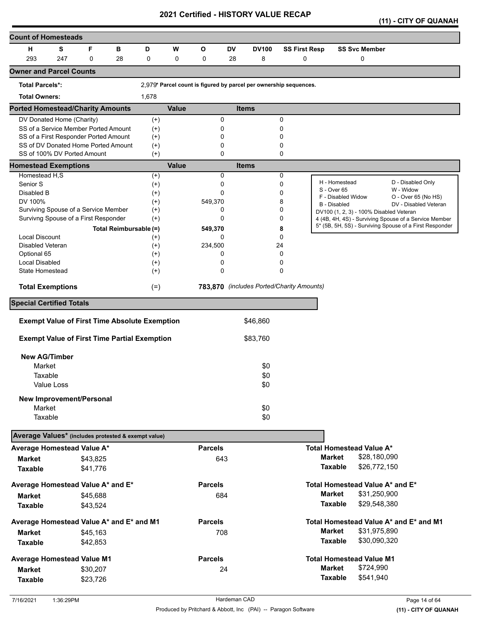|  |  |  | (11) - CITY OF QUANAH |
|--|--|--|-----------------------|
|--|--|--|-----------------------|

| <b>Count of Homesteads</b>                          |            |                                                                              |                                                      |                                           |              |                |           |                                                                   |              |                      |                                                                |              |                                                         |
|-----------------------------------------------------|------------|------------------------------------------------------------------------------|------------------------------------------------------|-------------------------------------------|--------------|----------------|-----------|-------------------------------------------------------------------|--------------|----------------------|----------------------------------------------------------------|--------------|---------------------------------------------------------|
| н                                                   | S          | F                                                                            | в                                                    | D                                         | W            | $\mathbf{o}$   | <b>DV</b> | <b>DV100</b>                                                      |              | <b>SS First Resp</b> | <b>SS Svc Member</b>                                           |              |                                                         |
| 293                                                 | 247        | 0                                                                            | 28                                                   | $\mathbf 0$                               | $\mathbf 0$  | 0              | 28        | 8                                                                 |              | 0                    | 0                                                              |              |                                                         |
| <b>Owner and Parcel Counts</b>                      |            |                                                                              |                                                      |                                           |              |                |           |                                                                   |              |                      |                                                                |              |                                                         |
| <b>Total Parcels*:</b>                              |            |                                                                              |                                                      |                                           |              |                |           | 2,979* Parcel count is figured by parcel per ownership sequences. |              |                      |                                                                |              |                                                         |
| <b>Total Owners:</b>                                |            |                                                                              |                                                      | 1,678                                     |              |                |           |                                                                   |              |                      |                                                                |              |                                                         |
| <b>Ported Homestead/Charity Amounts</b>             |            |                                                                              |                                                      |                                           | <b>Value</b> |                |           | <b>Items</b>                                                      |              |                      |                                                                |              |                                                         |
| DV Donated Home (Charity)                           |            |                                                                              |                                                      | $^{(+)}$                                  |              | 0              |           |                                                                   | 0            |                      |                                                                |              |                                                         |
|                                                     |            | SS of a Service Member Ported Amount                                         |                                                      | $^{(+)}$                                  |              | 0              |           |                                                                   | 0            |                      |                                                                |              |                                                         |
|                                                     |            | SS of a First Responder Ported Amount<br>SS of DV Donated Home Ported Amount |                                                      | $^{(+)}$<br>$^{(+)}$                      |              | 0<br>0         |           |                                                                   | 0<br>0       |                      |                                                                |              |                                                         |
|                                                     |            | SS of 100% DV Ported Amount                                                  |                                                      | $^{(+)}$                                  |              | 0              |           |                                                                   | $\mathbf{0}$ |                      |                                                                |              |                                                         |
| <b>Homestead Exemptions</b>                         |            |                                                                              |                                                      |                                           | <b>Value</b> |                |           | <b>Items</b>                                                      |              |                      |                                                                |              |                                                         |
| Homestead H,S                                       |            |                                                                              |                                                      | $^{(+)}$                                  |              | 0              |           |                                                                   | 0            |                      |                                                                |              |                                                         |
| Senior S                                            |            |                                                                              |                                                      | $^{(+)}$                                  |              | 0              |           |                                                                   | $\mathbf 0$  |                      | H - Homestead<br>S - Over 65                                   |              | D - Disabled Only<br>W - Widow                          |
| Disabled B<br>DV 100%                               |            |                                                                              |                                                      | $^{(+)}$<br>$^{(+)}$                      |              | 0<br>549,370   |           |                                                                   | 0<br>8       |                      | F - Disabled Widow                                             |              | O - Over 65 (No HS)                                     |
|                                                     |            | Surviving Spouse of a Service Member                                         |                                                      | $^{(+)}$                                  |              | 0              |           |                                                                   | 0            |                      | <b>B</b> - Disabled<br>DV100 (1, 2, 3) - 100% Disabled Veteran |              | DV - Disabled Veteran                                   |
|                                                     |            | Survivng Spouse of a First Responder                                         |                                                      | $^{(+)}$                                  |              | 0              |           |                                                                   | 0            |                      |                                                                |              | 4 (4B, 4H, 4S) - Surviving Spouse of a Service Member   |
|                                                     |            |                                                                              | Total Reimbursable (=)                               |                                           |              | 549,370        |           |                                                                   | 8            |                      |                                                                |              | 5* (5B, 5H, 5S) - Surviving Spouse of a First Responder |
| <b>Local Discount</b>                               |            |                                                                              |                                                      | $^{(+)}$                                  |              | $\Omega$       |           |                                                                   | 0            |                      |                                                                |              |                                                         |
| Disabled Veteran                                    |            |                                                                              |                                                      | $^{(+)}$                                  |              | 234,500        |           |                                                                   | 24           |                      |                                                                |              |                                                         |
| Optional 65                                         |            |                                                                              |                                                      | $^{(+)}$                                  |              | 0              |           |                                                                   | 0            |                      |                                                                |              |                                                         |
| <b>Local Disabled</b><br>State Homestead            |            |                                                                              |                                                      | $^{(+)}$<br>$^{(+)}$                      |              | 0<br>0         |           |                                                                   | 0<br>0       |                      |                                                                |              |                                                         |
|                                                     |            |                                                                              |                                                      |                                           |              |                |           |                                                                   |              |                      |                                                                |              |                                                         |
| <b>Total Exemptions</b>                             |            |                                                                              |                                                      | 783,870 (includes Ported/Charity Amounts) |              |                |           |                                                                   |              |                      |                                                                |              |                                                         |
| <b>Special Certified Totals</b>                     |            |                                                                              |                                                      |                                           |              |                |           |                                                                   |              |                      |                                                                |              |                                                         |
|                                                     |            |                                                                              | <b>Exempt Value of First Time Absolute Exemption</b> |                                           |              |                |           | \$46,860                                                          |              |                      |                                                                |              |                                                         |
|                                                     |            |                                                                              | <b>Exempt Value of First Time Partial Exemption</b>  |                                           |              |                |           | \$83,760                                                          |              |                      |                                                                |              |                                                         |
|                                                     |            |                                                                              |                                                      |                                           |              |                |           |                                                                   |              |                      |                                                                |              |                                                         |
| <b>New AG/Timber</b>                                |            |                                                                              |                                                      |                                           |              |                |           |                                                                   |              |                      |                                                                |              |                                                         |
| Market                                              |            |                                                                              |                                                      |                                           |              |                |           | \$0                                                               |              |                      |                                                                |              |                                                         |
| Taxable                                             | Value Loss |                                                                              |                                                      |                                           |              |                |           | \$0<br>\$0                                                        |              |                      |                                                                |              |                                                         |
|                                                     |            |                                                                              |                                                      |                                           |              |                |           |                                                                   |              |                      |                                                                |              |                                                         |
|                                                     |            | <b>New Improvement/Personal</b>                                              |                                                      |                                           |              |                |           |                                                                   |              |                      |                                                                |              |                                                         |
| Market                                              |            |                                                                              |                                                      |                                           |              |                |           | \$0                                                               |              |                      |                                                                |              |                                                         |
| Taxable                                             |            |                                                                              |                                                      |                                           |              |                |           | \$0                                                               |              |                      |                                                                |              |                                                         |
| Average Values* (includes protested & exempt value) |            |                                                                              |                                                      |                                           |              |                |           |                                                                   |              |                      |                                                                |              |                                                         |
| Average Homestead Value A*                          |            |                                                                              |                                                      |                                           |              | <b>Parcels</b> |           |                                                                   |              |                      | <b>Total Homestead Value A*</b>                                |              |                                                         |
| <b>Market</b>                                       |            | \$43,825                                                                     |                                                      |                                           |              | 643            |           |                                                                   |              |                      | <b>Market</b>                                                  | \$28,180,090 |                                                         |
| <b>Taxable</b>                                      |            | \$41,776                                                                     |                                                      |                                           |              |                |           |                                                                   |              |                      | <b>Taxable</b>                                                 | \$26,772,150 |                                                         |
| Average Homestead Value A* and E*                   |            |                                                                              |                                                      |                                           |              | <b>Parcels</b> |           |                                                                   |              |                      | Total Homestead Value A* and E*                                |              |                                                         |
| <b>Market</b>                                       |            | \$45,688                                                                     |                                                      |                                           |              | 684            |           |                                                                   |              |                      | <b>Market</b>                                                  | \$31,250,900 |                                                         |
| <b>Taxable</b>                                      |            | \$43,524                                                                     |                                                      |                                           |              |                |           |                                                                   |              |                      | <b>Taxable</b>                                                 | \$29,548,380 |                                                         |
| Average Homestead Value A* and E* and M1            |            |                                                                              |                                                      |                                           |              | <b>Parcels</b> |           |                                                                   |              |                      |                                                                |              | Total Homestead Value A* and E* and M1                  |
| <b>Market</b>                                       |            | \$45,163                                                                     |                                                      |                                           |              | 708            |           |                                                                   |              |                      | <b>Market</b>                                                  | \$31,975,890 |                                                         |
| <b>Taxable</b>                                      |            | \$42,853                                                                     |                                                      |                                           |              |                |           |                                                                   |              |                      | <b>Taxable</b>                                                 | \$30,090,320 |                                                         |
|                                                     |            |                                                                              |                                                      |                                           |              |                |           |                                                                   |              |                      |                                                                |              |                                                         |
| <b>Average Homestead Value M1</b>                   |            |                                                                              |                                                      |                                           |              | <b>Parcels</b> |           |                                                                   |              |                      | <b>Total Homestead Value M1</b>                                |              |                                                         |
| <b>Market</b>                                       |            | \$30,207                                                                     |                                                      |                                           |              | 24             |           |                                                                   |              |                      | <b>Market</b>                                                  | \$724,990    |                                                         |
| <b>Taxable</b>                                      |            | \$23,726                                                                     |                                                      |                                           |              |                |           |                                                                   |              |                      | <b>Taxable</b>                                                 | \$541,940    |                                                         |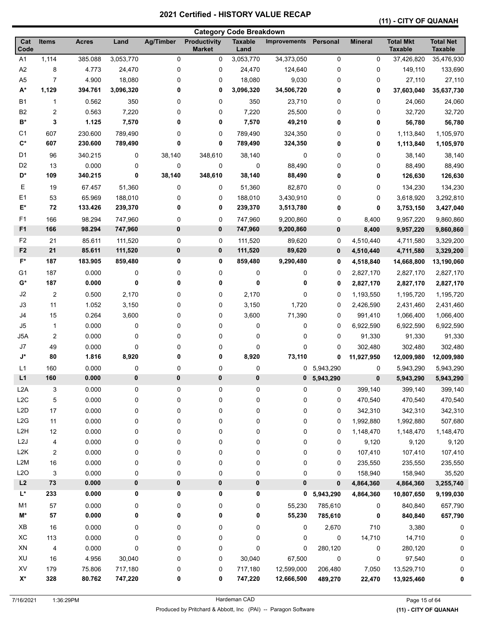# **(11) - CITY OF QUANAH**

| <b>Total Mkt</b><br><b>Total Net</b><br><b>Productivity</b><br><b>Taxable</b><br>Cat<br><b>Items</b><br><b>Acres</b><br>Land<br><b>Ag/Timber</b><br><b>Improvements</b><br><b>Mineral</b><br>Code<br><b>Taxable</b><br><b>Taxable</b><br><b>Market</b><br>Land<br>A <sub>1</sub><br>$\pmb{0}$<br>1,114<br>385.088<br>3,053,770<br>0<br>3,053,770<br>34,373,050<br>0<br>37,426,820<br>35,476,930<br>0<br>A2<br>8<br>4.773<br>0<br>0<br>0<br>0<br>149,110<br>133,690<br>24,470<br>24,470<br>124,640<br>A <sub>5</sub><br>7<br>4.900<br>18,080<br>0<br>0<br>9,030<br>0<br>0<br>27,110<br>27,110<br>18,080<br>$A^*$<br>1,129<br>3,096,320<br>394.761<br>3,096,320<br>0<br>0<br>34,506,720<br>37,603,040<br>35,637,730<br>0<br>0<br><b>B1</b><br>0.562<br>350<br>0<br>0<br>350<br>23,710<br>0<br>0<br>24,060<br>24,060<br>1<br><b>B2</b><br>$\overline{\mathbf{c}}$<br>0.563<br>7,220<br>0<br>0<br>7,220<br>25,500<br>0<br>32,720<br>32,720<br>0<br>$\mathsf{B}^{\star}$<br>3<br>1.125<br>7,570<br>0<br>0<br>7,570<br>49,210<br>0<br>0<br>56,780<br>56,780<br>C <sub>1</sub><br>607<br>230.600<br>789,490<br>0<br>0<br>789,490<br>324,350<br>0<br>0<br>1,113,840<br>1,105,970<br>$\mathbf{C}^*$<br>607<br>230.600<br>789,490<br>0<br>0<br>789,490<br>324,350<br>0<br>0<br>1,113,840<br>1,105,970<br>D <sub>1</sub><br>96<br>348,610<br>38,140<br>38,140<br>340.215<br>0<br>38,140<br>38,140<br>0<br>0<br>0<br>D <sub>2</sub><br>13<br>0.000<br>0<br>0<br>0<br>$\mathbf 0$<br>88,490<br>0<br>0<br>88,490<br>88,490<br>D*<br>38,140<br>348,610<br>38,140<br>109<br>340.215<br>0<br>88,490<br>0<br>0<br>126,630<br>126,630<br>Е<br>134,230<br>19<br>67.457<br>51,360<br>0<br>0<br>51,360<br>82,870<br>0<br>0<br>134,230<br>E1<br>53<br>65.969<br>0<br>188,010<br>0<br>0<br>3,292,810<br>188,010<br>0<br>3,430,910<br>3,618,920<br>E*<br>72<br>133.426<br>239,370<br>0<br>0<br>239,370<br>3,513,780<br>0<br>0<br>3,753,150<br>3,427,040<br>F <sub>1</sub><br>98.294<br>9,860,860<br>166<br>747,960<br>0<br>0<br>747,960<br>9,200,860<br>0<br>8,400<br>9,957,220<br>F <sub>1</sub><br>166<br>98.294<br>0<br>747,960<br>0<br>747,960<br>9,200,860<br>$\pmb{0}$<br>9,860,860<br>8,400<br>9,957,220<br>F <sub>2</sub><br>0<br>21<br>85.611<br>111,520<br>0<br>111,520<br>0<br>4,510,440<br>89,620<br>4,711,580<br>3,329,200<br>F <sub>2</sub><br>21<br>85.611<br>0<br>0<br>89,620<br>111,520<br>111,520<br>$\pmb{0}$<br>3,329,200<br>4,510,440<br>4,711,580<br>$F^*$<br>187<br>183.905<br>859,480<br>0<br>0<br>859,480<br>9,290,480<br>14,668,800<br>13,190,060<br>0<br>4,518,840<br>G1<br>187<br>0.000<br>0<br>0<br>0<br>0<br>0<br>0<br>2,827,170<br>2,827,170<br>2,827,170<br>G*<br>187<br>0.000<br>0<br>0<br>0<br>0<br>0<br>0<br>2,827,170<br>2,827,170<br>2,827,170<br>J2<br>2<br>0<br>2,170<br>0<br>0.500<br>2,170<br>0<br>0<br>1,193,550<br>1,195,720<br>1,195,720<br>J3<br>11<br>1.052<br>3,150<br>0<br>0<br>3,150<br>1,720<br>2,426,590<br>2,431,460<br>0<br>2,431,460<br>J4<br>15<br>0.264<br>3,600<br>0<br>3,600<br>71,390<br>1,066,400<br>0<br>0<br>991,410<br>1,066,400<br>J5<br>0.000<br>0<br>0<br>0<br>0<br>0<br>$\mathbf{1}$<br>0<br>6,922,590<br>6,922,590<br>6,922,590<br>J5A<br>$\overline{c}$<br>0<br>91,330<br>91,330<br>91,330<br>0.000<br>0<br>0<br>0<br>0<br>0<br>J7<br>49<br>0.000<br>0<br>0<br>302,480<br>302,480<br>0<br>0<br>0<br>0<br>302,480<br>J*<br>8,920<br>80<br>1.816<br>8,920<br>0<br>73,110<br>0<br>0<br>11,927,950<br>12,009,980<br>12,009,980<br>0.000<br>0<br>0<br>5,943,290<br>L1<br>160<br>0<br>0<br>0<br>5,943,290<br>5,943,290<br>0<br>L1<br>0<br>0<br>0<br>160<br>0.000<br>0<br>0<br>$\bf{0}$<br>5,943,290<br>5,943,290<br>5,943,290<br>L2A<br>3<br>0.000<br>0<br>0<br>0<br>0<br>0<br>399,140<br>399,140<br>399,140<br>0<br>L2C<br>5<br>0.000<br>0<br>0<br>0<br>0<br>0<br>0<br>470,540<br>470,540<br>470,540<br>L <sub>2</sub> D<br>0.000<br>17<br>0<br>0<br>0<br>0<br>0<br>0<br>342,310<br>342,310<br>342,310<br>L2G<br>11<br>0.000<br>0<br>0<br>0<br>0<br>0<br>1,992,880<br>1,992,880<br>507,680<br>0<br>L <sub>2</sub> H<br>12<br>0.000<br>0<br>0<br>0<br>0<br>0<br>1,148,470<br>1,148,470<br>1,148,470<br>0<br>L <sub>2</sub> J<br>0.000<br>0<br>0<br>0<br>4<br>0<br>0<br>0<br>9,120<br>9,120<br>9,120<br>L <sub>2</sub> K<br>$\overline{c}$<br>0.000<br>0<br>0<br>0<br>0<br>0<br>0<br>107,410<br>107,410<br>107,410<br>L2M<br>16<br>0.000<br>0<br>0<br>0<br>0<br>0<br>0<br>235,550<br>235,550<br>235,550<br>L2O<br>0<br>0<br>0<br>$\pmb{0}$<br>3<br>0.000<br>0<br>0<br>158,940<br>158,940<br>35,520<br>$\bf 73$<br>0<br>0<br>0<br>$\pmb{0}$<br>0<br>L2<br>0.000<br>3,255,740<br>0<br>4,864,360<br>4,864,360<br>L*<br>0.000<br>0<br>0<br>0<br>233<br>0<br>5,943,290<br>4,864,360<br>0<br>10,807,650<br>9,199,030<br>M <sub>1</sub><br>57<br>0.000<br>0<br>0<br>0<br>0<br>55,230<br>785,610<br>840,840<br>657,790<br>0<br>M*<br>${\bf 57}$<br>0.000<br>0<br>0<br>0<br>0<br>55,230<br>785,610<br>0<br>840,840<br>657,790<br>XB<br>16<br>0.000<br>0<br>0<br>0<br>0<br>2,670<br>710<br>3,380<br>0<br>0<br>XC<br>14,710<br>113<br>0.000<br>0<br>0<br>0<br>0<br>0<br>0<br>14,710<br>0<br>XN<br>0<br>$\mathbf 0$<br>0<br>0.000<br>0<br>0<br>280,120<br>0<br>280,120<br>4<br>0<br>XU<br>16<br>4.956<br>30,040<br>0<br>0<br>30,040<br>67,500<br>0<br>0<br>97,540<br>0<br>XV<br>179<br>75.806<br>717,180<br>0<br>717,180<br>12,599,000<br>206,480<br>7,050<br>13,529,710<br>0<br>0<br>$X^*$<br>328<br>80.762<br>0<br>747,220<br>747,220<br>0<br>12,666,500<br>22,470<br>489,270<br>13,925,460<br>0 | <b>Category Code Breakdown</b> |  |  |  |  |  |  |  |          |  |  |  |
|-----------------------------------------------------------------------------------------------------------------------------------------------------------------------------------------------------------------------------------------------------------------------------------------------------------------------------------------------------------------------------------------------------------------------------------------------------------------------------------------------------------------------------------------------------------------------------------------------------------------------------------------------------------------------------------------------------------------------------------------------------------------------------------------------------------------------------------------------------------------------------------------------------------------------------------------------------------------------------------------------------------------------------------------------------------------------------------------------------------------------------------------------------------------------------------------------------------------------------------------------------------------------------------------------------------------------------------------------------------------------------------------------------------------------------------------------------------------------------------------------------------------------------------------------------------------------------------------------------------------------------------------------------------------------------------------------------------------------------------------------------------------------------------------------------------------------------------------------------------------------------------------------------------------------------------------------------------------------------------------------------------------------------------------------------------------------------------------------------------------------------------------------------------------------------------------------------------------------------------------------------------------------------------------------------------------------------------------------------------------------------------------------------------------------------------------------------------------------------------------------------------------------------------------------------------------------------------------------------------------------------------------------------------------------------------------------------------------------------------------------------------------------------------------------------------------------------------------------------------------------------------------------------------------------------------------------------------------------------------------------------------------------------------------------------------------------------------------------------------------------------------------------------------------------------------------------------------------------------------------------------------------------------------------------------------------------------------------------------------------------------------------------------------------------------------------------------------------------------------------------------------------------------------------------------------------------------------------------------------------------------------------------------------------------------------------------------------------------------------------------------------------------------------------------------------------------------------------------------------------------------------------------------------------------------------------------------------------------------------------------------------------------------------------------------------------------------------------------------------------------------------------------------------------------------------------------------------------------------------------------------------------------------------------------------------------------------------------------------------------------------------------------------------------------------------------------------------------------------------------------------------------------------------------------------------------------------------------------------------------------------------------------------------------------------------------------------------------------------------------------------------------------------------------------------------------------------------------------------------------------------------------------------------------------------------------------------------------------------------------------------------------------------------------------------------------------------------------------------------------------------------------------------------------------------------------------------------------------------------------------------------------------------------------------------------------------------------------------------------------------------------------------------------------------------------------------------------------------------------------------------------------------------|--------------------------------|--|--|--|--|--|--|--|----------|--|--|--|
|                                                                                                                                                                                                                                                                                                                                                                                                                                                                                                                                                                                                                                                                                                                                                                                                                                                                                                                                                                                                                                                                                                                                                                                                                                                                                                                                                                                                                                                                                                                                                                                                                                                                                                                                                                                                                                                                                                                                                                                                                                                                                                                                                                                                                                                                                                                                                                                                                                                                                                                                                                                                                                                                                                                                                                                                                                                                                                                                                                                                                                                                                                                                                                                                                                                                                                                                                                                                                                                                                                                                                                                                                                                                                                                                                                                                                                                                                                                                                                                                                                                                                                                                                                                                                                                                                                                                                                                                                                                                                                                                                                                                                                                                                                                                                                                                                                                                                                                                                                                                                                                                                                                                                                                                                                                                                                                                                                                                                                                                                                                             |                                |  |  |  |  |  |  |  | Personal |  |  |  |
|                                                                                                                                                                                                                                                                                                                                                                                                                                                                                                                                                                                                                                                                                                                                                                                                                                                                                                                                                                                                                                                                                                                                                                                                                                                                                                                                                                                                                                                                                                                                                                                                                                                                                                                                                                                                                                                                                                                                                                                                                                                                                                                                                                                                                                                                                                                                                                                                                                                                                                                                                                                                                                                                                                                                                                                                                                                                                                                                                                                                                                                                                                                                                                                                                                                                                                                                                                                                                                                                                                                                                                                                                                                                                                                                                                                                                                                                                                                                                                                                                                                                                                                                                                                                                                                                                                                                                                                                                                                                                                                                                                                                                                                                                                                                                                                                                                                                                                                                                                                                                                                                                                                                                                                                                                                                                                                                                                                                                                                                                                                             |                                |  |  |  |  |  |  |  |          |  |  |  |
|                                                                                                                                                                                                                                                                                                                                                                                                                                                                                                                                                                                                                                                                                                                                                                                                                                                                                                                                                                                                                                                                                                                                                                                                                                                                                                                                                                                                                                                                                                                                                                                                                                                                                                                                                                                                                                                                                                                                                                                                                                                                                                                                                                                                                                                                                                                                                                                                                                                                                                                                                                                                                                                                                                                                                                                                                                                                                                                                                                                                                                                                                                                                                                                                                                                                                                                                                                                                                                                                                                                                                                                                                                                                                                                                                                                                                                                                                                                                                                                                                                                                                                                                                                                                                                                                                                                                                                                                                                                                                                                                                                                                                                                                                                                                                                                                                                                                                                                                                                                                                                                                                                                                                                                                                                                                                                                                                                                                                                                                                                                             |                                |  |  |  |  |  |  |  |          |  |  |  |
|                                                                                                                                                                                                                                                                                                                                                                                                                                                                                                                                                                                                                                                                                                                                                                                                                                                                                                                                                                                                                                                                                                                                                                                                                                                                                                                                                                                                                                                                                                                                                                                                                                                                                                                                                                                                                                                                                                                                                                                                                                                                                                                                                                                                                                                                                                                                                                                                                                                                                                                                                                                                                                                                                                                                                                                                                                                                                                                                                                                                                                                                                                                                                                                                                                                                                                                                                                                                                                                                                                                                                                                                                                                                                                                                                                                                                                                                                                                                                                                                                                                                                                                                                                                                                                                                                                                                                                                                                                                                                                                                                                                                                                                                                                                                                                                                                                                                                                                                                                                                                                                                                                                                                                                                                                                                                                                                                                                                                                                                                                                             |                                |  |  |  |  |  |  |  |          |  |  |  |
|                                                                                                                                                                                                                                                                                                                                                                                                                                                                                                                                                                                                                                                                                                                                                                                                                                                                                                                                                                                                                                                                                                                                                                                                                                                                                                                                                                                                                                                                                                                                                                                                                                                                                                                                                                                                                                                                                                                                                                                                                                                                                                                                                                                                                                                                                                                                                                                                                                                                                                                                                                                                                                                                                                                                                                                                                                                                                                                                                                                                                                                                                                                                                                                                                                                                                                                                                                                                                                                                                                                                                                                                                                                                                                                                                                                                                                                                                                                                                                                                                                                                                                                                                                                                                                                                                                                                                                                                                                                                                                                                                                                                                                                                                                                                                                                                                                                                                                                                                                                                                                                                                                                                                                                                                                                                                                                                                                                                                                                                                                                             |                                |  |  |  |  |  |  |  |          |  |  |  |
|                                                                                                                                                                                                                                                                                                                                                                                                                                                                                                                                                                                                                                                                                                                                                                                                                                                                                                                                                                                                                                                                                                                                                                                                                                                                                                                                                                                                                                                                                                                                                                                                                                                                                                                                                                                                                                                                                                                                                                                                                                                                                                                                                                                                                                                                                                                                                                                                                                                                                                                                                                                                                                                                                                                                                                                                                                                                                                                                                                                                                                                                                                                                                                                                                                                                                                                                                                                                                                                                                                                                                                                                                                                                                                                                                                                                                                                                                                                                                                                                                                                                                                                                                                                                                                                                                                                                                                                                                                                                                                                                                                                                                                                                                                                                                                                                                                                                                                                                                                                                                                                                                                                                                                                                                                                                                                                                                                                                                                                                                                                             |                                |  |  |  |  |  |  |  |          |  |  |  |
|                                                                                                                                                                                                                                                                                                                                                                                                                                                                                                                                                                                                                                                                                                                                                                                                                                                                                                                                                                                                                                                                                                                                                                                                                                                                                                                                                                                                                                                                                                                                                                                                                                                                                                                                                                                                                                                                                                                                                                                                                                                                                                                                                                                                                                                                                                                                                                                                                                                                                                                                                                                                                                                                                                                                                                                                                                                                                                                                                                                                                                                                                                                                                                                                                                                                                                                                                                                                                                                                                                                                                                                                                                                                                                                                                                                                                                                                                                                                                                                                                                                                                                                                                                                                                                                                                                                                                                                                                                                                                                                                                                                                                                                                                                                                                                                                                                                                                                                                                                                                                                                                                                                                                                                                                                                                                                                                                                                                                                                                                                                             |                                |  |  |  |  |  |  |  |          |  |  |  |
|                                                                                                                                                                                                                                                                                                                                                                                                                                                                                                                                                                                                                                                                                                                                                                                                                                                                                                                                                                                                                                                                                                                                                                                                                                                                                                                                                                                                                                                                                                                                                                                                                                                                                                                                                                                                                                                                                                                                                                                                                                                                                                                                                                                                                                                                                                                                                                                                                                                                                                                                                                                                                                                                                                                                                                                                                                                                                                                                                                                                                                                                                                                                                                                                                                                                                                                                                                                                                                                                                                                                                                                                                                                                                                                                                                                                                                                                                                                                                                                                                                                                                                                                                                                                                                                                                                                                                                                                                                                                                                                                                                                                                                                                                                                                                                                                                                                                                                                                                                                                                                                                                                                                                                                                                                                                                                                                                                                                                                                                                                                             |                                |  |  |  |  |  |  |  |          |  |  |  |
|                                                                                                                                                                                                                                                                                                                                                                                                                                                                                                                                                                                                                                                                                                                                                                                                                                                                                                                                                                                                                                                                                                                                                                                                                                                                                                                                                                                                                                                                                                                                                                                                                                                                                                                                                                                                                                                                                                                                                                                                                                                                                                                                                                                                                                                                                                                                                                                                                                                                                                                                                                                                                                                                                                                                                                                                                                                                                                                                                                                                                                                                                                                                                                                                                                                                                                                                                                                                                                                                                                                                                                                                                                                                                                                                                                                                                                                                                                                                                                                                                                                                                                                                                                                                                                                                                                                                                                                                                                                                                                                                                                                                                                                                                                                                                                                                                                                                                                                                                                                                                                                                                                                                                                                                                                                                                                                                                                                                                                                                                                                             |                                |  |  |  |  |  |  |  |          |  |  |  |
|                                                                                                                                                                                                                                                                                                                                                                                                                                                                                                                                                                                                                                                                                                                                                                                                                                                                                                                                                                                                                                                                                                                                                                                                                                                                                                                                                                                                                                                                                                                                                                                                                                                                                                                                                                                                                                                                                                                                                                                                                                                                                                                                                                                                                                                                                                                                                                                                                                                                                                                                                                                                                                                                                                                                                                                                                                                                                                                                                                                                                                                                                                                                                                                                                                                                                                                                                                                                                                                                                                                                                                                                                                                                                                                                                                                                                                                                                                                                                                                                                                                                                                                                                                                                                                                                                                                                                                                                                                                                                                                                                                                                                                                                                                                                                                                                                                                                                                                                                                                                                                                                                                                                                                                                                                                                                                                                                                                                                                                                                                                             |                                |  |  |  |  |  |  |  |          |  |  |  |
|                                                                                                                                                                                                                                                                                                                                                                                                                                                                                                                                                                                                                                                                                                                                                                                                                                                                                                                                                                                                                                                                                                                                                                                                                                                                                                                                                                                                                                                                                                                                                                                                                                                                                                                                                                                                                                                                                                                                                                                                                                                                                                                                                                                                                                                                                                                                                                                                                                                                                                                                                                                                                                                                                                                                                                                                                                                                                                                                                                                                                                                                                                                                                                                                                                                                                                                                                                                                                                                                                                                                                                                                                                                                                                                                                                                                                                                                                                                                                                                                                                                                                                                                                                                                                                                                                                                                                                                                                                                                                                                                                                                                                                                                                                                                                                                                                                                                                                                                                                                                                                                                                                                                                                                                                                                                                                                                                                                                                                                                                                                             |                                |  |  |  |  |  |  |  |          |  |  |  |
|                                                                                                                                                                                                                                                                                                                                                                                                                                                                                                                                                                                                                                                                                                                                                                                                                                                                                                                                                                                                                                                                                                                                                                                                                                                                                                                                                                                                                                                                                                                                                                                                                                                                                                                                                                                                                                                                                                                                                                                                                                                                                                                                                                                                                                                                                                                                                                                                                                                                                                                                                                                                                                                                                                                                                                                                                                                                                                                                                                                                                                                                                                                                                                                                                                                                                                                                                                                                                                                                                                                                                                                                                                                                                                                                                                                                                                                                                                                                                                                                                                                                                                                                                                                                                                                                                                                                                                                                                                                                                                                                                                                                                                                                                                                                                                                                                                                                                                                                                                                                                                                                                                                                                                                                                                                                                                                                                                                                                                                                                                                             |                                |  |  |  |  |  |  |  |          |  |  |  |
|                                                                                                                                                                                                                                                                                                                                                                                                                                                                                                                                                                                                                                                                                                                                                                                                                                                                                                                                                                                                                                                                                                                                                                                                                                                                                                                                                                                                                                                                                                                                                                                                                                                                                                                                                                                                                                                                                                                                                                                                                                                                                                                                                                                                                                                                                                                                                                                                                                                                                                                                                                                                                                                                                                                                                                                                                                                                                                                                                                                                                                                                                                                                                                                                                                                                                                                                                                                                                                                                                                                                                                                                                                                                                                                                                                                                                                                                                                                                                                                                                                                                                                                                                                                                                                                                                                                                                                                                                                                                                                                                                                                                                                                                                                                                                                                                                                                                                                                                                                                                                                                                                                                                                                                                                                                                                                                                                                                                                                                                                                                             |                                |  |  |  |  |  |  |  |          |  |  |  |
|                                                                                                                                                                                                                                                                                                                                                                                                                                                                                                                                                                                                                                                                                                                                                                                                                                                                                                                                                                                                                                                                                                                                                                                                                                                                                                                                                                                                                                                                                                                                                                                                                                                                                                                                                                                                                                                                                                                                                                                                                                                                                                                                                                                                                                                                                                                                                                                                                                                                                                                                                                                                                                                                                                                                                                                                                                                                                                                                                                                                                                                                                                                                                                                                                                                                                                                                                                                                                                                                                                                                                                                                                                                                                                                                                                                                                                                                                                                                                                                                                                                                                                                                                                                                                                                                                                                                                                                                                                                                                                                                                                                                                                                                                                                                                                                                                                                                                                                                                                                                                                                                                                                                                                                                                                                                                                                                                                                                                                                                                                                             |                                |  |  |  |  |  |  |  |          |  |  |  |
|                                                                                                                                                                                                                                                                                                                                                                                                                                                                                                                                                                                                                                                                                                                                                                                                                                                                                                                                                                                                                                                                                                                                                                                                                                                                                                                                                                                                                                                                                                                                                                                                                                                                                                                                                                                                                                                                                                                                                                                                                                                                                                                                                                                                                                                                                                                                                                                                                                                                                                                                                                                                                                                                                                                                                                                                                                                                                                                                                                                                                                                                                                                                                                                                                                                                                                                                                                                                                                                                                                                                                                                                                                                                                                                                                                                                                                                                                                                                                                                                                                                                                                                                                                                                                                                                                                                                                                                                                                                                                                                                                                                                                                                                                                                                                                                                                                                                                                                                                                                                                                                                                                                                                                                                                                                                                                                                                                                                                                                                                                                             |                                |  |  |  |  |  |  |  |          |  |  |  |
|                                                                                                                                                                                                                                                                                                                                                                                                                                                                                                                                                                                                                                                                                                                                                                                                                                                                                                                                                                                                                                                                                                                                                                                                                                                                                                                                                                                                                                                                                                                                                                                                                                                                                                                                                                                                                                                                                                                                                                                                                                                                                                                                                                                                                                                                                                                                                                                                                                                                                                                                                                                                                                                                                                                                                                                                                                                                                                                                                                                                                                                                                                                                                                                                                                                                                                                                                                                                                                                                                                                                                                                                                                                                                                                                                                                                                                                                                                                                                                                                                                                                                                                                                                                                                                                                                                                                                                                                                                                                                                                                                                                                                                                                                                                                                                                                                                                                                                                                                                                                                                                                                                                                                                                                                                                                                                                                                                                                                                                                                                                             |                                |  |  |  |  |  |  |  |          |  |  |  |
|                                                                                                                                                                                                                                                                                                                                                                                                                                                                                                                                                                                                                                                                                                                                                                                                                                                                                                                                                                                                                                                                                                                                                                                                                                                                                                                                                                                                                                                                                                                                                                                                                                                                                                                                                                                                                                                                                                                                                                                                                                                                                                                                                                                                                                                                                                                                                                                                                                                                                                                                                                                                                                                                                                                                                                                                                                                                                                                                                                                                                                                                                                                                                                                                                                                                                                                                                                                                                                                                                                                                                                                                                                                                                                                                                                                                                                                                                                                                                                                                                                                                                                                                                                                                                                                                                                                                                                                                                                                                                                                                                                                                                                                                                                                                                                                                                                                                                                                                                                                                                                                                                                                                                                                                                                                                                                                                                                                                                                                                                                                             |                                |  |  |  |  |  |  |  |          |  |  |  |
|                                                                                                                                                                                                                                                                                                                                                                                                                                                                                                                                                                                                                                                                                                                                                                                                                                                                                                                                                                                                                                                                                                                                                                                                                                                                                                                                                                                                                                                                                                                                                                                                                                                                                                                                                                                                                                                                                                                                                                                                                                                                                                                                                                                                                                                                                                                                                                                                                                                                                                                                                                                                                                                                                                                                                                                                                                                                                                                                                                                                                                                                                                                                                                                                                                                                                                                                                                                                                                                                                                                                                                                                                                                                                                                                                                                                                                                                                                                                                                                                                                                                                                                                                                                                                                                                                                                                                                                                                                                                                                                                                                                                                                                                                                                                                                                                                                                                                                                                                                                                                                                                                                                                                                                                                                                                                                                                                                                                                                                                                                                             |                                |  |  |  |  |  |  |  |          |  |  |  |
|                                                                                                                                                                                                                                                                                                                                                                                                                                                                                                                                                                                                                                                                                                                                                                                                                                                                                                                                                                                                                                                                                                                                                                                                                                                                                                                                                                                                                                                                                                                                                                                                                                                                                                                                                                                                                                                                                                                                                                                                                                                                                                                                                                                                                                                                                                                                                                                                                                                                                                                                                                                                                                                                                                                                                                                                                                                                                                                                                                                                                                                                                                                                                                                                                                                                                                                                                                                                                                                                                                                                                                                                                                                                                                                                                                                                                                                                                                                                                                                                                                                                                                                                                                                                                                                                                                                                                                                                                                                                                                                                                                                                                                                                                                                                                                                                                                                                                                                                                                                                                                                                                                                                                                                                                                                                                                                                                                                                                                                                                                                             |                                |  |  |  |  |  |  |  |          |  |  |  |
|                                                                                                                                                                                                                                                                                                                                                                                                                                                                                                                                                                                                                                                                                                                                                                                                                                                                                                                                                                                                                                                                                                                                                                                                                                                                                                                                                                                                                                                                                                                                                                                                                                                                                                                                                                                                                                                                                                                                                                                                                                                                                                                                                                                                                                                                                                                                                                                                                                                                                                                                                                                                                                                                                                                                                                                                                                                                                                                                                                                                                                                                                                                                                                                                                                                                                                                                                                                                                                                                                                                                                                                                                                                                                                                                                                                                                                                                                                                                                                                                                                                                                                                                                                                                                                                                                                                                                                                                                                                                                                                                                                                                                                                                                                                                                                                                                                                                                                                                                                                                                                                                                                                                                                                                                                                                                                                                                                                                                                                                                                                             |                                |  |  |  |  |  |  |  |          |  |  |  |
|                                                                                                                                                                                                                                                                                                                                                                                                                                                                                                                                                                                                                                                                                                                                                                                                                                                                                                                                                                                                                                                                                                                                                                                                                                                                                                                                                                                                                                                                                                                                                                                                                                                                                                                                                                                                                                                                                                                                                                                                                                                                                                                                                                                                                                                                                                                                                                                                                                                                                                                                                                                                                                                                                                                                                                                                                                                                                                                                                                                                                                                                                                                                                                                                                                                                                                                                                                                                                                                                                                                                                                                                                                                                                                                                                                                                                                                                                                                                                                                                                                                                                                                                                                                                                                                                                                                                                                                                                                                                                                                                                                                                                                                                                                                                                                                                                                                                                                                                                                                                                                                                                                                                                                                                                                                                                                                                                                                                                                                                                                                             |                                |  |  |  |  |  |  |  |          |  |  |  |
|                                                                                                                                                                                                                                                                                                                                                                                                                                                                                                                                                                                                                                                                                                                                                                                                                                                                                                                                                                                                                                                                                                                                                                                                                                                                                                                                                                                                                                                                                                                                                                                                                                                                                                                                                                                                                                                                                                                                                                                                                                                                                                                                                                                                                                                                                                                                                                                                                                                                                                                                                                                                                                                                                                                                                                                                                                                                                                                                                                                                                                                                                                                                                                                                                                                                                                                                                                                                                                                                                                                                                                                                                                                                                                                                                                                                                                                                                                                                                                                                                                                                                                                                                                                                                                                                                                                                                                                                                                                                                                                                                                                                                                                                                                                                                                                                                                                                                                                                                                                                                                                                                                                                                                                                                                                                                                                                                                                                                                                                                                                             |                                |  |  |  |  |  |  |  |          |  |  |  |
|                                                                                                                                                                                                                                                                                                                                                                                                                                                                                                                                                                                                                                                                                                                                                                                                                                                                                                                                                                                                                                                                                                                                                                                                                                                                                                                                                                                                                                                                                                                                                                                                                                                                                                                                                                                                                                                                                                                                                                                                                                                                                                                                                                                                                                                                                                                                                                                                                                                                                                                                                                                                                                                                                                                                                                                                                                                                                                                                                                                                                                                                                                                                                                                                                                                                                                                                                                                                                                                                                                                                                                                                                                                                                                                                                                                                                                                                                                                                                                                                                                                                                                                                                                                                                                                                                                                                                                                                                                                                                                                                                                                                                                                                                                                                                                                                                                                                                                                                                                                                                                                                                                                                                                                                                                                                                                                                                                                                                                                                                                                             |                                |  |  |  |  |  |  |  |          |  |  |  |
|                                                                                                                                                                                                                                                                                                                                                                                                                                                                                                                                                                                                                                                                                                                                                                                                                                                                                                                                                                                                                                                                                                                                                                                                                                                                                                                                                                                                                                                                                                                                                                                                                                                                                                                                                                                                                                                                                                                                                                                                                                                                                                                                                                                                                                                                                                                                                                                                                                                                                                                                                                                                                                                                                                                                                                                                                                                                                                                                                                                                                                                                                                                                                                                                                                                                                                                                                                                                                                                                                                                                                                                                                                                                                                                                                                                                                                                                                                                                                                                                                                                                                                                                                                                                                                                                                                                                                                                                                                                                                                                                                                                                                                                                                                                                                                                                                                                                                                                                                                                                                                                                                                                                                                                                                                                                                                                                                                                                                                                                                                                             |                                |  |  |  |  |  |  |  |          |  |  |  |
|                                                                                                                                                                                                                                                                                                                                                                                                                                                                                                                                                                                                                                                                                                                                                                                                                                                                                                                                                                                                                                                                                                                                                                                                                                                                                                                                                                                                                                                                                                                                                                                                                                                                                                                                                                                                                                                                                                                                                                                                                                                                                                                                                                                                                                                                                                                                                                                                                                                                                                                                                                                                                                                                                                                                                                                                                                                                                                                                                                                                                                                                                                                                                                                                                                                                                                                                                                                                                                                                                                                                                                                                                                                                                                                                                                                                                                                                                                                                                                                                                                                                                                                                                                                                                                                                                                                                                                                                                                                                                                                                                                                                                                                                                                                                                                                                                                                                                                                                                                                                                                                                                                                                                                                                                                                                                                                                                                                                                                                                                                                             |                                |  |  |  |  |  |  |  |          |  |  |  |
|                                                                                                                                                                                                                                                                                                                                                                                                                                                                                                                                                                                                                                                                                                                                                                                                                                                                                                                                                                                                                                                                                                                                                                                                                                                                                                                                                                                                                                                                                                                                                                                                                                                                                                                                                                                                                                                                                                                                                                                                                                                                                                                                                                                                                                                                                                                                                                                                                                                                                                                                                                                                                                                                                                                                                                                                                                                                                                                                                                                                                                                                                                                                                                                                                                                                                                                                                                                                                                                                                                                                                                                                                                                                                                                                                                                                                                                                                                                                                                                                                                                                                                                                                                                                                                                                                                                                                                                                                                                                                                                                                                                                                                                                                                                                                                                                                                                                                                                                                                                                                                                                                                                                                                                                                                                                                                                                                                                                                                                                                                                             |                                |  |  |  |  |  |  |  |          |  |  |  |
|                                                                                                                                                                                                                                                                                                                                                                                                                                                                                                                                                                                                                                                                                                                                                                                                                                                                                                                                                                                                                                                                                                                                                                                                                                                                                                                                                                                                                                                                                                                                                                                                                                                                                                                                                                                                                                                                                                                                                                                                                                                                                                                                                                                                                                                                                                                                                                                                                                                                                                                                                                                                                                                                                                                                                                                                                                                                                                                                                                                                                                                                                                                                                                                                                                                                                                                                                                                                                                                                                                                                                                                                                                                                                                                                                                                                                                                                                                                                                                                                                                                                                                                                                                                                                                                                                                                                                                                                                                                                                                                                                                                                                                                                                                                                                                                                                                                                                                                                                                                                                                                                                                                                                                                                                                                                                                                                                                                                                                                                                                                             |                                |  |  |  |  |  |  |  |          |  |  |  |
|                                                                                                                                                                                                                                                                                                                                                                                                                                                                                                                                                                                                                                                                                                                                                                                                                                                                                                                                                                                                                                                                                                                                                                                                                                                                                                                                                                                                                                                                                                                                                                                                                                                                                                                                                                                                                                                                                                                                                                                                                                                                                                                                                                                                                                                                                                                                                                                                                                                                                                                                                                                                                                                                                                                                                                                                                                                                                                                                                                                                                                                                                                                                                                                                                                                                                                                                                                                                                                                                                                                                                                                                                                                                                                                                                                                                                                                                                                                                                                                                                                                                                                                                                                                                                                                                                                                                                                                                                                                                                                                                                                                                                                                                                                                                                                                                                                                                                                                                                                                                                                                                                                                                                                                                                                                                                                                                                                                                                                                                                                                             |                                |  |  |  |  |  |  |  |          |  |  |  |
|                                                                                                                                                                                                                                                                                                                                                                                                                                                                                                                                                                                                                                                                                                                                                                                                                                                                                                                                                                                                                                                                                                                                                                                                                                                                                                                                                                                                                                                                                                                                                                                                                                                                                                                                                                                                                                                                                                                                                                                                                                                                                                                                                                                                                                                                                                                                                                                                                                                                                                                                                                                                                                                                                                                                                                                                                                                                                                                                                                                                                                                                                                                                                                                                                                                                                                                                                                                                                                                                                                                                                                                                                                                                                                                                                                                                                                                                                                                                                                                                                                                                                                                                                                                                                                                                                                                                                                                                                                                                                                                                                                                                                                                                                                                                                                                                                                                                                                                                                                                                                                                                                                                                                                                                                                                                                                                                                                                                                                                                                                                             |                                |  |  |  |  |  |  |  |          |  |  |  |
|                                                                                                                                                                                                                                                                                                                                                                                                                                                                                                                                                                                                                                                                                                                                                                                                                                                                                                                                                                                                                                                                                                                                                                                                                                                                                                                                                                                                                                                                                                                                                                                                                                                                                                                                                                                                                                                                                                                                                                                                                                                                                                                                                                                                                                                                                                                                                                                                                                                                                                                                                                                                                                                                                                                                                                                                                                                                                                                                                                                                                                                                                                                                                                                                                                                                                                                                                                                                                                                                                                                                                                                                                                                                                                                                                                                                                                                                                                                                                                                                                                                                                                                                                                                                                                                                                                                                                                                                                                                                                                                                                                                                                                                                                                                                                                                                                                                                                                                                                                                                                                                                                                                                                                                                                                                                                                                                                                                                                                                                                                                             |                                |  |  |  |  |  |  |  |          |  |  |  |
|                                                                                                                                                                                                                                                                                                                                                                                                                                                                                                                                                                                                                                                                                                                                                                                                                                                                                                                                                                                                                                                                                                                                                                                                                                                                                                                                                                                                                                                                                                                                                                                                                                                                                                                                                                                                                                                                                                                                                                                                                                                                                                                                                                                                                                                                                                                                                                                                                                                                                                                                                                                                                                                                                                                                                                                                                                                                                                                                                                                                                                                                                                                                                                                                                                                                                                                                                                                                                                                                                                                                                                                                                                                                                                                                                                                                                                                                                                                                                                                                                                                                                                                                                                                                                                                                                                                                                                                                                                                                                                                                                                                                                                                                                                                                                                                                                                                                                                                                                                                                                                                                                                                                                                                                                                                                                                                                                                                                                                                                                                                             |                                |  |  |  |  |  |  |  |          |  |  |  |
|                                                                                                                                                                                                                                                                                                                                                                                                                                                                                                                                                                                                                                                                                                                                                                                                                                                                                                                                                                                                                                                                                                                                                                                                                                                                                                                                                                                                                                                                                                                                                                                                                                                                                                                                                                                                                                                                                                                                                                                                                                                                                                                                                                                                                                                                                                                                                                                                                                                                                                                                                                                                                                                                                                                                                                                                                                                                                                                                                                                                                                                                                                                                                                                                                                                                                                                                                                                                                                                                                                                                                                                                                                                                                                                                                                                                                                                                                                                                                                                                                                                                                                                                                                                                                                                                                                                                                                                                                                                                                                                                                                                                                                                                                                                                                                                                                                                                                                                                                                                                                                                                                                                                                                                                                                                                                                                                                                                                                                                                                                                             |                                |  |  |  |  |  |  |  |          |  |  |  |
|                                                                                                                                                                                                                                                                                                                                                                                                                                                                                                                                                                                                                                                                                                                                                                                                                                                                                                                                                                                                                                                                                                                                                                                                                                                                                                                                                                                                                                                                                                                                                                                                                                                                                                                                                                                                                                                                                                                                                                                                                                                                                                                                                                                                                                                                                                                                                                                                                                                                                                                                                                                                                                                                                                                                                                                                                                                                                                                                                                                                                                                                                                                                                                                                                                                                                                                                                                                                                                                                                                                                                                                                                                                                                                                                                                                                                                                                                                                                                                                                                                                                                                                                                                                                                                                                                                                                                                                                                                                                                                                                                                                                                                                                                                                                                                                                                                                                                                                                                                                                                                                                                                                                                                                                                                                                                                                                                                                                                                                                                                                             |                                |  |  |  |  |  |  |  |          |  |  |  |
|                                                                                                                                                                                                                                                                                                                                                                                                                                                                                                                                                                                                                                                                                                                                                                                                                                                                                                                                                                                                                                                                                                                                                                                                                                                                                                                                                                                                                                                                                                                                                                                                                                                                                                                                                                                                                                                                                                                                                                                                                                                                                                                                                                                                                                                                                                                                                                                                                                                                                                                                                                                                                                                                                                                                                                                                                                                                                                                                                                                                                                                                                                                                                                                                                                                                                                                                                                                                                                                                                                                                                                                                                                                                                                                                                                                                                                                                                                                                                                                                                                                                                                                                                                                                                                                                                                                                                                                                                                                                                                                                                                                                                                                                                                                                                                                                                                                                                                                                                                                                                                                                                                                                                                                                                                                                                                                                                                                                                                                                                                                             |                                |  |  |  |  |  |  |  |          |  |  |  |
|                                                                                                                                                                                                                                                                                                                                                                                                                                                                                                                                                                                                                                                                                                                                                                                                                                                                                                                                                                                                                                                                                                                                                                                                                                                                                                                                                                                                                                                                                                                                                                                                                                                                                                                                                                                                                                                                                                                                                                                                                                                                                                                                                                                                                                                                                                                                                                                                                                                                                                                                                                                                                                                                                                                                                                                                                                                                                                                                                                                                                                                                                                                                                                                                                                                                                                                                                                                                                                                                                                                                                                                                                                                                                                                                                                                                                                                                                                                                                                                                                                                                                                                                                                                                                                                                                                                                                                                                                                                                                                                                                                                                                                                                                                                                                                                                                                                                                                                                                                                                                                                                                                                                                                                                                                                                                                                                                                                                                                                                                                                             |                                |  |  |  |  |  |  |  |          |  |  |  |
|                                                                                                                                                                                                                                                                                                                                                                                                                                                                                                                                                                                                                                                                                                                                                                                                                                                                                                                                                                                                                                                                                                                                                                                                                                                                                                                                                                                                                                                                                                                                                                                                                                                                                                                                                                                                                                                                                                                                                                                                                                                                                                                                                                                                                                                                                                                                                                                                                                                                                                                                                                                                                                                                                                                                                                                                                                                                                                                                                                                                                                                                                                                                                                                                                                                                                                                                                                                                                                                                                                                                                                                                                                                                                                                                                                                                                                                                                                                                                                                                                                                                                                                                                                                                                                                                                                                                                                                                                                                                                                                                                                                                                                                                                                                                                                                                                                                                                                                                                                                                                                                                                                                                                                                                                                                                                                                                                                                                                                                                                                                             |                                |  |  |  |  |  |  |  |          |  |  |  |
|                                                                                                                                                                                                                                                                                                                                                                                                                                                                                                                                                                                                                                                                                                                                                                                                                                                                                                                                                                                                                                                                                                                                                                                                                                                                                                                                                                                                                                                                                                                                                                                                                                                                                                                                                                                                                                                                                                                                                                                                                                                                                                                                                                                                                                                                                                                                                                                                                                                                                                                                                                                                                                                                                                                                                                                                                                                                                                                                                                                                                                                                                                                                                                                                                                                                                                                                                                                                                                                                                                                                                                                                                                                                                                                                                                                                                                                                                                                                                                                                                                                                                                                                                                                                                                                                                                                                                                                                                                                                                                                                                                                                                                                                                                                                                                                                                                                                                                                                                                                                                                                                                                                                                                                                                                                                                                                                                                                                                                                                                                                             |                                |  |  |  |  |  |  |  |          |  |  |  |
|                                                                                                                                                                                                                                                                                                                                                                                                                                                                                                                                                                                                                                                                                                                                                                                                                                                                                                                                                                                                                                                                                                                                                                                                                                                                                                                                                                                                                                                                                                                                                                                                                                                                                                                                                                                                                                                                                                                                                                                                                                                                                                                                                                                                                                                                                                                                                                                                                                                                                                                                                                                                                                                                                                                                                                                                                                                                                                                                                                                                                                                                                                                                                                                                                                                                                                                                                                                                                                                                                                                                                                                                                                                                                                                                                                                                                                                                                                                                                                                                                                                                                                                                                                                                                                                                                                                                                                                                                                                                                                                                                                                                                                                                                                                                                                                                                                                                                                                                                                                                                                                                                                                                                                                                                                                                                                                                                                                                                                                                                                                             |                                |  |  |  |  |  |  |  |          |  |  |  |
|                                                                                                                                                                                                                                                                                                                                                                                                                                                                                                                                                                                                                                                                                                                                                                                                                                                                                                                                                                                                                                                                                                                                                                                                                                                                                                                                                                                                                                                                                                                                                                                                                                                                                                                                                                                                                                                                                                                                                                                                                                                                                                                                                                                                                                                                                                                                                                                                                                                                                                                                                                                                                                                                                                                                                                                                                                                                                                                                                                                                                                                                                                                                                                                                                                                                                                                                                                                                                                                                                                                                                                                                                                                                                                                                                                                                                                                                                                                                                                                                                                                                                                                                                                                                                                                                                                                                                                                                                                                                                                                                                                                                                                                                                                                                                                                                                                                                                                                                                                                                                                                                                                                                                                                                                                                                                                                                                                                                                                                                                                                             |                                |  |  |  |  |  |  |  |          |  |  |  |
|                                                                                                                                                                                                                                                                                                                                                                                                                                                                                                                                                                                                                                                                                                                                                                                                                                                                                                                                                                                                                                                                                                                                                                                                                                                                                                                                                                                                                                                                                                                                                                                                                                                                                                                                                                                                                                                                                                                                                                                                                                                                                                                                                                                                                                                                                                                                                                                                                                                                                                                                                                                                                                                                                                                                                                                                                                                                                                                                                                                                                                                                                                                                                                                                                                                                                                                                                                                                                                                                                                                                                                                                                                                                                                                                                                                                                                                                                                                                                                                                                                                                                                                                                                                                                                                                                                                                                                                                                                                                                                                                                                                                                                                                                                                                                                                                                                                                                                                                                                                                                                                                                                                                                                                                                                                                                                                                                                                                                                                                                                                             |                                |  |  |  |  |  |  |  |          |  |  |  |
|                                                                                                                                                                                                                                                                                                                                                                                                                                                                                                                                                                                                                                                                                                                                                                                                                                                                                                                                                                                                                                                                                                                                                                                                                                                                                                                                                                                                                                                                                                                                                                                                                                                                                                                                                                                                                                                                                                                                                                                                                                                                                                                                                                                                                                                                                                                                                                                                                                                                                                                                                                                                                                                                                                                                                                                                                                                                                                                                                                                                                                                                                                                                                                                                                                                                                                                                                                                                                                                                                                                                                                                                                                                                                                                                                                                                                                                                                                                                                                                                                                                                                                                                                                                                                                                                                                                                                                                                                                                                                                                                                                                                                                                                                                                                                                                                                                                                                                                                                                                                                                                                                                                                                                                                                                                                                                                                                                                                                                                                                                                             |                                |  |  |  |  |  |  |  |          |  |  |  |
|                                                                                                                                                                                                                                                                                                                                                                                                                                                                                                                                                                                                                                                                                                                                                                                                                                                                                                                                                                                                                                                                                                                                                                                                                                                                                                                                                                                                                                                                                                                                                                                                                                                                                                                                                                                                                                                                                                                                                                                                                                                                                                                                                                                                                                                                                                                                                                                                                                                                                                                                                                                                                                                                                                                                                                                                                                                                                                                                                                                                                                                                                                                                                                                                                                                                                                                                                                                                                                                                                                                                                                                                                                                                                                                                                                                                                                                                                                                                                                                                                                                                                                                                                                                                                                                                                                                                                                                                                                                                                                                                                                                                                                                                                                                                                                                                                                                                                                                                                                                                                                                                                                                                                                                                                                                                                                                                                                                                                                                                                                                             |                                |  |  |  |  |  |  |  |          |  |  |  |
|                                                                                                                                                                                                                                                                                                                                                                                                                                                                                                                                                                                                                                                                                                                                                                                                                                                                                                                                                                                                                                                                                                                                                                                                                                                                                                                                                                                                                                                                                                                                                                                                                                                                                                                                                                                                                                                                                                                                                                                                                                                                                                                                                                                                                                                                                                                                                                                                                                                                                                                                                                                                                                                                                                                                                                                                                                                                                                                                                                                                                                                                                                                                                                                                                                                                                                                                                                                                                                                                                                                                                                                                                                                                                                                                                                                                                                                                                                                                                                                                                                                                                                                                                                                                                                                                                                                                                                                                                                                                                                                                                                                                                                                                                                                                                                                                                                                                                                                                                                                                                                                                                                                                                                                                                                                                                                                                                                                                                                                                                                                             |                                |  |  |  |  |  |  |  |          |  |  |  |
|                                                                                                                                                                                                                                                                                                                                                                                                                                                                                                                                                                                                                                                                                                                                                                                                                                                                                                                                                                                                                                                                                                                                                                                                                                                                                                                                                                                                                                                                                                                                                                                                                                                                                                                                                                                                                                                                                                                                                                                                                                                                                                                                                                                                                                                                                                                                                                                                                                                                                                                                                                                                                                                                                                                                                                                                                                                                                                                                                                                                                                                                                                                                                                                                                                                                                                                                                                                                                                                                                                                                                                                                                                                                                                                                                                                                                                                                                                                                                                                                                                                                                                                                                                                                                                                                                                                                                                                                                                                                                                                                                                                                                                                                                                                                                                                                                                                                                                                                                                                                                                                                                                                                                                                                                                                                                                                                                                                                                                                                                                                             |                                |  |  |  |  |  |  |  |          |  |  |  |
|                                                                                                                                                                                                                                                                                                                                                                                                                                                                                                                                                                                                                                                                                                                                                                                                                                                                                                                                                                                                                                                                                                                                                                                                                                                                                                                                                                                                                                                                                                                                                                                                                                                                                                                                                                                                                                                                                                                                                                                                                                                                                                                                                                                                                                                                                                                                                                                                                                                                                                                                                                                                                                                                                                                                                                                                                                                                                                                                                                                                                                                                                                                                                                                                                                                                                                                                                                                                                                                                                                                                                                                                                                                                                                                                                                                                                                                                                                                                                                                                                                                                                                                                                                                                                                                                                                                                                                                                                                                                                                                                                                                                                                                                                                                                                                                                                                                                                                                                                                                                                                                                                                                                                                                                                                                                                                                                                                                                                                                                                                                             |                                |  |  |  |  |  |  |  |          |  |  |  |
|                                                                                                                                                                                                                                                                                                                                                                                                                                                                                                                                                                                                                                                                                                                                                                                                                                                                                                                                                                                                                                                                                                                                                                                                                                                                                                                                                                                                                                                                                                                                                                                                                                                                                                                                                                                                                                                                                                                                                                                                                                                                                                                                                                                                                                                                                                                                                                                                                                                                                                                                                                                                                                                                                                                                                                                                                                                                                                                                                                                                                                                                                                                                                                                                                                                                                                                                                                                                                                                                                                                                                                                                                                                                                                                                                                                                                                                                                                                                                                                                                                                                                                                                                                                                                                                                                                                                                                                                                                                                                                                                                                                                                                                                                                                                                                                                                                                                                                                                                                                                                                                                                                                                                                                                                                                                                                                                                                                                                                                                                                                             |                                |  |  |  |  |  |  |  |          |  |  |  |
|                                                                                                                                                                                                                                                                                                                                                                                                                                                                                                                                                                                                                                                                                                                                                                                                                                                                                                                                                                                                                                                                                                                                                                                                                                                                                                                                                                                                                                                                                                                                                                                                                                                                                                                                                                                                                                                                                                                                                                                                                                                                                                                                                                                                                                                                                                                                                                                                                                                                                                                                                                                                                                                                                                                                                                                                                                                                                                                                                                                                                                                                                                                                                                                                                                                                                                                                                                                                                                                                                                                                                                                                                                                                                                                                                                                                                                                                                                                                                                                                                                                                                                                                                                                                                                                                                                                                                                                                                                                                                                                                                                                                                                                                                                                                                                                                                                                                                                                                                                                                                                                                                                                                                                                                                                                                                                                                                                                                                                                                                                                             |                                |  |  |  |  |  |  |  |          |  |  |  |
|                                                                                                                                                                                                                                                                                                                                                                                                                                                                                                                                                                                                                                                                                                                                                                                                                                                                                                                                                                                                                                                                                                                                                                                                                                                                                                                                                                                                                                                                                                                                                                                                                                                                                                                                                                                                                                                                                                                                                                                                                                                                                                                                                                                                                                                                                                                                                                                                                                                                                                                                                                                                                                                                                                                                                                                                                                                                                                                                                                                                                                                                                                                                                                                                                                                                                                                                                                                                                                                                                                                                                                                                                                                                                                                                                                                                                                                                                                                                                                                                                                                                                                                                                                                                                                                                                                                                                                                                                                                                                                                                                                                                                                                                                                                                                                                                                                                                                                                                                                                                                                                                                                                                                                                                                                                                                                                                                                                                                                                                                                                             |                                |  |  |  |  |  |  |  |          |  |  |  |
|                                                                                                                                                                                                                                                                                                                                                                                                                                                                                                                                                                                                                                                                                                                                                                                                                                                                                                                                                                                                                                                                                                                                                                                                                                                                                                                                                                                                                                                                                                                                                                                                                                                                                                                                                                                                                                                                                                                                                                                                                                                                                                                                                                                                                                                                                                                                                                                                                                                                                                                                                                                                                                                                                                                                                                                                                                                                                                                                                                                                                                                                                                                                                                                                                                                                                                                                                                                                                                                                                                                                                                                                                                                                                                                                                                                                                                                                                                                                                                                                                                                                                                                                                                                                                                                                                                                                                                                                                                                                                                                                                                                                                                                                                                                                                                                                                                                                                                                                                                                                                                                                                                                                                                                                                                                                                                                                                                                                                                                                                                                             |                                |  |  |  |  |  |  |  |          |  |  |  |
|                                                                                                                                                                                                                                                                                                                                                                                                                                                                                                                                                                                                                                                                                                                                                                                                                                                                                                                                                                                                                                                                                                                                                                                                                                                                                                                                                                                                                                                                                                                                                                                                                                                                                                                                                                                                                                                                                                                                                                                                                                                                                                                                                                                                                                                                                                                                                                                                                                                                                                                                                                                                                                                                                                                                                                                                                                                                                                                                                                                                                                                                                                                                                                                                                                                                                                                                                                                                                                                                                                                                                                                                                                                                                                                                                                                                                                                                                                                                                                                                                                                                                                                                                                                                                                                                                                                                                                                                                                                                                                                                                                                                                                                                                                                                                                                                                                                                                                                                                                                                                                                                                                                                                                                                                                                                                                                                                                                                                                                                                                                             |                                |  |  |  |  |  |  |  |          |  |  |  |
|                                                                                                                                                                                                                                                                                                                                                                                                                                                                                                                                                                                                                                                                                                                                                                                                                                                                                                                                                                                                                                                                                                                                                                                                                                                                                                                                                                                                                                                                                                                                                                                                                                                                                                                                                                                                                                                                                                                                                                                                                                                                                                                                                                                                                                                                                                                                                                                                                                                                                                                                                                                                                                                                                                                                                                                                                                                                                                                                                                                                                                                                                                                                                                                                                                                                                                                                                                                                                                                                                                                                                                                                                                                                                                                                                                                                                                                                                                                                                                                                                                                                                                                                                                                                                                                                                                                                                                                                                                                                                                                                                                                                                                                                                                                                                                                                                                                                                                                                                                                                                                                                                                                                                                                                                                                                                                                                                                                                                                                                                                                             |                                |  |  |  |  |  |  |  |          |  |  |  |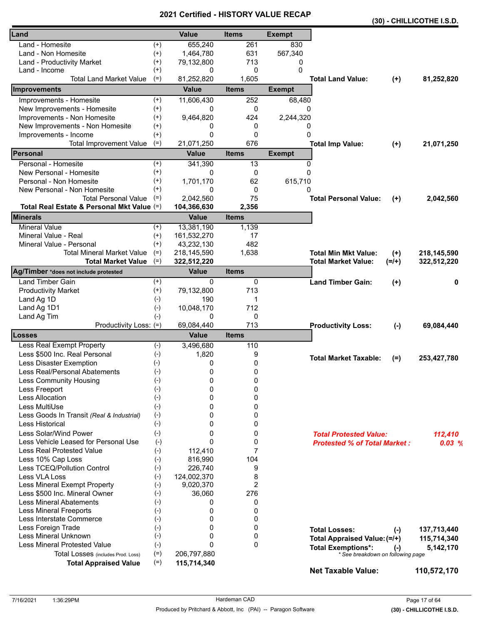|          |                                                                                                                                                                                                                                                                                                                                                                                                                                                                            |                                                                                                                                                                                                                                                                                                                                                                                                                               |                                                                                                                                                                                                                                                                                 |                    |                                                                                                                                                                                                                                                                                                                                                                                                    | (30) - CHILLICOTHE I.S.D.                                                                                                                                                                                  |
|----------|----------------------------------------------------------------------------------------------------------------------------------------------------------------------------------------------------------------------------------------------------------------------------------------------------------------------------------------------------------------------------------------------------------------------------------------------------------------------------|-------------------------------------------------------------------------------------------------------------------------------------------------------------------------------------------------------------------------------------------------------------------------------------------------------------------------------------------------------------------------------------------------------------------------------|---------------------------------------------------------------------------------------------------------------------------------------------------------------------------------------------------------------------------------------------------------------------------------|--------------------|----------------------------------------------------------------------------------------------------------------------------------------------------------------------------------------------------------------------------------------------------------------------------------------------------------------------------------------------------------------------------------------------------|------------------------------------------------------------------------------------------------------------------------------------------------------------------------------------------------------------|
|          | <b>Value</b>                                                                                                                                                                                                                                                                                                                                                                                                                                                               | <b>Items</b>                                                                                                                                                                                                                                                                                                                                                                                                                  | <b>Exempt</b>                                                                                                                                                                                                                                                                   |                    |                                                                                                                                                                                                                                                                                                                                                                                                    |                                                                                                                                                                                                            |
| $^{(+)}$ | 655,240                                                                                                                                                                                                                                                                                                                                                                                                                                                                    | 261                                                                                                                                                                                                                                                                                                                                                                                                                           | 830                                                                                                                                                                                                                                                                             |                    |                                                                                                                                                                                                                                                                                                                                                                                                    |                                                                                                                                                                                                            |
| $^{(+)}$ | 1,464,780                                                                                                                                                                                                                                                                                                                                                                                                                                                                  | 631                                                                                                                                                                                                                                                                                                                                                                                                                           | 567,340                                                                                                                                                                                                                                                                         |                    |                                                                                                                                                                                                                                                                                                                                                                                                    |                                                                                                                                                                                                            |
| $^{(+)}$ | 79,132,800                                                                                                                                                                                                                                                                                                                                                                                                                                                                 | 713                                                                                                                                                                                                                                                                                                                                                                                                                           | 0                                                                                                                                                                                                                                                                               |                    |                                                                                                                                                                                                                                                                                                                                                                                                    |                                                                                                                                                                                                            |
|          | 0                                                                                                                                                                                                                                                                                                                                                                                                                                                                          |                                                                                                                                                                                                                                                                                                                                                                                                                               |                                                                                                                                                                                                                                                                                 |                    |                                                                                                                                                                                                                                                                                                                                                                                                    |                                                                                                                                                                                                            |
|          |                                                                                                                                                                                                                                                                                                                                                                                                                                                                            |                                                                                                                                                                                                                                                                                                                                                                                                                               |                                                                                                                                                                                                                                                                                 |                    |                                                                                                                                                                                                                                                                                                                                                                                                    | 81,252,820                                                                                                                                                                                                 |
|          | <b>Value</b>                                                                                                                                                                                                                                                                                                                                                                                                                                                               | <b>Items</b>                                                                                                                                                                                                                                                                                                                                                                                                                  | <b>Exempt</b>                                                                                                                                                                                                                                                                   |                    |                                                                                                                                                                                                                                                                                                                                                                                                    |                                                                                                                                                                                                            |
| $^{(+)}$ |                                                                                                                                                                                                                                                                                                                                                                                                                                                                            | 252                                                                                                                                                                                                                                                                                                                                                                                                                           |                                                                                                                                                                                                                                                                                 |                    |                                                                                                                                                                                                                                                                                                                                                                                                    |                                                                                                                                                                                                            |
|          | 0                                                                                                                                                                                                                                                                                                                                                                                                                                                                          |                                                                                                                                                                                                                                                                                                                                                                                                                               |                                                                                                                                                                                                                                                                                 |                    |                                                                                                                                                                                                                                                                                                                                                                                                    |                                                                                                                                                                                                            |
|          |                                                                                                                                                                                                                                                                                                                                                                                                                                                                            |                                                                                                                                                                                                                                                                                                                                                                                                                               |                                                                                                                                                                                                                                                                                 |                    |                                                                                                                                                                                                                                                                                                                                                                                                    |                                                                                                                                                                                                            |
|          |                                                                                                                                                                                                                                                                                                                                                                                                                                                                            |                                                                                                                                                                                                                                                                                                                                                                                                                               |                                                                                                                                                                                                                                                                                 |                    |                                                                                                                                                                                                                                                                                                                                                                                                    |                                                                                                                                                                                                            |
|          |                                                                                                                                                                                                                                                                                                                                                                                                                                                                            |                                                                                                                                                                                                                                                                                                                                                                                                                               |                                                                                                                                                                                                                                                                                 |                    |                                                                                                                                                                                                                                                                                                                                                                                                    |                                                                                                                                                                                                            |
|          |                                                                                                                                                                                                                                                                                                                                                                                                                                                                            |                                                                                                                                                                                                                                                                                                                                                                                                                               |                                                                                                                                                                                                                                                                                 |                    |                                                                                                                                                                                                                                                                                                                                                                                                    | 21,071,250                                                                                                                                                                                                 |
|          |                                                                                                                                                                                                                                                                                                                                                                                                                                                                            |                                                                                                                                                                                                                                                                                                                                                                                                                               |                                                                                                                                                                                                                                                                                 |                    |                                                                                                                                                                                                                                                                                                                                                                                                    |                                                                                                                                                                                                            |
|          |                                                                                                                                                                                                                                                                                                                                                                                                                                                                            |                                                                                                                                                                                                                                                                                                                                                                                                                               |                                                                                                                                                                                                                                                                                 |                    |                                                                                                                                                                                                                                                                                                                                                                                                    |                                                                                                                                                                                                            |
|          |                                                                                                                                                                                                                                                                                                                                                                                                                                                                            |                                                                                                                                                                                                                                                                                                                                                                                                                               |                                                                                                                                                                                                                                                                                 |                    |                                                                                                                                                                                                                                                                                                                                                                                                    |                                                                                                                                                                                                            |
|          |                                                                                                                                                                                                                                                                                                                                                                                                                                                                            |                                                                                                                                                                                                                                                                                                                                                                                                                               |                                                                                                                                                                                                                                                                                 |                    |                                                                                                                                                                                                                                                                                                                                                                                                    |                                                                                                                                                                                                            |
|          |                                                                                                                                                                                                                                                                                                                                                                                                                                                                            |                                                                                                                                                                                                                                                                                                                                                                                                                               |                                                                                                                                                                                                                                                                                 |                    |                                                                                                                                                                                                                                                                                                                                                                                                    |                                                                                                                                                                                                            |
|          |                                                                                                                                                                                                                                                                                                                                                                                                                                                                            |                                                                                                                                                                                                                                                                                                                                                                                                                               |                                                                                                                                                                                                                                                                                 |                    |                                                                                                                                                                                                                                                                                                                                                                                                    | 2,042,560                                                                                                                                                                                                  |
|          |                                                                                                                                                                                                                                                                                                                                                                                                                                                                            |                                                                                                                                                                                                                                                                                                                                                                                                                               |                                                                                                                                                                                                                                                                                 |                    |                                                                                                                                                                                                                                                                                                                                                                                                    |                                                                                                                                                                                                            |
|          |                                                                                                                                                                                                                                                                                                                                                                                                                                                                            |                                                                                                                                                                                                                                                                                                                                                                                                                               |                                                                                                                                                                                                                                                                                 |                    |                                                                                                                                                                                                                                                                                                                                                                                                    |                                                                                                                                                                                                            |
|          |                                                                                                                                                                                                                                                                                                                                                                                                                                                                            |                                                                                                                                                                                                                                                                                                                                                                                                                               |                                                                                                                                                                                                                                                                                 |                    |                                                                                                                                                                                                                                                                                                                                                                                                    |                                                                                                                                                                                                            |
|          |                                                                                                                                                                                                                                                                                                                                                                                                                                                                            |                                                                                                                                                                                                                                                                                                                                                                                                                               |                                                                                                                                                                                                                                                                                 |                    |                                                                                                                                                                                                                                                                                                                                                                                                    |                                                                                                                                                                                                            |
|          |                                                                                                                                                                                                                                                                                                                                                                                                                                                                            |                                                                                                                                                                                                                                                                                                                                                                                                                               |                                                                                                                                                                                                                                                                                 |                    |                                                                                                                                                                                                                                                                                                                                                                                                    | 218,145,590                                                                                                                                                                                                |
| $(=)$    |                                                                                                                                                                                                                                                                                                                                                                                                                                                                            |                                                                                                                                                                                                                                                                                                                                                                                                                               |                                                                                                                                                                                                                                                                                 |                    |                                                                                                                                                                                                                                                                                                                                                                                                    | 322,512,220                                                                                                                                                                                                |
|          | <b>Value</b>                                                                                                                                                                                                                                                                                                                                                                                                                                                               | <b>Items</b>                                                                                                                                                                                                                                                                                                                                                                                                                  |                                                                                                                                                                                                                                                                                 |                    |                                                                                                                                                                                                                                                                                                                                                                                                    |                                                                                                                                                                                                            |
| $^{(+)}$ | 0                                                                                                                                                                                                                                                                                                                                                                                                                                                                          | 0                                                                                                                                                                                                                                                                                                                                                                                                                             |                                                                                                                                                                                                                                                                                 |                    |                                                                                                                                                                                                                                                                                                                                                                                                    | 0                                                                                                                                                                                                          |
| $^{(+)}$ | 79,132,800                                                                                                                                                                                                                                                                                                                                                                                                                                                                 | 713                                                                                                                                                                                                                                                                                                                                                                                                                           |                                                                                                                                                                                                                                                                                 |                    |                                                                                                                                                                                                                                                                                                                                                                                                    |                                                                                                                                                                                                            |
| $(-)$    | 190                                                                                                                                                                                                                                                                                                                                                                                                                                                                        | 1                                                                                                                                                                                                                                                                                                                                                                                                                             |                                                                                                                                                                                                                                                                                 |                    |                                                                                                                                                                                                                                                                                                                                                                                                    |                                                                                                                                                                                                            |
| $(-)$    |                                                                                                                                                                                                                                                                                                                                                                                                                                                                            |                                                                                                                                                                                                                                                                                                                                                                                                                               |                                                                                                                                                                                                                                                                                 |                    |                                                                                                                                                                                                                                                                                                                                                                                                    |                                                                                                                                                                                                            |
|          | 0                                                                                                                                                                                                                                                                                                                                                                                                                                                                          |                                                                                                                                                                                                                                                                                                                                                                                                                               |                                                                                                                                                                                                                                                                                 |                    |                                                                                                                                                                                                                                                                                                                                                                                                    |                                                                                                                                                                                                            |
|          |                                                                                                                                                                                                                                                                                                                                                                                                                                                                            |                                                                                                                                                                                                                                                                                                                                                                                                                               |                                                                                                                                                                                                                                                                                 |                    |                                                                                                                                                                                                                                                                                                                                                                                                    | 69,084,440                                                                                                                                                                                                 |
|          |                                                                                                                                                                                                                                                                                                                                                                                                                                                                            |                                                                                                                                                                                                                                                                                                                                                                                                                               |                                                                                                                                                                                                                                                                                 |                    |                                                                                                                                                                                                                                                                                                                                                                                                    |                                                                                                                                                                                                            |
|          |                                                                                                                                                                                                                                                                                                                                                                                                                                                                            |                                                                                                                                                                                                                                                                                                                                                                                                                               |                                                                                                                                                                                                                                                                                 |                    |                                                                                                                                                                                                                                                                                                                                                                                                    |                                                                                                                                                                                                            |
|          |                                                                                                                                                                                                                                                                                                                                                                                                                                                                            |                                                                                                                                                                                                                                                                                                                                                                                                                               |                                                                                                                                                                                                                                                                                 |                    | $(=)$                                                                                                                                                                                                                                                                                                                                                                                              | 253,427,780                                                                                                                                                                                                |
|          |                                                                                                                                                                                                                                                                                                                                                                                                                                                                            |                                                                                                                                                                                                                                                                                                                                                                                                                               |                                                                                                                                                                                                                                                                                 |                    |                                                                                                                                                                                                                                                                                                                                                                                                    |                                                                                                                                                                                                            |
|          |                                                                                                                                                                                                                                                                                                                                                                                                                                                                            |                                                                                                                                                                                                                                                                                                                                                                                                                               |                                                                                                                                                                                                                                                                                 |                    |                                                                                                                                                                                                                                                                                                                                                                                                    |                                                                                                                                                                                                            |
|          |                                                                                                                                                                                                                                                                                                                                                                                                                                                                            |                                                                                                                                                                                                                                                                                                                                                                                                                               |                                                                                                                                                                                                                                                                                 |                    |                                                                                                                                                                                                                                                                                                                                                                                                    |                                                                                                                                                                                                            |
|          |                                                                                                                                                                                                                                                                                                                                                                                                                                                                            |                                                                                                                                                                                                                                                                                                                                                                                                                               |                                                                                                                                                                                                                                                                                 |                    |                                                                                                                                                                                                                                                                                                                                                                                                    |                                                                                                                                                                                                            |
|          |                                                                                                                                                                                                                                                                                                                                                                                                                                                                            |                                                                                                                                                                                                                                                                                                                                                                                                                               |                                                                                                                                                                                                                                                                                 |                    |                                                                                                                                                                                                                                                                                                                                                                                                    |                                                                                                                                                                                                            |
|          | 0                                                                                                                                                                                                                                                                                                                                                                                                                                                                          | 0                                                                                                                                                                                                                                                                                                                                                                                                                             |                                                                                                                                                                                                                                                                                 |                    |                                                                                                                                                                                                                                                                                                                                                                                                    |                                                                                                                                                                                                            |
|          | 0                                                                                                                                                                                                                                                                                                                                                                                                                                                                          | 0                                                                                                                                                                                                                                                                                                                                                                                                                             |                                                                                                                                                                                                                                                                                 |                    |                                                                                                                                                                                                                                                                                                                                                                                                    |                                                                                                                                                                                                            |
|          | 0                                                                                                                                                                                                                                                                                                                                                                                                                                                                          |                                                                                                                                                                                                                                                                                                                                                                                                                               |                                                                                                                                                                                                                                                                                 |                    |                                                                                                                                                                                                                                                                                                                                                                                                    | 112,410                                                                                                                                                                                                    |
|          | 0                                                                                                                                                                                                                                                                                                                                                                                                                                                                          | 0                                                                                                                                                                                                                                                                                                                                                                                                                             |                                                                                                                                                                                                                                                                                 |                    |                                                                                                                                                                                                                                                                                                                                                                                                    | 0.03%                                                                                                                                                                                                      |
|          |                                                                                                                                                                                                                                                                                                                                                                                                                                                                            | 7                                                                                                                                                                                                                                                                                                                                                                                                                             |                                                                                                                                                                                                                                                                                 |                    |                                                                                                                                                                                                                                                                                                                                                                                                    |                                                                                                                                                                                                            |
| $(-)$    | 816,990                                                                                                                                                                                                                                                                                                                                                                                                                                                                    | 104                                                                                                                                                                                                                                                                                                                                                                                                                           |                                                                                                                                                                                                                                                                                 |                    |                                                                                                                                                                                                                                                                                                                                                                                                    |                                                                                                                                                                                                            |
| $(-)$    | 226,740                                                                                                                                                                                                                                                                                                                                                                                                                                                                    | 9                                                                                                                                                                                                                                                                                                                                                                                                                             |                                                                                                                                                                                                                                                                                 |                    |                                                                                                                                                                                                                                                                                                                                                                                                    |                                                                                                                                                                                                            |
| $(-)$    | 124,002,370                                                                                                                                                                                                                                                                                                                                                                                                                                                                | 8                                                                                                                                                                                                                                                                                                                                                                                                                             |                                                                                                                                                                                                                                                                                 |                    |                                                                                                                                                                                                                                                                                                                                                                                                    |                                                                                                                                                                                                            |
|          |                                                                                                                                                                                                                                                                                                                                                                                                                                                                            |                                                                                                                                                                                                                                                                                                                                                                                                                               |                                                                                                                                                                                                                                                                                 |                    |                                                                                                                                                                                                                                                                                                                                                                                                    |                                                                                                                                                                                                            |
|          |                                                                                                                                                                                                                                                                                                                                                                                                                                                                            |                                                                                                                                                                                                                                                                                                                                                                                                                               |                                                                                                                                                                                                                                                                                 |                    |                                                                                                                                                                                                                                                                                                                                                                                                    |                                                                                                                                                                                                            |
|          | 0                                                                                                                                                                                                                                                                                                                                                                                                                                                                          |                                                                                                                                                                                                                                                                                                                                                                                                                               |                                                                                                                                                                                                                                                                                 |                    |                                                                                                                                                                                                                                                                                                                                                                                                    |                                                                                                                                                                                                            |
|          |                                                                                                                                                                                                                                                                                                                                                                                                                                                                            |                                                                                                                                                                                                                                                                                                                                                                                                                               |                                                                                                                                                                                                                                                                                 |                    |                                                                                                                                                                                                                                                                                                                                                                                                    |                                                                                                                                                                                                            |
|          |                                                                                                                                                                                                                                                                                                                                                                                                                                                                            |                                                                                                                                                                                                                                                                                                                                                                                                                               |                                                                                                                                                                                                                                                                                 |                    |                                                                                                                                                                                                                                                                                                                                                                                                    |                                                                                                                                                                                                            |
|          |                                                                                                                                                                                                                                                                                                                                                                                                                                                                            |                                                                                                                                                                                                                                                                                                                                                                                                                               |                                                                                                                                                                                                                                                                                 |                    | $(-)$                                                                                                                                                                                                                                                                                                                                                                                              | 137,713,440                                                                                                                                                                                                |
|          |                                                                                                                                                                                                                                                                                                                                                                                                                                                                            |                                                                                                                                                                                                                                                                                                                                                                                                                               |                                                                                                                                                                                                                                                                                 |                    |                                                                                                                                                                                                                                                                                                                                                                                                    | 115,714,340                                                                                                                                                                                                |
|          |                                                                                                                                                                                                                                                                                                                                                                                                                                                                            |                                                                                                                                                                                                                                                                                                                                                                                                                               |                                                                                                                                                                                                                                                                                 |                    | $(-)$                                                                                                                                                                                                                                                                                                                                                                                              | 5,142,170                                                                                                                                                                                                  |
|          |                                                                                                                                                                                                                                                                                                                                                                                                                                                                            |                                                                                                                                                                                                                                                                                                                                                                                                                               |                                                                                                                                                                                                                                                                                 |                    |                                                                                                                                                                                                                                                                                                                                                                                                    |                                                                                                                                                                                                            |
|          |                                                                                                                                                                                                                                                                                                                                                                                                                                                                            |                                                                                                                                                                                                                                                                                                                                                                                                                               |                                                                                                                                                                                                                                                                                 |                    |                                                                                                                                                                                                                                                                                                                                                                                                    | 110,572,170                                                                                                                                                                                                |
|          | $^{(+)}$<br>$(=)$<br>$^{(+)}$<br>$^{(+)}$<br>$^{(+)}$<br>$(+)$<br>$(=)$<br>$^{(+)}$<br>$^{(+)}$<br>$^{(+)}$<br>$^{(+)}$<br>$(=)$<br>Total Real Estate & Personal Mkt Value (=)<br>$^{(+)}$<br>$^{(+)}$<br>$(+)$<br>$(=)$<br>$(-)$<br>Productivity Loss: (=)<br>$(-)$<br>$(-)$<br>$(-)$<br>$(-)$<br>$(-)$<br>$(-)$<br>$(-)$<br>$(-)$<br>$(-)$<br>$(-)$<br>$(-)$<br>$(-)$<br>$(-)$<br>$(-)$<br>$(-)$<br>$(-)$<br>$(-)$<br>$(-)$<br>$(-)$<br>$(-)$<br>$(-)$<br>$(=)$<br>$(=)$ | 81,252,820<br>11,606,430<br>9,464,820<br>0<br>0<br>21,071,250<br><b>Value</b><br>341,390<br>0<br>1,701,170<br>0<br>2,042,560<br>104,366,630<br><b>Value</b><br>13,381,190<br>161,532,270<br>43,232,130<br>218,145,590<br>322,512,220<br>10,048,170<br>69,084,440<br><b>Value</b><br>3,496,680<br>1,820<br>0<br>0<br>0<br>0<br>0<br>0<br>112,410<br>9,020,370<br>36,060<br>0<br>0<br>0<br>0<br>0<br>206,797,880<br>115,714,340 | 0<br>1,605<br>0<br>424<br>0<br>0<br>676<br><b>Items</b><br>13<br>0<br>62<br>0<br>75<br>2,356<br><b>Items</b><br>1,139<br>17<br>482<br>1,638<br>712<br>0<br>713<br><b>Items</b><br>110<br>9<br>0<br>$\pmb{0}$<br>0<br>0<br>0<br>0<br>0<br>2<br>276<br>0<br>0<br>0<br>0<br>0<br>0 | 0<br><b>Exempt</b> | <b>Total Land Value:</b><br>68,480<br>0<br>2,244,320<br>0<br>0<br><b>Total Imp Value:</b><br>0<br>$\Omega$<br>615,710<br>0<br><b>Total Personal Value:</b><br><b>Total Min Mkt Value:</b><br><b>Total Market Value:</b><br><b>Land Timber Gain:</b><br><b>Productivity Loss:</b><br><b>Total Market Taxable:</b><br><b>Total Losses:</b><br><b>Total Exemptions*:</b><br><b>Net Taxable Value:</b> | $(+)$<br>$(+)$<br>$(+)$<br>$(+)$<br>$(=/+)$<br>$(+)$<br>$(-)$<br><b>Total Protested Value:</b><br><b>Protested % of Total Market:</b><br>Total Appraised Value: (=/+)<br>* See breakdown on following page |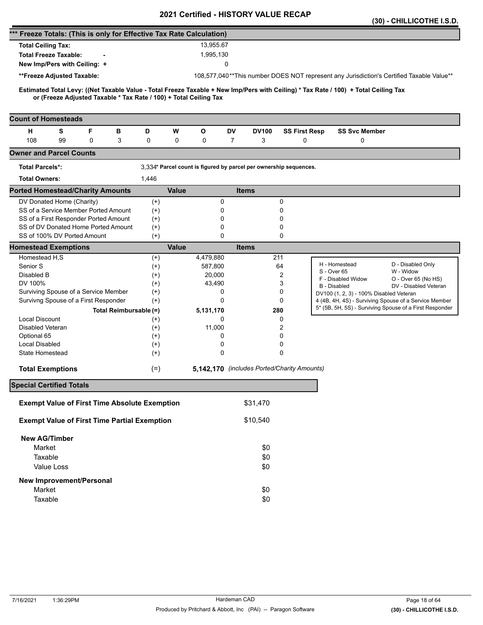|                                                                                                                                     |                   |              |               | 2021 Certilled - HISTORT VALUE RECAP                              |        |                      |                                         | (30) - CHILLICOTHE I.S.D.                                                                                        |
|-------------------------------------------------------------------------------------------------------------------------------------|-------------------|--------------|---------------|-------------------------------------------------------------------|--------|----------------------|-----------------------------------------|------------------------------------------------------------------------------------------------------------------|
| *** Freeze Totals: (This is only for Effective Tax Rate Calculation)                                                                |                   |              |               |                                                                   |        |                      |                                         |                                                                                                                  |
| <b>Total Ceiling Tax:</b>                                                                                                           |                   |              | 13,955.67     |                                                                   |        |                      |                                         |                                                                                                                  |
| <b>Total Freeze Taxable:</b>                                                                                                        |                   |              | 1,995,130     |                                                                   |        |                      |                                         |                                                                                                                  |
| New Imp/Pers with Ceiling: +                                                                                                        |                   |              |               | 0                                                                 |        |                      |                                         |                                                                                                                  |
| **Freeze Adjusted Taxable:                                                                                                          |                   |              |               |                                                                   |        |                      |                                         | 108,577,040**This number DOES NOT represent any Jurisdiction's Certified Taxable Value**                         |
| Estimated Total Levy: ((Net Taxable Value - Total Freeze Taxable + New Imp/Pers with Ceiling) * Tax Rate / 100) + Total Ceiling Tax |                   |              |               |                                                                   |        |                      |                                         |                                                                                                                  |
| or (Freeze Adjusted Taxable * Tax Rate / 100) + Total Ceiling Tax                                                                   |                   |              |               |                                                                   |        |                      |                                         |                                                                                                                  |
|                                                                                                                                     |                   |              |               |                                                                   |        |                      |                                         |                                                                                                                  |
| <b>Count of Homesteads</b>                                                                                                          |                   |              |               |                                                                   |        |                      |                                         |                                                                                                                  |
| F<br>н<br>s<br>в                                                                                                                    | D                 | W            | O             | DV<br><b>DV100</b>                                                |        | <b>SS First Resp</b> | <b>SS Svc Member</b>                    |                                                                                                                  |
| 108<br>99<br>0<br>3                                                                                                                 | 0                 | 0            | 0             | 3<br>7                                                            |        | 0                    | $\mathbf 0$                             |                                                                                                                  |
| <b>Owner and Parcel Counts</b>                                                                                                      |                   |              |               |                                                                   |        |                      |                                         |                                                                                                                  |
| <b>Total Parcels*:</b>                                                                                                              |                   |              |               | 3,334* Parcel count is figured by parcel per ownership sequences. |        |                      |                                         |                                                                                                                  |
| <b>Total Owners:</b>                                                                                                                | 1,446             |              |               |                                                                   |        |                      |                                         |                                                                                                                  |
| <b>Ported Homestead/Charity Amounts</b>                                                                                             |                   | <b>Value</b> |               | <b>Items</b>                                                      |        |                      |                                         |                                                                                                                  |
| DV Donated Home (Charity)                                                                                                           | $^{(+)}$          |              | 0             |                                                                   | 0      |                      |                                         |                                                                                                                  |
| SS of a Service Member Ported Amount                                                                                                | $(+)$             |              | 0             |                                                                   | 0      |                      |                                         |                                                                                                                  |
| SS of a First Responder Ported Amount<br>SS of DV Donated Home Ported Amount                                                        | $(+)$             |              | 0             |                                                                   | 0      |                      |                                         |                                                                                                                  |
| SS of 100% DV Ported Amount                                                                                                         | $^{(+)}$<br>$(+)$ |              | 0<br>$\Omega$ |                                                                   | 0<br>0 |                      |                                         |                                                                                                                  |
| <b>Homestead Exemptions</b>                                                                                                         |                   | <b>Value</b> |               | <b>Items</b>                                                      |        |                      |                                         |                                                                                                                  |
| Homestead H,S                                                                                                                       | $^{(+)}$          |              | 4,479,880     |                                                                   | 211    |                      |                                         |                                                                                                                  |
| Senior S                                                                                                                            | $(+)$             |              | 587,800       |                                                                   | 64     |                      | H - Homestead                           | D - Disabled Only                                                                                                |
| Disabled B                                                                                                                          | $^{(+)}$          |              | 20,000        |                                                                   | 2      |                      | S - Over 65<br>F - Disabled Widow       | W - Widow<br>O - Over 65 (No HS)                                                                                 |
| DV 100%                                                                                                                             | $(+)$             |              | 43,490        |                                                                   | 3      |                      | B - Disabled                            | DV - Disabled Veteran                                                                                            |
| Surviving Spouse of a Service Member                                                                                                | $^{(+)}$          |              | 0             |                                                                   | 0      |                      | DV100 (1, 2, 3) - 100% Disabled Veteran |                                                                                                                  |
| Survivng Spouse of a First Responder                                                                                                | $(+)$             |              | $\Omega$      |                                                                   | 0      |                      |                                         | 4 (4B, 4H, 4S) - Surviving Spouse of a Service Member<br>5* (5B, 5H, 5S) - Surviving Spouse of a First Responder |
| Total Reimbursable (=)                                                                                                              |                   |              | 5,131,170     |                                                                   | 280    |                      |                                         |                                                                                                                  |
| <b>Local Discount</b><br>Disabled Veteran                                                                                           | $^{(+)}$<br>$(+)$ |              | 0<br>11,000   |                                                                   | 0<br>2 |                      |                                         |                                                                                                                  |
| Optional 65                                                                                                                         | $^{(+)}$          |              | 0             |                                                                   | 0      |                      |                                         |                                                                                                                  |
| Local Disabled                                                                                                                      | $^{(+)}$          |              | 0             |                                                                   | 0      |                      |                                         |                                                                                                                  |
| State Homestead                                                                                                                     | $^{(+)}$          |              | $\mathbf 0$   |                                                                   | 0      |                      |                                         |                                                                                                                  |
| <b>Total Exemptions</b>                                                                                                             | $(=)$             |              |               | 5,142,170 (includes Ported/Charity Amounts)                       |        |                      |                                         |                                                                                                                  |
| <b>Special Certified Totals</b>                                                                                                     |                   |              |               |                                                                   |        |                      |                                         |                                                                                                                  |
| <b>Exempt Value of First Time Absolute Exemption</b>                                                                                |                   |              |               | \$31,470                                                          |        |                      |                                         |                                                                                                                  |
| <b>Exempt Value of First Time Partial Exemption</b>                                                                                 |                   |              |               | \$10,540                                                          |        |                      |                                         |                                                                                                                  |
| <b>New AG/Timber</b>                                                                                                                |                   |              |               |                                                                   |        |                      |                                         |                                                                                                                  |
| Market                                                                                                                              |                   |              |               | \$0                                                               |        |                      |                                         |                                                                                                                  |
| Taxable                                                                                                                             |                   |              |               | \$0                                                               |        |                      |                                         |                                                                                                                  |
| Value Loss                                                                                                                          |                   |              |               | \$0                                                               |        |                      |                                         |                                                                                                                  |
| <b>New Improvement/Personal</b>                                                                                                     |                   |              |               |                                                                   |        |                      |                                         |                                                                                                                  |
| Market                                                                                                                              |                   |              |               | \$0                                                               |        |                      |                                         |                                                                                                                  |
| Taxable                                                                                                                             |                   |              |               | \$0                                                               |        |                      |                                         |                                                                                                                  |
|                                                                                                                                     |                   |              |               |                                                                   |        |                      |                                         |                                                                                                                  |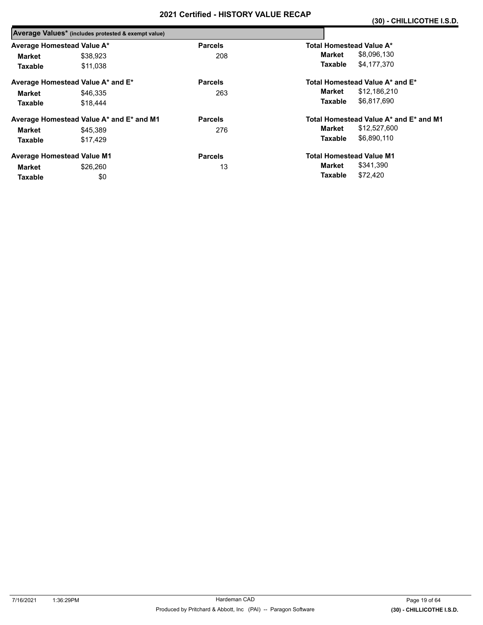|                            | Average Values* (includes protested & exempt value) |                |                                        |
|----------------------------|-----------------------------------------------------|----------------|----------------------------------------|
| Average Homestead Value A* |                                                     | <b>Parcels</b> | Total Homestead Value A*               |
| Market                     | \$38.923                                            | 208            | \$8,096,130<br>Market                  |
| <b>Taxable</b>             | \$11.038                                            |                | \$4,177,370<br>Taxable                 |
|                            | Average Homestead Value A* and E*                   | <b>Parcels</b> | Total Homestead Value A* and E*        |
| Market                     | \$46,335                                            | 263            | \$12,186,210<br>Market                 |
| <b>Taxable</b>             | \$18,444                                            |                | \$6,817,690<br>Taxable                 |
|                            | Average Homestead Value A* and E* and M1            | <b>Parcels</b> | Total Homestead Value A* and E* and M1 |
| Market                     | \$45,389                                            | 276            | \$12,527,600<br>Market                 |
| <b>Taxable</b>             | \$17.429                                            |                | \$6,890,110<br>Taxable                 |
|                            | <b>Average Homestead Value M1</b>                   | <b>Parcels</b> | <b>Total Homestead Value M1</b>        |
| Market                     | \$26,260                                            | 13             | \$341,390<br>Market                    |
| <b>Taxable</b>             | \$0                                                 |                | \$72,420<br>Taxable                    |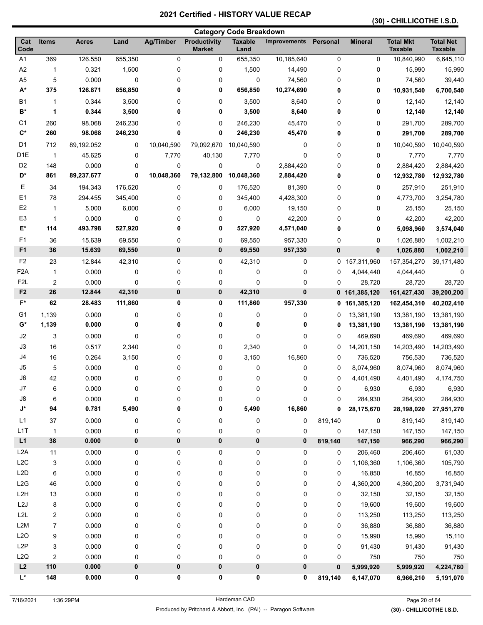### **(30) - CHILLICOTHE I.S.D.**

| <b>Category Code Breakdown</b> |                |                |         |                  |                                      |                        |                              |                        |                  |                                    |                                    |
|--------------------------------|----------------|----------------|---------|------------------|--------------------------------------|------------------------|------------------------------|------------------------|------------------|------------------------------------|------------------------------------|
| Cat<br>Code                    | Items          | <b>Acres</b>   | Land    | <b>Ag/Timber</b> | <b>Productivity</b><br><b>Market</b> | <b>Taxable</b><br>Land | <b>Improvements Personal</b> |                        | <b>Mineral</b>   | <b>Total Mkt</b><br><b>Taxable</b> | <b>Total Net</b><br><b>Taxable</b> |
| A <sub>1</sub>                 | 369            | 126.550        | 655,350 | 0                | 0                                    | 655,350                | 10,185,640                   | $\pmb{0}$              | 0                | 10,840,990                         | 6,645,110                          |
| A2                             | 1              | 0.321          | 1,500   | 0                | 0                                    | 1,500                  | 14,490                       | 0                      | 0                | 15,990                             | 15,990                             |
| A <sub>5</sub>                 | 5              | 0.000          | 0       | 0                | 0                                    | 0                      | 74,560                       | 0                      | 0                | 74,560                             | 39,440                             |
| $A^*$                          | 375            | 126.871        | 656,850 | 0                | 0                                    | 656,850                | 10,274,690                   | 0                      | 0                | 10,931,540                         | 6,700,540                          |
| <b>B1</b>                      | 1              | 0.344          | 3,500   | 0                | 0                                    | 3,500                  | 8,640                        | 0                      | 0                | 12,140                             | 12,140                             |
| B*                             | 1              | 0.344          | 3,500   | 0                | 0                                    | 3,500                  | 8,640                        | 0                      | 0                | 12,140                             | 12,140                             |
| C <sub>1</sub>                 | 260            | 98.068         | 246,230 | 0                | 0                                    | 246,230                | 45,470                       | 0                      | 0                | 291,700                            | 289,700                            |
| $C^*$                          | 260            | 98.068         | 246,230 | 0                | 0                                    | 246,230                | 45,470                       | 0                      | 0                | 291,700                            | 289,700                            |
| D <sub>1</sub>                 | 712            | 89,192.052     | 0       | 10,040,590       | 79,092,670                           | 10,040,590             | 0                            | 0                      | 0                | 10,040,590                         | 10,040,590                         |
| D <sub>1</sub> E               | $\overline{1}$ | 45.625         | 0       | 7,770            | 40,130                               | 7,770                  | 0                            | 0                      | 0                | 7,770                              | 7,770                              |
| D <sub>2</sub>                 | 148            | 0.000          | 0       | 0                | 0                                    | $\pmb{0}$              | 2,884,420                    | 0                      | 0                | 2,884,420                          | 2,884,420                          |
| D*                             | 861            | 89,237.677     | 0       | 10,048,360       | 79,132,800                           | 10,048,360             | 2,884,420                    | 0                      | 0                | 12,932,780                         | 12,932,780                         |
| Е                              | 34             | 194.343        | 176,520 | 0                | 0                                    | 176,520                | 81,390                       | 0                      | 0                | 257,910                            | 251,910                            |
| E1                             | 78             | 294.455        | 345,400 | 0                | 0                                    | 345,400                | 4,428,300                    | 0                      | 0                | 4,773,700                          | 3,254,780                          |
| E <sub>2</sub>                 | 1              | 5.000          | 6,000   | 0                | 0                                    | 6,000                  | 19,150                       | 0                      | 0                | 25,150                             | 25,150                             |
| E <sub>3</sub>                 | 1              | 0.000          | 0       | 0                | 0                                    | 0                      | 42,200                       | 0                      | 0                | 42,200                             | 42,200                             |
| E*                             | 114            | 493.798        | 527,920 | 0                | 0                                    | 527,920                | 4,571,040                    | 0                      | 0                | 5,098,960                          | 3,574,040                          |
| F <sub>1</sub>                 | 36             | 15.639         | 69,550  | 0                | 0                                    | 69,550                 | 957,330                      | 0                      | 0                | 1,026,880                          | 1,002,210                          |
| F <sub>1</sub>                 | 36             | 15.639         | 69,550  | 0                | $\pmb{0}$                            | 69,550                 | 957,330                      | $\pmb{0}$              | 0                | 1,026,880                          | 1,002,210                          |
| F <sub>2</sub>                 | 23             | 12.844         | 42,310  | 0                | 0                                    | 42,310                 | 0                            | 0                      | 157,311,960      | 157,354,270                        | 39,171,480                         |
| F <sub>2</sub> A               | $\mathbf{1}$   | 0.000          | 0       | 0                | 0                                    | 0                      | 0                            | 0                      | 4,044,440        | 4,044,440                          | 0                                  |
| F <sub>2</sub> L               | $\overline{c}$ | 0.000          | 0       | 0                | 0                                    | 0                      | 0                            | $\mathbf 0$            | 28,720           | 28,720                             | 28,720                             |
| F <sub>2</sub>                 | 26             | 12.844         | 42,310  | 0                | $\bf{0}$                             | 42,310                 | 0                            | 0                      | 161,385,120      | 161,427,430                        | 39,200,200                         |
| F*                             | 62             | 28.483         | 111,860 | 0                | 0                                    | 111,860                | 957,330                      | 0                      | 161,385,120      | 162,454,310                        | 40,202,410                         |
| G1                             | 1,139          | 0.000          | 0       | 0                | 0                                    | 0                      | 0                            | 0                      | 13,381,190       | 13,381,190                         | 13,381,190                         |
| G*                             | 1,139          | 0.000          | 0       | 0                | 0                                    | 0                      | 0                            | 0                      | 13,381,190       | 13,381,190                         | 13,381,190                         |
| J2                             | 3              | 0.000          | 0       | 0                | 0                                    | 0                      | 0                            | 0                      | 469,690          | 469,690                            | 469,690                            |
| J3                             | 16             | 0.517          | 2,340   | 0                | 0                                    | 2,340                  | 0                            | 0                      | 14,201,150       | 14,203,490                         | 14,203,490                         |
| J4                             | 16             | 0.264          | 3,150   | 0                | 0                                    | 3,150                  | 16,860                       | 0                      | 736,520          | 756,530                            | 736,520                            |
| J5                             | 5              | 0.000          | 0       | 0                | 0                                    | 0                      | 0                            | 0                      | 8,074,960        | 8,074,960                          | 8,074,960                          |
| J6                             | 42             | 0.000          | 0       | 0                | 0                                    | 0                      | 0                            | $\mathbf 0$            | 4,401,490        | 4,401,490                          | 4,174,750                          |
| J7                             | 6              | 0.000          | 0       | 0                | 0                                    | 0                      | 0                            | 0                      | 6,930            | 6,930                              | 6,930                              |
| ${\sf J}8$                     | 6              | 0.000          | 0       | 0                | 0                                    | $\pmb{0}$              | 0                            | 0                      | 284,930          | 284,930                            | 284,930                            |
| J*                             | 94             | 0.781          | 5,490   | 0                | 0                                    | 5,490                  | 16,860                       | 0                      | 28,175,670       | 28,198,020                         | 27,951,270                         |
| L1                             | 37             | 0.000          | 0       | 0                | 0                                    | 0                      | 0                            | 819,140                | 0                | 819,140                            | 819,140                            |
| L <sub>1</sub> T               | $\mathbf{1}$   | 0.000          | 0       | 0                | 0                                    | 0                      | 0                            | 0                      | 147,150          | 147,150                            | 147,150                            |
| L1                             | 38             | 0.000          | 0       | 0                | $\pmb{0}$                            | 0                      | 0                            | 819,140                | 147,150          | 966,290                            | 966,290                            |
| L2A                            | 11             | 0.000          | 0       | 0                | 0                                    | $\pmb{0}$              | 0                            | 0                      | 206,460          | 206,460                            | 61,030                             |
| L2C                            | 3              | 0.000          | 0       | 0                | 0                                    | 0                      | 0                            | $\pmb{0}$              | 1,106,360        | 1,106,360                          | 105,790                            |
| L2D                            | 6              | 0.000          | 0       | 0                | 0                                    | 0                      | 0                            | 0                      | 16,850           | 16,850                             | 16,850                             |
| L2G                            | 46             | 0.000          | 0       | 0                | 0                                    | 0                      | 0                            | 0                      | 4,360,200        | 4,360,200                          | 3,731,940                          |
| L <sub>2</sub> H               | 13             | 0.000          | 0       | 0                | 0                                    | 0                      | 0                            | $\pmb{0}$              | 32,150           | 32,150                             | 32,150                             |
| L2J                            | 8              | 0.000          | 0       | 0                | 0                                    | 0                      | 0                            | 0                      | 19,600           | 19,600                             | 19,600                             |
| L2L                            | 2              | 0.000          |         | 0                |                                      |                        |                              | 0                      | 113,250          | 113,250                            |                                    |
|                                |                |                | 0       |                  | 0                                    | 0                      | 0                            |                        |                  |                                    | 113,250                            |
| L2M<br>L2O                     | 7<br>9         | 0.000<br>0.000 | 0       | 0<br>0           | 0                                    | 0                      | 0                            | 0<br>0                 | 36,880<br>15,990 | 36,880<br>15,990                   | 36,880                             |
| L <sub>2</sub> P               |                |                | 0       |                  | 0                                    | 0                      | 0                            |                        |                  |                                    | 15,110                             |
| L2Q                            | 3              | 0.000<br>0.000 | 0       | 0                | 0                                    | 0                      | 0                            | 0                      | 91,430<br>750    | 91,430                             | 91,430                             |
| L2                             | 2<br>110       | 0.000          | 0<br>0  | 0<br>0           | $\mathbf 0$<br>$\pmb{0}$             | $\pmb{0}$<br>0         | 0<br>0                       | $\pmb{0}$<br>$\pmb{0}$ | 5,999,920        | 750<br>5,999,920                   | 750<br>4,224,780                   |
| L*                             | 148            | 0.000          | 0       | 0                | 0                                    | 0                      | 0                            | 819,140                | 6,147,070        | 6,966,210                          | 5,191,070                          |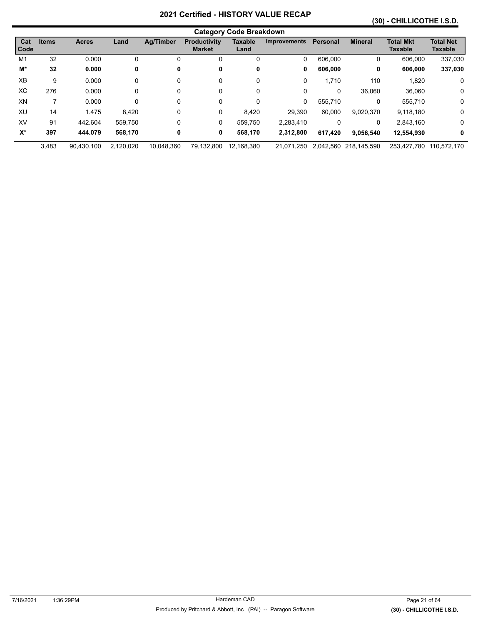### **(30) - CHILLICOTHE I.S.D.**

|             |              |              |           |                  |                                      | <b>Category Code Breakdown</b> |                     |          |                       |                                    |                                    |
|-------------|--------------|--------------|-----------|------------------|--------------------------------------|--------------------------------|---------------------|----------|-----------------------|------------------------------------|------------------------------------|
| Cat<br>Code | <b>Items</b> | <b>Acres</b> | Land      | <b>Ag/Timber</b> | <b>Productivity</b><br><b>Market</b> | <b>Taxable</b><br>Land         | <b>Improvements</b> | Personal | <b>Mineral</b>        | <b>Total Mkt</b><br><b>Taxable</b> | <b>Total Net</b><br><b>Taxable</b> |
| M1          | 32           | 0.000        | 0         | 0                | 0                                    | 0                              | 0                   | 606.000  | 0                     | 606.000                            | 337,030                            |
| M*          | 32           | 0.000        | 0         | 0                | 0                                    | 0                              | 0                   | 606,000  | 0                     | 606,000                            | 337,030                            |
| XB          | 9            | 0.000        | 0         | 0                | 0                                    | 0                              | 0                   | 1.710    | 110                   | 1,820                              | 0                                  |
| ХC          | 276          | 0.000        | 0         | 0                | 0                                    | 0                              | 0                   | 0        | 36,060                | 36.060                             | $\mathbf 0$                        |
| XN          | 7            | 0.000        | 0         | 0                | 0                                    | 0                              | 0                   | 555.710  | 0                     | 555.710                            | 0                                  |
| XU          | 14           | 1.475        | 8,420     | 0                | 0                                    | 8,420                          | 29.390              | 60.000   | 9,020,370             | 9,118,180                          | $\mathbf 0$                        |
| XV          | 91           | 442.604      | 559.750   | 0                | 0                                    | 559.750                        | 2.283.410           | 0        | 0                     | 2,843,160                          | $\mathbf 0$                        |
| $X^*$       | 397          | 444.079      | 568,170   | 0                | 0                                    | 568,170                        | 2,312,800           | 617.420  | 9.056.540             | 12,554,930                         | 0                                  |
|             | 3.483        | 90.430.100   | 2.120.020 | 10.048.360       | 79.132.800                           | 12.168.380                     | 21.071.250          |          | 2.042.560 218.145.590 | 253.427.780                        | 110.572.170                        |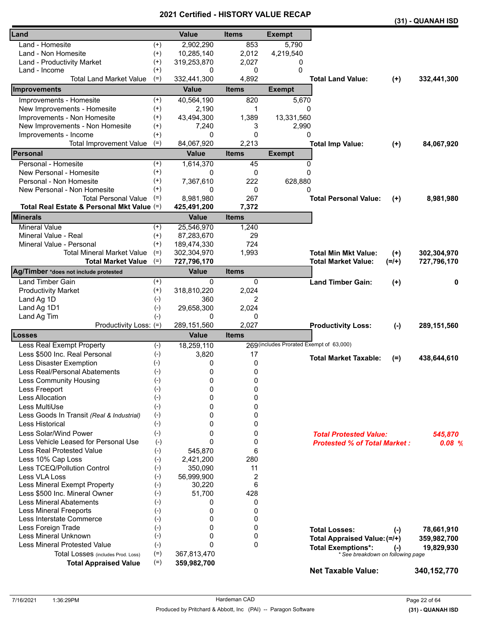|                                            |                    |              |                |                                          |                                     |           | (31) - QUANAH ISD |
|--------------------------------------------|--------------------|--------------|----------------|------------------------------------------|-------------------------------------|-----------|-------------------|
| Land                                       |                    | <b>Value</b> | <b>Items</b>   | <b>Exempt</b>                            |                                     |           |                   |
| Land - Homesite                            | $^{(+)}$           | 2,902,290    | 853            | 5,790                                    |                                     |           |                   |
| Land - Non Homesite                        | $^{(+)}$           | 10,285,140   | 2,012          | 4,219,540                                |                                     |           |                   |
| Land - Productivity Market                 | $^{(+)}$           | 319,253,870  | 2,027          | 0                                        |                                     |           |                   |
| Land - Income                              | $^{(+)}$           | 0            | 0              | $\Omega$                                 |                                     |           |                   |
| <b>Total Land Market Value</b>             | $(=)$              | 332,441,300  | 4,892          |                                          | <b>Total Land Value:</b>            | $(+)$     | 332,441,300       |
| <b>Improvements</b>                        |                    | <b>Value</b> | <b>Items</b>   | <b>Exempt</b>                            |                                     |           |                   |
| Improvements - Homesite                    | $^{(+)}$           | 40,564,190   | 820            | 5,670                                    |                                     |           |                   |
| New Improvements - Homesite                | $^{(+)}$           | 2,190        | 1              | 0                                        |                                     |           |                   |
| Improvements - Non Homesite                | $^{(+)}$           | 43,494,300   | 1,389          | 13,331,560                               |                                     |           |                   |
| New Improvements - Non Homesite            | $^{(+)}$           | 7,240        | 3              | 2,990                                    |                                     |           |                   |
| Improvements - Income                      | $(+)$              | 0            | $\Omega$       | 0                                        |                                     |           |                   |
| <b>Total Improvement Value</b>             | $(=)$              | 84,067,920   | 2,213          |                                          | <b>Total Imp Value:</b>             | $(+)$     | 84,067,920        |
| Personal                                   |                    | <b>Value</b> | <b>Items</b>   | <b>Exempt</b>                            |                                     |           |                   |
| Personal - Homesite                        | $^{(+)}$           | 1,614,370    | 45             | 0                                        |                                     |           |                   |
| New Personal - Homesite                    | $^{(+)}$           | 0            | 0              | $\Omega$                                 |                                     |           |                   |
| Personal - Non Homesite                    | $^{(+)}$           | 7,367,610    | 222            | 628,880                                  |                                     |           |                   |
| New Personal - Non Homesite                | $^{(+)}$           | 0            | 0              | $\Omega$                                 |                                     |           |                   |
| <b>Total Personal Value</b>                | $(=)$              | 8,981,980    | 267            |                                          | <b>Total Personal Value:</b>        | $(+)$     | 8,981,980         |
| Total Real Estate & Personal Mkt Value (=) |                    | 425,491,200  | 7,372          |                                          |                                     |           |                   |
| <b>Minerals</b>                            |                    | <b>Value</b> | <b>Items</b>   |                                          |                                     |           |                   |
| <b>Mineral Value</b>                       | $^{(+)}$           | 25,546,970   | 1,240          |                                          |                                     |           |                   |
| Mineral Value - Real                       | $^{(+)}$           | 87,283,670   | 29             |                                          |                                     |           |                   |
| Mineral Value - Personal                   | $(+)$              | 189,474,330  | 724            |                                          |                                     |           |                   |
| <b>Total Mineral Market Value</b>          | $(=)$              | 302,304,970  | 1,993          |                                          | <b>Total Min Mkt Value:</b>         | $(+)$     | 302,304,970       |
| <b>Total Market Value</b>                  | $(=)$              | 727,796,170  |                |                                          | <b>Total Market Value:</b>          | $(=/+)$   | 727,796,170       |
| Ag/Timber *does not include protested      |                    | <b>Value</b> | <b>Items</b>   |                                          |                                     |           |                   |
| <b>Land Timber Gain</b>                    | $^{(+)}$           | 0            | 0              |                                          | <b>Land Timber Gain:</b>            | $(+)$     | 0                 |
| <b>Productivity Market</b>                 | $^{(+)}$           | 318,810,220  | 2,024          |                                          |                                     |           |                   |
| Land Ag 1D                                 | $(-)$              | 360          | 2              |                                          |                                     |           |                   |
| Land Ag 1D1                                | $(-)$              | 29,658,300   | 2,024          |                                          |                                     |           |                   |
| Land Ag Tim                                | $(-)$              | 0            | 0              |                                          |                                     |           |                   |
| Productivity Loss: (=)                     |                    | 289,151,560  | 2,027          |                                          | <b>Productivity Loss:</b>           | $(-)$     | 289,151,560       |
| <b>Losses</b>                              |                    | <b>Value</b> | <b>Items</b>   |                                          |                                     |           |                   |
| Less Real Exempt Property                  | $(\textnormal{-})$ | 18,259,110   |                | 269 (includes Prorated Exempt of 63,000) |                                     |           |                   |
| Less \$500 Inc. Real Personal              | $(-)$              | 3,820        | 17             |                                          | <b>Total Market Taxable:</b>        | $(=)$     | 438,644,610       |
| Less Disaster Exemption                    | $(-)$              | 0            | 0              |                                          |                                     |           |                   |
| Less Real/Personal Abatements              | $(-)$              | $\mathbf 0$  | $\pmb{0}$      |                                          |                                     |           |                   |
| <b>Less Community Housing</b>              | $(-)$              | 0            | 0              |                                          |                                     |           |                   |
| Less Freeport                              | $(-)$              | 0            | 0              |                                          |                                     |           |                   |
| Less Allocation                            | $(-)$              | 0            | 0              |                                          |                                     |           |                   |
| Less MultiUse                              | $(-)$              | 0            | 0              |                                          |                                     |           |                   |
| Less Goods In Transit (Real & Industrial)  | $(-)$              | 0            | 0              |                                          |                                     |           |                   |
| Less Historical                            | $(-)$              | 0            | 0              |                                          |                                     |           |                   |
| Less Solar/Wind Power                      | $(-)$              | 0            | 0              |                                          | <b>Total Protested Value:</b>       |           | 545,870           |
| Less Vehicle Leased for Personal Use       | $(-)$              | $\mathbf{0}$ | 0              |                                          | <b>Protested % of Total Market:</b> |           | 0.08%             |
| <b>Less Real Protested Value</b>           | $(-)$              | 545,870      | 6              |                                          |                                     |           |                   |
| Less 10% Cap Loss                          | $(-)$              | 2,421,200    | 280            |                                          |                                     |           |                   |
| Less TCEQ/Pollution Control                | $(-)$              | 350,090      | 11             |                                          |                                     |           |                   |
| Less VLA Loss                              | $(-)$              | 56,999,900   | $\overline{2}$ |                                          |                                     |           |                   |
| Less Mineral Exempt Property               | $(-)$              | 30,220       | 6              |                                          |                                     |           |                   |
| Less \$500 Inc. Mineral Owner              | $(-)$              | 51,700       | 428            |                                          |                                     |           |                   |
| <b>Less Mineral Abatements</b>             | $(-)$              | 0            | 0              |                                          |                                     |           |                   |
| <b>Less Mineral Freeports</b>              | $(-)$              | 0            | 0              |                                          |                                     |           |                   |
| Less Interstate Commerce                   | $(-)$              | 0            | 0              |                                          |                                     |           |                   |
| Less Foreign Trade                         | $(-)$              | 0            | 0              |                                          | <b>Total Losses:</b>                | $(-)$     | 78,661,910        |
| Less Mineral Unknown                       | $(-)$              | 0            | 0              |                                          | Total Appraised Value: (=/+)        |           | 359,982,700       |
| <b>Less Mineral Protested Value</b>        | $(-)$              | 0            | $\Omega$       |                                          | <b>Total Exemptions*:</b>           | $(\cdot)$ | 19,829,930        |
| Total Losses (includes Prod. Loss)         | $(=)$              | 367,813,470  |                |                                          | * See breakdown on following page   |           |                   |
| <b>Total Appraised Value</b>               | $(=)$              | 359,982,700  |                |                                          | <b>Net Taxable Value:</b>           |           | 340, 152, 770     |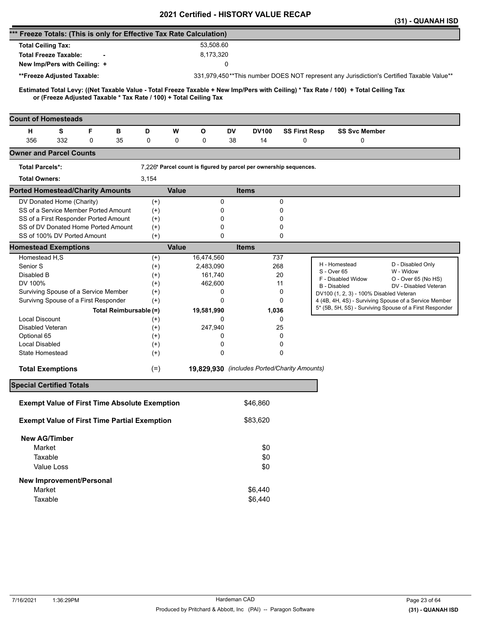|                                                                                                                                                                                                          |          | 2021 Certilled - HISTORT VALUE RECAP                              |           |              |                                              |                                                                                          | (31) - QUANAH ISD                            |
|----------------------------------------------------------------------------------------------------------------------------------------------------------------------------------------------------------|----------|-------------------------------------------------------------------|-----------|--------------|----------------------------------------------|------------------------------------------------------------------------------------------|----------------------------------------------|
| *** Freeze Totals: (This is only for Effective Tax Rate Calculation)                                                                                                                                     |          |                                                                   |           |              |                                              |                                                                                          |                                              |
| <b>Total Ceiling Tax:</b>                                                                                                                                                                                |          |                                                                   | 53,508.60 |              |                                              |                                                                                          |                                              |
| <b>Total Freeze Taxable:</b>                                                                                                                                                                             |          |                                                                   | 8,173,320 |              |                                              |                                                                                          |                                              |
| New Imp/Pers with Ceiling: +                                                                                                                                                                             |          |                                                                   | 0         |              |                                              |                                                                                          |                                              |
|                                                                                                                                                                                                          |          |                                                                   |           |              |                                              |                                                                                          |                                              |
| **Freeze Adjusted Taxable:                                                                                                                                                                               |          |                                                                   |           |              |                                              | 331,979,450**This number DOES NOT represent any Jurisdiction's Certified Taxable Value** |                                              |
| Estimated Total Levy: ((Net Taxable Value - Total Freeze Taxable + New Imp/Pers with Ceiling) * Tax Rate / 100) + Total Ceiling Tax<br>or (Freeze Adjusted Taxable * Tax Rate / 100) + Total Ceiling Tax |          |                                                                   |           |              |                                              |                                                                                          |                                              |
| <b>Count of Homesteads</b>                                                                                                                                                                               |          |                                                                   |           |              |                                              |                                                                                          |                                              |
| F<br>н<br>s<br>в                                                                                                                                                                                         | D        | W<br>$\mathbf{o}$                                                 | DV        | <b>DV100</b> | <b>SS First Resp</b>                         | <b>SS Svc Member</b>                                                                     |                                              |
| 356<br>332<br>0<br>35                                                                                                                                                                                    | 0        | 0<br>0                                                            | 38        | 14           | 0                                            | 0                                                                                        |                                              |
| <b>Owner and Parcel Counts</b>                                                                                                                                                                           |          |                                                                   |           |              |                                              |                                                                                          |                                              |
| <b>Total Parcels*:</b>                                                                                                                                                                                   |          | 7,226* Parcel count is figured by parcel per ownership sequences. |           |              |                                              |                                                                                          |                                              |
| <b>Total Owners:</b>                                                                                                                                                                                     | 3,154    |                                                                   |           |              |                                              |                                                                                          |                                              |
| <b>Ported Homestead/Charity Amounts</b>                                                                                                                                                                  |          | <b>Value</b>                                                      |           | <b>Items</b> |                                              |                                                                                          |                                              |
| DV Donated Home (Charity)                                                                                                                                                                                | $^{(+)}$ |                                                                   | 0         |              | 0                                            |                                                                                          |                                              |
| SS of a Service Member Ported Amount                                                                                                                                                                     | $(+)$    |                                                                   | 0         |              | 0                                            |                                                                                          |                                              |
| SS of a First Responder Ported Amount                                                                                                                                                                    | $(+)$    |                                                                   | 0         |              | 0                                            |                                                                                          |                                              |
| SS of DV Donated Home Ported Amount                                                                                                                                                                      | $^{(+)}$ |                                                                   | 0         |              | 0                                            |                                                                                          |                                              |
| SS of 100% DV Ported Amount                                                                                                                                                                              | $(+)$    |                                                                   | $\Omega$  |              | 0                                            |                                                                                          |                                              |
| <b>Homestead Exemptions</b>                                                                                                                                                                              |          | <b>Value</b>                                                      |           | <b>Items</b> |                                              |                                                                                          |                                              |
| Homestead H,S                                                                                                                                                                                            | $^{(+)}$ | 16,474,560                                                        |           | 737          |                                              |                                                                                          |                                              |
| Senior S                                                                                                                                                                                                 | $(+)$    | 2,483,090                                                         |           | 268          |                                              | H - Homestead                                                                            | D - Disabled Only                            |
| Disabled B                                                                                                                                                                                               | $^{(+)}$ |                                                                   | 161,740   |              | 20                                           | S - Over 65                                                                              | W - Widow                                    |
| DV 100%                                                                                                                                                                                                  | $(+)$    |                                                                   | 462,600   |              | 11                                           | F - Disabled Widow<br><b>B</b> - Disabled                                                | O - Over 65 (No HS)<br>DV - Disabled Veteran |
| Surviving Spouse of a Service Member                                                                                                                                                                     | $^{(+)}$ |                                                                   | 0         |              | 0                                            | DV100 (1, 2, 3) - 100% Disabled Veteran                                                  |                                              |
| Survivng Spouse of a First Responder                                                                                                                                                                     | $(+)$    |                                                                   | $\Omega$  |              | 0                                            | 4 (4B, 4H, 4S) - Surviving Spouse of a Service Member                                    |                                              |
| Total Reimbursable (=)                                                                                                                                                                                   |          | 19,581,990                                                        |           | 1,036        |                                              | 5* (5B, 5H, 5S) - Surviving Spouse of a First Responder                                  |                                              |
| <b>Local Discount</b>                                                                                                                                                                                    | $^{(+)}$ |                                                                   | 0         |              | 0                                            |                                                                                          |                                              |
| Disabled Veteran                                                                                                                                                                                         | $(+)$    |                                                                   | 247,940   |              | 25                                           |                                                                                          |                                              |
| Optional 65                                                                                                                                                                                              | $^{(+)}$ |                                                                   | 0         |              | 0                                            |                                                                                          |                                              |
| Local Disabled                                                                                                                                                                                           | $^{(+)}$ |                                                                   | 0         |              | 0                                            |                                                                                          |                                              |
| State Homestead                                                                                                                                                                                          | $^{(+)}$ |                                                                   | 0         |              | $\Omega$                                     |                                                                                          |                                              |
| <b>Total Exemptions</b>                                                                                                                                                                                  | $(=)$    |                                                                   |           |              | 19,829,930 (includes Ported/Charity Amounts) |                                                                                          |                                              |
|                                                                                                                                                                                                          |          |                                                                   |           |              |                                              |                                                                                          |                                              |
| <b>Special Certified Totals</b>                                                                                                                                                                          |          |                                                                   |           |              |                                              |                                                                                          |                                              |
| <b>Exempt Value of First Time Absolute Exemption</b>                                                                                                                                                     |          |                                                                   |           | \$46,860     |                                              |                                                                                          |                                              |
| <b>Exempt Value of First Time Partial Exemption</b>                                                                                                                                                      |          |                                                                   |           | \$83,620     |                                              |                                                                                          |                                              |
| <b>New AG/Timber</b>                                                                                                                                                                                     |          |                                                                   |           |              |                                              |                                                                                          |                                              |
| Market                                                                                                                                                                                                   |          |                                                                   |           | \$0          |                                              |                                                                                          |                                              |
| Taxable                                                                                                                                                                                                  |          |                                                                   |           | \$0          |                                              |                                                                                          |                                              |
| Value Loss                                                                                                                                                                                               |          |                                                                   |           | \$0          |                                              |                                                                                          |                                              |
| <b>New Improvement/Personal</b>                                                                                                                                                                          |          |                                                                   |           |              |                                              |                                                                                          |                                              |
| Market                                                                                                                                                                                                   |          |                                                                   |           | \$6,440      |                                              |                                                                                          |                                              |
| Taxable                                                                                                                                                                                                  |          |                                                                   |           | \$6,440      |                                              |                                                                                          |                                              |
|                                                                                                                                                                                                          |          |                                                                   |           |              |                                              |                                                                                          |                                              |
|                                                                                                                                                                                                          |          |                                                                   |           |              |                                              |                                                                                          |                                              |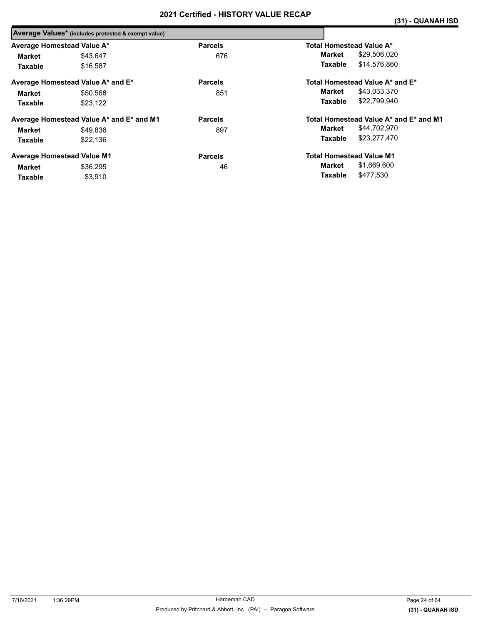|                            | Average Values* (includes protested & exempt value) |                |                                        |
|----------------------------|-----------------------------------------------------|----------------|----------------------------------------|
| Average Homestead Value A* |                                                     | <b>Parcels</b> | Total Homestead Value A*               |
| Market                     | \$43.647                                            | 676            | \$29,506,020<br>Market                 |
| <b>Taxable</b>             | \$16,587                                            |                | \$14,576,860<br>Taxable                |
|                            | Average Homestead Value A* and E*                   | <b>Parcels</b> | Total Homestead Value A* and E*        |
| Market                     | \$50.568                                            | 851            | \$43,033,370<br>Market                 |
| Taxable                    | \$23.122                                            |                | \$22.799.940<br>Taxable                |
|                            | Average Homestead Value A* and E* and M1            | <b>Parcels</b> | Total Homestead Value A* and E* and M1 |
| Market                     | \$49.836                                            | 897            | \$44,702,970<br>Market                 |
| Taxable                    | \$22,136                                            |                | \$23,277,470<br>Taxable                |
|                            | <b>Average Homestead Value M1</b>                   | <b>Parcels</b> | <b>Total Homestead Value M1</b>        |
| Market                     | \$36.295                                            | 46             | \$1,669,600<br>Market                  |
| <b>Taxable</b>             | \$3.910                                             |                | \$477,530<br>Taxable                   |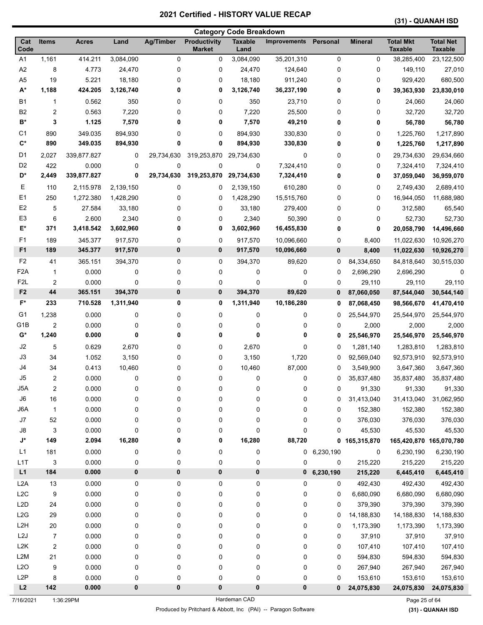| <b>Category Code Breakdown</b> |                      |                |           |                  |                                      |                        |                     |           |                    |                                    |                                    |
|--------------------------------|----------------------|----------------|-----------|------------------|--------------------------------------|------------------------|---------------------|-----------|--------------------|------------------------------------|------------------------------------|
| Cat<br>Code                    | <b>Items</b>         | <b>Acres</b>   | Land      | <b>Ag/Timber</b> | <b>Productivity</b><br><b>Market</b> | <b>Taxable</b><br>Land | <b>Improvements</b> | Personal  | <b>Mineral</b>     | <b>Total Mkt</b><br><b>Taxable</b> | <b>Total Net</b><br><b>Taxable</b> |
| A1                             | 1,161                | 414.211        | 3,084,090 | 0                | 0                                    | 3,084,090              | 35,201,310          | 0         | 0                  | 38,285,400                         | 23,122,500                         |
| A2                             | 8                    | 4.773          | 24,470    | 0                | 0                                    | 24,470                 | 124,640             | 0         | 0                  | 149,110                            | 27,010                             |
| A <sub>5</sub>                 | 19                   | 5.221          | 18,180    | 0                | 0                                    | 18,180                 | 911,240             | 0         | 0                  | 929,420                            | 680,500                            |
| $A^*$                          | 1,188                | 424.205        | 3,126,740 | 0                | 0                                    | 3,126,740              | 36,237,190          | 0         | 0                  | 39,363,930                         | 23,830,010                         |
| <b>B1</b>                      | 1                    | 0.562          | 350       | 0                | 0                                    | 350                    | 23,710              | 0         | 0                  | 24,060                             | 24,060                             |
| B <sub>2</sub>                 | 2                    | 0.563          | 7,220     | 0                | 0                                    | 7,220                  | 25,500              | 0         | 0                  | 32,720                             | 32,720                             |
| B*                             | 3                    | 1.125          | 7,570     | 0                | 0                                    | 7,570                  | 49,210              | 0         | 0                  | 56,780                             | 56,780                             |
| C1                             | 890                  | 349.035        | 894,930   | 0                | 0                                    | 894,930                | 330,830             | 0         | 0                  | 1,225,760                          | 1,217,890                          |
| $\mathbf{C}^*$                 | 890                  | 349.035        | 894,930   | 0                | 0                                    | 894,930                | 330,830             | 0         | 0                  | 1,225,760                          | 1,217,890                          |
| D <sub>1</sub>                 | 2,027                | 339,877.827    | 0         | 29,734,630       | 319,253,870                          | 29,734,630             | 0                   | 0         | 0                  | 29,734,630                         | 29,634,660                         |
| D <sub>2</sub>                 | 422                  | 0.000          | 0         | 0                | 0                                    | 0                      | 7,324,410           | 0         | 0                  | 7,324,410                          | 7,324,410                          |
| D*                             | 2,449                | 339,877.827    | 0         | 29,734,630       | 319,253,870                          | 29,734,630             | 7,324,410           | 0         | 0                  | 37,059,040                         | 36,959,070                         |
| Е                              | 110                  | 2,115.978      | 2,139,150 | 0                | 0                                    | 2,139,150              | 610,280             | 0         | 0                  | 2,749,430                          | 2,689,410                          |
| E1                             | 250                  | 1,272.380      | 1,428,290 | 0                | 0                                    | 1,428,290              | 15,515,760          | 0         | 0                  | 16,944,050                         | 11,688,980                         |
| E <sub>2</sub>                 | 5                    | 27.584         | 33,180    | 0                | 0                                    | 33,180                 | 279,400             | 0         | 0                  | 312,580                            | 65,540                             |
| E <sub>3</sub>                 | 6                    | 2.600          | 2,340     | 0                | 0                                    | 2,340                  | 50,390              | 0         | 0                  | 52,730                             | 52,730                             |
| E*                             | 371                  | 3,418.542      | 3,602,960 | 0                | 0                                    | 3,602,960              | 16,455,830          | 0         | 0                  | 20,058,790                         | 14,496,660                         |
| F <sub>1</sub>                 | 189                  | 345.377        | 917,570   | 0                | 0                                    | 917,570                | 10,096,660          | 0         | 8,400              | 11,022,630                         | 10,926,270                         |
| F <sub>1</sub>                 | 189                  | 345.377        | 917,570   | 0                | 0                                    | 917,570                | 10,096,660          | 0         | 8,400              | 11,022,630                         | 10,926,270                         |
| F <sub>2</sub>                 | 41                   | 365.151        | 394,370   | 0                | 0                                    | 394,370                | 89,620              | 0         | 84,334,650         | 84,818,640                         | 30,515,030                         |
| F <sub>2</sub> A               | $\mathbf{1}$         | 0.000          | 0         | 0                | 0                                    | 0                      | 0                   | 0         | 2,696,290          | 2,696,290                          | 0                                  |
| F <sub>2</sub> L               | $\overline{2}$       | 0.000          | 0         | 0                | 0                                    | 0                      | 0                   | 0         | 29,110             | 29,110                             | 29,110                             |
| F <sub>2</sub>                 | 44                   | 365.151        | 394,370   | 0                | 0                                    | 394,370                | 89,620              | 0         | 87,060,050         | 87,544,040                         | 30,544,140                         |
| F*                             | 233                  | 710.528        | 1,311,940 | 0                | 0                                    | 1,311,940              | 10,186,280          | 0         | 87,068,450         | 98,566,670                         | 41,470,410                         |
| G1                             | 1,238                | 0.000          | 0         | 0                | 0                                    | 0                      | 0                   | 0         | 25,544,970         | 25,544,970                         | 25,544,970                         |
| G <sub>1</sub> B               | $\overline{2}$       | 0.000          | 0         | 0                | 0                                    | 0                      | 0                   | 0         | 2,000              | 2,000                              | 2,000                              |
| G*                             | 1,240                | 0.000          | 0         | 0                | 0                                    | 0                      | 0                   | 0         | 25,546,970         | 25,546,970                         | 25,546,970                         |
| J2                             | 5                    | 0.629          | 2,670     | 0                | 0                                    | 2,670                  | 0                   | 0         | 1,281,140          | 1,283,810                          | 1,283,810                          |
| J3                             | 34                   | 1.052          | 3,150     | 0                | 0                                    | 3,150                  | 1,720               | 0         | 92,569,040         | 92,573,910                         | 92,573,910                         |
| J <sub>4</sub>                 | 34                   | 0.413          | 10,460    | 0                | 0                                    | 10,460                 | 87,000              | 0         | 3,549,900          | 3,647,360                          | 3,647,360                          |
| J5                             | 2                    | 0.000          | 0         | 0                | 0                                    | 0                      | 0                   | 0         | 35,837,480         | 35,837,480                         | 35,837,480                         |
| J5A                            | $\overline{2}$       | 0.000          | 0         | 0                | 0                                    | 0                      | 0                   | 0         | 91,330             | 91,330                             | 91,330                             |
| ${\sf J6}$                     | 16                   | 0.000          | 0         | 0                | 0                                    | 0                      | 0                   | 0         | 31,413,040         | 31,413,040                         | 31,062,950                         |
| J6A                            | $\mathbf{1}$         | 0.000          | 0         | 0                | 0                                    | 0                      | 0                   | 0         | 152,380            | 152,380                            | 152,380                            |
| J7                             | 52                   | 0.000          | 0         | 0                | 0                                    | 0                      | 0                   | 0         | 376,030            | 376,030                            | 376,030                            |
| J8                             | 3                    | 0.000          | 0         | 0                | 0                                    | 0                      | 0                   | 0         | 45,530             | 45,530                             | 45,530                             |
| J*                             | 149                  | 2.094          | 16,280    | 0                | 0                                    | 16,280                 | 88,720              | 0         | 165,315,870        | 165,420,870 165,070,780            |                                    |
| L1                             | 181                  | 0.000          | 0         | 0                | 0                                    | 0                      | 0                   | 6,230,190 | 0                  | 6,230,190                          | 6,230,190                          |
| L1T                            | 3                    | 0.000          | 0         | 0                | 0                                    | 0                      | 0                   | 0         | 215,220            | 215,220                            | 215,220                            |
| L1                             | 184                  | 0.000          | 0         | 0                | 0                                    | 0                      | 0                   | 6,230,190 | 215,220            | 6,445,410                          | 6,445,410                          |
| L <sub>2</sub> A               | 13                   | 0.000          | 0         | 0                | $\pmb{0}$                            | 0                      | 0                   | 0         | 492,430            | 492,430                            | 492,430                            |
| L <sub>2</sub> C               | 9                    | 0.000          | 0         | 0                | $\pmb{0}$                            | 0                      | 0                   | 0         | 6,680,090          | 6,680,090                          | 6,680,090                          |
| L <sub>2</sub> D               | 24                   | 0.000          | 0         | 0                | 0                                    | 0                      | 0                   | 0         | 379,390            | 379,390                            | 379,390                            |
| L2G                            | 29                   | 0.000          | 0         | 0                | 0                                    | 0                      | 0                   | 0         | 14,188,830         | 14,188,830                         | 14,188,830                         |
| L <sub>2</sub> H               | 20                   | 0.000          | 0         | 0                | 0                                    | 0                      | 0                   | 0         | 1,173,390          | 1,173,390                          | 1,173,390                          |
| L2J                            | 7                    | 0.000          | 0         | 0                | 0                                    | 0                      | 0                   | 0         | 37,910             | 37,910                             | 37,910                             |
| L2K<br>L2M                     | $\overline{c}$<br>21 | 0.000<br>0.000 | 0         | 0                | 0<br>0                               | 0<br>0                 | 0<br>0              | 0         | 107,410<br>594,830 | 107,410                            | 107,410                            |
| L2O                            | 9                    | 0.000          | 0<br>0    | 0<br>0           | 0                                    | 0                      | 0                   | 0<br>0    | 267,940            | 594,830<br>267,940                 | 594,830<br>267,940                 |
| L <sub>2</sub> P               | 8                    | 0.000          | 0         | 0                | 0                                    | 0                      | 0                   | 0         | 153,610            | 153,610                            | 153,610                            |
| L2                             | 142                  | 0.000          | $\pmb{0}$ | $\pmb{0}$        | $\pmb{0}$                            | $\bf{0}$               | $\pmb{0}$           | 0         | 24,075,830         | 24,075,830                         | 24,075,830                         |
|                                |                      |                |           |                  |                                      |                        |                     |           |                    |                                    |                                    |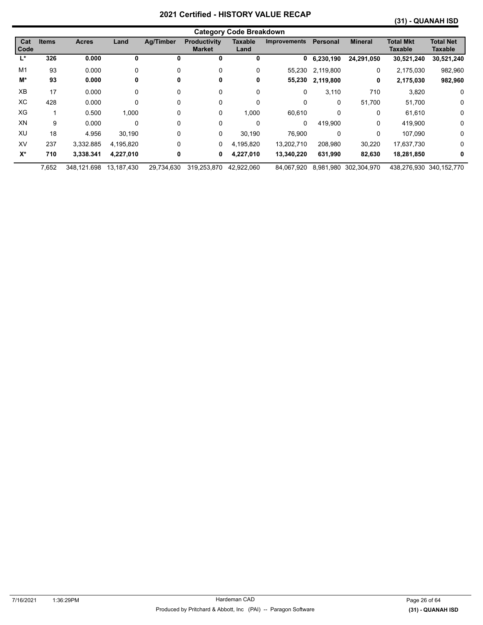|                |              |              |            |                  |                                      | <b>Category Code Breakdown</b> |                     |                 |                |                             |                             |
|----------------|--------------|--------------|------------|------------------|--------------------------------------|--------------------------------|---------------------|-----------------|----------------|-----------------------------|-----------------------------|
| Cat<br>Code    | <b>Items</b> | <b>Acres</b> | Land       | <b>Ag/Timber</b> | <b>Productivity</b><br><b>Market</b> | <b>Taxable</b><br>Land         | <b>Improvements</b> | <b>Personal</b> | <b>Mineral</b> | <b>Total Mkt</b><br>Taxable | <b>Total Net</b><br>Taxable |
| Ľ              | 326          | 0.000        | 0          | 0                | 0                                    | 0                              | 0                   | 6,230,190       | 24,291,050     | 30,521,240                  | 30,521,240                  |
| M <sub>1</sub> | 93           | 0.000        | 0          | 0                | 0                                    | 0                              | 55.230              | 2,119,800       | 0              | 2,175,030                   | 982,960                     |
| M*             | 93           | 0.000        | 0          | 0                | 0                                    | 0                              | 55,230              | 2,119,800       | 0              | 2,175,030                   | 982,960                     |
| <b>XB</b>      | 17           | 0.000        | 0          | 0                | 0                                    | 0                              | 0                   | 3,110           | 710            | 3,820                       | 0                           |
| ХC             | 428          | 0.000        | 0          | $\Omega$         | 0                                    | 0                              | 0                   | $\Omega$        | 51,700         | 51,700                      | 0                           |
| XG             |              | 0.500        | 1,000      | 0                | 0                                    | 1,000                          | 60,610              | $\Omega$        | 0              | 61,610                      | 0                           |
| XN             | 9            | 0.000        | $\Omega$   | 0                | 0                                    | 0                              | 0                   | 419,900         | 0              | 419,900                     | 0                           |
| XU             | 18           | 4.956        | 30,190     | 0                | 0                                    | 30,190                         | 76.900              | $\Omega$        | 0              | 107.090                     | 0                           |
| XV             | 237          | 3.332.885    | 4,195,820  | 0                | 0                                    | 4,195,820                      | 13,202,710          | 208.980         | 30,220         | 17,637,730                  | 0                           |
| $X^*$          | 710          | 3,338.341    | 4,227,010  | 0                | 0                                    | 4,227,010                      | 13,340,220          | 631,990         | 82,630         | 18,281,850                  | 0                           |
|                | 7,652        | 348.121.698  | 13.187.430 | 29.734.630       | 319,253,870                          | 42,922,060                     | 84.067.920          | 8.981.980       | 302.304.970    |                             | 438.276.930 340.152.770     |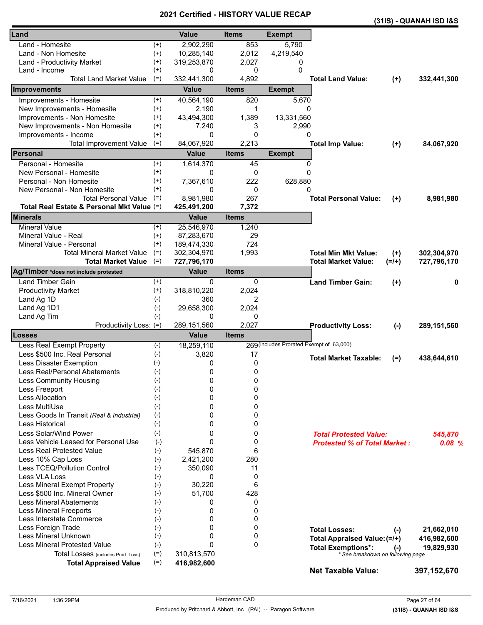|                                            |          | Certilled - Filst ONT VALU |              |                                          |                                     |          | (31IS) - QUANAH ISD I&S |
|--------------------------------------------|----------|----------------------------|--------------|------------------------------------------|-------------------------------------|----------|-------------------------|
| Land                                       |          | <b>Value</b>               | <b>Items</b> | <b>Exempt</b>                            |                                     |          |                         |
| Land - Homesite                            | $^{(+)}$ | 2,902,290                  | 853          | 5,790                                    |                                     |          |                         |
| Land - Non Homesite                        | $(+)$    | 10,285,140                 | 2,012        | 4,219,540                                |                                     |          |                         |
| Land - Productivity Market                 | $^{(+)}$ | 319,253,870                | 2,027        | 0                                        |                                     |          |                         |
| Land - Income                              | $^{(+)}$ | 0                          | 0            | 0                                        |                                     |          |                         |
| <b>Total Land Market Value</b>             | $(=)$    | 332,441,300                | 4,892        |                                          | <b>Total Land Value:</b>            | $(+)$    | 332,441,300             |
| Improvements                               |          | <b>Value</b>               | <b>Items</b> | <b>Exempt</b>                            |                                     |          |                         |
| Improvements - Homesite                    | $^{(+)}$ | 40,564,190                 | 820          | 5,670                                    |                                     |          |                         |
| New Improvements - Homesite                | $(+)$    | 2,190                      | 1            | 0                                        |                                     |          |                         |
| Improvements - Non Homesite                | $^{(+)}$ | 43,494,300                 | 1,389        | 13,331,560                               |                                     |          |                         |
| New Improvements - Non Homesite            | $^{(+)}$ | 7,240                      | 3            | 2,990                                    |                                     |          |                         |
| Improvements - Income                      | $^{(+)}$ | 0                          | 0            | 0                                        |                                     |          |                         |
| <b>Total Improvement Value</b>             | $(=)$    | 84,067,920                 | 2,213        |                                          | <b>Total Imp Value:</b>             | $(+)$    | 84,067,920              |
| Personal                                   |          | <b>Value</b>               | <b>Items</b> | <b>Exempt</b>                            |                                     |          |                         |
| Personal - Homesite                        | $^{(+)}$ | 1,614,370                  | 45           | 0                                        |                                     |          |                         |
| New Personal - Homesite                    | $^{(+)}$ | 0                          | 0            | 0                                        |                                     |          |                         |
| Personal - Non Homesite                    | $^{(+)}$ | 7,367,610                  | 222          | 628,880                                  |                                     |          |                         |
| New Personal - Non Homesite                | $^{(+)}$ | 0                          | 0            | 0                                        |                                     |          |                         |
| <b>Total Personal Value</b>                | $(=)$    | 8,981,980                  | 267          |                                          | <b>Total Personal Value:</b>        | $^{(+)}$ | 8,981,980               |
| Total Real Estate & Personal Mkt Value (=) |          | 425,491,200                | 7,372        |                                          |                                     |          |                         |
| <b>Minerals</b>                            |          | <b>Value</b>               | <b>Items</b> |                                          |                                     |          |                         |
| <b>Mineral Value</b>                       | $^{(+)}$ | 25,546,970                 | 1,240        |                                          |                                     |          |                         |
| Mineral Value - Real                       | $^{(+)}$ | 87,283,670                 | 29           |                                          |                                     |          |                         |
| Mineral Value - Personal                   | $(+)$    | 189,474,330                | 724          |                                          |                                     |          |                         |
| <b>Total Mineral Market Value</b>          | $(=)$    | 302,304,970                | 1,993        |                                          | <b>Total Min Mkt Value:</b>         | $(+)$    | 302,304,970             |
| <b>Total Market Value</b>                  | $(=)$    | 727,796,170                |              |                                          | <b>Total Market Value:</b>          | $(=/+)$  | 727,796,170             |
| Ag/Timber *does not include protested      |          | <b>Value</b>               | <b>Items</b> |                                          |                                     |          |                         |
| <b>Land Timber Gain</b>                    | $^{(+)}$ | 0                          | 0            |                                          | <b>Land Timber Gain:</b>            | $(+)$    | 0                       |
| <b>Productivity Market</b>                 | $(+)$    | 318,810,220                | 2,024        |                                          |                                     |          |                         |
| Land Ag 1D                                 | $(-)$    | 360                        | 2            |                                          |                                     |          |                         |
| Land Ag 1D1                                | $(-)$    | 29,658,300                 | 2,024        |                                          |                                     |          |                         |
| Land Ag Tim                                | $(-)$    | 0                          | 0            |                                          |                                     |          |                         |
| Productivity Loss: (=)                     |          | 289,151,560                | 2,027        |                                          | <b>Productivity Loss:</b>           | $(-)$    | 289,151,560             |
| Losses                                     |          | <b>Value</b>               | <b>Items</b> |                                          |                                     |          |                         |
| Less Real Exempt Property                  | $(-)$    | 18,259,110                 |              | 269 (includes Prorated Exempt of 63,000) |                                     |          |                         |
| Less \$500 Inc. Real Personal              | $(-)$    | 3,820                      | 17           |                                          | <b>Total Market Taxable:</b>        | $(=)$    | 438,644,610             |
| Less Disaster Exemption                    | $(-)$    | 0                          | 0            |                                          |                                     |          |                         |
| Less Real/Personal Abatements              | $(-)$    | 0                          | 0            |                                          |                                     |          |                         |
| Less Community Housing                     | $(-)$    | 0                          | 0            |                                          |                                     |          |                         |
| Less Freeport                              | $(-)$    | 0                          | 0            |                                          |                                     |          |                         |
| <b>Less Allocation</b>                     | $(-)$    | 0                          | 0            |                                          |                                     |          |                         |
| Less MultiUse                              | $(-)$    | 0                          | 0            |                                          |                                     |          |                         |
| Less Goods In Transit (Real & Industrial)  | $(-)$    | 0                          | 0            |                                          |                                     |          |                         |
| Less Historical                            | $(-)$    | 0                          | 0            |                                          |                                     |          |                         |
| Less Solar/Wind Power                      | $(-)$    | 0                          | 0            |                                          | <b>Total Protested Value:</b>       |          | 545,870                 |
| Less Vehicle Leased for Personal Use       | $(-)$    | 0                          | 0            |                                          | <b>Protested % of Total Market:</b> |          | 0.08%                   |
| <b>Less Real Protested Value</b>           | $(-)$    | 545,870                    | 6            |                                          |                                     |          |                         |
| Less 10% Cap Loss                          | $(-)$    | 2,421,200                  | 280          |                                          |                                     |          |                         |
| Less TCEQ/Pollution Control                | $(-)$    | 350,090                    | 11           |                                          |                                     |          |                         |
| Less VLA Loss                              | $(-)$    | 0                          | 0            |                                          |                                     |          |                         |
| Less Mineral Exempt Property               | $(-)$    | 30,220                     | 6            |                                          |                                     |          |                         |
| Less \$500 Inc. Mineral Owner              | $(-)$    | 51,700                     | 428          |                                          |                                     |          |                         |
| <b>Less Mineral Abatements</b>             | $(-)$    | 0                          | 0            |                                          |                                     |          |                         |
| <b>Less Mineral Freeports</b>              | $(-)$    | 0                          | 0            |                                          |                                     |          |                         |
| Less Interstate Commerce                   | $(-)$    | 0                          | 0            |                                          |                                     |          |                         |
| Less Foreign Trade                         | $(-)$    | 0                          | 0            |                                          | <b>Total Losses:</b>                | $(-)$    | 21,662,010              |
| Less Mineral Unknown                       | $(-)$    | 0                          | 0            |                                          | Total Appraised Value: (=/+)        |          | 416,982,600             |
| <b>Less Mineral Protested Value</b>        | $(-)$    | 0                          | 0            |                                          | <b>Total Exemptions*:</b>           | $(-)$    | 19,829,930              |
| Total Losses (includes Prod. Loss)         | $(=)$    | 310,813,570                |              |                                          | * See breakdown on following page   |          |                         |
| <b>Total Appraised Value</b>               | $(=)$    | 416,982,600                |              |                                          | <b>Net Taxable Value:</b>           |          | 397, 152, 670           |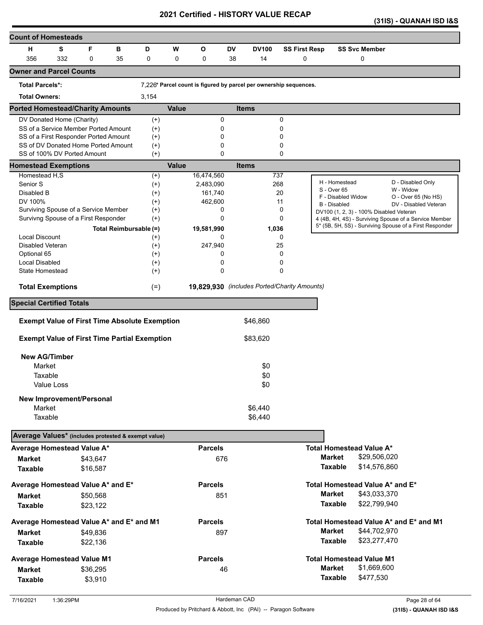|  | (31IS) - QUANAH ISD I&S |  |
|--|-------------------------|--|
|--|-------------------------|--|

| <b>Count of Homesteads</b>                                         |            |          |                        |                   |              |                |        |                                                                   |                      |               |                                         |              |                                                         |
|--------------------------------------------------------------------|------------|----------|------------------------|-------------------|--------------|----------------|--------|-------------------------------------------------------------------|----------------------|---------------|-----------------------------------------|--------------|---------------------------------------------------------|
| н                                                                  | S          | F        | в                      | D                 | W            | О              | DV     | <b>DV100</b>                                                      | <b>SS First Resp</b> |               | <b>SS Svc Member</b>                    |              |                                                         |
| 356                                                                | 332        | 0        | 35                     | 0                 | 0            | 0              | 38     | 14                                                                | 0                    |               | 0                                       |              |                                                         |
| <b>Owner and Parcel Counts</b>                                     |            |          |                        |                   |              |                |        |                                                                   |                      |               |                                         |              |                                                         |
| <b>Total Parcels*:</b>                                             |            |          |                        |                   |              |                |        | 7,226* Parcel count is figured by parcel per ownership sequences. |                      |               |                                         |              |                                                         |
| <b>Total Owners:</b>                                               |            |          |                        | 3,154             |              |                |        |                                                                   |                      |               |                                         |              |                                                         |
| <b>Ported Homestead/Charity Amounts</b>                            |            |          |                        |                   | <b>Value</b> |                |        | <b>Items</b>                                                      |                      |               |                                         |              |                                                         |
| DV Donated Home (Charity)                                          |            |          |                        | $^{(+)}$          |              |                | 0      |                                                                   | 0                    |               |                                         |              |                                                         |
| SS of a Service Member Ported Amount                               |            |          |                        | $^{(+)}$          |              |                | 0      |                                                                   | 0                    |               |                                         |              |                                                         |
| SS of a First Responder Ported Amount                              |            |          |                        | $^{(+)}$          |              |                | 0      |                                                                   | 0                    |               |                                         |              |                                                         |
| SS of DV Donated Home Ported Amount<br>SS of 100% DV Ported Amount |            |          |                        | $^{(+)}$<br>$(+)$ |              |                | 0<br>0 |                                                                   | 0<br>0               |               |                                         |              |                                                         |
| <b>Homestead Exemptions</b>                                        |            |          |                        |                   | <b>Value</b> |                |        | <b>Items</b>                                                      |                      |               |                                         |              |                                                         |
| Homestead H,S                                                      |            |          |                        | $^{(+)}$          |              | 16,474,560     |        | 737                                                               |                      |               |                                         |              |                                                         |
| Senior <sub>S</sub>                                                |            |          |                        | $^{(+)}$          |              | 2,483,090      |        |                                                                   | 268                  |               | H - Homestead                           |              | D - Disabled Only                                       |
| Disabled B                                                         |            |          |                        | $^{(+)}$          |              | 161,740        |        |                                                                   | 20                   |               | S - Over 65                             |              | W - Widow                                               |
| DV 100%                                                            |            |          |                        | $^{(+)}$          |              | 462,600        |        |                                                                   | 11                   |               | F - Disabled Widow<br>B - Disabled      |              | O - Over 65 (No HS)<br>DV - Disabled Veteran            |
| Surviving Spouse of a Service Member                               |            |          |                        | $^{(+)}$          |              |                | 0      |                                                                   | 0                    |               | DV100 (1, 2, 3) - 100% Disabled Veteran |              |                                                         |
| Survivng Spouse of a First Responder                               |            |          |                        | $^{(+)}$          |              |                | 0      |                                                                   | 0                    |               |                                         |              | 4 (4B, 4H, 4S) - Surviving Spouse of a Service Member   |
|                                                                    |            |          | Total Reimbursable (=) |                   |              | 19,581,990     |        | 1,036                                                             |                      |               |                                         |              | 5* (5B, 5H, 5S) - Surviving Spouse of a First Responder |
| <b>Local Discount</b>                                              |            |          |                        | $^{(+)}$          |              |                | 0      |                                                                   | 0                    |               |                                         |              |                                                         |
| Disabled Veteran                                                   |            |          |                        | $^{(+)}$          |              | 247,940        |        |                                                                   | 25                   |               |                                         |              |                                                         |
| Optional 65                                                        |            |          |                        | $(+)$             |              |                | 0      |                                                                   | 0                    |               |                                         |              |                                                         |
| Local Disabled                                                     |            |          |                        | $^{(+)}$          |              |                | 0      |                                                                   | 0                    |               |                                         |              |                                                         |
| State Homestead                                                    |            |          |                        | $^{(+)}$          |              |                | 0      |                                                                   | 0                    |               |                                         |              |                                                         |
| <b>Total Exemptions</b>                                            |            |          |                        | $(=)$             |              |                |        | 19,829,930 (includes Ported/Charity Amounts)                      |                      |               |                                         |              |                                                         |
| <b>Special Certified Totals</b>                                    |            |          |                        |                   |              |                |        |                                                                   |                      |               |                                         |              |                                                         |
|                                                                    |            |          |                        |                   |              |                |        | \$46,860                                                          |                      |               |                                         |              |                                                         |
| <b>Exempt Value of First Time Absolute Exemption</b>               |            |          |                        |                   |              |                |        |                                                                   |                      |               |                                         |              |                                                         |
| <b>Exempt Value of First Time Partial Exemption</b>                |            |          |                        |                   |              |                |        | \$83,620                                                          |                      |               |                                         |              |                                                         |
| <b>New AG/Timber</b>                                               |            |          |                        |                   |              |                |        |                                                                   |                      |               |                                         |              |                                                         |
| Market                                                             |            |          |                        |                   |              |                |        | \$0                                                               |                      |               |                                         |              |                                                         |
| Taxable                                                            |            |          |                        |                   |              |                |        | \$0                                                               |                      |               |                                         |              |                                                         |
|                                                                    | Value Loss |          |                        |                   |              |                |        | \$0                                                               |                      |               |                                         |              |                                                         |
|                                                                    |            |          |                        |                   |              |                |        |                                                                   |                      |               |                                         |              |                                                         |
| New Improvement/Personal<br>Market                                 |            |          |                        |                   |              |                |        | \$6,440                                                           |                      |               |                                         |              |                                                         |
| Taxable                                                            |            |          |                        |                   |              |                |        | \$6,440                                                           |                      |               |                                         |              |                                                         |
|                                                                    |            |          |                        |                   |              |                |        |                                                                   |                      |               |                                         |              |                                                         |
| Average Values* (includes protested & exempt value)                |            |          |                        |                   |              |                |        |                                                                   |                      |               |                                         |              |                                                         |
| Average Homestead Value A*                                         |            |          |                        |                   |              | <b>Parcels</b> |        |                                                                   |                      |               | Total Homestead Value A*                |              |                                                         |
| <b>Market</b>                                                      |            | \$43,647 |                        |                   |              | 676            |        |                                                                   |                      | <b>Market</b> |                                         | \$29,506,020 |                                                         |
| <b>Taxable</b>                                                     |            | \$16,587 |                        |                   |              |                |        |                                                                   |                      |               | <b>Taxable</b>                          | \$14,576,860 |                                                         |
| Average Homestead Value A* and E*                                  |            |          |                        |                   |              | <b>Parcels</b> |        |                                                                   |                      |               | Total Homestead Value A* and E*         |              |                                                         |
| <b>Market</b>                                                      |            | \$50,568 |                        |                   |              | 851            |        |                                                                   |                      | <b>Market</b> |                                         | \$43,033,370 |                                                         |
| <b>Taxable</b>                                                     |            | \$23,122 |                        |                   |              |                |        |                                                                   |                      |               | <b>Taxable</b>                          | \$22,799,940 |                                                         |
| Average Homestead Value A* and E* and M1                           |            |          |                        |                   |              | <b>Parcels</b> |        |                                                                   |                      |               |                                         |              | Total Homestead Value A* and E* and M1                  |
| <b>Market</b>                                                      |            |          |                        |                   |              | 897            |        |                                                                   |                      | <b>Market</b> |                                         | \$44,702,970 |                                                         |
|                                                                    |            | \$49,836 |                        |                   |              |                |        |                                                                   |                      |               | <b>Taxable</b>                          | \$23,277,470 |                                                         |
| <b>Taxable</b>                                                     |            | \$22,136 |                        |                   |              |                |        |                                                                   |                      |               |                                         |              |                                                         |
| <b>Average Homestead Value M1</b>                                  |            |          |                        |                   |              | <b>Parcels</b> |        |                                                                   |                      |               | <b>Total Homestead Value M1</b>         |              |                                                         |
| <b>Market</b>                                                      |            | \$36,295 |                        |                   |              |                | 46     |                                                                   |                      | <b>Market</b> |                                         | \$1,669,600  |                                                         |
| <b>Taxable</b>                                                     |            | \$3,910  |                        |                   |              |                |        |                                                                   |                      |               | <b>Taxable</b>                          | \$477,530    |                                                         |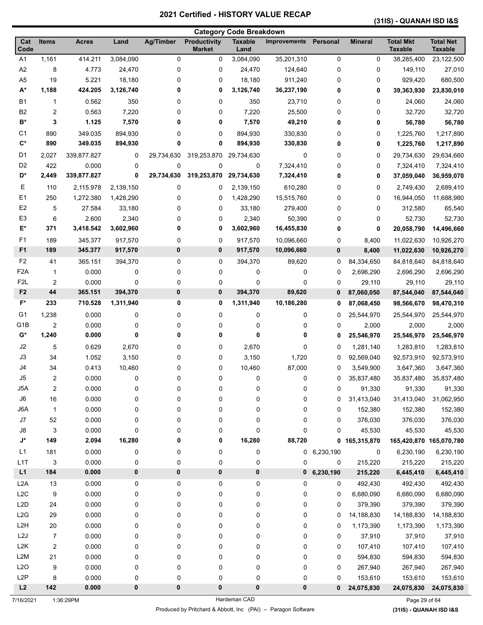# **(31IS) - QUANAH ISD I&S**

|                      |                         |              |           |                  | <b>Category Code Breakdown</b> |                        |                     |               |                |                                    |                                    |
|----------------------|-------------------------|--------------|-----------|------------------|--------------------------------|------------------------|---------------------|---------------|----------------|------------------------------------|------------------------------------|
| Cat<br>Code          | <b>Items</b>            | <b>Acres</b> | Land      | <b>Ag/Timber</b> | Productivity<br><b>Market</b>  | <b>Taxable</b><br>Land | <b>Improvements</b> | Personal      | <b>Mineral</b> | <b>Total Mkt</b><br><b>Taxable</b> | <b>Total Net</b><br><b>Taxable</b> |
| A <sub>1</sub>       | 1,161                   | 414.211      | 3,084,090 | 0                | 0                              | 3,084,090              | 35,201,310          | 0             | 0              | 38,285,400                         | 23,122,500                         |
| A2                   | 8                       | 4.773        | 24,470    | 0                | 0                              | 24,470                 | 124,640             | 0             | 0              | 149,110                            | 27,010                             |
| A <sub>5</sub>       | 19                      | 5.221        | 18,180    | 0                | 0                              | 18,180                 | 911,240             | 0             | 0              | 929,420                            | 680,500                            |
| A*                   | 1,188                   | 424.205      | 3,126,740 | 0                | 0                              | 3,126,740              | 36,237,190          | 0             | 0              | 39,363,930                         | 23,830,010                         |
| <b>B1</b>            | $\mathbf{1}$            | 0.562        | 350       | 0                | 0                              | 350                    | 23,710              | 0             | 0              | 24,060                             | 24,060                             |
| B <sub>2</sub>       | 2                       | 0.563        | 7,220     | 0                | 0                              | 7,220                  | 25,500              | 0             | 0              | 32,720                             | 32,720                             |
| $\mathsf{B}^{\star}$ | 3                       | 1.125        | 7,570     | 0                | 0                              | 7,570                  | 49,210              | 0             | 0              | 56,780                             | 56,780                             |
| C <sub>1</sub>       | 890                     | 349.035      | 894,930   | 0                | 0                              | 894,930                | 330,830             | 0             | 0              | 1,225,760                          | 1,217,890                          |
| $\mathbf{C}^*$       | 890                     | 349.035      | 894,930   | 0                | 0                              | 894,930                | 330,830             | 0             | 0              | 1,225,760                          | 1,217,890                          |
| D <sub>1</sub>       | 2,027                   | 339,877.827  | 0         | 29,734,630       | 319,253,870                    | 29,734,630             | 0                   | 0             | 0              | 29,734,630                         | 29,634,660                         |
| D <sub>2</sub>       | 422                     | 0.000        | 0         | 0                | 0                              | 0                      | 7,324,410           | 0             | 0              | 7,324,410                          | 7,324,410                          |
| D*                   | 2,449                   | 339,877.827  | 0         | 29,734,630       | 319,253,870                    | 29,734,630             | 7,324,410           | 0             | 0              | 37,059,040                         | 36,959,070                         |
| Е                    | 110                     | 2,115.978    | 2,139,150 | 0                | 0                              | 2,139,150              | 610,280             | 0             | 0              | 2,749,430                          | 2,689,410                          |
| E1                   | 250                     | 1,272.380    | 1,428,290 | 0                | 0                              | 1,428,290              | 15,515,760          | 0             | 0              | 16,944,050                         | 11,688,980                         |
| E <sub>2</sub>       | 5                       | 27.584       | 33,180    | 0                | 0                              | 33,180                 | 279,400             | 0             | 0              | 312,580                            | 65,540                             |
| E <sub>3</sub>       | 6                       | 2.600        | 2,340     | 0                | 0                              | 2,340                  | 50,390              | 0             | 0              | 52,730                             | 52,730                             |
| E*                   | 371                     | 3,418.542    | 3,602,960 | 0                | 0                              | 3,602,960              | 16,455,830          | 0             | 0              | 20,058,790                         | 14,496,660                         |
| F <sub>1</sub>       | 189                     | 345.377      | 917,570   | 0                | 0                              | 917,570                | 10,096,660          | 0             | 8,400          | 11,022,630                         | 10,926,270                         |
| F <sub>1</sub>       | 189                     | 345.377      | 917,570   | 0                | 0                              | 917,570                | 10,096,660          | 0             | 8,400          | 11,022,630                         | 10,926,270                         |
| F <sub>2</sub>       | 41                      | 365.151      | 394,370   | 0                | 0                              | 394,370                | 89,620              | 0             | 84,334,650     | 84,818,640                         | 84,818,640                         |
| F <sub>2</sub> A     | $\mathbf{1}$            | 0.000        | 0         | 0                | 0                              | 0                      | 0                   | 0             | 2,696,290      | 2,696,290                          | 2,696,290                          |
| F <sub>2</sub> L     | $\overline{2}$          | 0.000        | 0         | 0                | 0                              | 0                      | 0                   | 0             | 29,110         | 29,110                             | 29,110                             |
| F <sub>2</sub>       | 44                      | 365.151      | 394,370   | 0                | 0                              | 394,370                | 89,620              | 0             | 87,060,050     | 87,544,040                         | 87,544,040                         |
| F*                   | 233                     | 710.528      | 1,311,940 | 0                | 0                              | 1,311,940              | 10,186,280          | 0             | 87,068,450     | 98,566,670                         | 98,470,310                         |
| G <sub>1</sub>       | 1,238                   | 0.000        | 0         | 0                | 0                              | 0                      | 0                   | 0             | 25,544,970     | 25,544,970                         | 25,544,970                         |
| G <sub>1</sub> B     | $\overline{c}$          | 0.000        | 0         | 0                | 0                              | 0                      | 0                   | 0             | 2,000          | 2,000                              | 2,000                              |
| G*                   | 1,240                   | 0.000        | 0         | 0                | 0                              | 0                      | 0                   | 0             | 25,546,970     | 25,546,970                         | 25,546,970                         |
| J2                   | 5                       | 0.629        | 2,670     | 0                | 0                              | 2,670                  | 0                   | 0             | 1,281,140      | 1,283,810                          | 1,283,810                          |
| J3                   | 34                      | 1.052        | 3,150     | 0                | 0                              | 3,150                  | 1,720               | 0             | 92,569,040     | 92,573,910                         | 92,573,910                         |
| J4                   | 34                      | 0.413        | 10,460    | 0                | 0                              | 10,460                 | 87,000              | 0             | 3,549,900      | 3,647,360                          | 3,647,360                          |
| J5                   | $\overline{c}$          | 0.000        | 0         | 0                | 0                              | 0                      | 0                   | 0             | 35,837,480     | 35,837,480                         | 35,837,480                         |
| J5A                  | $\boldsymbol{2}$        | 0.000        | 0         | 0                | 0                              | 0                      | 0                   | 0             | 91,330         | 91,330                             | 91,330                             |
| $\mathsf{J6}$        | 16                      | 0.000        | 0         | 0                | 0                              | 0                      | 0                   | 0             | 31,413,040     | 31,413,040                         | 31,062,950                         |
| J6A                  | $\mathbf{1}$            | 0.000        | 0         | 0                | 0                              | 0                      | 0                   | 0             | 152,380        | 152,380                            | 152,380                            |
| J7                   | 52                      | 0.000        | 0         | 0                | 0                              | 0                      | 0                   | 0             | 376,030        | 376,030                            | 376,030                            |
| J8                   | 3                       | 0.000        | 0         | 0                | 0                              | 0                      | 0                   | 0             | 45,530         | 45,530                             | 45,530                             |
| $\mathsf{J}^\star$   | 149                     | 2.094        | 16,280    | 0                | 0                              | 16,280                 | 88,720              | 0             | 165,315,870    | 165,420,870 165,070,780            |                                    |
| L1                   | 181                     | 0.000        | 0         | 0                | 0                              | 0                      |                     | $0$ 6,230,190 | 0              | 6,230,190                          | 6,230,190                          |
| L <sub>1</sub> T     | 3                       | 0.000        | 0         | 0                | 0                              | 0                      | 0                   | 0             | 215,220        | 215,220                            | 215,220                            |
| L1                   | 184                     | 0.000        | 0         | 0                | $\pmb{0}$                      | 0                      | $\mathbf 0$         | 6,230,190     | 215,220        | 6,445,410                          | 6,445,410                          |
| L <sub>2</sub> A     | 13                      | 0.000        | 0         | 0                | 0                              | 0                      | 0                   | 0             | 492,430        | 492,430                            | 492,430                            |
| L <sub>2</sub> C     | 9                       | 0.000        | 0         | 0                | 0                              | 0                      | 0                   | 0             | 6,680,090      | 6,680,090                          | 6,680,090                          |
| L <sub>2</sub> D     | 24                      | 0.000        | 0         | 0                | 0                              | 0                      | 0                   | 0             | 379,390        | 379,390                            | 379,390                            |
| L2G                  | 29                      | 0.000        | 0         | 0                | 0                              | 0                      | 0                   | 0             | 14,188,830     | 14,188,830                         | 14,188,830                         |
| L <sub>2</sub> H     | 20                      | 0.000        | 0         | 0                | 0                              | 0                      | 0                   | 0             | 1,173,390      | 1,173,390                          | 1,173,390                          |
| L2J                  | 7                       | 0.000        | 0         | 0                | 0                              | 0                      | 0                   | 0             | 37,910         | 37,910                             | 37,910                             |
| L <sub>2</sub> K     | $\overline{\mathbf{c}}$ | 0.000        | 0         | 0                | 0                              | 0                      | 0                   | 0             | 107,410        | 107,410                            | 107,410                            |
| L <sub>2</sub> M     | 21                      | 0.000        | 0         | 0                | 0                              | 0                      | 0                   | 0             | 594,830        | 594,830                            | 594,830                            |
| L2O                  | 9                       | 0.000        | 0         | 0                | 0                              | 0                      | 0                   | 0             | 267,940        | 267,940                            | 267,940                            |
| L <sub>2</sub> P     | 8                       | 0.000        | 0         | 0                | 0                              | 0                      | 0                   | 0             | 153,610        | 153,610                            | 153,610                            |
| L2                   | 142                     | 0.000        | 0         | 0                | 0                              | 0                      | 0                   | $\bf{0}$      | 24,075,830     | 24,075,830                         | 24,075,830                         |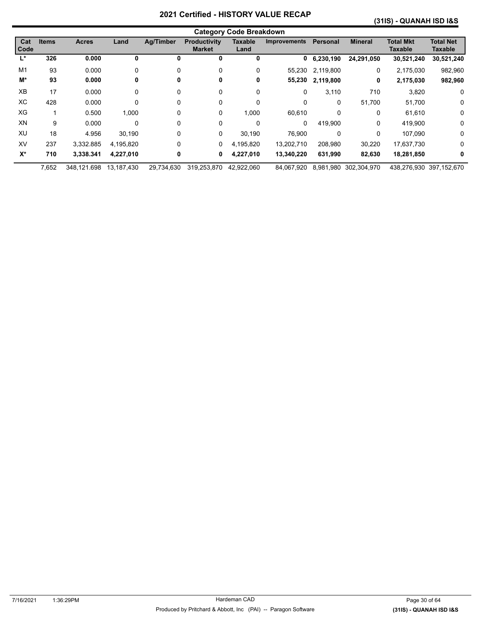#### **(31IS) - QUANAH ISD I&S**

|                    |              |              |            |                  |                                      | <b>Category Code Breakdown</b> |                     |              |                |                             |                             |
|--------------------|--------------|--------------|------------|------------------|--------------------------------------|--------------------------------|---------------------|--------------|----------------|-----------------------------|-----------------------------|
| Cat<br><b>Code</b> | <b>Items</b> | <b>Acres</b> | Land       | <b>Ag/Timber</b> | <b>Productivity</b><br><b>Market</b> | <b>Taxable</b><br>Land         | <b>Improvements</b> | Personal     | <b>Mineral</b> | <b>Total Mkt</b><br>Taxable | <b>Total Net</b><br>Taxable |
| Ľ                  | 326          | 0.000        | 0          | 0                | 0                                    | 0                              | 0                   | 6,230,190    | 24,291,050     | 30,521,240                  | 30,521,240                  |
| M1                 | 93           | 0.000        | 0          | $\Omega$         | 0                                    | 0                              | 55,230              | 2,119,800    | 0              | 2,175,030                   | 982,960                     |
| M*                 | 93           | 0.000        | 0          | 0                | 0                                    | 0                              | 55,230              | 2,119,800    | 0              | 2,175,030                   | 982,960                     |
| XB                 | 17           | 0.000        | 0          | 0                | 0                                    | 0                              | 0                   | 3,110        | 710            | 3,820                       | 0                           |
| ХC                 | 428          | 0.000        | 0          | $\Omega$         | 0                                    | $\mathbf{0}$                   | 0                   | $\mathbf{0}$ | 51,700         | 51,700                      | $\mathbf 0$                 |
| XG                 |              | 0.500        | 1,000      | 0                | 0                                    | 1,000                          | 60,610              | 0            | 0              | 61,610                      | 0                           |
| XN                 | 9            | 0.000        | 0          | 0                | 0                                    | 0                              | 0                   | 419,900      | 0              | 419,900                     | 0                           |
| XU                 | 18           | 4.956        | 30,190     | 0                | 0                                    | 30,190                         | 76,900              | 0            | 0              | 107.090                     | 0                           |
| XV                 | 237          | 3.332.885    | 4,195,820  | 0                | 0                                    | 4,195,820                      | 13,202,710          | 208,980      | 30,220         | 17,637,730                  | 0                           |
| $X^*$              | 710          | 3,338.341    | 4,227,010  | 0                | 0                                    | 4,227,010                      | 13,340,220          | 631,990      | 82,630         | 18,281,850                  | 0                           |
|                    | 7,652        | 348.121.698  | 13.187.430 | 29.734.630       | 319.253.870                          | 42.922.060                     | 84.067.920          | 8.981.980    | 302.304.970    |                             | 438.276.930 397.152.670     |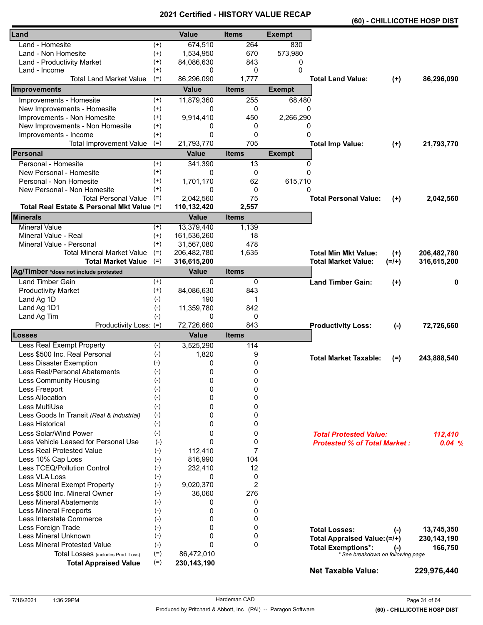|                                            |                    |               |              |               |                                     |           | (60) - CHILLICOTHE HOSP DIST |
|--------------------------------------------|--------------------|---------------|--------------|---------------|-------------------------------------|-----------|------------------------------|
| Land                                       |                    | <b>Value</b>  | <b>Items</b> | <b>Exempt</b> |                                     |           |                              |
| Land - Homesite                            | $^{(+)}$           | 674,510       | 264          | 830           |                                     |           |                              |
| Land - Non Homesite                        | $^{(+)}$           | 1,534,950     | 670          | 573,980       |                                     |           |                              |
| Land - Productivity Market                 | $^{(+)}$           | 84,086,630    | 843          | 0             |                                     |           |                              |
| Land - Income                              | $^{(+)}$           | 0             | 0            | $\Omega$      |                                     |           |                              |
| <b>Total Land Market Value</b>             | $(=)$              | 86,296,090    | 1,777        |               | <b>Total Land Value:</b>            | $(+)$     | 86,296,090                   |
| <b>Improvements</b>                        |                    | <b>Value</b>  | <b>Items</b> | <b>Exempt</b> |                                     |           |                              |
| Improvements - Homesite                    | $^{(+)}$           | 11,879,360    | 255          | 68,480        |                                     |           |                              |
| New Improvements - Homesite                | $^{(+)}$           | 0             | 0            | 0             |                                     |           |                              |
| Improvements - Non Homesite                | $^{(+)}$           | 9,914,410     | 450          | 2,266,290     |                                     |           |                              |
| New Improvements - Non Homesite            | $^{(+)}$           | 0             | 0            | 0             |                                     |           |                              |
| Improvements - Income                      | $^{(+)}$           | 0             | 0            | $\mathbf{0}$  |                                     |           |                              |
| <b>Total Improvement Value</b>             | $(=)$              | 21,793,770    | 705          |               | <b>Total Imp Value:</b>             | $(+)$     | 21,793,770                   |
| Personal                                   |                    | <b>Value</b>  | <b>Items</b> | <b>Exempt</b> |                                     |           |                              |
| Personal - Homesite                        | $^{(+)}$           | 341,390       | 13           | 0             |                                     |           |                              |
| New Personal - Homesite                    | $^{(+)}$           | 0             | 0            | $\mathbf{0}$  |                                     |           |                              |
| Personal - Non Homesite                    | $^{(+)}$           | 1,701,170     | 62           | 615,710       |                                     |           |                              |
| New Personal - Non Homesite                | $^{(+)}$           | 0             | 0            | 0             |                                     |           |                              |
| <b>Total Personal Value</b>                | $(=)$              | 2,042,560     | 75           |               | <b>Total Personal Value:</b>        | $(+)$     | 2,042,560                    |
| Total Real Estate & Personal Mkt Value (=) |                    | 110,132,420   | 2,557        |               |                                     |           |                              |
| Minerals                                   |                    | <b>Value</b>  | <b>Items</b> |               |                                     |           |                              |
| <b>Mineral Value</b>                       | $^{(+)}$           | 13,379,440    | 1,139        |               |                                     |           |                              |
| Mineral Value - Real                       | $^{(+)}$           | 161,536,260   | 18           |               |                                     |           |                              |
| Mineral Value - Personal                   | $(+)$              | 31,567,080    | 478          |               |                                     |           |                              |
| <b>Total Mineral Market Value</b>          | $(=)$              | 206,482,780   | 1,635        |               | <b>Total Min Mkt Value:</b>         | $(+)$     | 206,482,780                  |
| <b>Total Market Value</b>                  | $(=)$              | 316,615,200   |              |               | <b>Total Market Value:</b>          | $(=/+)$   | 316,615,200                  |
| Ag/Timber *does not include protested      |                    | <b>Value</b>  | <b>Items</b> |               |                                     |           |                              |
| <b>Land Timber Gain</b>                    | $^{(+)}$           | 0             | 0            |               | <b>Land Timber Gain:</b>            | $(+)$     | 0                            |
| <b>Productivity Market</b>                 | $^{(+)}$           | 84,086,630    | 843          |               |                                     |           |                              |
| Land Ag 1D                                 | $(-)$              | 190           | 1            |               |                                     |           |                              |
| Land Ag 1D1                                | $(-)$              | 11,359,780    | 842          |               |                                     |           |                              |
| Land Ag Tim                                | $(-)$              | 0             | 0            |               |                                     |           |                              |
| Productivity Loss: (=)                     |                    | 72,726,660    | 843          |               | <b>Productivity Loss:</b>           | $(-)$     | 72,726,660                   |
| <b>Losses</b>                              |                    | <b>Value</b>  | <b>Items</b> |               |                                     |           |                              |
| Less Real Exempt Property                  | $(\textnormal{-})$ | 3,525,290     | 114          |               |                                     |           |                              |
| Less \$500 Inc. Real Personal              | $(-)$              | 1,820         | 9            |               | <b>Total Market Taxable:</b>        | $(=)$     | 243,888,540                  |
| <b>Less Disaster Exemption</b>             | $(-)$              | 0             | 0            |               |                                     |           |                              |
| Less Real/Personal Abatements              | $(-)$              | $\mathbf 0$   | 0            |               |                                     |           |                              |
| <b>Less Community Housing</b>              | $(-)$              | 0             | 0            |               |                                     |           |                              |
| Less Freeport                              | $(-)$              | 0             | 0            |               |                                     |           |                              |
| Less Allocation                            | $(-)$              | 0             | 0            |               |                                     |           |                              |
| Less MultiUse                              | $(-)$              | 0             | 0            |               |                                     |           |                              |
| Less Goods In Transit (Real & Industrial)  | $(-)$              | 0             | 0            |               |                                     |           |                              |
| Less Historical                            | $(-)$              | 0             | 0            |               |                                     |           |                              |
| Less Solar/Wind Power                      | $(-)$              | 0             | 0            |               | <b>Total Protested Value:</b>       |           | 112,410                      |
| Less Vehicle Leased for Personal Use       | $(-)$              | $\mathbf{0}$  | 0            |               | <b>Protested % of Total Market:</b> |           | 0.04%                        |
| <b>Less Real Protested Value</b>           | $(-)$              | 112.410       | 7            |               |                                     |           |                              |
| Less 10% Cap Loss                          | $(-)$              | 816,990       | 104          |               |                                     |           |                              |
| Less TCEQ/Pollution Control                | $(-)$              | 232,410       | 12           |               |                                     |           |                              |
| Less VLA Loss                              | $(-)$              | 0             | 0            |               |                                     |           |                              |
| Less Mineral Exempt Property               | $(-)$              | 9,020,370     | 2            |               |                                     |           |                              |
| Less \$500 Inc. Mineral Owner              | $(-)$              | 36,060        | 276          |               |                                     |           |                              |
| <b>Less Mineral Abatements</b>             | $(-)$              | 0             | 0            |               |                                     |           |                              |
| <b>Less Mineral Freeports</b>              | $(-)$              | 0             | 0            |               |                                     |           |                              |
| Less Interstate Commerce                   | $(-)$              | 0             | 0            |               |                                     |           |                              |
| Less Foreign Trade                         | $(-)$              | 0             | 0            |               | <b>Total Losses:</b>                | $(-)$     | 13,745,350                   |
| Less Mineral Unknown                       | $(-)$              | 0             | 0            |               | Total Appraised Value: (=/+)        |           | 230, 143, 190                |
| <b>Less Mineral Protested Value</b>        | $(-)$              | 0             | $\Omega$     |               | <b>Total Exemptions*:</b>           | $(\cdot)$ | 166,750                      |
| Total Losses (includes Prod. Loss)         | $(=)$              | 86,472,010    |              |               | * See breakdown on following page   |           |                              |
| <b>Total Appraised Value</b>               | $(=)$              | 230, 143, 190 |              |               | <b>Net Taxable Value:</b>           |           | 229,976,440                  |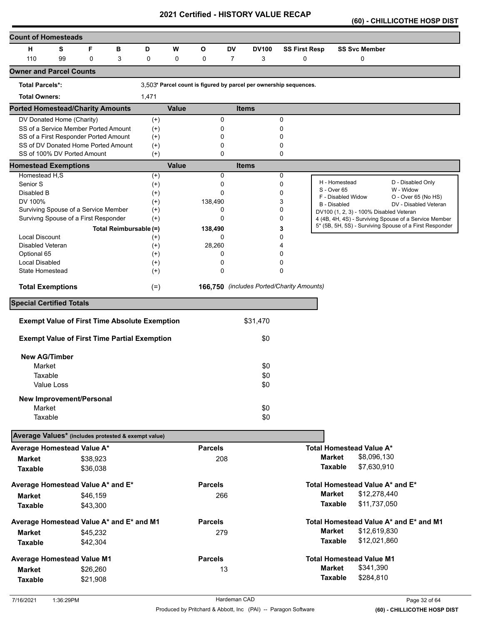**(60) - CHILLICOTHE HOSP DIST** 

| <b>Count of Homesteads</b>                          |            |                                                                              |                        |                      |              |                |                |                                                                   |                      |                                         |                                                         |
|-----------------------------------------------------|------------|------------------------------------------------------------------------------|------------------------|----------------------|--------------|----------------|----------------|-------------------------------------------------------------------|----------------------|-----------------------------------------|---------------------------------------------------------|
| н                                                   | S          | F                                                                            | в                      | D                    | W            | O              | <b>DV</b>      | <b>DV100</b>                                                      | <b>SS First Resp</b> | <b>SS Svc Member</b>                    |                                                         |
| 110                                                 | 99         | 0                                                                            | 3                      | 0                    | 0            | 0              | $\overline{7}$ | 3                                                                 | 0                    | 0                                       |                                                         |
| <b>Owner and Parcel Counts</b>                      |            |                                                                              |                        |                      |              |                |                |                                                                   |                      |                                         |                                                         |
| <b>Total Parcels*:</b>                              |            |                                                                              |                        |                      |              |                |                | 3,503* Parcel count is figured by parcel per ownership sequences. |                      |                                         |                                                         |
| <b>Total Owners:</b>                                |            |                                                                              |                        | 1,471                |              |                |                |                                                                   |                      |                                         |                                                         |
| <b>Ported Homestead/Charity Amounts</b>             |            |                                                                              |                        |                      | <b>Value</b> |                |                | <b>Items</b>                                                      |                      |                                         |                                                         |
| DV Donated Home (Charity)                           |            |                                                                              |                        | $^{(+)}$             |              | 0              |                |                                                                   | 0                    |                                         |                                                         |
|                                                     |            | SS of a Service Member Ported Amount                                         |                        | $^{(+)}$             |              | 0              |                |                                                                   | 0                    |                                         |                                                         |
|                                                     |            | SS of a First Responder Ported Amount<br>SS of DV Donated Home Ported Amount |                        | $^{(+)}$<br>$^{(+)}$ |              | 0<br>0         |                |                                                                   | 0<br>0               |                                         |                                                         |
|                                                     |            | SS of 100% DV Ported Amount                                                  |                        | $^{(+)}$             |              | 0              |                |                                                                   | 0                    |                                         |                                                         |
| <b>Homestead Exemptions</b>                         |            |                                                                              |                        |                      | <b>Value</b> |                |                | <b>Items</b>                                                      |                      |                                         |                                                         |
| Homestead H,S                                       |            |                                                                              |                        | $^{(+)}$             |              | 0              |                |                                                                   | 0                    |                                         |                                                         |
| Senior S                                            |            |                                                                              |                        | $^{(+)}$             |              | 0              |                |                                                                   | 0                    | H - Homestead<br>S - Over 65            | D - Disabled Only<br>W - Widow                          |
| Disabled B<br>DV 100%                               |            |                                                                              |                        | $^{(+)}$             |              | 0              |                |                                                                   | 0                    | F - Disabled Widow                      | O - Over 65 (No HS)                                     |
|                                                     |            | Surviving Spouse of a Service Member                                         |                        | $^{(+)}$<br>$^{(+)}$ |              | 138,490<br>0   |                |                                                                   | 3<br>0               | B - Disabled                            | DV - Disabled Veteran                                   |
|                                                     |            | Survivng Spouse of a First Responder                                         |                        | $^{(+)}$             |              | 0              |                |                                                                   | 0                    | DV100 (1, 2, 3) - 100% Disabled Veteran | 4 (4B, 4H, 4S) - Surviving Spouse of a Service Member   |
|                                                     |            |                                                                              | Total Reimbursable (=) |                      |              | 138,490        |                |                                                                   | 3                    |                                         | 5* (5B, 5H, 5S) - Surviving Spouse of a First Responder |
| <b>Local Discount</b>                               |            |                                                                              |                        | $^{(+)}$             |              | 0              |                |                                                                   | 0                    |                                         |                                                         |
| Disabled Veteran                                    |            |                                                                              |                        | $^{(+)}$             |              | 28,260         |                |                                                                   |                      |                                         |                                                         |
| Optional 65                                         |            |                                                                              |                        | $^{(+)}$             |              | 0              |                |                                                                   | 0                    |                                         |                                                         |
| Local Disabled                                      |            |                                                                              |                        | $^{(+)}$             |              | 0              |                |                                                                   | 0                    |                                         |                                                         |
| State Homestead                                     |            |                                                                              |                        | $^{(+)}$             |              | 0              |                |                                                                   | 0                    |                                         |                                                         |
| <b>Total Exemptions</b>                             |            |                                                                              |                        | $(=)$                |              |                |                | 166,750 (includes Ported/Charity Amounts)                         |                      |                                         |                                                         |
| <b>Special Certified Totals</b>                     |            |                                                                              |                        |                      |              |                |                |                                                                   |                      |                                         |                                                         |
|                                                     |            | <b>Exempt Value of First Time Absolute Exemption</b>                         |                        |                      |              |                |                | \$31,470                                                          |                      |                                         |                                                         |
|                                                     |            |                                                                              |                        |                      |              |                |                |                                                                   |                      |                                         |                                                         |
|                                                     |            | <b>Exempt Value of First Time Partial Exemption</b>                          |                        |                      |              |                |                | \$0                                                               |                      |                                         |                                                         |
| <b>New AG/Timber</b>                                |            |                                                                              |                        |                      |              |                |                |                                                                   |                      |                                         |                                                         |
| Market                                              |            |                                                                              |                        |                      |              |                |                | \$0                                                               |                      |                                         |                                                         |
| Taxable                                             |            |                                                                              |                        |                      |              |                |                | \$0                                                               |                      |                                         |                                                         |
|                                                     | Value Loss |                                                                              |                        |                      |              |                |                | \$0                                                               |                      |                                         |                                                         |
|                                                     |            | <b>New Improvement/Personal</b>                                              |                        |                      |              |                |                |                                                                   |                      |                                         |                                                         |
| Market                                              |            |                                                                              |                        |                      |              |                |                | \$0                                                               |                      |                                         |                                                         |
| Taxable                                             |            |                                                                              |                        |                      |              |                |                | \$0                                                               |                      |                                         |                                                         |
| Average Values* (includes protested & exempt value) |            |                                                                              |                        |                      |              |                |                |                                                                   |                      |                                         |                                                         |
| Average Homestead Value A*                          |            |                                                                              |                        |                      |              | <b>Parcels</b> |                |                                                                   |                      | <b>Total Homestead Value A*</b>         |                                                         |
| <b>Market</b>                                       |            | \$38,923                                                                     |                        |                      |              | 208            |                |                                                                   |                      | <b>Market</b><br>\$8,096,130            |                                                         |
| <b>Taxable</b>                                      |            | \$36,038                                                                     |                        |                      |              |                |                |                                                                   |                      | \$7,630,910<br><b>Taxable</b>           |                                                         |
| Average Homestead Value A* and E*                   |            |                                                                              |                        |                      |              | <b>Parcels</b> |                |                                                                   |                      | Total Homestead Value A* and E*         |                                                         |
| <b>Market</b>                                       |            | \$46,159                                                                     |                        |                      |              | 266            |                |                                                                   |                      | <b>Market</b><br>\$12,278,440           |                                                         |
| <b>Taxable</b>                                      |            |                                                                              |                        |                      |              |                |                |                                                                   |                      | <b>Taxable</b><br>\$11,737,050          |                                                         |
|                                                     |            | \$43,300                                                                     |                        |                      |              |                |                |                                                                   |                      |                                         |                                                         |
| Average Homestead Value A* and E* and M1            |            |                                                                              |                        |                      |              | <b>Parcels</b> |                |                                                                   |                      |                                         | Total Homestead Value A* and E* and M1                  |
| <b>Market</b>                                       |            | \$45,232                                                                     |                        |                      |              | 279            |                |                                                                   |                      | <b>Market</b><br>\$12,619,830           |                                                         |
| <b>Taxable</b>                                      |            | \$42,304                                                                     |                        |                      |              |                |                |                                                                   |                      | <b>Taxable</b><br>\$12,021,860          |                                                         |
| <b>Average Homestead Value M1</b>                   |            |                                                                              |                        |                      |              | <b>Parcels</b> |                |                                                                   |                      | <b>Total Homestead Value M1</b>         |                                                         |
| <b>Market</b>                                       |            | \$26,260                                                                     |                        |                      |              |                | 13             |                                                                   |                      | <b>Market</b><br>\$341,390              |                                                         |
| <b>Taxable</b>                                      |            | \$21,908                                                                     |                        |                      |              |                |                |                                                                   |                      | \$284,810<br><b>Taxable</b>             |                                                         |
|                                                     |            |                                                                              |                        |                      |              |                |                |                                                                   |                      |                                         |                                                         |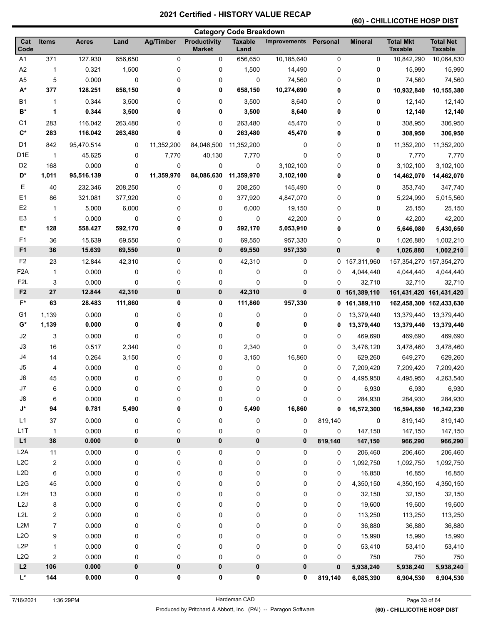# **(60) - CHILLICOTHE HOSP DIST**

|                  | <b>Category Code Breakdown</b> |              |         |                  |                                      |                        |              |          |                |                                    |                                    |
|------------------|--------------------------------|--------------|---------|------------------|--------------------------------------|------------------------|--------------|----------|----------------|------------------------------------|------------------------------------|
| Cat<br>Code      | <b>Items</b>                   | <b>Acres</b> | Land    | <b>Ag/Timber</b> | <b>Productivity</b><br><b>Market</b> | <b>Taxable</b><br>Land | Improvements | Personal | <b>Mineral</b> | <b>Total Mkt</b><br><b>Taxable</b> | <b>Total Net</b><br><b>Taxable</b> |
| A <sub>1</sub>   | 371                            | 127.930      | 656,650 | $\mathbf 0$      | 0                                    | 656,650                | 10,185,640   | 0        | 0              | 10,842,290                         | 10,064,830                         |
| A <sub>2</sub>   | 1                              | 0.321        | 1,500   | 0                | 0                                    | 1,500                  | 14,490       | 0        | 0              | 15,990                             | 15,990                             |
| A <sub>5</sub>   | 5                              | 0.000        | 0       | 0                | 0                                    | $\pmb{0}$              | 74,560       | 0        | 0              | 74,560                             | 74,560                             |
| $A^*$            | 377                            | 128.251      | 658,150 | 0                | 0                                    | 658,150                | 10,274,690   | 0        | 0              | 10,932,840                         | 10,155,380                         |
| <b>B1</b>        | 1                              | 0.344        | 3,500   | 0                | 0                                    | 3,500                  | 8,640        | 0        | 0              | 12,140                             | 12,140                             |
| B*               | 1                              | 0.344        | 3,500   | 0                | 0                                    | 3,500                  | 8,640        | 0        | 0              | 12,140                             | 12,140                             |
| C <sub>1</sub>   | 283                            | 116.042      | 263,480 | 0                | 0                                    | 263,480                | 45,470       | 0        | 0              | 308,950                            | 306,950                            |
| $C^*$            | 283                            | 116.042      | 263,480 | 0                | 0                                    | 263,480                | 45,470       | 0        | 0              | 308,950                            | 306,950                            |
| D <sub>1</sub>   | 842                            | 95,470.514   | 0       | 11,352,200       | 84,046,500                           | 11,352,200             | 0            | 0        | 0              | 11,352,200                         | 11,352,200                         |
| D <sub>1E</sub>  | $\overline{1}$                 | 45.625       | 0       | 7,770            | 40,130                               | 7,770                  | 0            | 0        | 0              | 7,770                              | 7,770                              |
| D <sub>2</sub>   | 168                            | 0.000        | 0       | 0                | 0                                    | 0                      | 3,102,100    | 0        | 0              | 3,102,100                          | 3,102,100                          |
| D*               | 1,011                          | 95,516.139   | 0       | 11,359,970       | 84,086,630                           | 11,359,970             | 3,102,100    | 0        | 0              | 14,462,070                         | 14,462,070                         |
| Е                | 40                             | 232.346      | 208,250 | 0                | 0                                    | 208,250                | 145,490      | 0        | 0              | 353,740                            | 347,740                            |
| E1               | 86                             | 321.081      | 377,920 | 0                | 0                                    | 377,920                | 4,847,070    | 0        | 0              | 5,224,990                          | 5,015,560                          |
| E <sub>2</sub>   | 1                              | 5.000        | 6,000   | 0                | 0                                    | 6,000                  | 19,150       | 0        | 0              | 25,150                             | 25,150                             |
| E <sub>3</sub>   | 1                              | 0.000        | 0       | 0                | 0                                    | 0                      | 42,200       | 0        | 0              | 42,200                             | 42,200                             |
| E*               | 128                            | 558.427      | 592,170 | 0                | 0                                    | 592,170                | 5,053,910    | 0        | 0              | 5,646,080                          | 5,430,650                          |
| F <sub>1</sub>   | 36                             | 15.639       | 69,550  | 0                | 0                                    | 69,550                 | 957,330      | 0        | 0              | 1,026,880                          | 1,002,210                          |
| F <sub>1</sub>   | 36                             | 15.639       | 69,550  | 0                | 0                                    | 69,550                 | 957,330      | $\bf{0}$ | 0              | 1,026,880                          | 1,002,210                          |
| F <sub>2</sub>   | 23                             | 12.844       | 42,310  | 0                | 0                                    | 42,310                 | 0            | 0        | 157,311,960    | 157,354,270 157,354,270            |                                    |
| F <sub>2</sub> A | $\mathbf{1}$                   | 0.000        | 0       | 0                | 0                                    | 0                      | 0            | 0        | 4,044,440      | 4,044,440                          | 4,044,440                          |
| F <sub>2</sub> L | 3                              | 0.000        | 0       | 0                | 0                                    | 0                      | 0            | 0        | 32,710         | 32,710                             | 32,710                             |
| F <sub>2</sub>   | 27                             | 12.844       | 42,310  | $\bf{0}$         | 0                                    | 42,310                 | 0            | 0        | 161,389,110    | 161,431,420                        | 161,431,420                        |
| F*               | 63                             | 28.483       | 111,860 | 0                | 0                                    | 111,860                | 957,330      | 0        | 161,389,110    | 162,458,300 162,433,630            |                                    |
| G1               | 1,139                          | 0.000        | 0       | 0                | 0                                    | 0                      | 0            | 0        | 13,379,440     | 13,379,440                         | 13,379,440                         |
| G*               | 1,139                          | 0.000        | 0       | 0                | 0                                    | 0                      | 0            | 0        | 13,379,440     | 13,379,440                         | 13,379,440                         |
| J2               | 3                              | 0.000        | 0       | 0                | 0                                    | 0                      | 0            | 0        | 469,690        | 469,690                            | 469,690                            |
| J3               | 16                             | 0.517        | 2,340   | 0                | 0                                    | 2,340                  | 0            | 0        | 3,476,120      | 3,478,460                          | 3,478,460                          |
| J4               | 14                             | 0.264        | 3,150   | 0                | 0                                    | 3,150                  | 16,860       | 0        | 629,260        | 649,270                            | 629,260                            |
| J5               | 4                              | 0.000        | 0       | 0                | 0                                    | 0                      | 0            | 0        | 7,209,420      | 7,209,420                          | 7,209,420                          |
| J6               | 45                             | 0.000        | 0       | 0                | 0                                    | 0                      | 0            | 0        | 4,495,950      | 4,495,950                          | 4,263,540                          |
| J7               | 6                              | 0.000        | 0       | 0                | 0                                    | $\mathbf 0$            | $\pmb{0}$    | 0        | 6,930          | 6,930                              | 6,930                              |
| ${\sf J}8$       | 6                              | 0.000        | 0       | 0                | 0                                    | $\pmb{0}$              | 0            | 0        | 284,930        | 284,930                            | 284,930                            |
| J*               | 94                             | 0.781        | 5,490   | 0                | 0                                    | 5,490                  | 16,860       | 0        | 16,572,300     | 16,594,650                         | 16,342,230                         |
| L1               | 37                             | 0.000        | 0       | 0                | 0                                    | $\pmb{0}$              | 0            | 819,140  | 0              | 819,140                            | 819,140                            |
| L <sub>1</sub> T | $\mathbf{1}$                   | 0.000        | 0       | 0                | 0                                    | $\pmb{0}$              | 0            | 0        | 147,150        | 147,150                            | 147,150                            |
| L1               | 38                             | 0.000        | 0       | 0                | $\pmb{0}$                            | $\pmb{0}$              | 0            | 819,140  | 147,150        | 966,290                            | 966,290                            |
| L <sub>2</sub> A | 11                             | 0.000        | 0       | 0                | 0                                    | $\pmb{0}$              | 0            | 0        | 206,460        | 206,460                            | 206,460                            |
| L2C              | 2                              | 0.000        | 0       | 0                | 0                                    | $\pmb{0}$              | 0            | 0        | 1,092,750      | 1,092,750                          | 1,092,750                          |
| L2D              | 6                              | 0.000        | 0       | 0                | 0                                    | $\pmb{0}$              | 0            | 0        | 16,850         | 16,850                             | 16,850                             |
| L2G              | 45                             | 0.000        | 0       | 0                | 0                                    | $\pmb{0}$              | 0            | 0        | 4,350,150      | 4,350,150                          | 4,350,150                          |
| L <sub>2</sub> H | 13                             | 0.000        | 0       | 0                | 0                                    | 0                      | 0            | 0        | 32,150         | 32,150                             | 32,150                             |
| L2J              | 8                              | 0.000        | 0       | 0                | 0                                    | 0                      | 0            | 0        | 19,600         | 19,600                             | 19,600                             |
| L2L              | 2                              | 0.000        | 0       | 0                | 0                                    | 0                      | 0            | 0        | 113,250        | 113,250                            | 113,250                            |
| L <sub>2</sub> M | 7                              | 0.000        | 0       | 0                | 0                                    | 0                      | 0            | 0        | 36,880         | 36,880                             | 36,880                             |
| L2O              | 9                              | 0.000        | 0       | 0                | 0                                    | $\pmb{0}$              | 0            | 0        | 15,990         | 15,990                             | 15,990                             |
| L <sub>2</sub> P | 1                              | 0.000        | 0       | 0                | 0                                    | $\pmb{0}$              | 0            | 0        | 53,410         | 53,410                             | 53,410                             |
| L2Q              | 2                              | 0.000        | 0       | 0                | 0                                    | $\pmb{0}$              | 0            | 0        | 750            | 750                                | 750                                |
| L2               | 106                            | 0.000        | 0       | 0                | 0                                    | $\pmb{0}$              | 0            | $\bf{0}$ | 5,938,240      | 5,938,240                          | 5,938,240                          |
| L*               | 144                            | 0.000        | 0       | 0                | 0                                    | 0                      | 0            | 819,140  | 6,085,390      | 6,904,530                          | 6,904,530                          |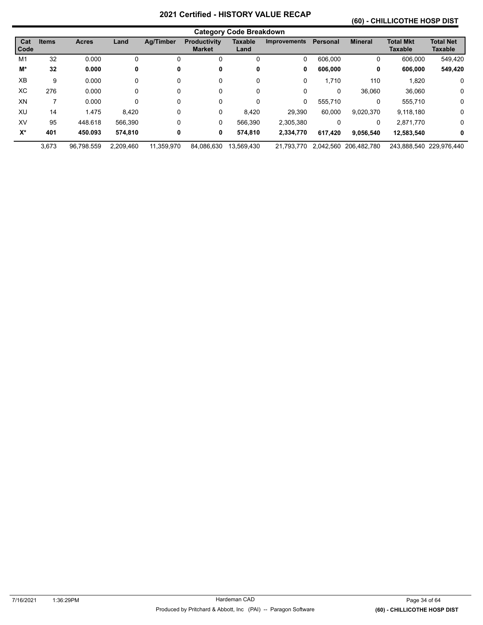# **(60) - CHILLICOTHE HOSP DIST**

|             |              |              |           |                  |                                      | <b>Category Code Breakdown</b> |                     |                 |                       |                             |                             |
|-------------|--------------|--------------|-----------|------------------|--------------------------------------|--------------------------------|---------------------|-----------------|-----------------------|-----------------------------|-----------------------------|
| Cat<br>Code | <b>Items</b> | <b>Acres</b> | Land      | <b>Ag/Timber</b> | <b>Productivity</b><br><b>Market</b> | <b>Taxable</b><br>Land         | <b>Improvements</b> | <b>Personal</b> | <b>Mineral</b>        | <b>Total Mkt</b><br>Taxable | <b>Total Net</b><br>Taxable |
| M1          | 32           | 0.000        | 0         | 0                | 0                                    | 0                              | 0                   | 606,000         | 0                     | 606,000                     | 549,420                     |
| M*          | 32           | 0.000        | 0         | 0                | 0                                    | 0                              | 0                   | 606,000         | 0                     | 606,000                     | 549,420                     |
| <b>XB</b>   | 9            | 0.000        | 0         | $\Omega$         | 0                                    | 0                              | 0                   | 1.710           | 110                   | 1.820                       | 0                           |
| ХC          | 276          | 0.000        | 0         | $\Omega$         | 0                                    | 0                              | 0                   | 0               | 36,060                | 36,060                      | 0                           |
| XN          | 7            | 0.000        | 0         | $\Omega$         | 0                                    | 0                              | 0                   | 555,710         | 0                     | 555,710                     | 0                           |
| XU          | 14           | 1.475        | 8,420     | 0                | 0                                    | 8.420                          | 29.390              | 60.000          | 9,020,370             | 9,118,180                   | 0                           |
| XV          | 95           | 448.618      | 566.390   | 0                | 0                                    | 566.390                        | 2.305.380           | 0               | 0                     | 2,871,770                   | 0                           |
| $X^*$       | 401          | 450.093      | 574.810   | 0                | 0                                    | 574,810                        | 2,334,770           | 617.420         | 9.056.540             | 12,583,540                  | 0                           |
|             | 3.673        | 96.798.559   | 2.209.460 | 11.359.970       | 84.086.630                           | 13.569.430                     | 21.793.770          |                 | 2.042.560 206.482.780 |                             | 243.888.540 229.976.440     |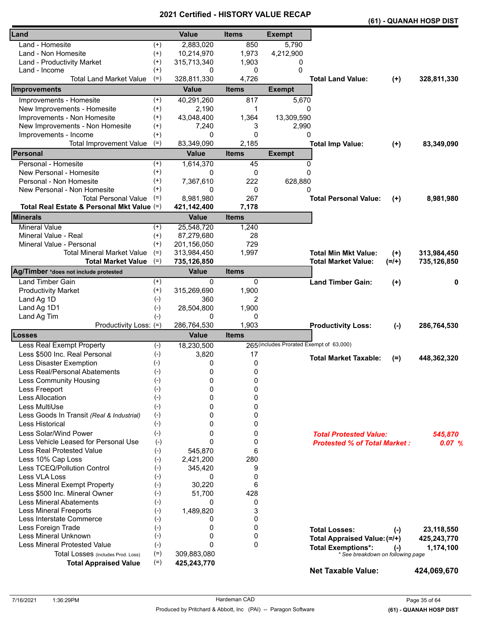|                                                         |                      |                            |              |                                          |                                                                |           | (61) - QUANAH HOSP DIST |
|---------------------------------------------------------|----------------------|----------------------------|--------------|------------------------------------------|----------------------------------------------------------------|-----------|-------------------------|
| Land                                                    |                      | <b>Value</b>               | <b>Items</b> | <b>Exempt</b>                            |                                                                |           |                         |
| Land - Homesite                                         | $^{(+)}$             | 2,883,020                  | 850          | 5,790                                    |                                                                |           |                         |
| Land - Non Homesite                                     | $^{(+)}$             | 10,214,970                 | 1,973        | 4,212,900                                |                                                                |           |                         |
| Land - Productivity Market                              | $^{(+)}$             | 315,713,340                | 1,903        | 0                                        |                                                                |           |                         |
| Land - Income                                           | $^{(+)}$             | 0                          | 0            | 0                                        |                                                                |           |                         |
| <b>Total Land Market Value</b>                          | $(=)$                | 328,811,330                | 4,726        |                                          | <b>Total Land Value:</b>                                       | $(+)$     | 328,811,330             |
| Improvements                                            |                      | <b>Value</b>               | <b>Items</b> | <b>Exempt</b>                            |                                                                |           |                         |
| Improvements - Homesite                                 | $^{(+)}$             | 40,291,260                 | 817          | 5,670                                    |                                                                |           |                         |
| New Improvements - Homesite                             | $^{(+)}$             | 2,190                      | 1            | 0                                        |                                                                |           |                         |
| Improvements - Non Homesite                             | $^{(+)}$             | 43,048,400                 | 1,364        | 13,309,590                               |                                                                |           |                         |
| New Improvements - Non Homesite                         | $^{(+)}$             | 7,240                      | 3<br>0       | 2,990                                    |                                                                |           |                         |
| Improvements - Income<br><b>Total Improvement Value</b> | $(+)$<br>$(=)$       | 0<br>83,349,090            | 2,185        | 0                                        |                                                                |           | 83,349,090              |
| Personal                                                |                      | <b>Value</b>               | <b>Items</b> | <b>Exempt</b>                            | <b>Total Imp Value:</b>                                        | $(+)$     |                         |
|                                                         |                      |                            |              |                                          |                                                                |           |                         |
| Personal - Homesite<br>New Personal - Homesite          | $^{(+)}$<br>$^{(+)}$ | 1,614,370<br>0             | 45<br>0      | 0<br>$\Omega$                            |                                                                |           |                         |
| Personal - Non Homesite                                 | $^{(+)}$             | 7,367,610                  | 222          | 628,880                                  |                                                                |           |                         |
| New Personal - Non Homesite                             | $^{(+)}$             | 0                          | 0            | 0                                        |                                                                |           |                         |
| <b>Total Personal Value</b>                             | $(=)$                | 8,981,980                  | 267          |                                          | <b>Total Personal Value:</b>                                   | $(+)$     | 8,981,980               |
| Total Real Estate & Personal Mkt Value (=)              |                      | 421,142,400                | 7,178        |                                          |                                                                |           |                         |
| <b>Minerals</b>                                         |                      | <b>Value</b>               | <b>Items</b> |                                          |                                                                |           |                         |
| <b>Mineral Value</b>                                    | $^{(+)}$             | 25,548,720                 | 1,240        |                                          |                                                                |           |                         |
| Mineral Value - Real                                    | $^{(+)}$             | 87,279,680                 | 28           |                                          |                                                                |           |                         |
| Mineral Value - Personal                                | $^{(+)}$             | 201,156,050                | 729          |                                          |                                                                |           |                         |
| <b>Total Mineral Market Value</b>                       | $(=)$                | 313,984,450                | 1,997        |                                          | <b>Total Min Mkt Value:</b>                                    | $(+)$     | 313,984,450             |
| <b>Total Market Value</b>                               | $(=)$                | 735,126,850                |              |                                          | <b>Total Market Value:</b>                                     | $(=/+)$   | 735,126,850             |
| Ag/Timber *does not include protested                   |                      | <b>Value</b>               | <b>Items</b> |                                          |                                                                |           |                         |
| <b>Land Timber Gain</b>                                 | $^{(+)}$             | 0                          | 0            |                                          | <b>Land Timber Gain:</b>                                       | $(+)$     | 0                       |
| <b>Productivity Market</b>                              | $^{(+)}$             | 315,269,690                | 1,900        |                                          |                                                                |           |                         |
| Land Ag 1D                                              | $(-)$                | 360                        | 2            |                                          |                                                                |           |                         |
| Land Ag 1D1                                             | $(-)$                | 28,504,800                 | 1,900        |                                          |                                                                |           |                         |
| Land Ag Tim                                             | $(-)$                | 0                          | 0            |                                          |                                                                |           |                         |
| Productivity Loss: (=)<br>Losses                        |                      | 286,764,530                | 1,903        |                                          | <b>Productivity Loss:</b>                                      | $(-)$     | 286,764,530             |
| Less Real Exempt Property                               |                      | <b>Value</b><br>18,230,500 | <b>Items</b> | 265 (includes Prorated Exempt of 63,000) |                                                                |           |                         |
| Less \$500 Inc. Real Personal                           | $(-)$<br>$(-)$       | 3,820                      | 17           |                                          |                                                                |           |                         |
| Less Disaster Exemption                                 | $(-)$                | 0                          | 0            |                                          | <b>Total Market Taxable:</b>                                   | $(=)$     | 448,362,320             |
| Less Real/Personal Abatements                           | $(-)$                | 0                          | 0            |                                          |                                                                |           |                         |
| Less Community Housing                                  | $(-)$                | 0                          | 0            |                                          |                                                                |           |                         |
| Less Freeport                                           | $(-)$                | 0                          | 0            |                                          |                                                                |           |                         |
| Less Allocation                                         | $(-)$                | 0                          | 0            |                                          |                                                                |           |                         |
| Less MultiUse                                           | $(-)$                | 0                          | 0            |                                          |                                                                |           |                         |
| Less Goods In Transit (Real & Industrial)               | $(-)$                | 0                          | 0            |                                          |                                                                |           |                         |
| Less Historical                                         | $(-)$                | 0                          | 0            |                                          |                                                                |           |                         |
| Less Solar/Wind Power                                   | $(-)$                | 0                          | 0            |                                          | <b>Total Protested Value:</b>                                  |           | 545,870                 |
| Less Vehicle Leased for Personal Use                    | $(-)$                | 0                          | 0            |                                          | <b>Protested % of Total Market:</b>                            |           | 0.07%                   |
| <b>Less Real Protested Value</b>                        | $(-)$                | 545,870                    | 6            |                                          |                                                                |           |                         |
| Less 10% Cap Loss                                       | $(-)$                | 2,421,200                  | 280          |                                          |                                                                |           |                         |
| Less TCEQ/Pollution Control                             | $(-)$                | 345,420                    | 9            |                                          |                                                                |           |                         |
| Less VLA Loss                                           | $(-)$                | 0                          | 0            |                                          |                                                                |           |                         |
| Less Mineral Exempt Property                            | $(-)$                | 30,220                     | 6            |                                          |                                                                |           |                         |
| Less \$500 Inc. Mineral Owner                           | $(-)$                | 51,700                     | 428          |                                          |                                                                |           |                         |
| <b>Less Mineral Abatements</b>                          | $(-)$                | 0                          | 0            |                                          |                                                                |           |                         |
| <b>Less Mineral Freeports</b>                           | $(-)$                | 1,489,820                  | 3            |                                          |                                                                |           |                         |
| Less Interstate Commerce                                | $(-)$                | 0<br>0                     | 0            |                                          |                                                                |           |                         |
| Less Foreign Trade<br>Less Mineral Unknown              | $(-)$<br>$(-)$       | 0                          | 0<br>0       |                                          | <b>Total Losses:</b>                                           | $(-)$     | 23,118,550              |
| <b>Less Mineral Protested Value</b>                     | $(-)$                | 0                          | 0            |                                          | Total Appraised Value: (=/+)                                   |           | 425,243,770             |
| Total Losses (includes Prod. Loss)                      | $(=)$                | 309,883,080                |              |                                          | <b>Total Exemptions*:</b><br>* See breakdown on following page | $(\cdot)$ | 1,174,100               |
| <b>Total Appraised Value</b>                            | $(=)$                | 425,243,770                |              |                                          |                                                                |           |                         |
|                                                         |                      |                            |              |                                          | <b>Net Taxable Value:</b>                                      |           | 424,069,670             |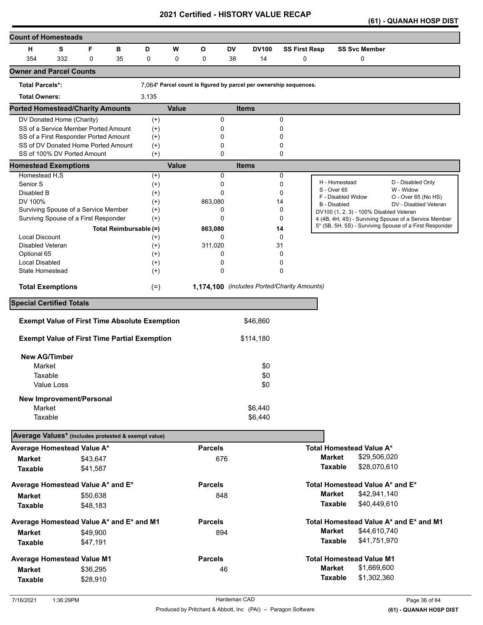|  |  | (61) - QUANAH HOSP DIST |  |  |
|--|--|-------------------------|--|--|
|--|--|-------------------------|--|--|

| <b>Count of Homesteads</b>                                         |                   |          |                        |                      |              |                         |    |                                                                   |                      |                |                                         |                                                         |
|--------------------------------------------------------------------|-------------------|----------|------------------------|----------------------|--------------|-------------------------|----|-------------------------------------------------------------------|----------------------|----------------|-----------------------------------------|---------------------------------------------------------|
| н                                                                  | s                 | F        | в                      | D                    | W            | O                       | DV | <b>DV100</b>                                                      | <b>SS First Resp</b> |                | <b>SS Svc Member</b>                    |                                                         |
| 354                                                                | 332               | 0        | 35                     | 0                    | 0            | 0                       | 38 | 14                                                                | 0                    |                | 0                                       |                                                         |
| <b>Owner and Parcel Counts</b>                                     |                   |          |                        |                      |              |                         |    |                                                                   |                      |                |                                         |                                                         |
| <b>Total Parcels*:</b>                                             |                   |          |                        |                      |              |                         |    | 7,064* Parcel count is figured by parcel per ownership sequences. |                      |                |                                         |                                                         |
| <b>Total Owners:</b>                                               |                   |          |                        | 3,135                |              |                         |    |                                                                   |                      |                |                                         |                                                         |
| <b>Ported Homestead/Charity Amounts</b>                            |                   |          |                        |                      | <b>Value</b> |                         |    | <b>Items</b>                                                      |                      |                |                                         |                                                         |
| DV Donated Home (Charity)                                          |                   |          |                        | $^{(+)}$             |              | 0                       |    |                                                                   | 0                    |                |                                         |                                                         |
| SS of a Service Member Ported Amount                               |                   |          |                        | $^{(+)}$             |              | 0                       |    |                                                                   | 0                    |                |                                         |                                                         |
| SS of a First Responder Ported Amount                              |                   |          |                        | $^{(+)}$             |              | 0                       |    |                                                                   | 0                    |                |                                         |                                                         |
| SS of DV Donated Home Ported Amount<br>SS of 100% DV Ported Amount |                   |          |                        | $^{(+)}$<br>$^{(+)}$ |              | $\mathbf 0$<br>$\Omega$ |    |                                                                   | 0<br>0               |                |                                         |                                                         |
| <b>Homestead Exemptions</b>                                        |                   |          |                        |                      | <b>Value</b> |                         |    | <b>Items</b>                                                      |                      |                |                                         |                                                         |
| Homestead H,S                                                      |                   |          |                        | $^{(+)}$             |              | 0                       |    |                                                                   | 0                    |                |                                         |                                                         |
| Senior S                                                           |                   |          |                        | $^{(+)}$             |              | 0                       |    |                                                                   | 0                    |                | H - Homestead                           | D - Disabled Only                                       |
| Disabled B                                                         |                   |          |                        | $^{(+)}$             |              | $\Omega$                |    |                                                                   | 0                    |                | S - Over 65                             | W - Widow                                               |
| DV 100%                                                            |                   |          |                        | $^{(+)}$             |              | 863,080                 |    |                                                                   | 14                   |                | F - Disabled Widow<br>B - Disabled      | O - Over 65 (No HS)<br>DV - Disabled Veteran            |
| Surviving Spouse of a Service Member                               |                   |          |                        | $^{(+)}$             |              | 0                       |    |                                                                   | 0                    |                | DV100 (1, 2, 3) - 100% Disabled Veteran |                                                         |
| Survivng Spouse of a First Responder                               |                   |          |                        | $^{(+)}$             |              | $\Omega$                |    |                                                                   | $\Omega$             |                |                                         | 4 (4B, 4H, 4S) - Surviving Spouse of a Service Member   |
|                                                                    |                   |          | Total Reimbursable (=) |                      |              | 863,080                 |    |                                                                   | 14                   |                |                                         | 5* (5B, 5H, 5S) - Surviving Spouse of a First Responder |
| <b>Local Discount</b>                                              |                   |          |                        | $^{(+)}$             |              | 0                       |    |                                                                   | 0                    |                |                                         |                                                         |
| Disabled Veteran                                                   |                   |          |                        | $^{(+)}$             |              | 311,020                 |    |                                                                   | 31                   |                |                                         |                                                         |
| Optional 65<br>Local Disabled                                      |                   |          |                        | $^{(+)}$<br>$^{(+)}$ |              | 0<br>0                  |    |                                                                   | 0<br>0               |                |                                         |                                                         |
| State Homestead                                                    |                   |          |                        | $^{(+)}$             |              | $\mathbf 0$             |    |                                                                   | 0                    |                |                                         |                                                         |
|                                                                    |                   |          |                        |                      |              |                         |    |                                                                   |                      |                |                                         |                                                         |
| <b>Total Exemptions</b>                                            |                   |          |                        | $(=)$                |              |                         |    | 1,174,100 (includes Ported/Charity Amounts)                       |                      |                |                                         |                                                         |
| <b>Special Certified Totals</b>                                    |                   |          |                        |                      |              |                         |    |                                                                   |                      |                |                                         |                                                         |
| <b>Exempt Value of First Time Absolute Exemption</b>               |                   |          |                        |                      |              |                         |    | \$46,860                                                          |                      |                |                                         |                                                         |
| <b>Exempt Value of First Time Partial Exemption</b>                |                   |          |                        |                      |              |                         |    | \$114,180                                                         |                      |                |                                         |                                                         |
| <b>New AG/Timber</b>                                               |                   |          |                        |                      |              |                         |    |                                                                   |                      |                |                                         |                                                         |
| Market                                                             |                   |          |                        |                      |              |                         |    | \$0                                                               |                      |                |                                         |                                                         |
| Taxable                                                            |                   |          |                        |                      |              |                         |    | \$0                                                               |                      |                |                                         |                                                         |
|                                                                    | <b>Value Loss</b> |          |                        |                      |              |                         |    | \$0                                                               |                      |                |                                         |                                                         |
| <b>New Improvement/Personal</b>                                    |                   |          |                        |                      |              |                         |    |                                                                   |                      |                |                                         |                                                         |
| Market                                                             |                   |          |                        |                      |              |                         |    | \$6,440                                                           |                      |                |                                         |                                                         |
| Taxable                                                            |                   |          |                        |                      |              |                         |    | \$6,440                                                           |                      |                |                                         |                                                         |
|                                                                    |                   |          |                        |                      |              |                         |    |                                                                   |                      |                |                                         |                                                         |
| Average Values* (includes protested & exempt value)                |                   |          |                        |                      |              | <b>Parcels</b>          |    |                                                                   |                      |                | <b>Total Homestead Value A*</b>         |                                                         |
| Average Homestead Value A*                                         |                   |          |                        |                      |              |                         |    |                                                                   |                      | <b>Market</b>  | \$29,506,020                            |                                                         |
| <b>Market</b>                                                      |                   | \$43,647 |                        |                      |              | 676                     |    |                                                                   |                      |                |                                         |                                                         |
| <b>Taxable</b>                                                     |                   | \$41,587 |                        |                      |              |                         |    |                                                                   |                      | <b>Taxable</b> | \$28,070,610                            |                                                         |
| Average Homestead Value A* and E*                                  |                   |          |                        |                      |              | <b>Parcels</b>          |    |                                                                   |                      |                | Total Homestead Value A* and E*         |                                                         |
| <b>Market</b>                                                      |                   | \$50,638 |                        |                      |              | 848                     |    |                                                                   |                      | <b>Market</b>  | \$42,941,140                            |                                                         |
| <b>Taxable</b>                                                     |                   | \$48,183 |                        |                      |              |                         |    |                                                                   |                      |                | \$40,449,610<br><b>Taxable</b>          |                                                         |
| Average Homestead Value A* and E* and M1                           |                   |          |                        |                      |              | <b>Parcels</b>          |    |                                                                   |                      |                |                                         | Total Homestead Value A* and E* and M1                  |
| <b>Market</b>                                                      |                   | \$49,900 |                        |                      |              | 894                     |    |                                                                   |                      | <b>Market</b>  | \$44,610,740                            |                                                         |
| <b>Taxable</b>                                                     |                   | \$47,191 |                        |                      |              |                         |    |                                                                   |                      |                | <b>Taxable</b><br>\$41,751,970          |                                                         |
| <b>Average Homestead Value M1</b>                                  |                   |          |                        |                      |              | <b>Parcels</b>          |    |                                                                   |                      |                | <b>Total Homestead Value M1</b>         |                                                         |
|                                                                    |                   |          |                        |                      |              |                         |    |                                                                   |                      | <b>Market</b>  | \$1,669,600                             |                                                         |
| <b>Market</b>                                                      |                   | \$36,295 |                        |                      |              |                         | 46 |                                                                   |                      |                | \$1,302,360<br><b>Taxable</b>           |                                                         |
| <b>Taxable</b>                                                     |                   | \$28,910 |                        |                      |              |                         |    |                                                                   |                      |                |                                         |                                                         |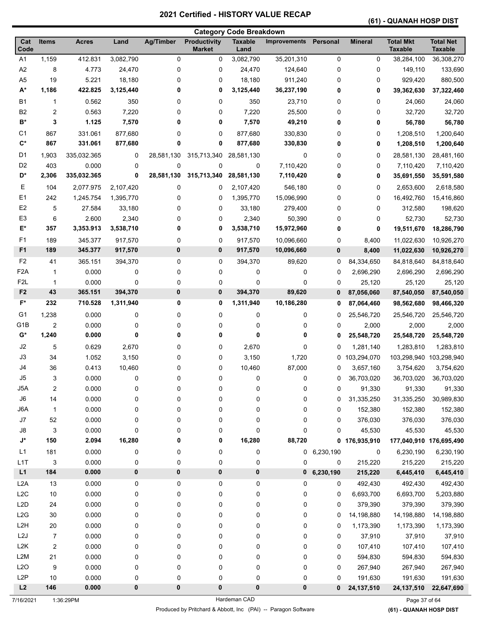# **(61) - QUANAH HOSP DIST**

|                                        |                         |                |           |                  |                                      | <b>Category Code Breakdown</b> |                     |                |                |                                    |                                    |
|----------------------------------------|-------------------------|----------------|-----------|------------------|--------------------------------------|--------------------------------|---------------------|----------------|----------------|------------------------------------|------------------------------------|
| Cat<br>Code                            | <b>Items</b>            | <b>Acres</b>   | Land      | <b>Ag/Timber</b> | <b>Productivity</b><br><b>Market</b> | <b>Taxable</b><br>Land         | <b>Improvements</b> | Personal       | <b>Mineral</b> | <b>Total Mkt</b><br><b>Taxable</b> | <b>Total Net</b><br><b>Taxable</b> |
| A <sub>1</sub>                         | 1,159                   | 412.831        | 3,082,790 | 0                | 0                                    | 3,082,790                      | 35,201,310          | 0              | 0              | 38,284,100                         | 36,308,270                         |
| A2                                     | 8                       | 4.773          | 24,470    | 0                | 0                                    | 24,470                         | 124,640             | 0              | 0              | 149,110                            | 133,690                            |
| A <sub>5</sub>                         | 19                      | 5.221          | 18,180    | 0                | 0                                    | 18,180                         | 911,240             | 0              | 0              | 929,420                            | 880,500                            |
| $A^*$                                  | 1,186                   | 422.825        | 3,125,440 | 0                | 0                                    | 3,125,440                      | 36,237,190          | 0              | 0              | 39,362,630                         | 37,322,460                         |
| <b>B1</b>                              | 1                       | 0.562          | 350       | 0                | 0                                    | 350                            | 23,710              | 0              | 0              | 24,060                             | 24,060                             |
| B <sub>2</sub>                         | 2                       | 0.563          | 7,220     | 0                | 0                                    | 7,220                          | 25,500              | 0              | 0              | 32,720                             | 32,720                             |
| B*                                     | 3                       | 1.125          | 7,570     | 0                | 0                                    | 7,570                          | 49,210              | 0              | 0              | 56,780                             | 56,780                             |
| C <sub>1</sub>                         | 867                     | 331.061        | 877,680   | 0                | 0                                    | 877,680                        | 330,830             | 0              | 0              | 1,208,510                          | 1,200,640                          |
| $C^*$                                  | 867                     | 331.061        | 877,680   | 0                | 0                                    | 877,680                        | 330,830             | 0              | 0              | 1,208,510                          | 1,200,640                          |
| D1                                     | 1,903                   | 335,032.365    | 0         | 28,581,130       | 315,713,340                          | 28,581,130                     | 0                   | 0              | 0              | 28,581,130                         | 28,481,160                         |
| D <sub>2</sub>                         | 403                     | 0.000          | 0         | 0                | 0                                    | 0                              | 7,110,420           | 0              | 0              | 7,110,420                          | 7,110,420                          |
| D*                                     | 2,306                   | 335,032.365    | 0         | 28,581,130       | 315,713,340                          | 28,581,130                     | 7,110,420           | 0              | 0              | 35,691,550                         | 35,591,580                         |
| Е                                      | 104                     | 2,077.975      | 2,107,420 | 0                | 0                                    | 2,107,420                      | 546,180             | 0              | 0              | 2,653,600                          | 2,618,580                          |
| E1                                     | 242                     | 1,245.754      | 1,395,770 | 0                | 0                                    | 1,395,770                      | 15,096,990          | 0              | 0              | 16,492,760                         | 15,416,860                         |
| E <sub>2</sub>                         | 5                       | 27.584         | 33,180    | 0                | 0                                    | 33,180                         | 279,400             | 0              | 0              | 312,580                            | 198,620                            |
| E <sub>3</sub>                         | 6                       | 2.600          | 2,340     | 0                | 0                                    | 2,340                          | 50,390              | 0              | 0              | 52,730                             | 52,730                             |
| E*                                     | 357                     | 3,353.913      | 3,538,710 | 0                | 0                                    | 3,538,710                      | 15,972,960          | 0              | 0              | 19,511,670                         | 18,286,790                         |
| F <sub>1</sub>                         | 189                     | 345.377        | 917,570   | 0                | 0                                    | 917,570                        | 10,096,660          | 0              | 8,400          | 11,022,630                         | 10,926,270                         |
| F <sub>1</sub>                         | 189                     | 345.377        | 917,570   | 0                | 0                                    | 917,570                        | 10,096,660          | $\bf{0}$       | 8,400          | 11,022,630                         | 10,926,270                         |
| F <sub>2</sub>                         | 41                      | 365.151        | 394,370   | 0                | 0                                    | 394,370                        | 89,620              | 0              | 84,334,650     | 84,818,640                         | 84,818,640                         |
| F <sub>2</sub> A                       | $\mathbf{1}$            | 0.000          | 0         | 0                | 0                                    | 0                              | 0                   | 0              | 2,696,290      | 2,696,290                          | 2,696,290                          |
| F <sub>2</sub> L                       | 1                       | 0.000          | 0         | 0                | 0                                    | 0                              | 0                   | 0              | 25,120         | 25,120                             | 25,120                             |
| F <sub>2</sub>                         | 43                      | 365.151        | 394,370   | 0                | 0                                    | 394,370                        | 89,620              | 0              | 87,056,060     | 87,540,050                         | 87,540,050                         |
| F*                                     | 232                     | 710.528        | 1,311,940 | 0                | 0                                    | 1,311,940                      | 10,186,280          | 0              | 87,064,460     | 98,562,680                         | 98,466,320                         |
|                                        |                         |                |           |                  |                                      |                                |                     |                |                |                                    |                                    |
| G <sub>1</sub>                         | 1,238                   | 0.000          | 0         | 0                | 0                                    | 0                              | 0                   | 0              | 25,546,720     | 25,546,720                         | 25,546,720                         |
| G <sub>1</sub> B<br>$\mathsf{G}^\star$ | $\overline{2}$<br>1,240 | 0.000<br>0.000 | 0<br>0    | 0<br>0           | 0<br>0                               | 0<br>0                         | 0<br>0              | 0<br>0         | 2,000          | 2,000                              | 2,000                              |
|                                        |                         |                |           |                  |                                      |                                |                     |                | 25,548,720     | 25,548,720                         | 25,548,720                         |
| J2                                     | 5                       | 0.629          | 2,670     | 0                | 0                                    | 2,670                          | 0                   | 0              | 1,281,140      | 1,283,810                          | 1,283,810                          |
| J3                                     | 34                      | 1.052          | 3,150     | 0                | 0                                    | 3,150                          | 1,720               | 0              | 103,294,070    | 103,298,940                        | 103,298,940                        |
| J4                                     | 36                      | 0.413          | 10,460    | 0                | 0                                    | 10,460                         | 87,000              | 0              | 3,657,160      | 3,754,620                          | 3,754,620                          |
| J5                                     | 3                       | 0.000          | 0         | 0                | 0                                    | 0                              | 0                   | 0              | 36,703,020     | 36,703,020                         | 36,703,020                         |
| J5A                                    | $\boldsymbol{2}$        | 0.000          | 0         | 0                | 0                                    | 0                              | $\mathsf 0$         | 0              | 91,330         | 91,330                             | 91,330                             |
| $\mathsf{J6}$                          | 14                      | 0.000          | 0         | 0                | 0                                    | 0                              | 0                   | 0              | 31,335,250     | 31,335,250                         | 30,989,830                         |
| J6A                                    | $\mathbf{1}$            | 0.000          | 0         | 0                | 0                                    | 0                              | 0                   | 0              | 152,380        | 152,380                            | 152,380                            |
| J7                                     | 52                      | 0.000          | 0         | 0                | 0                                    | 0                              | 0                   | 0              | 376,030        | 376,030                            | 376,030                            |
| J8                                     | 3                       | 0.000          | 0         | 0                | 0                                    | 0                              | 0                   | 0              | 45,530         | 45,530                             | 45,530                             |
| $\mathsf{J}^\star$                     | 150                     | 2.094          | 16,280    | 0                | 0                                    | 16,280                         | 88,720              |                | 0 176,935,910  | 177,040,910 176,695,490            |                                    |
| L1                                     | 181                     | 0.000          | 0         | 0                | 0                                    | 0                              |                     | 0, 6, 230, 190 | 0              | 6,230,190                          | 6,230,190                          |
| L1T                                    | 3                       | 0.000          | 0         | 0                | 0                                    | 0                              | 0                   | 0              | 215,220        | 215,220                            | 215,220                            |
| L1                                     | 184                     | 0.000          | $\pmb{0}$ | $\pmb{0}$        | $\pmb{0}$                            | $\pmb{0}$                      | $\mathbf{0}$        | 6,230,190      | 215,220        | 6,445,410                          | 6,445,410                          |
| L2A                                    | 13                      | 0.000          | 0         | 0                | 0                                    | 0                              | 0                   | 0              | 492,430        | 492,430                            | 492,430                            |
| L <sub>2</sub> C                       | $10$                    | 0.000          | 0         | 0                | 0                                    | 0                              | 0                   | 0              | 6,693,700      | 6,693,700                          | 5,203,880                          |
| L <sub>2</sub> D                       | 24                      | 0.000          | 0         | 0                | 0                                    | 0                              | 0                   | 0              | 379,390        | 379,390                            | 379,390                            |
| L2G                                    | 30                      | 0.000          | 0         | 0                | 0                                    | 0                              | 0                   | 0              | 14,198,880     | 14,198,880                         | 14,198,880                         |
| L <sub>2</sub> H                       | $20\,$                  | 0.000          | 0         | 0                | 0                                    | 0                              | 0                   | 0              | 1,173,390      | 1,173,390                          | 1,173,390                          |
| L2J                                    | 7                       | 0.000          | 0         | 0                | 0                                    | 0                              | 0                   | 0              | 37,910         | 37,910                             | 37,910                             |
| L <sub>2</sub> K                       | 2                       | 0.000          | 0         | 0                | 0                                    | 0                              | 0                   | 0              | 107,410        | 107,410                            | 107,410                            |
| L <sub>2</sub> M                       | 21                      | 0.000          | 0         | 0                | 0                                    | 0                              | 0                   | 0              | 594,830        | 594,830                            | 594,830                            |
| L2O                                    | 9                       | 0.000          | 0         | 0                | 0                                    | 0                              | 0                   | 0              | 267,940        | 267,940                            | 267,940                            |
| L <sub>2</sub> P                       | $10$                    | 0.000          | 0         | 0                | 0                                    | 0                              | 0                   | 0              | 191,630        | 191,630                            | 191,630                            |
| L2                                     | 146                     | 0.000          | 0         | 0                | 0                                    | $\pmb{0}$                      | 0                   | 0              | 24, 137, 510   | 24, 137, 510                       | 22,647,690                         |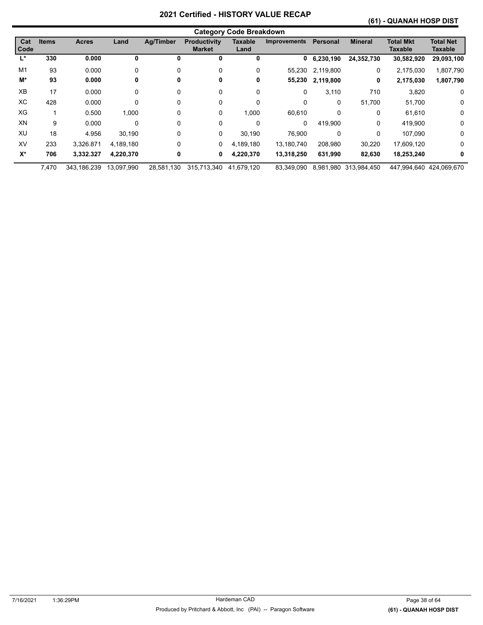#### **(61) - QUANAH HOSP DIST**

|             | <b>Category Code Breakdown</b> |              |            |                  |                                      |                        |                     |           |                       |                             |                             |  |  |
|-------------|--------------------------------|--------------|------------|------------------|--------------------------------------|------------------------|---------------------|-----------|-----------------------|-----------------------------|-----------------------------|--|--|
| Cat<br>Code | <b>Items</b>                   | <b>Acres</b> | Land       | <b>Ag/Timber</b> | <b>Productivity</b><br><b>Market</b> | <b>Taxable</b><br>Land | <b>Improvements</b> | Personal  | <b>Mineral</b>        | <b>Total Mkt</b><br>Taxable | <b>Total Net</b><br>Taxable |  |  |
| Ľ           | 330                            | 0.000        | 0          | 0                | 0                                    | 0                      | 0                   | 6,230,190 | 24,352,730            | 30,582,920                  | 29,093,100                  |  |  |
| M1          | 93                             | 0.000        | 0          | $\Omega$         |                                      | 0                      | 55,230              | 2,119,800 | 0                     | 2,175,030                   | 1,807,790                   |  |  |
| M*          | 93                             | 0.000        | 0          | 0                | 0                                    | 0                      | 55,230              | 2,119,800 | 0                     | 2,175,030                   | 1,807,790                   |  |  |
| <b>XB</b>   | 17                             | 0.000        | 0          | 0                | 0                                    | 0                      | 0                   | 3,110     | 710                   | 3,820                       | 0                           |  |  |
| ХC          | 428                            | 0.000        | 0          | 0                | 0                                    | $\Omega$               | 0                   | $\Omega$  | 51,700                | 51,700                      | 0                           |  |  |
| XG          |                                | 0.500        | 1,000      | 0                | 0                                    | 1,000                  | 60,610              | 0         | 0                     | 61,610                      | 0                           |  |  |
| XN          | 9                              | 0.000        | 0          | 0                | 0                                    | 0                      | 0                   | 419,900   | 0                     | 419,900                     | 0                           |  |  |
| XU          | 18                             | 4.956        | 30,190     | 0                | 0                                    | 30,190                 | 76,900              | 0         | 0                     | 107,090                     | 0                           |  |  |
| XV          | 233                            | 3.326.871    | 4,189,180  | 0                | 0                                    | 4,189,180              | 13,180,740          | 208,980   | 30,220                | 17,609,120                  | 0                           |  |  |
| $X^*$       | 706                            | 3,332.327    | 4,220,370  | 0                | 0                                    | 4,220,370              | 13,318,250          | 631,990   | 82,630                | 18,253,240                  | 0                           |  |  |
|             | 7.470                          | 343.186.239  | 13.097.990 | 28.581.130       | 315.713.340                          | 41.679.120             | 83,349,090          |           | 8.981.980 313.984.450 | 447.994.640 424.069.670     |                             |  |  |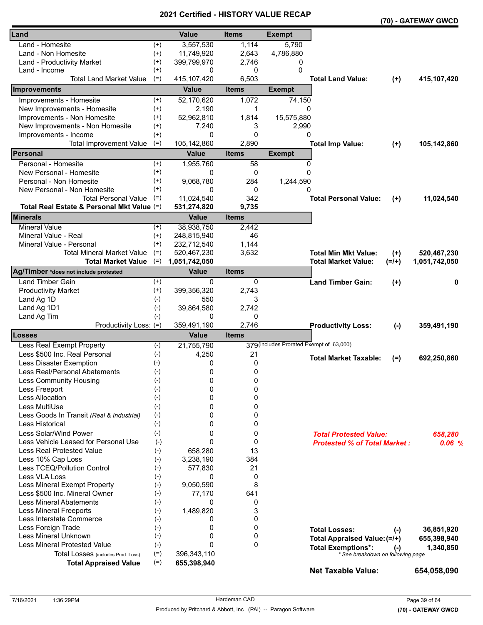|                                            |          |               | - 1110 1     |                                          |                                     |         | (70) - GATEWAY GWCD |
|--------------------------------------------|----------|---------------|--------------|------------------------------------------|-------------------------------------|---------|---------------------|
| Land                                       |          | <b>Value</b>  | <b>Items</b> | <b>Exempt</b>                            |                                     |         |                     |
| Land - Homesite                            | $^{(+)}$ | 3,557,530     | 1,114        | 5,790                                    |                                     |         |                     |
| Land - Non Homesite                        | $^{(+)}$ | 11,749,920    | 2,643        | 4,786,880                                |                                     |         |                     |
| Land - Productivity Market                 | $^{(+)}$ | 399,799,970   | 2,746        | 0                                        |                                     |         |                     |
| Land - Income                              | $^{(+)}$ | 0             | 0            | 0                                        |                                     |         |                     |
| <b>Total Land Market Value</b>             | $(=)$    | 415, 107, 420 | 6,503        |                                          | <b>Total Land Value:</b>            | $(+)$   | 415,107,420         |
| Improvements                               |          | <b>Value</b>  | <b>Items</b> | <b>Exempt</b>                            |                                     |         |                     |
| Improvements - Homesite                    | $^{(+)}$ | 52,170,620    | 1,072        | 74,150                                   |                                     |         |                     |
| New Improvements - Homesite                | $^{(+)}$ | 2,190         | 1            | $\Omega$                                 |                                     |         |                     |
| Improvements - Non Homesite                | $^{(+)}$ | 52,962,810    | 1,814        | 15,575,880                               |                                     |         |                     |
| New Improvements - Non Homesite            | $^{(+)}$ | 7,240         | 3            | 2,990                                    |                                     |         |                     |
| Improvements - Income                      | $^{(+)}$ | 0             | $\Omega$     | 0                                        |                                     |         |                     |
| <b>Total Improvement Value</b>             | $(=)$    | 105,142,860   | 2,890        |                                          | <b>Total Imp Value:</b>             | $(+)$   | 105,142,860         |
| <b>Personal</b>                            |          | <b>Value</b>  | <b>Items</b> | <b>Exempt</b>                            |                                     |         |                     |
| Personal - Homesite                        | $^{(+)}$ | 1,955,760     | 58           | 0                                        |                                     |         |                     |
| New Personal - Homesite                    | $^{(+)}$ | 0             | 0            | $\Omega$                                 |                                     |         |                     |
| Personal - Non Homesite                    | $^{(+)}$ | 9,068,780     | 284          | 1,244,590                                |                                     |         |                     |
| New Personal - Non Homesite                | $^{(+)}$ | 0             | 0            | 0                                        |                                     |         |                     |
| <b>Total Personal Value</b>                | $(=)$    | 11,024,540    | 342          |                                          | <b>Total Personal Value:</b>        | $(+)$   | 11,024,540          |
| Total Real Estate & Personal Mkt Value (=) |          | 531,274,820   | 9,735        |                                          |                                     |         |                     |
| <b>Minerals</b>                            |          | <b>Value</b>  | <b>Items</b> |                                          |                                     |         |                     |
| <b>Mineral Value</b>                       | $(+)$    | 38,938,750    | 2,442        |                                          |                                     |         |                     |
| Mineral Value - Real                       | $^{(+)}$ | 248,815,940   | 46           |                                          |                                     |         |                     |
| Mineral Value - Personal                   | $^{(+)}$ | 232,712,540   | 1,144        |                                          |                                     |         |                     |
| <b>Total Mineral Market Value</b>          | $(=)$    | 520,467,230   | 3,632        |                                          | <b>Total Min Mkt Value:</b>         | $(+)$   | 520,467,230         |
| <b>Total Market Value</b>                  | $(=)$    | 1,051,742,050 |              |                                          | <b>Total Market Value:</b>          | $(=/+)$ | 1,051,742,050       |
| Ag/Timber *does not include protested      |          | <b>Value</b>  | <b>Items</b> |                                          |                                     |         |                     |
| Land Timber Gain                           | $^{(+)}$ | 0             | 0            |                                          | <b>Land Timber Gain:</b>            | $(+)$   | 0                   |
| <b>Productivity Market</b>                 | $^{(+)}$ | 399,356,320   | 2,743        |                                          |                                     |         |                     |
| Land Ag 1D                                 | $(-)$    | 550           | 3            |                                          |                                     |         |                     |
| Land Ag 1D1                                | $(-)$    | 39,864,580    | 2,742        |                                          |                                     |         |                     |
| Land Ag Tim                                | $(-)$    | 0             | 0            |                                          |                                     |         |                     |
| Productivity Loss: (=)                     |          | 359,491,190   | 2,746        |                                          | <b>Productivity Loss:</b>           | $(-)$   | 359,491,190         |
| Losses                                     |          | <b>Value</b>  | <b>Items</b> |                                          |                                     |         |                     |
| Less Real Exempt Property                  | $(-)$    | 21,755,790    |              | 379 (includes Prorated Exempt of 63,000) |                                     |         |                     |
| Less \$500 Inc. Real Personal              | $(-)$    | 4,250         | 21           |                                          | <b>Total Market Taxable:</b>        |         |                     |
| Less Disaster Exemption                    | $(-)$    | 0             | 0            |                                          |                                     | $(=)$   | 692,250,860         |
| Less Real/Personal Abatements              | $(-)$    | 0             | 0            |                                          |                                     |         |                     |
| Less Community Housing                     | $(-)$    | 0             | 0            |                                          |                                     |         |                     |
| Less Freeport                              | $(-)$    | 0             | 0            |                                          |                                     |         |                     |
| Less Allocation                            | $(-)$    | 0             | 0            |                                          |                                     |         |                     |
| Less MultiUse                              | $(-)$    | 0             | 0            |                                          |                                     |         |                     |
| Less Goods In Transit (Real & Industrial)  | $(-)$    | 0             | 0            |                                          |                                     |         |                     |
| Less Historical                            | $(-)$    | 0             | 0            |                                          |                                     |         |                     |
| Less Solar/Wind Power                      | $(-)$    | 0             | 0            |                                          | <b>Total Protested Value:</b>       |         | 658,280             |
| Less Vehicle Leased for Personal Use       | $(-)$    | $\mathbf{0}$  | 0            |                                          | <b>Protested % of Total Market:</b> |         | 0.06%               |
| <b>Less Real Protested Value</b>           | $(-)$    | 658,280       | 13           |                                          |                                     |         |                     |
| Less 10% Cap Loss                          | $(-)$    | 3,238,190     | 384          |                                          |                                     |         |                     |
| Less TCEQ/Pollution Control                | $(-)$    | 577,830       | 21           |                                          |                                     |         |                     |
| Less VLA Loss                              | $(-)$    | 0             | 0            |                                          |                                     |         |                     |
| Less Mineral Exempt Property               | $(-)$    | 9,050,590     | 8            |                                          |                                     |         |                     |
| Less \$500 Inc. Mineral Owner              | $(-)$    | 77,170        | 641          |                                          |                                     |         |                     |
| <b>Less Mineral Abatements</b>             | $(-)$    | 0             | 0            |                                          |                                     |         |                     |
| <b>Less Mineral Freeports</b>              | $(-)$    | 1,489,820     | 3            |                                          |                                     |         |                     |
| Less Interstate Commerce                   | $(-)$    | 0             | 0            |                                          |                                     |         |                     |
| Less Foreign Trade                         | $(-)$    | 0             | 0            |                                          | <b>Total Losses:</b>                | $(-)$   | 36,851,920          |
| Less Mineral Unknown                       | $(-)$    | 0             | 0            |                                          | Total Appraised Value: (=/+)        |         | 655,398,940         |
| <b>Less Mineral Protested Value</b>        | $(-)$    | $\Omega$      | $\mathbf{0}$ |                                          | <b>Total Exemptions*:</b>           | $(-)$   | 1,340,850           |
| Total Losses (includes Prod. Loss)         | $(=)$    | 396,343,110   |              |                                          | * See breakdown on following page   |         |                     |
| <b>Total Appraised Value</b>               | $(=)$    | 655,398,940   |              |                                          |                                     |         |                     |
|                                            |          |               |              |                                          | <b>Net Taxable Value:</b>           |         | 654,058,090         |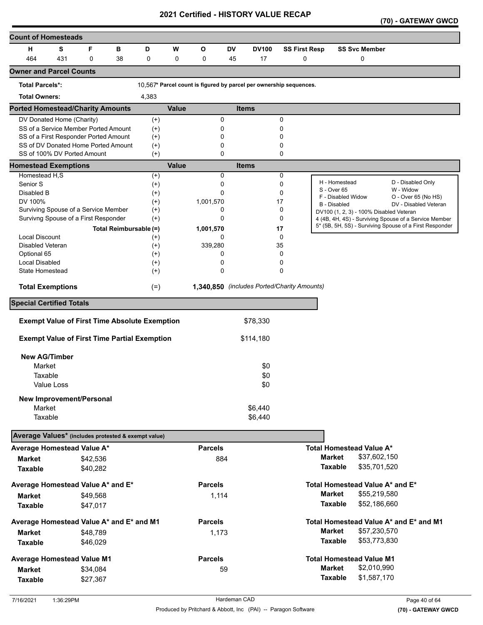| <b>Count of Homesteads</b>                          |            |                                                                              |    |                        |              |                                                                    |           |                                             |                      |                |                                         |                                                                                                                  |
|-----------------------------------------------------|------------|------------------------------------------------------------------------------|----|------------------------|--------------|--------------------------------------------------------------------|-----------|---------------------------------------------|----------------------|----------------|-----------------------------------------|------------------------------------------------------------------------------------------------------------------|
| н                                                   | S          | F                                                                            | в  | D                      | W            | O                                                                  | <b>DV</b> | <b>DV100</b>                                | <b>SS First Resp</b> |                | <b>SS Svc Member</b>                    |                                                                                                                  |
| 464                                                 | 431        | $\mathbf 0$                                                                  | 38 | 0                      | 0            | 0                                                                  | 45        | 17                                          | 0                    |                | 0                                       |                                                                                                                  |
| <b>Owner and Parcel Counts</b>                      |            |                                                                              |    |                        |              |                                                                    |           |                                             |                      |                |                                         |                                                                                                                  |
| <b>Total Parcels*:</b>                              |            |                                                                              |    |                        |              | 10,567* Parcel count is figured by parcel per ownership sequences. |           |                                             |                      |                |                                         |                                                                                                                  |
| <b>Total Owners:</b>                                |            |                                                                              |    | 4,383                  |              |                                                                    |           |                                             |                      |                |                                         |                                                                                                                  |
| <b>Ported Homestead/Charity Amounts</b>             |            |                                                                              |    |                        | <b>Value</b> |                                                                    |           | <b>Items</b>                                |                      |                |                                         |                                                                                                                  |
| DV Donated Home (Charity)                           |            |                                                                              |    | $^{(+)}$               |              | 0                                                                  |           |                                             | 0                    |                |                                         |                                                                                                                  |
|                                                     |            | SS of a Service Member Ported Amount                                         |    | $^{(+)}$               |              | 0                                                                  |           |                                             | 0                    |                |                                         |                                                                                                                  |
|                                                     |            | SS of a First Responder Ported Amount<br>SS of DV Donated Home Ported Amount |    | $^{(+)}$               |              | 0<br>0                                                             |           |                                             | 0<br>0               |                |                                         |                                                                                                                  |
| SS of 100% DV Ported Amount                         |            |                                                                              |    | $^{(+)}$<br>$(+)$      |              | 0                                                                  |           |                                             | 0                    |                |                                         |                                                                                                                  |
| <b>Homestead Exemptions</b>                         |            |                                                                              |    |                        | <b>Value</b> |                                                                    |           | <b>Items</b>                                |                      |                |                                         |                                                                                                                  |
| Homestead H,S                                       |            |                                                                              |    | $^{(+)}$               |              | 0                                                                  |           |                                             | 0                    |                |                                         |                                                                                                                  |
| Senior <sub>S</sub>                                 |            |                                                                              |    | $^{(+)}$               |              | 0                                                                  |           |                                             | 0                    |                | H - Homestead                           | D - Disabled Only                                                                                                |
| Disabled B                                          |            |                                                                              |    | $(+)$                  |              | 0                                                                  |           |                                             | 0                    | S - Over 65    | F - Disabled Widow                      | W - Widow<br>O - Over 65 (No HS)                                                                                 |
| DV 100%                                             |            |                                                                              |    | $^{(+)}$               |              | 1,001,570                                                          |           |                                             | 17                   |                | <b>B</b> - Disabled                     | DV - Disabled Veteran                                                                                            |
|                                                     |            | Surviving Spouse of a Service Member                                         |    | $(+)$                  |              | 0                                                                  |           |                                             | 0                    |                | DV100 (1, 2, 3) - 100% Disabled Veteran |                                                                                                                  |
|                                                     |            | Survivng Spouse of a First Responder                                         |    | $^{(+)}$               |              | 0                                                                  |           |                                             | 0                    |                |                                         | 4 (4B, 4H, 4S) - Surviving Spouse of a Service Member<br>5* (5B, 5H, 5S) - Surviving Spouse of a First Responder |
| <b>Local Discount</b>                               |            |                                                                              |    | Total Reimbursable (=) |              | 1,001,570<br>0                                                     |           |                                             | 17<br>0              |                |                                         |                                                                                                                  |
| Disabled Veteran                                    |            |                                                                              |    | $^{(+)}$<br>$^{(+)}$   |              | 339,280                                                            |           |                                             | 35                   |                |                                         |                                                                                                                  |
| Optional 65                                         |            |                                                                              |    | $^{(+)}$               |              | 0                                                                  |           |                                             | 0                    |                |                                         |                                                                                                                  |
| <b>Local Disabled</b>                               |            |                                                                              |    | $^{(+)}$               |              | 0                                                                  |           |                                             | 0                    |                |                                         |                                                                                                                  |
| State Homestead                                     |            |                                                                              |    | $^{(+)}$               |              | 0                                                                  |           |                                             | 0                    |                |                                         |                                                                                                                  |
| <b>Total Exemptions</b>                             |            |                                                                              |    | $(=)$                  |              |                                                                    |           | 1,340,850 (includes Ported/Charity Amounts) |                      |                |                                         |                                                                                                                  |
| <b>Special Certified Totals</b>                     |            |                                                                              |    |                        |              |                                                                    |           |                                             |                      |                |                                         |                                                                                                                  |
|                                                     |            | <b>Exempt Value of First Time Absolute Exemption</b>                         |    |                        |              |                                                                    |           | \$78,330                                    |                      |                |                                         |                                                                                                                  |
|                                                     |            |                                                                              |    |                        |              |                                                                    |           |                                             |                      |                |                                         |                                                                                                                  |
|                                                     |            | <b>Exempt Value of First Time Partial Exemption</b>                          |    |                        |              |                                                                    |           | \$114,180                                   |                      |                |                                         |                                                                                                                  |
| <b>New AG/Timber</b>                                |            |                                                                              |    |                        |              |                                                                    |           |                                             |                      |                |                                         |                                                                                                                  |
| Market                                              |            |                                                                              |    |                        |              |                                                                    |           | \$0                                         |                      |                |                                         |                                                                                                                  |
| Taxable                                             |            |                                                                              |    |                        |              |                                                                    |           | \$0                                         |                      |                |                                         |                                                                                                                  |
|                                                     | Value Loss |                                                                              |    |                        |              |                                                                    |           | \$0                                         |                      |                |                                         |                                                                                                                  |
|                                                     |            | <b>New Improvement/Personal</b>                                              |    |                        |              |                                                                    |           |                                             |                      |                |                                         |                                                                                                                  |
| Market                                              |            |                                                                              |    |                        |              |                                                                    |           | \$6,440                                     |                      |                |                                         |                                                                                                                  |
| Taxable                                             |            |                                                                              |    |                        |              |                                                                    |           | \$6,440                                     |                      |                |                                         |                                                                                                                  |
| Average Values* (includes protested & exempt value) |            |                                                                              |    |                        |              |                                                                    |           |                                             |                      |                |                                         |                                                                                                                  |
| Average Homestead Value A*                          |            |                                                                              |    |                        |              | <b>Parcels</b>                                                     |           |                                             |                      |                | <b>Total Homestead Value A*</b>         |                                                                                                                  |
| <b>Market</b>                                       |            | \$42,536                                                                     |    |                        |              | 884                                                                |           |                                             |                      | <b>Market</b>  | \$37,602,150                            |                                                                                                                  |
| <b>Taxable</b>                                      |            | \$40,282                                                                     |    |                        |              |                                                                    |           |                                             |                      | <b>Taxable</b> | \$35,701,520                            |                                                                                                                  |
| Average Homestead Value A* and E*                   |            |                                                                              |    |                        |              | <b>Parcels</b>                                                     |           |                                             |                      |                | Total Homestead Value A* and E*         |                                                                                                                  |
| Market                                              |            | \$49,568                                                                     |    |                        |              | 1,114                                                              |           |                                             |                      | <b>Market</b>  | \$55,219,580                            |                                                                                                                  |
| <b>Taxable</b>                                      |            | \$47,017                                                                     |    |                        |              |                                                                    |           |                                             |                      | <b>Taxable</b> | \$52,186,660                            |                                                                                                                  |
| Average Homestead Value A* and E* and M1            |            |                                                                              |    |                        |              | <b>Parcels</b>                                                     |           |                                             |                      |                |                                         | Total Homestead Value A* and E* and M1                                                                           |
| Market                                              |            | \$48,789                                                                     |    |                        |              | 1,173                                                              |           |                                             |                      | <b>Market</b>  | \$57,230,570                            |                                                                                                                  |
| <b>Taxable</b>                                      |            | \$46,029                                                                     |    |                        |              |                                                                    |           |                                             |                      | <b>Taxable</b> | \$53,773,830                            |                                                                                                                  |
| <b>Average Homestead Value M1</b>                   |            |                                                                              |    |                        |              | <b>Parcels</b>                                                     |           |                                             |                      |                | <b>Total Homestead Value M1</b>         |                                                                                                                  |
| <b>Market</b>                                       |            | \$34,084                                                                     |    |                        |              | 59                                                                 |           |                                             |                      | <b>Market</b>  | \$2,010,990                             |                                                                                                                  |
| <b>Taxable</b>                                      |            | \$27,367                                                                     |    |                        |              |                                                                    |           |                                             |                      | <b>Taxable</b> | \$1,587,170                             |                                                                                                                  |
|                                                     |            |                                                                              |    |                        |              |                                                                    |           |                                             |                      |                |                                         |                                                                                                                  |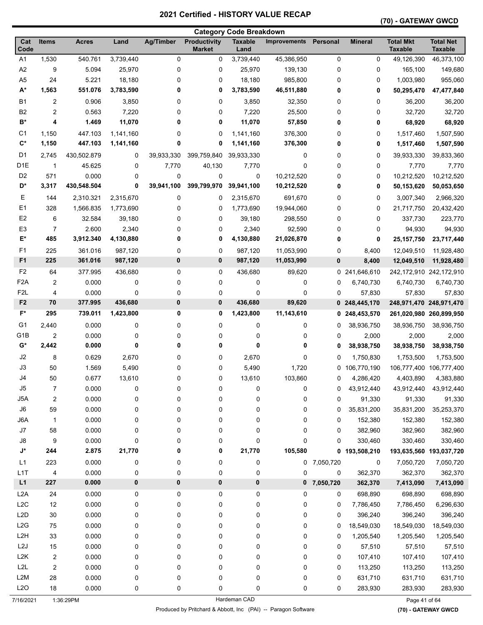#### **(70) - GATEWAY GWCD**

|                    |                  |              |           |                  |                               | <b>Category Code Breakdown</b> |                     |               |                |                                    |                                    |
|--------------------|------------------|--------------|-----------|------------------|-------------------------------|--------------------------------|---------------------|---------------|----------------|------------------------------------|------------------------------------|
| Cat<br>Code        | <b>Items</b>     | <b>Acres</b> | Land      | <b>Ag/Timber</b> | Productivity<br><b>Market</b> | <b>Taxable</b><br>Land         | <b>Improvements</b> | Personal      | <b>Mineral</b> | <b>Total Mkt</b><br><b>Taxable</b> | <b>Total Net</b><br><b>Taxable</b> |
| A <sub>1</sub>     | 1,530            | 540.761      | 3,739,440 | 0                | 0                             | 3,739,440                      | 45,386,950          | $\mathsf 0$   | 0              | 49,126,390                         | 46,373,100                         |
| A2                 | 9                | 5.094        | 25,970    | 0                | 0                             | 25,970                         | 139,130             | 0             | 0              | 165,100                            | 149,680                            |
| A <sub>5</sub>     | 24               | 5.221        | 18,180    | 0                | 0                             | 18,180                         | 985,800             | 0             | 0              | 1,003,980                          | 955,060                            |
| A*                 | 1,563            | 551.076      | 3,783,590 | 0                | 0                             | 3,783,590                      | 46,511,880          | 0             | 0              | 50,295,470                         | 47,477,840                         |
| B1                 | 2                | 0.906        | 3,850     | 0                | 0                             | 3,850                          | 32,350              | 0             | 0              | 36,200                             | 36,200                             |
| B <sub>2</sub>     | 2                | 0.563        | 7,220     | 0                | 0                             | 7,220                          | 25,500              | 0             | 0              | 32,720                             | 32,720                             |
| B*                 | 4                | 1.469        | 11,070    | 0                | 0                             | 11,070                         | 57,850              | 0             | 0              | 68,920                             | 68,920                             |
| C1                 | 1,150            | 447.103      | 1,141,160 | 0                | 0                             | 1,141,160                      | 376,300             | 0             | 0              | 1,517,460                          | 1,507,590                          |
| $\mathbf{C}^*$     | 1,150            | 447.103      | 1,141,160 | 0                | 0                             | 1,141,160                      | 376,300             | 0             | 0              | 1,517,460                          | 1,507,590                          |
| D <sub>1</sub>     | 2,745            | 430,502.879  | 0         | 39,933,330       | 399,759,840                   | 39,933,330                     | 0                   | 0             | 0              | 39,933,330                         | 39,833,360                         |
| D <sub>1E</sub>    | $\mathbf 1$      | 45.625       | 0         | 7,770            | 40,130                        | 7,770                          | 0                   | 0             | 0              | 7,770                              | 7,770                              |
| D <sub>2</sub>     | 571              | 0.000        | 0         | 0                | 0                             | 0                              | 10,212,520          | 0             | 0              | 10,212,520                         | 10,212,520                         |
| D*                 | 3,317            | 430,548.504  | 0         | 39,941,100       | 399,799,970                   | 39,941,100                     | 10,212,520          | 0             | 0              | 50,153,620                         | 50,053,650                         |
| Е                  | 144              | 2,310.321    | 2,315,670 | 0                | 0                             | 2,315,670                      | 691,670             | 0             | 0              | 3,007,340                          | 2,966,320                          |
| E <sub>1</sub>     | 328              | 1,566.835    | 1,773,690 | 0                | 0                             | 1,773,690                      | 19,944,060          | 0             | 0              | 21,717,750                         | 20,432,420                         |
| E <sub>2</sub>     | 6                | 32.584       | 39,180    | 0                | 0                             | 39,180                         | 298,550             | 0             | 0              | 337,730                            | 223,770                            |
| E <sub>3</sub>     | 7                | 2.600        | 2,340     | 0                | 0                             | 2,340                          | 92,590              | 0             | 0              | 94,930                             | 94,930                             |
| E*                 | 485              | 3,912.340    | 4,130,880 | 0                | 0                             | 4,130,880                      | 21,026,870          | 0             | 0              | 25, 157, 750                       | 23,717,440                         |
| F <sub>1</sub>     | 225              | 361.016      | 987,120   | 0                | 0                             | 987,120                        | 11,053,990          | 0             | 8,400          | 12,049,510                         | 11,928,480                         |
| F <sub>1</sub>     | 225              | 361.016      | 987,120   | 0                | $\pmb{0}$                     | 987,120                        | 11,053,990          | 0             | 8,400          | 12,049,510                         | 11,928,480                         |
| F <sub>2</sub>     | 64               | 377.995      | 436,680   | 0                | 0                             | 436,680                        | 89,620              | 0             | 241,646,610    |                                    | 242,172,910 242,172,910            |
| F <sub>2</sub> A   | 2                | 0.000        | 0         | 0                | 0                             | 0                              | 0                   | 0             | 6,740,730      | 6,740,730                          | 6,740,730                          |
| F <sub>2L</sub>    | 4                | 0.000        | 0         | 0                | 0                             | 0                              | 0                   | 0             | 57,830         | 57,830                             | 57,830                             |
| F <sub>2</sub>     | 70               | 377.995      | 436,680   | 0                | 0                             | 436,680                        | 89,620              | 0             | 248,445,170    | 248,971,470                        | 248,971,470                        |
| F*                 | 295              | 739.011      | 1,423,800 | 0                | 0                             | 1,423,800                      | 11,143,610          | 0             | 248,453,570    | 261,020,980                        | 260,899,950                        |
| G1                 | 2,440            | 0.000        | 0         | 0                | 0                             | 0                              | 0                   | 0             | 38,936,750     | 38,936,750                         | 38,936,750                         |
| G <sub>1</sub> B   | $\overline{c}$   | 0.000        | 0         | 0                | 0                             | 0                              | 0                   | 0             | 2,000          | 2,000                              | 2,000                              |
| $G^*$              | 2,442            | 0.000        | 0         | 0                | 0                             | 0                              | 0                   | 0             | 38,938,750     | 38,938,750                         | 38,938,750                         |
| J2                 | 8                | 0.629        | 2,670     | 0                | 0                             | 2,670                          | 0                   | 0             | 1,750,830      | 1,753,500                          | 1,753,500                          |
| J3                 | 50               | 1.569        | 5,490     | 0                | 0                             | 5,490                          | 1,720               | 0             | 106,770,190    | 106,777,400                        | 106,777,400                        |
| J4                 | 50               | 0.677        | 13,610    | 0                | 0                             | 13,610                         | 103,860             | 0             | 4,286,420      | 4,403,890                          | 4,383,880                          |
| J5                 | 7                | 0.000        | 0         | 0                | 0                             | 0                              | 0                   | 0             | 43,912,440     | 43,912,440                         | 43,912,440                         |
| J5A                | 2                | 0.000        | 0         | 0                | 0                             | 0                              | 0                   | 0             | 91,330         | 91,330                             | 91,330                             |
| J6                 | 59               | 0.000        | 0         | 0                | 0                             | 0                              | 0                   | 0             | 35,831,200     | 35,831,200                         | 35,253,370                         |
| J6A                | $\mathbf{1}$     | 0.000        | 0         | 0                | 0                             | 0                              | 0                   | $\mathbf 0$   | 152,380        | 152,380                            | 152,380                            |
| J7                 | 58               | 0.000        | 0         | 0                | 0                             | 0                              | 0                   | 0             | 382,960        | 382,960                            | 382,960                            |
| J8                 | 9                | 0.000        | 0         | 0                | 0                             | 0                              | 0                   | 0             | 330,460        | 330,460                            | 330,460                            |
| $\mathsf{J}^\star$ | 244              | 2.875        | 21,770    | 0                | 0                             | 21,770                         | 105,580             | 0             | 193,508,210    |                                    | 193,635,560 193,037,720            |
| L1                 | 223              | 0.000        | 0         | 0                | 0                             | 0                              | 0                   | 7,050,720     | 0              | 7,050,720                          | 7,050,720                          |
| L <sub>1</sub> T   | 4                | 0.000        | 0         | 0                | $\mathbf 0$                   | 0                              | 0                   | 0             | 362,370        | 362,370                            | 362,370                            |
| L1                 | 227              | 0.000        | 0         | 0                | $\pmb{0}$                     | $\pmb{0}$                      |                     | $0$ 7,050,720 | 362,370        | 7,413,090                          | 7,413,090                          |
| L <sub>2</sub> A   | 24               | 0.000        | 0         | 0                | 0                             | 0                              | 0                   | 0             | 698,890        | 698,890                            | 698,890                            |
| L <sub>2</sub> C   | 12               | 0.000        | 0         | 0                | 0                             | 0                              | 0                   | 0             | 7,786,450      | 7,786,450                          | 6,296,630                          |
| L <sub>2</sub> D   | $30\,$           | 0.000        | 0         | 0                | 0                             | 0                              | 0                   | 0             | 396,240        | 396,240                            | 396,240                            |
| L2G                | ${\bf 75}$       | 0.000        | 0         | 0                | 0                             | 0                              | 0                   | 0             | 18,549,030     | 18,549,030                         | 18,549,030                         |
| L <sub>2</sub> H   | 33               | 0.000        | 0         | 0                | 0                             | 0                              | 0                   | 0             | 1,205,540      | 1,205,540                          | 1,205,540                          |
| L <sub>2</sub> J   | 15               | 0.000        | 0         | 0                | 0                             | 0                              | 0                   | $\mathbf 0$   | 57,510         | 57,510                             | 57,510                             |
| L <sub>2</sub> K   | 2                | 0.000        | 0         | 0                | 0                             | 0                              | 0                   | 0             | 107,410        | 107,410                            | 107,410                            |
| L2L                | $\boldsymbol{2}$ | 0.000        | 0         | 0                | 0                             | 0                              | 0                   | 0             | 113,250        | 113,250                            | 113,250                            |
| L2M                | 28               | 0.000        | 0         | 0                | 0                             | 0                              | 0                   | 0             | 631,710        | 631,710                            | 631,710                            |
| L2O                | $18$             | 0.000        | 0         | 0                | 0                             | 0                              | 0                   | 0             | 283,930        | 283,930                            | 283,930                            |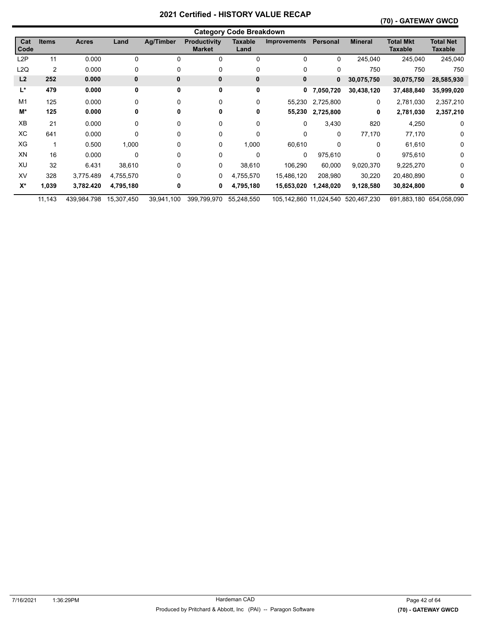# **(70) - GATEWAY GWCD**

|                  | <b>Category Code Breakdown</b> |              |              |                  |                                      |                        |                     |           |                                    |                                    |                                    |  |  |
|------------------|--------------------------------|--------------|--------------|------------------|--------------------------------------|------------------------|---------------------|-----------|------------------------------------|------------------------------------|------------------------------------|--|--|
| Cat<br>Code      | <b>Items</b>                   | <b>Acres</b> | Land         | <b>Ag/Timber</b> | <b>Productivity</b><br><b>Market</b> | <b>Taxable</b><br>Land | <b>Improvements</b> | Personal  | <b>Mineral</b>                     | <b>Total Mkt</b><br><b>Taxable</b> | <b>Total Net</b><br><b>Taxable</b> |  |  |
| L <sub>2</sub> P | 11                             | 0.000        | 0            | $\Omega$         | 0                                    | 0                      | 0                   | 0         | 245,040                            | 245,040                            | 245,040                            |  |  |
| L2Q              | 2                              | 0.000        | 0            | 0                | 0                                    | 0                      | 0                   | 0         | 750                                | 750                                | 750                                |  |  |
| L <sub>2</sub>   | 252                            | 0.000        | $\mathbf{0}$ | 0                | 0                                    | 0                      | 0                   | 0         | 30,075,750                         | 30,075,750                         | 28,585,930                         |  |  |
| L*               | 479                            | 0.000        | 0            | 0                | 0                                    | 0                      | 0                   | 7,050,720 | 30,438,120                         | 37,488,840                         | 35,999,020                         |  |  |
| M1               | 125                            | 0.000        | 0            | $\Omega$         | 0                                    | 0                      | 55,230              | 2,725,800 | 0                                  | 2,781,030                          | 2,357,210                          |  |  |
| M*               | 125                            | 0.000        | 0            | 0                | 0                                    | 0                      | 55,230              | 2,725,800 | 0                                  | 2,781,030                          | 2,357,210                          |  |  |
| <b>XB</b>        | 21                             | 0.000        | 0            | 0                | 0                                    | 0                      | 0                   | 3,430     | 820                                | 4,250                              | 0                                  |  |  |
| ХC               | 641                            | 0.000        | 0            | 0                | 0                                    | 0                      | 0                   | 0         | 77,170                             | 77,170                             | 0                                  |  |  |
| XG               |                                | 0.500        | 1,000        | 0                | 0                                    | 1,000                  | 60,610              | 0         | 0                                  | 61,610                             | 0                                  |  |  |
| XN               | 16                             | 0.000        | $\mathbf 0$  | 0                | 0                                    | 0                      | 0                   | 975,610   | 0                                  | 975,610                            | 0                                  |  |  |
| XU               | 32                             | 6.431        | 38,610       | 0                | 0                                    | 38,610                 | 106,290             | 60,000    | 9,020,370                          | 9,225,270                          | 0                                  |  |  |
| XV               | 328                            | 3,775.489    | 4,755,570    | 0                | 0                                    | 4,755,570              | 15,486,120          | 208,980   | 30,220                             | 20,480,890                         | 0                                  |  |  |
| $X^*$            | 1,039                          | 3,782.420    | 4,795,180    | 0                | 0                                    | 4,795,180              | 15,653,020          | 1,248,020 | 9,128,580                          | 30,824,800                         | 0                                  |  |  |
|                  | 11,143                         | 439,984.798  | 15,307,450   | 39,941,100       | 399,799,970                          | 55,248,550             |                     |           | 105,142,860 11,024,540 520,467,230 |                                    | 691,883,180 654,058,090            |  |  |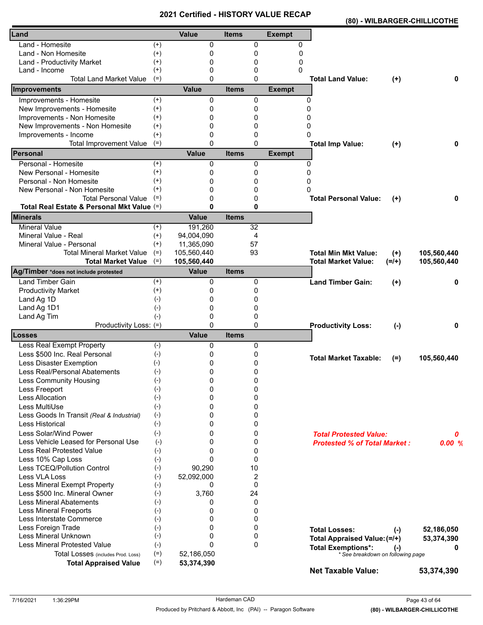|                                            |          | VEI UIIEU - NIJ I VNT |              |                |               |                                                                |           | (80) - WILBARGER-CHILLICOTHE |
|--------------------------------------------|----------|-----------------------|--------------|----------------|---------------|----------------------------------------------------------------|-----------|------------------------------|
| Land                                       |          | Value                 | <b>Items</b> |                | <b>Exempt</b> |                                                                |           |                              |
| Land - Homesite                            | $^{(+)}$ | 0                     |              | 0              | 0             |                                                                |           |                              |
| Land - Non Homesite                        | $(+)$    | 0                     |              | 0              | 0             |                                                                |           |                              |
| Land - Productivity Market                 | $^{(+)}$ | 0                     |              | 0              | 0             |                                                                |           |                              |
| Land - Income                              | $^{(+)}$ | 0                     |              | 0              | 0             |                                                                |           |                              |
| <b>Total Land Market Value</b>             | $(=)$    | $\Omega$              |              | 0              |               | <b>Total Land Value:</b>                                       | $(+)$     | 0                            |
| Improvements                               |          | <b>Value</b>          | <b>Items</b> |                | <b>Exempt</b> |                                                                |           |                              |
| Improvements - Homesite                    | $(+)$    | 0                     |              | 0              | 0             |                                                                |           |                              |
| New Improvements - Homesite                | $(+)$    | 0                     |              | 0              | 0             |                                                                |           |                              |
| Improvements - Non Homesite                | $^{(+)}$ | 0                     |              | 0              | 0             |                                                                |           |                              |
| New Improvements - Non Homesite            | $^{(+)}$ | 0                     |              | 0              | 0             |                                                                |           |                              |
| Improvements - Income                      | $^{(+)}$ | 0                     |              | 0              | 0             |                                                                |           |                              |
| <b>Total Improvement Value</b>             | $(=)$    | 0                     |              | $\mathbf{0}$   |               | <b>Total Imp Value:</b>                                        | $(+)$     | 0                            |
| Personal                                   |          | <b>Value</b>          | <b>Items</b> |                | <b>Exempt</b> |                                                                |           |                              |
| Personal - Homesite                        | $^{(+)}$ | 0                     |              | 0              | 0             |                                                                |           |                              |
| New Personal - Homesite                    | $^{(+)}$ | 0                     |              | 0              | 0             |                                                                |           |                              |
| Personal - Non Homesite                    | $^{(+)}$ | 0                     |              | 0              | 0             |                                                                |           |                              |
| New Personal - Non Homesite                | $^{(+)}$ | 0                     |              | 0              | $\Omega$      |                                                                |           |                              |
| <b>Total Personal Value</b>                | $(=)$    | 0                     |              | 0              |               | <b>Total Personal Value:</b>                                   | $^{(+)}$  | 0                            |
| Total Real Estate & Personal Mkt Value (=) |          | $\mathbf{0}$          |              | 0              |               |                                                                |           |                              |
| <b>Minerals</b>                            |          | <b>Value</b>          | <b>Items</b> |                |               |                                                                |           |                              |
| <b>Mineral Value</b>                       | $(+)$    | 191,260               |              | 32             |               |                                                                |           |                              |
| Mineral Value - Real                       | $(+)$    | 94,004,090            |              | 4              |               |                                                                |           |                              |
| Mineral Value - Personal                   | $^{(+)}$ | 11,365,090            |              | 57             |               |                                                                |           |                              |
| <b>Total Mineral Market Value</b>          | $(=)$    | 105,560,440           |              | 93             |               | <b>Total Min Mkt Value:</b>                                    | $(+)$     | 105,560,440                  |
| <b>Total Market Value</b>                  | $(=)$    | 105,560,440           |              |                |               | <b>Total Market Value:</b>                                     | $(=/+)$   | 105,560,440                  |
| Ag/Timber *does not include protested      |          | <b>Value</b>          | <b>Items</b> |                |               |                                                                |           |                              |
| <b>Land Timber Gain</b>                    | $^{(+)}$ | 0                     |              | 0              |               | <b>Land Timber Gain:</b>                                       | $(+)$     | 0                            |
| <b>Productivity Market</b>                 | $^{(+)}$ | 0                     |              | 0              |               |                                                                |           |                              |
| Land Ag 1D                                 | $(-)$    | 0                     |              | 0              |               |                                                                |           |                              |
| Land Ag 1D1                                | $(-)$    | 0                     |              | 0              |               |                                                                |           |                              |
| Land Ag Tim                                | $(-)$    | 0                     |              | 0              |               |                                                                |           |                              |
| Productivity Loss: (=)                     |          | $\Omega$              |              | 0              |               | <b>Productivity Loss:</b>                                      | $(-)$     | 0                            |
| Losses                                     |          | <b>Value</b>          | <b>Items</b> |                |               |                                                                |           |                              |
| Less Real Exempt Property                  | $(-)$    | 0                     |              | 0              |               |                                                                |           |                              |
| Less \$500 Inc. Real Personal              | $(-)$    | 0                     |              | 0              |               | <b>Total Market Taxable:</b>                                   |           | 105,560,440                  |
| Less Disaster Exemption                    | $(-)$    | 0                     |              | 0              |               |                                                                | $(=)$     |                              |
| Less Real/Personal Abatements              | $(-)$    | 0                     |              | 0              |               |                                                                |           |                              |
| Less Community Housing                     | $(-)$    | 0                     |              | 0              |               |                                                                |           |                              |
| Less Freeport                              | $(-)$    | 0                     |              | 0              |               |                                                                |           |                              |
| Less Allocation                            | $(-)$    | 0                     |              | 0              |               |                                                                |           |                              |
| Less MultiUse                              | $(-)$    | 0                     |              | 0              |               |                                                                |           |                              |
| Less Goods In Transit (Real & Industrial)  | $(-)$    | 0                     |              | 0              |               |                                                                |           |                              |
| Less Historical                            | $(-)$    | 0                     |              | 0              |               |                                                                |           |                              |
| Less Solar/Wind Power                      | $(-)$    | 0                     |              | 0              |               | <b>Total Protested Value:</b>                                  |           | 0                            |
| Less Vehicle Leased for Personal Use       | $(-)$    | 0                     |              | 0              |               | <b>Protested % of Total Market:</b>                            |           | 0.00%                        |
| <b>Less Real Protested Value</b>           | $(-)$    | 0                     |              | 0              |               |                                                                |           |                              |
| Less 10% Cap Loss                          | $(-)$    | $\mathbf{0}$          |              | $\mathbf{0}$   |               |                                                                |           |                              |
| Less TCEQ/Pollution Control                | $(-)$    | 90,290                |              | 10             |               |                                                                |           |                              |
| Less VLA Loss                              | $(-)$    | 52,092,000            |              | $\overline{2}$ |               |                                                                |           |                              |
| Less Mineral Exempt Property               | $(-)$    | 0                     |              | 0              |               |                                                                |           |                              |
| Less \$500 Inc. Mineral Owner              | $(-)$    | 3,760                 |              | 24             |               |                                                                |           |                              |
| <b>Less Mineral Abatements</b>             | $(-)$    | 0                     |              | 0              |               |                                                                |           |                              |
| <b>Less Mineral Freeports</b>              | $(-)$    | 0                     |              | 0              |               |                                                                |           |                              |
| Less Interstate Commerce                   | $(-)$    | 0                     |              | 0              |               |                                                                |           |                              |
| Less Foreign Trade                         | $(-)$    | 0                     |              | 0              |               | <b>Total Losses:</b>                                           |           | 52,186,050                   |
| Less Mineral Unknown                       | $(-)$    | 0                     |              | 0              |               |                                                                | $(\cdot)$ | 53,374,390                   |
| Less Mineral Protested Value               | $(-)$    | $\Omega$              |              | $\mathbf{0}$   |               | Total Appraised Value: (=/+)                                   |           |                              |
| Total Losses (includes Prod. Loss)         | $(=)$    | 52,186,050            |              |                |               | <b>Total Exemptions*:</b><br>* See breakdown on following page | $(-)$     |                              |
| <b>Total Appraised Value</b>               | $(=)$    | 53,374,390            |              |                |               |                                                                |           |                              |
|                                            |          |                       |              |                |               | <b>Net Taxable Value:</b>                                      |           | 53,374,390                   |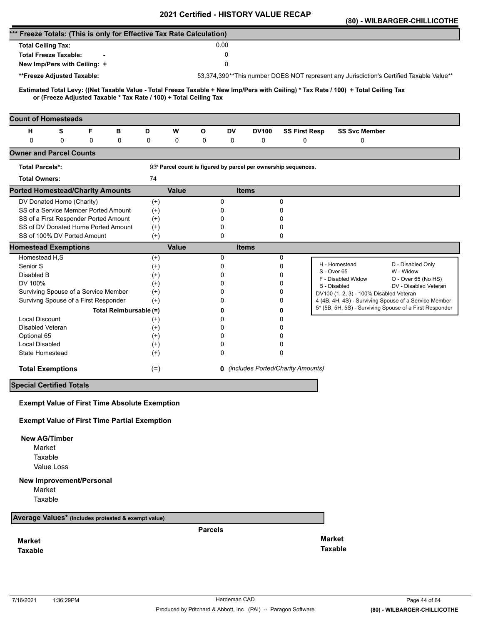|                                                                      |                                                                   |   |                        |                      |              |                |          | <b>Certilled - FIISTONT VALUE</b> |                                                                |                                                                                                                                     | (80) - WILBARGER-CHILLICOTHE                                                            |
|----------------------------------------------------------------------|-------------------------------------------------------------------|---|------------------------|----------------------|--------------|----------------|----------|-----------------------------------|----------------------------------------------------------------|-------------------------------------------------------------------------------------------------------------------------------------|-----------------------------------------------------------------------------------------|
| *** Freeze Totals: (This is only for Effective Tax Rate Calculation) |                                                                   |   |                        |                      |              |                |          |                                   |                                                                |                                                                                                                                     |                                                                                         |
| <b>Total Ceiling Tax:</b>                                            |                                                                   |   |                        |                      |              |                | 0.00     |                                   |                                                                |                                                                                                                                     |                                                                                         |
|                                                                      | <b>Total Freeze Taxable:</b>                                      |   |                        |                      |              |                | 0        |                                   |                                                                |                                                                                                                                     |                                                                                         |
|                                                                      | New Imp/Pers with Ceiling: +                                      |   |                        |                      |              |                | 0        |                                   |                                                                |                                                                                                                                     |                                                                                         |
|                                                                      | **Freeze Adjusted Taxable:                                        |   |                        |                      |              |                |          |                                   |                                                                |                                                                                                                                     | 53,374,390**This number DOES NOT represent any Jurisdiction's Certified Taxable Value** |
|                                                                      |                                                                   |   |                        |                      |              |                |          |                                   |                                                                |                                                                                                                                     |                                                                                         |
|                                                                      | or (Freeze Adjusted Taxable * Tax Rate / 100) + Total Ceiling Tax |   |                        |                      |              |                |          |                                   |                                                                | Estimated Total Levy: ((Net Taxable Value - Total Freeze Taxable + New Imp/Pers with Ceiling) * Tax Rate / 100) + Total Ceiling Tax |                                                                                         |
|                                                                      |                                                                   |   |                        |                      |              |                |          |                                   |                                                                |                                                                                                                                     |                                                                                         |
| <b>Count of Homesteads</b>                                           |                                                                   |   |                        |                      |              |                |          |                                   |                                                                |                                                                                                                                     |                                                                                         |
| н                                                                    | S                                                                 | F | в                      | D                    | W            | O              | DV       | <b>DV100</b>                      | <b>SS First Resp</b>                                           | <b>SS Svc Member</b>                                                                                                                |                                                                                         |
| $\mathbf 0$                                                          | 0                                                                 | 0 | 0                      | 0                    | 0            | 0              | 0        | 0                                 | 0                                                              | 0                                                                                                                                   |                                                                                         |
| <b>Owner and Parcel Counts</b>                                       |                                                                   |   |                        |                      |              |                |          |                                   |                                                                |                                                                                                                                     |                                                                                         |
| <b>Total Parcels*:</b>                                               |                                                                   |   |                        |                      |              |                |          |                                   | 93* Parcel count is figured by parcel per ownership sequences. |                                                                                                                                     |                                                                                         |
| <b>Total Owners:</b>                                                 |                                                                   |   |                        | 74                   |              |                |          |                                   |                                                                |                                                                                                                                     |                                                                                         |
| <b>Ported Homestead/Charity Amounts</b>                              |                                                                   |   |                        |                      | <b>Value</b> |                |          | <b>Items</b>                      |                                                                |                                                                                                                                     |                                                                                         |
|                                                                      | DV Donated Home (Charity)                                         |   |                        | $^{(+)}$             |              |                | 0        |                                   | 0                                                              |                                                                                                                                     |                                                                                         |
|                                                                      | SS of a Service Member Ported Amount                              |   |                        | $(+)$                |              |                | 0        |                                   | 0                                                              |                                                                                                                                     |                                                                                         |
|                                                                      | SS of a First Responder Ported Amount                             |   |                        | $^{(+)}$             |              |                | 0        |                                   | 0                                                              |                                                                                                                                     |                                                                                         |
|                                                                      | SS of DV Donated Home Ported Amount                               |   |                        | $(+)$                |              |                | 0        |                                   | 0                                                              |                                                                                                                                     |                                                                                         |
|                                                                      | SS of 100% DV Ported Amount                                       |   |                        | $(+)$                |              |                | 0        |                                   | 0                                                              |                                                                                                                                     |                                                                                         |
| <b>Homestead Exemptions</b>                                          |                                                                   |   |                        |                      | <b>Value</b> |                |          | <b>Items</b>                      |                                                                |                                                                                                                                     |                                                                                         |
| Homestead H,S<br>Senior S                                            |                                                                   |   |                        | $^{(+)}$             |              |                | 0<br>0   |                                   | 0<br>0                                                         | H - Homestead                                                                                                                       | D - Disabled Only                                                                       |
| Disabled B                                                           |                                                                   |   |                        | $^{(+)}$<br>$^{(+)}$ |              |                | 0        |                                   | 0                                                              | S - Over 65                                                                                                                         | W - Widow                                                                               |
| DV 100%                                                              |                                                                   |   |                        | $^{(+)}$             |              |                | $\Omega$ |                                   | 0                                                              | F - Disabled Widow                                                                                                                  | O - Over 65 (No HS)                                                                     |
|                                                                      | Surviving Spouse of a Service Member                              |   |                        | $^{(+)}$             |              |                | 0        |                                   | 0                                                              | B - Disabled<br>DV100 (1, 2, 3) - 100% Disabled Veteran                                                                             | DV - Disabled Veteran                                                                   |
|                                                                      | Survivng Spouse of a First Responder                              |   |                        | $(+)$                |              |                | 0        |                                   | 0                                                              |                                                                                                                                     | 4 (4B, 4H, 4S) - Surviving Spouse of a Service Member                                   |
|                                                                      |                                                                   |   | Total Reimbursable (=) |                      |              |                | 0        |                                   | 0                                                              |                                                                                                                                     | 5* (5B, 5H, 5S) - Surviving Spouse of a First Responder                                 |
| <b>Local Discount</b>                                                |                                                                   |   |                        | $^{(+)}$             |              |                | 0        |                                   | 0                                                              |                                                                                                                                     |                                                                                         |
| Disabled Veteran                                                     |                                                                   |   |                        | $^{(+)}$             |              |                | 0        |                                   | 0                                                              |                                                                                                                                     |                                                                                         |
| Optional 65                                                          |                                                                   |   |                        | $^{(+)}$             |              |                | $\Omega$ |                                   | 0                                                              |                                                                                                                                     |                                                                                         |
| Local Disabled                                                       |                                                                   |   |                        | $^{(+)}$             |              |                | 0        |                                   | 0                                                              |                                                                                                                                     |                                                                                         |
| State Homestead                                                      |                                                                   |   |                        | $(+)$                |              |                | 0        |                                   | 0                                                              |                                                                                                                                     |                                                                                         |
|                                                                      | <b>Total Exemptions</b>                                           |   |                        | $(=)$                |              |                |          |                                   | <b>0</b> (includes Ported/Charity Amounts)                     |                                                                                                                                     |                                                                                         |
| <b>Special Certified Totals</b>                                      |                                                                   |   |                        |                      |              |                |          |                                   |                                                                |                                                                                                                                     |                                                                                         |
|                                                                      |                                                                   |   |                        |                      |              |                |          |                                   |                                                                |                                                                                                                                     |                                                                                         |
|                                                                      | <b>Exempt Value of First Time Absolute Exemption</b>              |   |                        |                      |              |                |          |                                   |                                                                |                                                                                                                                     |                                                                                         |
|                                                                      | <b>Exempt Value of First Time Partial Exemption</b>               |   |                        |                      |              |                |          |                                   |                                                                |                                                                                                                                     |                                                                                         |
| <b>New AG/Timber</b>                                                 |                                                                   |   |                        |                      |              |                |          |                                   |                                                                |                                                                                                                                     |                                                                                         |
| Market                                                               |                                                                   |   |                        |                      |              |                |          |                                   |                                                                |                                                                                                                                     |                                                                                         |
| Taxable                                                              |                                                                   |   |                        |                      |              |                |          |                                   |                                                                |                                                                                                                                     |                                                                                         |
|                                                                      | Value Loss                                                        |   |                        |                      |              |                |          |                                   |                                                                |                                                                                                                                     |                                                                                         |
|                                                                      | <b>New Improvement/Personal</b>                                   |   |                        |                      |              |                |          |                                   |                                                                |                                                                                                                                     |                                                                                         |
| Market                                                               |                                                                   |   |                        |                      |              |                |          |                                   |                                                                |                                                                                                                                     |                                                                                         |
| Taxable                                                              |                                                                   |   |                        |                      |              |                |          |                                   |                                                                |                                                                                                                                     |                                                                                         |
| Average Values* (includes protested & exempt value)                  |                                                                   |   |                        |                      |              |                |          |                                   |                                                                |                                                                                                                                     |                                                                                         |
|                                                                      |                                                                   |   |                        |                      |              | <b>Parcels</b> |          |                                   |                                                                |                                                                                                                                     |                                                                                         |
| <b>Market</b>                                                        |                                                                   |   |                        |                      |              |                |          |                                   |                                                                | <b>Market</b>                                                                                                                       |                                                                                         |
| <b>Taxable</b>                                                       |                                                                   |   |                        |                      |              |                |          |                                   |                                                                | <b>Taxable</b>                                                                                                                      |                                                                                         |
|                                                                      |                                                                   |   |                        |                      |              |                |          |                                   |                                                                |                                                                                                                                     |                                                                                         |
|                                                                      |                                                                   |   |                        |                      |              |                |          |                                   |                                                                |                                                                                                                                     |                                                                                         |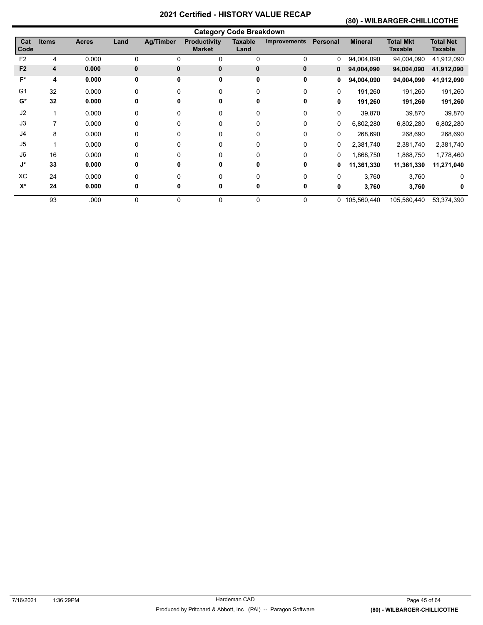# **(80) - WILBARGER-CHILLICOTHE**

|                    |              |       |             |           |                                      | <b>Category Code Breakdown</b> |                     |              |                |                                    |                                    |
|--------------------|--------------|-------|-------------|-----------|--------------------------------------|--------------------------------|---------------------|--------------|----------------|------------------------------------|------------------------------------|
| Cat<br>Code        | <b>Items</b> | Acres | Land        | Ag/Timber | <b>Productivity</b><br><b>Market</b> | <b>Taxable</b><br>Land         | <b>Improvements</b> | Personal     | <b>Mineral</b> | <b>Total Mkt</b><br><b>Taxable</b> | <b>Total Net</b><br><b>Taxable</b> |
| F <sub>2</sub>     | 4            | 0.000 | 0           | 0         | 0                                    | 0                              | 0                   | 0            | 94,004,090     | 94,004,090                         | 41,912,090                         |
| F <sub>2</sub>     | 4            | 0.000 | $\mathbf 0$ | 0         | $\mathbf{0}$                         | 0                              | 0                   | 0            | 94,004,090     | 94,004,090                         | 41,912,090                         |
| F*                 | 4            | 0.000 | 0           | 0         | 0                                    | 0                              | 0                   | 0            | 94,004,090     | 94,004,090                         | 41,912,090                         |
| G <sub>1</sub>     | 32           | 0.000 | 0           | 0         | 0                                    | 0                              | 0                   | $\mathbf{0}$ | 191,260        | 191,260                            | 191,260                            |
| $G^*$              | 32           | 0.000 | 0           | 0         | 0                                    | 0                              | 0                   | 0            | 191,260        | 191,260                            | 191,260                            |
| J2                 |              | 0.000 | 0           | 0         | 0                                    | 0                              | 0                   | 0            | 39,870         | 39,870                             | 39,870                             |
| J3                 | 7            | 0.000 | 0           | 0         | 0                                    | 0                              | 0                   | 0            | 6,802,280      | 6,802,280                          | 6,802,280                          |
| J4                 | 8            | 0.000 | 0           | 0         | 0                                    | 0                              | 0                   | 0            | 268,690        | 268,690                            | 268,690                            |
| J <sub>5</sub>     |              | 0.000 | 0           | 0         | 0                                    | 0                              | 0                   | 0            | 2,381,740      | 2,381,740                          | 2,381,740                          |
| J6                 | 16           | 0.000 | 0           | 0         | 0                                    | 0                              | 0                   | 0            | 1,868,750      | 1,868,750                          | 1,778,460                          |
| $\mathsf{J}^\star$ | 33           | 0.000 | 0           | 0         | 0                                    | 0                              | 0                   | 0            | 11,361,330     | 11,361,330                         | 11,271,040                         |
| XC                 | 24           | 0.000 | $\Omega$    | 0         | $\Omega$                             |                                | 0                   | 0            | 3,760          | 3,760                              | 0                                  |
| $X^*$              | 24           | 0.000 | 0           | 0         | 0                                    |                                | 0                   | 0            | 3,760          | 3,760                              | 0                                  |
|                    | 93           | .000  | 0           | 0         | 0                                    | 0                              | 0                   |              | 0 105,560,440  | 105,560,440                        | 53,374,390                         |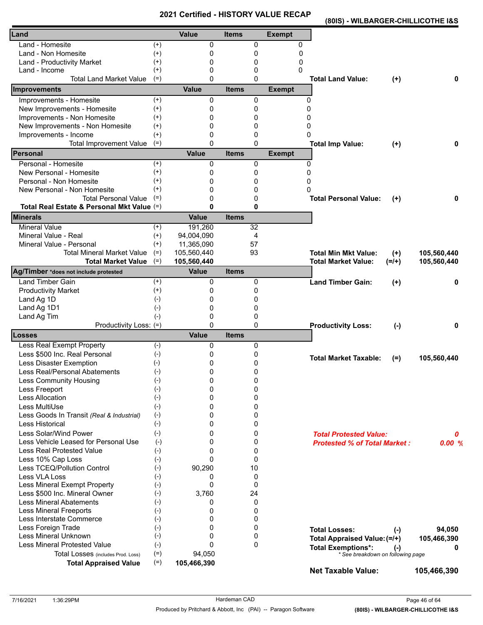**(80IS) - WILBARGER-CHILLICOTHE I&S** 

| Land                                                       |                      | Value        | <b>Items</b> |                 | <b>Exempt</b>                 |                                     |           |             |
|------------------------------------------------------------|----------------------|--------------|--------------|-----------------|-------------------------------|-------------------------------------|-----------|-------------|
| Land - Homesite                                            | $^{(+)}$             | 0            |              | 0               | 0                             |                                     |           |             |
| Land - Non Homesite                                        | $^{(+)}$             | 0            |              | 0               | 0                             |                                     |           |             |
| Land - Productivity Market                                 | $^{(+)}$             | 0            |              | 0               | 0                             |                                     |           |             |
| Land - Income                                              | $^{(+)}$             | 0            |              | 0               | 0                             |                                     |           |             |
| <b>Total Land Market Value</b>                             | $(=)$                | $\Omega$     |              | 0               |                               | <b>Total Land Value:</b>            | $(+)$     | 0           |
| Improvements                                               |                      | <b>Value</b> | <b>Items</b> |                 | <b>Exempt</b>                 |                                     |           |             |
| Improvements - Homesite                                    | $^{(+)}$             | 0            |              | 0               | 0                             |                                     |           |             |
| New Improvements - Homesite                                | $^{(+)}$             | 0            |              | 0               | $\Omega$                      |                                     |           |             |
| Improvements - Non Homesite                                | $^{(+)}$             | 0            |              | 0               | 0                             |                                     |           |             |
| New Improvements - Non Homesite                            | $^{(+)}$             | 0            |              | 0               | 0                             |                                     |           |             |
| Improvements - Income                                      | $^{(+)}$             | 0            |              | 0               | $\Omega$                      |                                     |           |             |
| <b>Total Improvement Value</b>                             | $(=)$                | 0            |              | $\Omega$        |                               | <b>Total Imp Value:</b>             | $^{(+)}$  | 0           |
| Personal<br>Personal - Homesite                            |                      | <b>Value</b> | <b>Items</b> |                 | <b>Exempt</b><br>$\mathbf{0}$ |                                     |           |             |
| New Personal - Homesite                                    | $^{(+)}$<br>$^{(+)}$ | 0<br>0       |              | 0               | $\mathbf{0}$                  |                                     |           |             |
| Personal - Non Homesite                                    | $^{(+)}$             | 0            |              | 0               | <sup>0</sup>                  |                                     |           |             |
|                                                            | $^{(+)}$             | 0            |              | 0               | <sup>0</sup>                  |                                     |           |             |
| New Personal - Non Homesite<br><b>Total Personal Value</b> | $(=)$                | 0            |              | 0               |                               |                                     |           |             |
| Total Real Estate & Personal Mkt Value (=)                 |                      | $\mathbf{0}$ |              | 0<br>0          |                               | <b>Total Personal Value:</b>        | $(+)$     | 0           |
| <b>Minerals</b>                                            |                      | <b>Value</b> | <b>Items</b> |                 |                               |                                     |           |             |
| <b>Mineral Value</b>                                       | $^{(+)}$             | 191,260      |              | $\overline{32}$ |                               |                                     |           |             |
| Mineral Value - Real                                       | $(+)$                | 94,004,090   |              | 4               |                               |                                     |           |             |
| Mineral Value - Personal                                   | $(+)$                | 11,365,090   |              | 57              |                               |                                     |           |             |
| <b>Total Mineral Market Value</b>                          | $(=)$                | 105,560,440  |              | 93              |                               | <b>Total Min Mkt Value:</b>         | $(+)$     | 105,560,440 |
| <b>Total Market Value</b>                                  | $(=)$                | 105,560,440  |              |                 |                               | <b>Total Market Value:</b>          | $(=/+)$   | 105,560,440 |
| Ag/Timber *does not include protested                      |                      | <b>Value</b> | <b>Items</b> |                 |                               |                                     |           |             |
| Land Timber Gain                                           | $(+)$                | 0            |              | 0               |                               | <b>Land Timber Gain:</b>            | $(+)$     | 0           |
| <b>Productivity Market</b>                                 | $^{(+)}$             | 0            |              | 0               |                               |                                     |           |             |
| Land Ag 1D                                                 | $(-)$                | 0            |              | 0               |                               |                                     |           |             |
| Land Ag 1D1                                                | $(-)$                | 0            |              | 0               |                               |                                     |           |             |
| Land Ag Tim                                                | $(-)$                | 0            |              | 0               |                               |                                     |           |             |
| Productivity Loss: (=)                                     |                      | 0            |              | 0               |                               | <b>Productivity Loss:</b>           | $(-)$     | 0           |
| Losses                                                     |                      | <b>Value</b> | <b>Items</b> |                 |                               |                                     |           |             |
| Less Real Exempt Property                                  | $(-)$                | 0            |              | 0               |                               |                                     |           |             |
| Less \$500 Inc. Real Personal                              | $(-)$                | 0            |              | 0               |                               | <b>Total Market Taxable:</b>        | $(=)$     | 105,560,440 |
| Less Disaster Exemption                                    | $(-)$                | 0            |              | 0               |                               |                                     |           |             |
| Less Real/Personal Abatements                              | $(-)$                | 0<br>0       |              | 0<br>0          |                               |                                     |           |             |
| Less Community Housing                                     | $(-)$<br>$(-)$       | 0            |              | 0               |                               |                                     |           |             |
| Less Freeport<br><b>Less Allocation</b>                    | $(-)$                | 0            |              | 0               |                               |                                     |           |             |
| Less MultiUse                                              | $(-)$                | 0            |              | 0               |                               |                                     |           |             |
| Less Goods In Transit (Real & Industrial)                  | $(-)$                | 0            |              | 0               |                               |                                     |           |             |
| Less Historical                                            | $(-)$                | 0            |              | 0               |                               |                                     |           |             |
| Less Solar/Wind Power                                      | $(-)$                | 0            |              | 0               |                               |                                     |           |             |
| Less Vehicle Leased for Personal Use                       | $(-)$                | 0            |              | 0               |                               | <b>Total Protested Value:</b>       |           | 0           |
| <b>Less Real Protested Value</b>                           | $(-)$                | 0            |              | 0               |                               | <b>Protested % of Total Market:</b> |           | 0.00%       |
| Less 10% Cap Loss                                          | $(-)$                | 0            |              | $\mathbf{0}$    |                               |                                     |           |             |
| Less TCEQ/Pollution Control                                | $(-)$                | 90,290       |              | 10              |                               |                                     |           |             |
| Less VLA Loss                                              | $(-)$                | 0            |              | 0               |                               |                                     |           |             |
| Less Mineral Exempt Property                               | $(-)$                | 0            |              | 0               |                               |                                     |           |             |
| Less \$500 Inc. Mineral Owner                              | $(-)$                | 3,760        |              | 24              |                               |                                     |           |             |
| <b>Less Mineral Abatements</b>                             | $(-)$                | 0            |              | 0               |                               |                                     |           |             |
| <b>Less Mineral Freeports</b>                              | $(-)$                | 0            |              | 0               |                               |                                     |           |             |
| Less Interstate Commerce                                   | $(-)$                | 0            |              | 0               |                               |                                     |           |             |
| Less Foreign Trade                                         | $(-)$                | 0            |              | 0               |                               | <b>Total Losses:</b>                | $(\cdot)$ | 94,050      |
| Less Mineral Unknown                                       | $(-)$                | 0            |              | 0               |                               | Total Appraised Value: (=/+)        |           | 105,466,390 |
| <b>Less Mineral Protested Value</b>                        | $(-)$                | 0            |              | 0               |                               | <b>Total Exemptions*:</b>           |           | 0           |
| Total Losses (includes Prod. Loss)                         | $(=)$                | 94,050       |              |                 |                               | * See breakdown on following page   | $(-)$     |             |
| <b>Total Appraised Value</b>                               | $(=)$                | 105,466,390  |              |                 |                               |                                     |           |             |
|                                                            |                      |              |              |                 |                               | <b>Net Taxable Value:</b>           |           | 105,466,390 |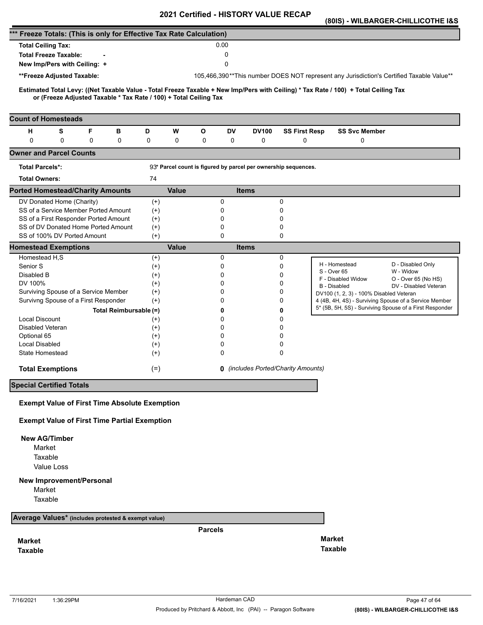|                                                                                                                                                                                                          |                | <b>VEILIIIEU - FIIJTUNT VALUE</b> |                                                                |                                                                                                                  | (80IS) - WILBARGER-CHILLICOTHE I&S |
|----------------------------------------------------------------------------------------------------------------------------------------------------------------------------------------------------------|----------------|-----------------------------------|----------------------------------------------------------------|------------------------------------------------------------------------------------------------------------------|------------------------------------|
| *** Freeze Totals: (This is only for Effective Tax Rate Calculation)                                                                                                                                     |                |                                   |                                                                |                                                                                                                  |                                    |
| <b>Total Ceiling Tax:</b>                                                                                                                                                                                |                | 0.00                              |                                                                |                                                                                                                  |                                    |
| <b>Total Freeze Taxable:</b>                                                                                                                                                                             |                | 0                                 |                                                                |                                                                                                                  |                                    |
| New Imp/Pers with Ceiling: +                                                                                                                                                                             |                | 0                                 |                                                                |                                                                                                                  |                                    |
| **Freeze Adjusted Taxable:                                                                                                                                                                               |                |                                   |                                                                | 105,466,390**This number DOES NOT represent any Jurisdiction's Certified Taxable Value**                         |                                    |
|                                                                                                                                                                                                          |                |                                   |                                                                |                                                                                                                  |                                    |
| Estimated Total Levy: ((Net Taxable Value - Total Freeze Taxable + New Imp/Pers with Ceiling) * Tax Rate / 100) + Total Ceiling Tax<br>or (Freeze Adjusted Taxable * Tax Rate / 100) + Total Ceiling Tax |                |                                   |                                                                |                                                                                                                  |                                    |
| <b>Count of Homesteads</b>                                                                                                                                                                               |                |                                   |                                                                |                                                                                                                  |                                    |
| S<br>F<br>н<br>в                                                                                                                                                                                         | D<br>W         | $\mathbf{o}$<br>DV                | <b>DV100</b>                                                   | <b>SS First Resp</b><br><b>SS Svc Member</b>                                                                     |                                    |
| $\mathbf 0$<br>0<br>0<br>0                                                                                                                                                                               | 0<br>0         | 0<br>0                            | 0                                                              | 0<br>0                                                                                                           |                                    |
| <b>Owner and Parcel Counts</b>                                                                                                                                                                           |                |                                   |                                                                |                                                                                                                  |                                    |
| <b>Total Parcels*:</b>                                                                                                                                                                                   |                |                                   | 93* Parcel count is figured by parcel per ownership sequences. |                                                                                                                  |                                    |
| <b>Total Owners:</b>                                                                                                                                                                                     | 74             |                                   |                                                                |                                                                                                                  |                                    |
| <b>Ported Homestead/Charity Amounts</b>                                                                                                                                                                  | <b>Value</b>   |                                   | <b>Items</b>                                                   |                                                                                                                  |                                    |
| DV Donated Home (Charity)                                                                                                                                                                                | $^{(+)}$       | 0                                 | 0                                                              |                                                                                                                  |                                    |
| SS of a Service Member Ported Amount                                                                                                                                                                     | $(+)$          | 0                                 | 0                                                              |                                                                                                                  |                                    |
| SS of a First Responder Ported Amount                                                                                                                                                                    | $^{(+)}$       | 0                                 | 0                                                              |                                                                                                                  |                                    |
| SS of DV Donated Home Ported Amount<br>SS of 100% DV Ported Amount                                                                                                                                       | $(+)$<br>$(+)$ | 0<br>0                            | 0<br>0                                                         |                                                                                                                  |                                    |
| <b>Homestead Exemptions</b>                                                                                                                                                                              | <b>Value</b>   |                                   | <b>Items</b>                                                   |                                                                                                                  |                                    |
| Homestead H,S                                                                                                                                                                                            | $^{(+)}$       | 0                                 | 0                                                              |                                                                                                                  |                                    |
| Senior S                                                                                                                                                                                                 | $^{(+)}$       | 0                                 | 0                                                              | H - Homestead                                                                                                    | D - Disabled Only                  |
| Disabled B                                                                                                                                                                                               | $^{(+)}$       | 0                                 | 0                                                              | S - Over 65<br>F - Disabled Widow                                                                                | W - Widow<br>O - Over 65 (No HS)   |
| DV 100%                                                                                                                                                                                                  | $^{(+)}$       | 0                                 | 0                                                              | B - Disabled                                                                                                     | DV - Disabled Veteran              |
| Surviving Spouse of a Service Member<br>Survivng Spouse of a First Responder                                                                                                                             | $(+)$          | 0<br>0                            | 0<br>0                                                         | DV100 (1, 2, 3) - 100% Disabled Veteran                                                                          |                                    |
|                                                                                                                                                                                                          | $(+)$          |                                   |                                                                | 4 (4B, 4H, 4S) - Surviving Spouse of a Service Member<br>5* (5B, 5H, 5S) - Surviving Spouse of a First Responder |                                    |
| Total Reimbursable (=)<br><b>Local Discount</b>                                                                                                                                                          | $^{(+)}$       | 0<br>0                            | 0<br>0                                                         |                                                                                                                  |                                    |
| Disabled Veteran                                                                                                                                                                                         | $^{(+)}$       | 0                                 | 0                                                              |                                                                                                                  |                                    |
| Optional 65                                                                                                                                                                                              | $^{(+)}$       | 0                                 | 0                                                              |                                                                                                                  |                                    |
| Local Disabled                                                                                                                                                                                           | $^{(+)}$       | 0                                 | 0                                                              |                                                                                                                  |                                    |
| State Homestead                                                                                                                                                                                          | $(+)$          | 0                                 | 0                                                              |                                                                                                                  |                                    |
| <b>Total Exemptions</b>                                                                                                                                                                                  | $(=)$          |                                   | <b>0</b> (includes Ported/Charity Amounts)                     |                                                                                                                  |                                    |
| <b>Special Certified Totals</b>                                                                                                                                                                          |                |                                   |                                                                |                                                                                                                  |                                    |
| <b>Exempt Value of First Time Absolute Exemption</b>                                                                                                                                                     |                |                                   |                                                                |                                                                                                                  |                                    |
| <b>Exempt Value of First Time Partial Exemption</b>                                                                                                                                                      |                |                                   |                                                                |                                                                                                                  |                                    |
| <b>New AG/Timber</b>                                                                                                                                                                                     |                |                                   |                                                                |                                                                                                                  |                                    |
| Market                                                                                                                                                                                                   |                |                                   |                                                                |                                                                                                                  |                                    |
| Taxable                                                                                                                                                                                                  |                |                                   |                                                                |                                                                                                                  |                                    |
| Value Loss                                                                                                                                                                                               |                |                                   |                                                                |                                                                                                                  |                                    |
| <b>New Improvement/Personal</b>                                                                                                                                                                          |                |                                   |                                                                |                                                                                                                  |                                    |
| Market                                                                                                                                                                                                   |                |                                   |                                                                |                                                                                                                  |                                    |
| Taxable                                                                                                                                                                                                  |                |                                   |                                                                |                                                                                                                  |                                    |
| Average Values* (includes protested & exempt value)                                                                                                                                                      |                |                                   |                                                                |                                                                                                                  |                                    |
|                                                                                                                                                                                                          |                | <b>Parcels</b>                    |                                                                |                                                                                                                  |                                    |
| <b>Market</b>                                                                                                                                                                                            |                |                                   |                                                                | <b>Market</b>                                                                                                    |                                    |
| <b>Taxable</b>                                                                                                                                                                                           |                |                                   |                                                                | <b>Taxable</b>                                                                                                   |                                    |
|                                                                                                                                                                                                          |                |                                   |                                                                |                                                                                                                  |                                    |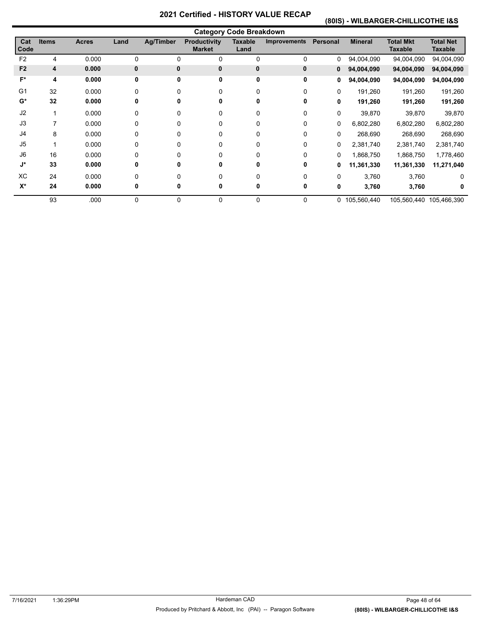# **(80IS) - WILBARGER-CHILLICOTHE I&S**

|                |              |              |              |                  |                                      | <b>Category Code Breakdown</b> |              |              |                |                                    |                                    |
|----------------|--------------|--------------|--------------|------------------|--------------------------------------|--------------------------------|--------------|--------------|----------------|------------------------------------|------------------------------------|
| Cat<br>Code    | <b>Items</b> | <b>Acres</b> | Land         | <b>Ag/Timber</b> | <b>Productivity</b><br><b>Market</b> | Taxable<br>Land                | Improvements | Personal     | <b>Mineral</b> | <b>Total Mkt</b><br><b>Taxable</b> | <b>Total Net</b><br><b>Taxable</b> |
| F <sub>2</sub> | 4            | 0.000        | 0            | 0                | 0                                    | 0                              | 0            | 0            | 94,004,090     | 94,004,090                         | 94,004,090                         |
| F <sub>2</sub> | 4            | 0.000        | $\mathbf{0}$ | 0                | $\mathbf{0}$                         | 0                              | 0            | 0            | 94,004,090     | 94,004,090                         | 94,004,090                         |
| F*             | 4            | 0.000        | 0            | 0                | $\mathbf 0$                          | 0                              | 0            | 0            | 94,004,090     | 94,004,090                         | 94,004,090                         |
| G <sub>1</sub> | 32           | 0.000        | 0            | 0                | 0                                    | 0                              | 0            | $\mathbf{0}$ | 191,260        | 191,260                            | 191,260                            |
| $G^*$          | 32           | 0.000        | 0            | 0                | 0                                    | 0                              | 0            | 0            | 191,260        | 191,260                            | 191,260                            |
| J2             |              | 0.000        | 0            | 0                | 0                                    | 0                              | 0            | 0            | 39,870         | 39,870                             | 39,870                             |
| J3             | 7            | 0.000        | 0            | 0                | 0                                    | 0                              | 0            | $\Omega$     | 6,802,280      | 6,802,280                          | 6,802,280                          |
| J4             | 8            | 0.000        | 0            | 0                | 0                                    | 0                              | 0            | 0            | 268,690        | 268,690                            | 268,690                            |
| J5             | 1            | 0.000        | 0            | 0                | 0                                    | 0                              | 0            | 0            | 2,381,740      | 2,381,740                          | 2,381,740                          |
| J6             | 16           | 0.000        | 0            | 0                | 0                                    | 0                              | 0            | 0            | 1,868,750      | 1,868,750                          | 1,778,460                          |
| J*             | 33           | 0.000        | 0            | 0                | 0                                    | 0                              | 0            | 0            | 11,361,330     | 11,361,330                         | 11,271,040                         |
| <b>XC</b>      | 24           | 0.000        | 0            |                  | 0                                    |                                | 0            | $\Omega$     | 3,760          | 3,760                              | 0                                  |
| $X^*$          | 24           | 0.000        | 0            | 0                | 0                                    | 0                              | 0            | 0            | 3,760          | 3,760                              | 0                                  |
|                | 93           | .000         | 0            | 0                | 0                                    | 0                              | 0            |              | 0 105,560,440  |                                    | 105,560,440 105,466,390            |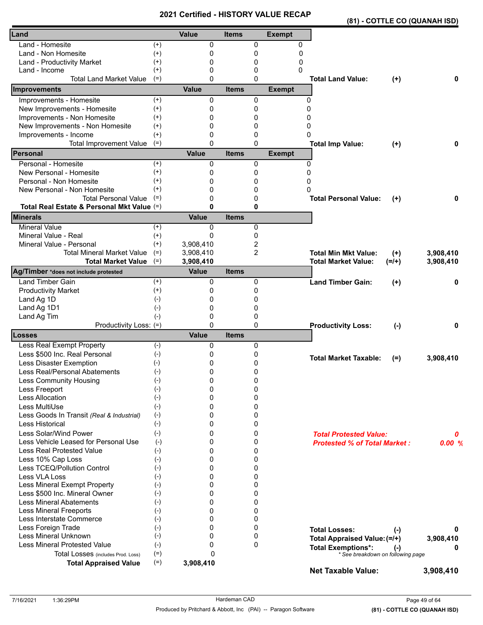|                                                                    |          | <b>VEILIIEU - FIIJTUNT</b> |              |                |               |                                          | (81) - COTTLE CO (QUANAH ISD) |
|--------------------------------------------------------------------|----------|----------------------------|--------------|----------------|---------------|------------------------------------------|-------------------------------|
| Land                                                               |          | Value                      | <b>Items</b> |                | <b>Exempt</b> |                                          |                               |
| Land - Homesite                                                    | $^{(+)}$ | 0                          |              | 0              | 0             |                                          |                               |
| Land - Non Homesite                                                | $^{(+)}$ | 0                          |              | 0              | 0             |                                          |                               |
| Land - Productivity Market                                         | $^{(+)}$ | 0                          |              | 0              | 0             |                                          |                               |
| Land - Income                                                      | $^{(+)}$ | 0                          |              | 0              | 0             |                                          |                               |
| <b>Total Land Market Value</b>                                     | $(=)$    | $\Omega$                   |              | $\mathbf{0}$   |               | <b>Total Land Value:</b><br>$(+)$        | 0                             |
| Improvements                                                       |          | <b>Value</b>               | <b>Items</b> |                | <b>Exempt</b> |                                          |                               |
| Improvements - Homesite                                            | $^{(+)}$ | 0                          |              | 0              | 0             |                                          |                               |
| New Improvements - Homesite                                        | $^{(+)}$ | 0                          |              | 0              | 0             |                                          |                               |
| Improvements - Non Homesite                                        | $^{(+)}$ | 0                          |              | 0              | 0             |                                          |                               |
| New Improvements - Non Homesite                                    | $^{(+)}$ | 0                          |              | 0              | 0             |                                          |                               |
| Improvements - Income                                              | $^{(+)}$ | 0                          |              | 0              | 0             |                                          |                               |
| <b>Total Improvement Value</b>                                     | $(=)$    | $\mathbf{0}$               |              | $\Omega$       |               | <b>Total Imp Value:</b><br>$(+)$         | 0                             |
| Personal                                                           |          | <b>Value</b>               | <b>Items</b> |                | <b>Exempt</b> |                                          |                               |
| Personal - Homesite                                                | $^{(+)}$ | 0                          |              | 0              | $\Omega$      |                                          |                               |
| New Personal - Homesite                                            | $^{(+)}$ | 0                          |              | 0              | $\Omega$      |                                          |                               |
| Personal - Non Homesite                                            | $^{(+)}$ | 0                          |              | 0              | 0             |                                          |                               |
| New Personal - Non Homesite                                        | $^{(+)}$ | 0                          |              | 0              | 0             |                                          |                               |
| <b>Total Personal Value</b>                                        | $(=)$    | 0                          |              | 0              |               | <b>Total Personal Value:</b><br>$^{(+)}$ | 0                             |
| Total Real Estate & Personal Mkt Value (=)                         |          | $\mathbf{0}$               |              | $\mathbf{0}$   |               |                                          |                               |
| <b>Minerals</b>                                                    |          | <b>Value</b>               | <b>Items</b> |                |               |                                          |                               |
| <b>Mineral Value</b>                                               | $(+)$    | 0                          |              | 0              |               |                                          |                               |
| Mineral Value - Real                                               | $^{(+)}$ | $\mathbf{0}$               |              | 0              |               |                                          |                               |
| Mineral Value - Personal                                           | $^{(+)}$ | 3,908,410                  |              | 2              |               |                                          |                               |
| <b>Total Mineral Market Value</b>                                  | $(=)$    | 3,908,410                  |              | $\overline{2}$ |               | <b>Total Min Mkt Value:</b><br>$(+)$     | 3,908,410                     |
| <b>Total Market Value</b><br>Ag/Timber *does not include protested | $(=)$    | 3,908,410<br><b>Value</b>  | <b>Items</b> |                |               | <b>Total Market Value:</b><br>$(=/+)$    | 3,908,410                     |
| <b>Land Timber Gain</b>                                            | $^{(+)}$ | 0                          |              | 0              |               | <b>Land Timber Gain:</b>                 | 0                             |
| <b>Productivity Market</b>                                         | $^{(+)}$ | 0                          |              | 0              |               | $^{(+)}$                                 |                               |
| Land Ag 1D                                                         | $(-)$    | 0                          |              | 0              |               |                                          |                               |
| Land Ag 1D1                                                        | $(-)$    | 0                          |              | 0              |               |                                          |                               |
| Land Ag Tim                                                        | $(-)$    | 0                          |              | 0              |               |                                          |                               |
| Productivity Loss: (=)                                             |          | $\mathbf{0}$               |              | $\mathbf{0}$   |               | <b>Productivity Loss:</b><br>$(-)$       | 0                             |
| Losses                                                             |          | <b>Value</b>               | <b>Items</b> |                |               |                                          |                               |
| Less Real Exempt Property                                          | $(-)$    | 0                          |              | 0              |               |                                          |                               |
| Less \$500 Inc. Real Personal                                      | $(-)$    | 0                          |              | 0              |               | <b>Total Market Taxable:</b>             | 3,908,410                     |
| Less Disaster Exemption                                            | $(-)$    | 0                          |              | 0              |               | $(=)$                                    |                               |
| Less Real/Personal Abatements                                      | $(-)$    | 0                          |              | 0              |               |                                          |                               |
| Less Community Housing                                             | $(-)$    | 0                          |              | 0              |               |                                          |                               |
| Less Freeport                                                      | $(-)$    | 0                          |              | 0              |               |                                          |                               |
| <b>Less Allocation</b>                                             | $(-)$    | 0                          |              | 0              |               |                                          |                               |
| Less MultiUse                                                      | $(-)$    | 0                          |              | 0              |               |                                          |                               |
| Less Goods In Transit (Real & Industrial)                          | $(-)$    | 0                          |              | 0              |               |                                          |                               |
| Less Historical                                                    | $(-)$    | 0                          |              | 0              |               |                                          |                               |
| Less Solar/Wind Power                                              | $(-)$    | 0                          |              | 0              |               | <b>Total Protested Value:</b>            | 0                             |
| Less Vehicle Leased for Personal Use                               | $(-)$    | 0                          |              | 0              |               | <b>Protested % of Total Market:</b>      | 0.00%                         |
| <b>Less Real Protested Value</b>                                   | $(-)$    | 0                          |              | 0              |               |                                          |                               |
| Less 10% Cap Loss                                                  | $(-)$    | 0                          |              | 0              |               |                                          |                               |
| Less TCEQ/Pollution Control                                        | $(-)$    | 0                          |              | 0              |               |                                          |                               |
| Less VLA Loss                                                      | $(-)$    | 0                          |              | 0              |               |                                          |                               |
| Less Mineral Exempt Property                                       | $(-)$    | 0                          |              | 0              |               |                                          |                               |
| Less \$500 Inc. Mineral Owner                                      | $(-)$    | 0                          |              | 0              |               |                                          |                               |
| <b>Less Mineral Abatements</b>                                     | $(-)$    | 0                          |              | 0              |               |                                          |                               |
| <b>Less Mineral Freeports</b>                                      | $(-)$    | 0                          |              | 0              |               |                                          |                               |
| Less Interstate Commerce                                           | $(-)$    | 0                          |              | 0              |               |                                          |                               |
| Less Foreign Trade                                                 | $(-)$    | 0                          |              | 0              |               | <b>Total Losses:</b><br>$(\cdot)$        | 0                             |
| Less Mineral Unknown                                               | $(-)$    | 0                          |              | 0              |               | Total Appraised Value: (=/+)             | 3,908,410                     |
| <b>Less Mineral Protested Value</b>                                | $(-)$    | 0                          |              | $\mathbf 0$    |               | <b>Total Exemptions*:</b><br>$(-)$       | 0                             |
| Total Losses (includes Prod. Loss)                                 | $(=)$    | $\Omega$                   |              |                |               | * See breakdown on following page        |                               |
| <b>Total Appraised Value</b>                                       | $(=)$    | 3,908,410                  |              |                |               | <b>Net Taxable Value:</b>                | 3,908,410                     |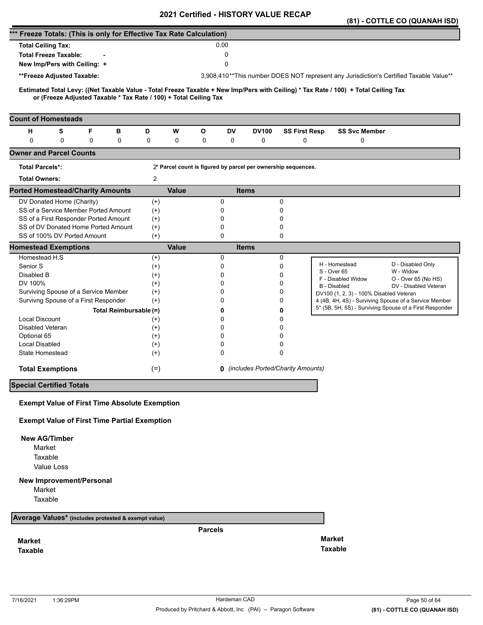|                                                                      |                                                                               |   |                        |                      |              |                |               | <b>Certilled - FIISTONT VALUE</b> |                                                               |                                                                                                                                     | (81) - COTTLE CO (QUANAH ISD)                                                          |
|----------------------------------------------------------------------|-------------------------------------------------------------------------------|---|------------------------|----------------------|--------------|----------------|---------------|-----------------------------------|---------------------------------------------------------------|-------------------------------------------------------------------------------------------------------------------------------------|----------------------------------------------------------------------------------------|
| *** Freeze Totals: (This is only for Effective Tax Rate Calculation) |                                                                               |   |                        |                      |              |                |               |                                   |                                                               |                                                                                                                                     |                                                                                        |
| <b>Total Ceiling Tax:</b>                                            |                                                                               |   |                        |                      |              |                | 0.00          |                                   |                                                               |                                                                                                                                     |                                                                                        |
|                                                                      | <b>Total Freeze Taxable:</b>                                                  |   |                        |                      |              |                | 0             |                                   |                                                               |                                                                                                                                     |                                                                                        |
|                                                                      | New Imp/Pers with Ceiling: +                                                  |   |                        |                      |              |                | 0             |                                   |                                                               |                                                                                                                                     |                                                                                        |
|                                                                      | **Freeze Adjusted Taxable:                                                    |   |                        |                      |              |                |               |                                   |                                                               |                                                                                                                                     | 3,908,410**This number DOES NOT represent any Jurisdiction's Certified Taxable Value** |
|                                                                      |                                                                               |   |                        |                      |              |                |               |                                   |                                                               |                                                                                                                                     |                                                                                        |
|                                                                      | or (Freeze Adjusted Taxable * Tax Rate / 100) + Total Ceiling Tax             |   |                        |                      |              |                |               |                                   |                                                               | Estimated Total Levy: ((Net Taxable Value - Total Freeze Taxable + New Imp/Pers with Ceiling) * Tax Rate / 100) + Total Ceiling Tax |                                                                                        |
|                                                                      |                                                                               |   |                        |                      |              |                |               |                                   |                                                               |                                                                                                                                     |                                                                                        |
| <b>Count of Homesteads</b>                                           |                                                                               |   |                        |                      |              |                |               |                                   |                                                               |                                                                                                                                     |                                                                                        |
| н                                                                    | S                                                                             | F | в                      | D                    | W            | O              | DV            | <b>DV100</b>                      | <b>SS First Resp</b>                                          | <b>SS Svc Member</b>                                                                                                                |                                                                                        |
| $\mathbf 0$                                                          | 0                                                                             | 0 | 0                      | 0                    | 0            | 0              | 0             | 0                                 | 0                                                             | 0                                                                                                                                   |                                                                                        |
| <b>Owner and Parcel Counts</b>                                       |                                                                               |   |                        |                      |              |                |               |                                   |                                                               |                                                                                                                                     |                                                                                        |
| <b>Total Parcels*:</b>                                               |                                                                               |   |                        |                      |              |                |               |                                   | 2* Parcel count is figured by parcel per ownership sequences. |                                                                                                                                     |                                                                                        |
| <b>Total Owners:</b>                                                 |                                                                               |   |                        | $\overline{2}$       |              |                |               |                                   |                                                               |                                                                                                                                     |                                                                                        |
| <b>Ported Homestead/Charity Amounts</b>                              |                                                                               |   |                        |                      | <b>Value</b> |                |               | <b>Items</b>                      |                                                               |                                                                                                                                     |                                                                                        |
|                                                                      | DV Donated Home (Charity)                                                     |   |                        | $^{(+)}$             |              |                | 0             |                                   | 0                                                             |                                                                                                                                     |                                                                                        |
|                                                                      | SS of a Service Member Ported Amount<br>SS of a First Responder Ported Amount |   |                        | $(+)$                |              |                | 0<br>0        |                                   | 0<br>0                                                        |                                                                                                                                     |                                                                                        |
|                                                                      | SS of DV Donated Home Ported Amount                                           |   |                        | $^{(+)}$<br>$^{(+)}$ |              |                | 0             |                                   | 0                                                             |                                                                                                                                     |                                                                                        |
|                                                                      | SS of 100% DV Ported Amount                                                   |   |                        | $(+)$                |              |                | 0             |                                   | 0                                                             |                                                                                                                                     |                                                                                        |
| <b>Homestead Exemptions</b>                                          |                                                                               |   |                        |                      | <b>Value</b> |                |               | <b>Items</b>                      |                                                               |                                                                                                                                     |                                                                                        |
| Homestead H,S                                                        |                                                                               |   |                        | $^{(+)}$             |              |                | 0             |                                   | 0                                                             | H - Homestead                                                                                                                       |                                                                                        |
| Senior S                                                             |                                                                               |   |                        | $^{(+)}$             |              |                | 0             |                                   | 0                                                             | S - Over 65                                                                                                                         | D - Disabled Only<br>W - Widow                                                         |
| Disabled B                                                           |                                                                               |   |                        | $^{(+)}$             |              |                | 0             |                                   | 0                                                             | F - Disabled Widow                                                                                                                  | O - Over 65 (No HS)                                                                    |
| DV 100%                                                              | Surviving Spouse of a Service Member                                          |   |                        | $^{(+)}$<br>$^{(+)}$ |              |                | $\Omega$<br>0 |                                   | 0<br>0                                                        | B - Disabled                                                                                                                        | DV - Disabled Veteran                                                                  |
|                                                                      | Survivng Spouse of a First Responder                                          |   |                        | $^{(+)}$             |              |                | 0             |                                   | 0                                                             | DV100 (1, 2, 3) - 100% Disabled Veteran                                                                                             | 4 (4B, 4H, 4S) - Surviving Spouse of a Service Member                                  |
|                                                                      |                                                                               |   | Total Reimbursable (=) |                      |              |                | 0             |                                   | 0                                                             |                                                                                                                                     | 5* (5B, 5H, 5S) - Surviving Spouse of a First Responder                                |
| <b>Local Discount</b>                                                |                                                                               |   |                        | $^{(+)}$             |              |                | 0             |                                   | 0                                                             |                                                                                                                                     |                                                                                        |
| Disabled Veteran                                                     |                                                                               |   |                        | $^{(+)}$             |              |                | 0             |                                   | 0                                                             |                                                                                                                                     |                                                                                        |
| Optional 65                                                          |                                                                               |   |                        | $^{(+)}$             |              |                | $\Omega$      |                                   | 0                                                             |                                                                                                                                     |                                                                                        |
| Local Disabled                                                       |                                                                               |   |                        | $^{(+)}$             |              |                | 0             |                                   | 0                                                             |                                                                                                                                     |                                                                                        |
| State Homestead                                                      |                                                                               |   |                        | $^{(+)}$             |              |                | 0             |                                   | 0                                                             |                                                                                                                                     |                                                                                        |
|                                                                      | <b>Total Exemptions</b>                                                       |   |                        | $(=)$                |              |                |               |                                   | <b>0</b> (includes Ported/Charity Amounts)                    |                                                                                                                                     |                                                                                        |
| <b>Special Certified Totals</b>                                      |                                                                               |   |                        |                      |              |                |               |                                   |                                                               |                                                                                                                                     |                                                                                        |
|                                                                      |                                                                               |   |                        |                      |              |                |               |                                   |                                                               |                                                                                                                                     |                                                                                        |
|                                                                      | <b>Exempt Value of First Time Absolute Exemption</b>                          |   |                        |                      |              |                |               |                                   |                                                               |                                                                                                                                     |                                                                                        |
|                                                                      | <b>Exempt Value of First Time Partial Exemption</b>                           |   |                        |                      |              |                |               |                                   |                                                               |                                                                                                                                     |                                                                                        |
| <b>New AG/Timber</b>                                                 |                                                                               |   |                        |                      |              |                |               |                                   |                                                               |                                                                                                                                     |                                                                                        |
| Market                                                               |                                                                               |   |                        |                      |              |                |               |                                   |                                                               |                                                                                                                                     |                                                                                        |
| Taxable                                                              |                                                                               |   |                        |                      |              |                |               |                                   |                                                               |                                                                                                                                     |                                                                                        |
|                                                                      | Value Loss                                                                    |   |                        |                      |              |                |               |                                   |                                                               |                                                                                                                                     |                                                                                        |
|                                                                      | <b>New Improvement/Personal</b>                                               |   |                        |                      |              |                |               |                                   |                                                               |                                                                                                                                     |                                                                                        |
| Market                                                               |                                                                               |   |                        |                      |              |                |               |                                   |                                                               |                                                                                                                                     |                                                                                        |
| Taxable                                                              |                                                                               |   |                        |                      |              |                |               |                                   |                                                               |                                                                                                                                     |                                                                                        |
| Average Values* (includes protested & exempt value)                  |                                                                               |   |                        |                      |              |                |               |                                   |                                                               |                                                                                                                                     |                                                                                        |
|                                                                      |                                                                               |   |                        |                      |              | <b>Parcels</b> |               |                                   |                                                               |                                                                                                                                     |                                                                                        |
| <b>Market</b>                                                        |                                                                               |   |                        |                      |              |                |               |                                   |                                                               | <b>Market</b>                                                                                                                       |                                                                                        |
| <b>Taxable</b>                                                       |                                                                               |   |                        |                      |              |                |               |                                   |                                                               | <b>Taxable</b>                                                                                                                      |                                                                                        |
|                                                                      |                                                                               |   |                        |                      |              |                |               |                                   |                                                               |                                                                                                                                     |                                                                                        |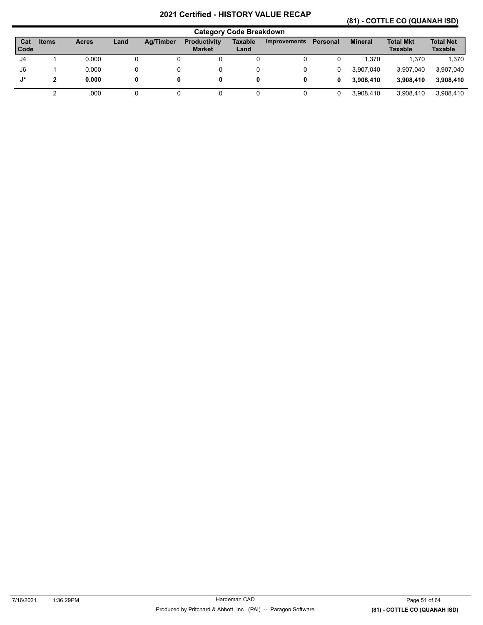# **(81) - COTTLE CO (QUANAH ISD)**

|               |       |              |      |           |                                      | <b>Category Code Breakdown</b> |                     |          |                |                                    |                                    |
|---------------|-------|--------------|------|-----------|--------------------------------------|--------------------------------|---------------------|----------|----------------|------------------------------------|------------------------------------|
| Cat<br>l Code | Items | <b>Acres</b> | Land | Ag/Timber | <b>Productivity</b><br><b>Market</b> | <b>Taxable</b><br>Land         | <b>Improvements</b> | Personal | <b>Mineral</b> | <b>Total Mkt</b><br><b>Taxable</b> | <b>Total Net</b><br><b>Taxable</b> |
| J4            |       | 0.000        | 0    |           |                                      |                                |                     |          | 1.370          | 1.370                              | 1,370                              |
| J6            |       | 0.000        |      |           |                                      |                                |                     |          | 3.907.040      | 3,907,040                          | 3,907,040                          |
| J*            | 2     | 0.000        | 0    | 0         |                                      | 0                              |                     | 0        | 3.908.410      | 3.908.410                          | 3,908,410                          |
|               |       | .000         |      |           |                                      |                                |                     |          | 3.908.410      | 3.908.410                          | 3,908,410                          |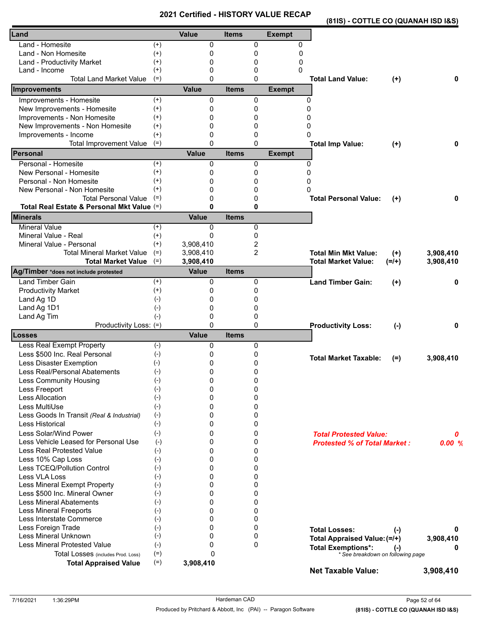|                                            |          | <b>UBILIIIEU - FIIJI UN I</b> |              |                |               | (81IS) - COTTLE CO (QUANAH ISD I&S) |           |           |
|--------------------------------------------|----------|-------------------------------|--------------|----------------|---------------|-------------------------------------|-----------|-----------|
| Land                                       |          | <b>Value</b>                  | <b>Items</b> |                | <b>Exempt</b> |                                     |           |           |
| Land - Homesite                            | $^{(+)}$ | 0                             |              | 0              | 0             |                                     |           |           |
| Land - Non Homesite                        | $(+)$    | 0                             |              | 0              | 0             |                                     |           |           |
| Land - Productivity Market                 | $^{(+)}$ | 0                             |              | 0              | 0             |                                     |           |           |
| Land - Income                              | $^{(+)}$ | 0                             |              | 0              | 0             |                                     |           |           |
| <b>Total Land Market Value</b>             | $(=)$    | $\Omega$                      |              | 0              |               | <b>Total Land Value:</b>            | $(+)$     | 0         |
| Improvements                               |          | <b>Value</b>                  | <b>Items</b> |                | <b>Exempt</b> |                                     |           |           |
| Improvements - Homesite                    | $(+)$    | 0                             |              | 0              | 0             |                                     |           |           |
| New Improvements - Homesite                | $(+)$    | 0                             |              | 0              | 0             |                                     |           |           |
| Improvements - Non Homesite                | $^{(+)}$ | 0                             |              | 0              | 0             |                                     |           |           |
| New Improvements - Non Homesite            | $^{(+)}$ | 0                             |              | 0              | 0             |                                     |           |           |
| Improvements - Income                      | $^{(+)}$ | 0                             |              | 0              | 0             |                                     |           |           |
| <b>Total Improvement Value</b>             | $(=)$    | 0                             |              | $\mathbf{0}$   |               | <b>Total Imp Value:</b>             | $(+)$     | 0         |
| Personal                                   |          | <b>Value</b>                  | <b>Items</b> |                | <b>Exempt</b> |                                     |           |           |
| Personal - Homesite                        | $^{(+)}$ | 0                             |              | 0              | $\mathbf{0}$  |                                     |           |           |
| New Personal - Homesite                    | $^{(+)}$ | 0                             |              | 0              | 0             |                                     |           |           |
| Personal - Non Homesite                    | $^{(+)}$ | 0                             |              | 0              | 0             |                                     |           |           |
| New Personal - Non Homesite                | $^{(+)}$ | 0                             |              | 0              | $\Omega$      |                                     |           |           |
| <b>Total Personal Value</b>                | $(=)$    | 0                             |              | 0              |               | <b>Total Personal Value:</b>        | $^{(+)}$  | 0         |
| Total Real Estate & Personal Mkt Value (=) |          | $\mathbf{0}$                  |              | 0              |               |                                     |           |           |
| <b>Minerals</b>                            |          | <b>Value</b>                  | <b>Items</b> |                |               |                                     |           |           |
| <b>Mineral Value</b>                       | $(+)$    | 0                             |              | 0              |               |                                     |           |           |
| Mineral Value - Real                       | $^{(+)}$ | $\mathbf{0}$                  |              | 0              |               |                                     |           |           |
| Mineral Value - Personal                   | $^{(+)}$ | 3,908,410                     |              | 2              |               |                                     |           |           |
| <b>Total Mineral Market Value</b>          | $(=)$    | 3,908,410                     |              | $\overline{2}$ |               | <b>Total Min Mkt Value:</b>         | $(+)$     | 3,908,410 |
| <b>Total Market Value</b>                  | $(=)$    | 3,908,410                     |              |                |               | <b>Total Market Value:</b>          | $(=/+)$   | 3,908,410 |
| Ag/Timber *does not include protested      |          | <b>Value</b>                  | <b>Items</b> |                |               |                                     |           |           |
| <b>Land Timber Gain</b>                    | $^{(+)}$ | 0                             |              | 0              |               | <b>Land Timber Gain:</b>            | $^{(+)}$  | 0         |
| <b>Productivity Market</b>                 | $^{(+)}$ | 0                             |              | 0              |               |                                     |           |           |
| Land Ag 1D                                 | $(-)$    | 0                             |              | 0              |               |                                     |           |           |
| Land Ag 1D1                                | $(-)$    | 0                             |              | 0              |               |                                     |           |           |
| Land Ag Tim                                | $(-)$    | 0                             |              | 0              |               |                                     |           |           |
| Productivity Loss: (=)                     |          | $\Omega$                      |              | 0              |               | <b>Productivity Loss:</b>           | $(-)$     | 0         |
| Losses                                     |          | <b>Value</b>                  | <b>Items</b> |                |               |                                     |           |           |
| Less Real Exempt Property                  | $(-)$    | 0                             |              | 0              |               |                                     |           |           |
| Less \$500 Inc. Real Personal              | $(-)$    | 0                             |              | 0              |               | <b>Total Market Taxable:</b>        | $(=)$     | 3,908,410 |
| Less Disaster Exemption                    | $(-)$    | 0                             |              | 0              |               |                                     |           |           |
| Less Real/Personal Abatements              | $(-)$    | 0                             |              | 0              |               |                                     |           |           |
| Less Community Housing                     | $(-)$    | 0                             |              | 0              |               |                                     |           |           |
| Less Freeport                              | $(-)$    | 0                             |              | 0              |               |                                     |           |           |
| Less Allocation                            | $(-)$    | 0                             |              | 0              |               |                                     |           |           |
| Less MultiUse                              | $(-)$    | 0                             |              | 0              |               |                                     |           |           |
| Less Goods In Transit (Real & Industrial)  | $(-)$    | 0                             |              | 0              |               |                                     |           |           |
| Less Historical                            | $(-)$    | 0                             |              | 0              |               |                                     |           |           |
| Less Solar/Wind Power                      | $(-)$    | 0                             |              | 0              |               | <b>Total Protested Value:</b>       |           | 0         |
| Less Vehicle Leased for Personal Use       | $(-)$    | 0                             |              | 0              |               | <b>Protested % of Total Market:</b> |           | 0.00%     |
| <b>Less Real Protested Value</b>           | $(-)$    | 0                             |              | 0              |               |                                     |           |           |
| Less 10% Cap Loss                          | $(-)$    | 0                             |              | 0              |               |                                     |           |           |
| Less TCEQ/Pollution Control                | $(-)$    | 0                             |              | 0              |               |                                     |           |           |
| Less VLA Loss                              | $(-)$    | 0                             |              | 0              |               |                                     |           |           |
| Less Mineral Exempt Property               | $(-)$    | 0                             |              | 0              |               |                                     |           |           |
| Less \$500 Inc. Mineral Owner              | $(-)$    | 0                             |              | 0              |               |                                     |           |           |
| <b>Less Mineral Abatements</b>             | $(-)$    | 0                             |              | 0              |               |                                     |           |           |
| <b>Less Mineral Freeports</b>              | $(-)$    | 0                             |              | 0              |               |                                     |           |           |
| Less Interstate Commerce                   | $(-)$    | 0                             |              | 0              |               |                                     |           |           |
| Less Foreign Trade                         | $(-)$    | 0                             |              | 0              |               | <b>Total Losses:</b>                | $(\cdot)$ | 0         |
| Less Mineral Unknown                       | $(-)$    | 0                             |              | 0              |               | Total Appraised Value: (=/+)        |           | 3,908,410 |
| Less Mineral Protested Value               | $(-)$    | 0                             |              | 0              |               | <b>Total Exemptions*:</b>           | $(\cdot)$ |           |
| Total Losses (includes Prod. Loss)         | $(=)$    | 0                             |              |                |               | * See breakdown on following page   |           |           |
| <b>Total Appraised Value</b>               | $(=)$    | 3,908,410                     |              |                |               | <b>Net Taxable Value:</b>           |           | 3,908,410 |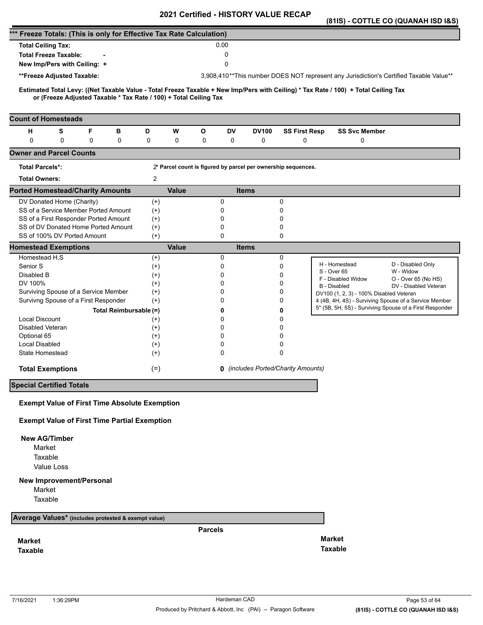|                                                                                                                                     |                      |                                                               |                                            |                      |                                         | (81IS) - COTTLE CO (QUANAH ISD I&S)                                                                              |
|-------------------------------------------------------------------------------------------------------------------------------------|----------------------|---------------------------------------------------------------|--------------------------------------------|----------------------|-----------------------------------------|------------------------------------------------------------------------------------------------------------------|
| *** Freeze Totals: (This is only for Effective Tax Rate Calculation)                                                                |                      |                                                               |                                            |                      |                                         |                                                                                                                  |
| <b>Total Ceiling Tax:</b>                                                                                                           |                      | 0.00                                                          |                                            |                      |                                         |                                                                                                                  |
| <b>Total Freeze Taxable:</b>                                                                                                        |                      | 0                                                             |                                            |                      |                                         |                                                                                                                  |
| New Imp/Pers with Ceiling: +                                                                                                        |                      | 0                                                             |                                            |                      |                                         |                                                                                                                  |
| **Freeze Adjusted Taxable:                                                                                                          |                      |                                                               |                                            |                      |                                         | 3,908,410**This number DOES NOT represent any Jurisdiction's Certified Taxable Value**                           |
| Estimated Total Levy: ((Net Taxable Value - Total Freeze Taxable + New Imp/Pers with Ceiling) * Tax Rate / 100) + Total Ceiling Tax |                      |                                                               |                                            |                      |                                         |                                                                                                                  |
| or (Freeze Adjusted Taxable * Tax Rate / 100) + Total Ceiling Tax                                                                   |                      |                                                               |                                            |                      |                                         |                                                                                                                  |
| <b>Count of Homesteads</b>                                                                                                          |                      |                                                               |                                            |                      |                                         |                                                                                                                  |
| S<br>F<br>н<br>в                                                                                                                    | D<br>W               | О<br>DV                                                       | <b>DV100</b>                               | <b>SS First Resp</b> | <b>SS Svc Member</b>                    |                                                                                                                  |
| $\mathbf 0$<br>0<br>0<br>0                                                                                                          | 0<br>0               | 0<br>0                                                        | 0                                          | 0                    | 0                                       |                                                                                                                  |
| <b>Owner and Parcel Counts</b>                                                                                                      |                      |                                                               |                                            |                      |                                         |                                                                                                                  |
| <b>Total Parcels*:</b>                                                                                                              |                      | 2* Parcel count is figured by parcel per ownership sequences. |                                            |                      |                                         |                                                                                                                  |
| <b>Total Owners:</b>                                                                                                                | $\overline{c}$       |                                                               |                                            |                      |                                         |                                                                                                                  |
| <b>Ported Homestead/Charity Amounts</b>                                                                                             | <b>Value</b>         |                                                               | <b>Items</b>                               |                      |                                         |                                                                                                                  |
| DV Donated Home (Charity)                                                                                                           | $(+)$                | 0                                                             | 0                                          |                      |                                         |                                                                                                                  |
| SS of a Service Member Ported Amount                                                                                                | $(+)$                | 0                                                             | 0                                          |                      |                                         |                                                                                                                  |
| SS of a First Responder Ported Amount<br>SS of DV Donated Home Ported Amount                                                        | $^{(+)}$             | 0<br>0                                                        | 0<br>0                                     |                      |                                         |                                                                                                                  |
| SS of 100% DV Ported Amount                                                                                                         | $^{(+)}$<br>$^{(+)}$ | 0                                                             | 0                                          |                      |                                         |                                                                                                                  |
| <b>Homestead Exemptions</b>                                                                                                         | <b>Value</b>         |                                                               | <b>Items</b>                               |                      |                                         |                                                                                                                  |
| Homestead H,S                                                                                                                       | $^{(+)}$             | 0                                                             | 0                                          |                      |                                         |                                                                                                                  |
| Senior S                                                                                                                            | $(+)$                | 0                                                             | 0                                          |                      | H - Homestead<br>S - Over 65            | D - Disabled Only<br>W - Widow                                                                                   |
| Disabled B                                                                                                                          | $^{(+)}$             | 0                                                             | 0                                          |                      | F - Disabled Widow                      | O - Over 65 (No HS)                                                                                              |
| DV 100%                                                                                                                             | $(+)$                | 0                                                             | 0                                          |                      | B - Disabled                            | DV - Disabled Veteran                                                                                            |
| Surviving Spouse of a Service Member                                                                                                | $^{(+)}$             | 0<br>0                                                        | 0<br>0                                     |                      | DV100 (1, 2, 3) - 100% Disabled Veteran |                                                                                                                  |
| Survivng Spouse of a First Responder                                                                                                | $(+)$                |                                                               |                                            |                      |                                         | 4 (4B, 4H, 4S) - Surviving Spouse of a Service Member<br>5* (5B, 5H, 5S) - Surviving Spouse of a First Responder |
| Total Reimbursable (=)<br><b>Local Discount</b>                                                                                     |                      | 0<br>0                                                        | 0<br>0                                     |                      |                                         |                                                                                                                  |
| Disabled Veteran                                                                                                                    | $^{(+)}$<br>$^{(+)}$ | 0                                                             | 0                                          |                      |                                         |                                                                                                                  |
| Optional 65                                                                                                                         | $(+)$                | 0                                                             | 0                                          |                      |                                         |                                                                                                                  |
| <b>Local Disabled</b>                                                                                                               | $^{(+)}$             | 0                                                             | 0                                          |                      |                                         |                                                                                                                  |
| State Homestead                                                                                                                     | $^{(+)}$             | $\Omega$                                                      | 0                                          |                      |                                         |                                                                                                                  |
| <b>Total Exemptions</b>                                                                                                             | $(=)$                |                                                               | <b>0</b> (includes Ported/Charity Amounts) |                      |                                         |                                                                                                                  |
| <b>Special Certified Totals</b>                                                                                                     |                      |                                                               |                                            |                      |                                         |                                                                                                                  |
| <b>Exempt Value of First Time Absolute Exemption</b>                                                                                |                      |                                                               |                                            |                      |                                         |                                                                                                                  |
| <b>Exempt Value of First Time Partial Exemption</b>                                                                                 |                      |                                                               |                                            |                      |                                         |                                                                                                                  |
|                                                                                                                                     |                      |                                                               |                                            |                      |                                         |                                                                                                                  |
| <b>New AG/Timber</b>                                                                                                                |                      |                                                               |                                            |                      |                                         |                                                                                                                  |
| Market                                                                                                                              |                      |                                                               |                                            |                      |                                         |                                                                                                                  |
| Taxable                                                                                                                             |                      |                                                               |                                            |                      |                                         |                                                                                                                  |
| Value Loss                                                                                                                          |                      |                                                               |                                            |                      |                                         |                                                                                                                  |
| <b>New Improvement/Personal</b>                                                                                                     |                      |                                                               |                                            |                      |                                         |                                                                                                                  |
| Market                                                                                                                              |                      |                                                               |                                            |                      |                                         |                                                                                                                  |
| Taxable                                                                                                                             |                      |                                                               |                                            |                      |                                         |                                                                                                                  |
| Average Values* (includes protested & exempt value)                                                                                 |                      |                                                               |                                            |                      |                                         |                                                                                                                  |
|                                                                                                                                     |                      | <b>Parcels</b>                                                |                                            |                      |                                         |                                                                                                                  |
| <b>Market</b>                                                                                                                       |                      |                                                               |                                            |                      | <b>Market</b>                           |                                                                                                                  |
| <b>Taxable</b>                                                                                                                      |                      |                                                               |                                            |                      | <b>Taxable</b>                          |                                                                                                                  |
|                                                                                                                                     |                      |                                                               |                                            |                      |                                         |                                                                                                                  |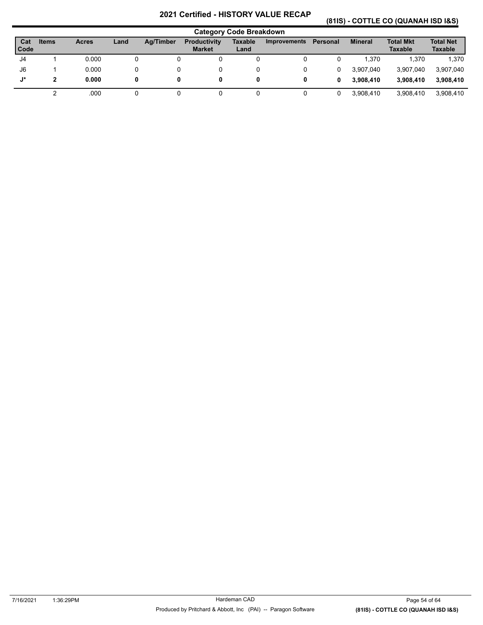# **(81IS) - COTTLE CO (QUANAH ISD I&S)**

|               |       |              |      |           |                                      | <b>Category Code Breakdown</b> |                     |          |                |                                    |                                    |
|---------------|-------|--------------|------|-----------|--------------------------------------|--------------------------------|---------------------|----------|----------------|------------------------------------|------------------------------------|
| Cat<br>l Code | Items | <b>Acres</b> | Land | Ag/Timber | <b>Productivity</b><br><b>Market</b> | Taxable<br>Land                | <b>Improvements</b> | Personal | <b>Mineral</b> | <b>Total Mkt</b><br><b>Taxable</b> | <b>Total Net</b><br><b>Taxable</b> |
| J4            |       | 0.000        | 0    |           |                                      | 0                              |                     |          | 1.370          | 1.370                              | 1,370                              |
| J6            |       | 0.000        |      |           |                                      | 0                              |                     | 0        | 3.907.040      | 3,907,040                          | 3,907,040                          |
| J*            | 2     | 0.000        | 0    | 0         |                                      | 0                              | 0                   | 0        | 3.908.410      | 3.908.410                          | 3.908.410                          |
|               |       | .000         |      |           |                                      |                                |                     |          | 3.908.410      | 3,908,410                          | 3.908.410                          |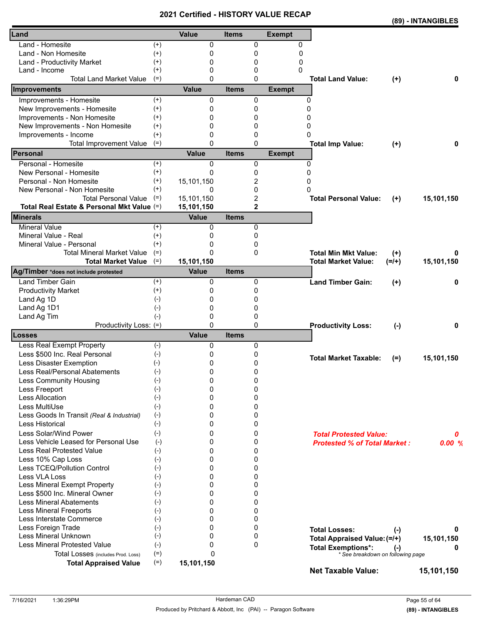|                                            |          | <b>Certilled - FIISTONT VALU</b> |              |                |               |                                     |           | (89) - INTANGIBLES |
|--------------------------------------------|----------|----------------------------------|--------------|----------------|---------------|-------------------------------------|-----------|--------------------|
| Land                                       |          | Value                            | <b>Items</b> |                | <b>Exempt</b> |                                     |           |                    |
| Land - Homesite                            | $^{(+)}$ | 0                                |              | 0              | 0             |                                     |           |                    |
| Land - Non Homesite                        | $^{(+)}$ | 0                                |              | 0              | 0             |                                     |           |                    |
| Land - Productivity Market                 | $^{(+)}$ | 0                                |              | 0              | 0             |                                     |           |                    |
| Land - Income                              | $^{(+)}$ | 0                                |              | 0              | 0             |                                     |           |                    |
| <b>Total Land Market Value</b>             | $(=)$    | $\Omega$                         |              | $\mathbf{0}$   |               | <b>Total Land Value:</b>            | $(+)$     | 0                  |
| Improvements                               |          | <b>Value</b>                     | <b>Items</b> |                | <b>Exempt</b> |                                     |           |                    |
| Improvements - Homesite                    | $(+)$    | 0                                |              | 0              |               | 0                                   |           |                    |
| New Improvements - Homesite                | $^{(+)}$ | 0                                |              | 0              |               | 0                                   |           |                    |
| Improvements - Non Homesite                | $^{(+)}$ | 0                                |              | 0              |               | 0                                   |           |                    |
| New Improvements - Non Homesite            | $^{(+)}$ | 0                                |              | 0              |               | 0                                   |           |                    |
| Improvements - Income                      | $^{(+)}$ | 0                                |              | 0              |               | 0                                   |           |                    |
| <b>Total Improvement Value</b>             | $(=)$    | $\mathbf{0}$                     |              | $\Omega$       |               | <b>Total Imp Value:</b>             | $^{(+)}$  | 0                  |
| Personal                                   |          | <b>Value</b>                     | <b>Items</b> |                | <b>Exempt</b> |                                     |           |                    |
| Personal - Homesite                        | $^{(+)}$ | 0                                |              | 0              |               | $\Omega$                            |           |                    |
| New Personal - Homesite                    | $^{(+)}$ | 0                                |              | 0              |               | $\Omega$                            |           |                    |
| Personal - Non Homesite                    | $^{(+)}$ | 15,101,150                       |              | 2              |               | 0                                   |           |                    |
| New Personal - Non Homesite                | $^{(+)}$ | 0                                |              | 0              |               | 0                                   |           |                    |
| <b>Total Personal Value</b>                | $(=)$    | 15,101,150                       |              | 2              |               | <b>Total Personal Value:</b>        | $(+)$     | 15,101,150         |
| Total Real Estate & Personal Mkt Value (=) |          | 15,101,150                       |              | $\overline{2}$ |               |                                     |           |                    |
| <b>Minerals</b>                            |          | <b>Value</b>                     | <b>Items</b> |                |               |                                     |           |                    |
| <b>Mineral Value</b>                       | $(+)$    | 0                                |              | 0              |               |                                     |           |                    |
| Mineral Value - Real                       | $^{(+)}$ | 0                                |              | 0              |               |                                     |           |                    |
| Mineral Value - Personal                   | $^{(+)}$ | 0                                |              | 0              |               |                                     |           |                    |
| <b>Total Mineral Market Value</b>          | $(=)$    | 0                                |              | 0              |               | <b>Total Min Mkt Value:</b>         | $^{(+)}$  | 0                  |
| <b>Total Market Value</b>                  | $(=)$    | 15,101,150                       |              |                |               | <b>Total Market Value:</b>          | $(=/+)$   | 15,101,150         |
| Ag/Timber *does not include protested      |          | <b>Value</b>                     | <b>Items</b> |                |               |                                     |           |                    |
| <b>Land Timber Gain</b>                    | $^{(+)}$ | 0                                |              | 0              |               | <b>Land Timber Gain:</b>            | $^{(+)}$  | 0                  |
| <b>Productivity Market</b>                 | $^{(+)}$ | 0                                |              | 0              |               |                                     |           |                    |
| Land Ag 1D                                 | $(-)$    | 0                                |              | 0              |               |                                     |           |                    |
| Land Ag 1D1                                | $(-)$    | 0                                |              | 0              |               |                                     |           |                    |
| Land Ag Tim                                | $(-)$    | 0                                |              | 0              |               |                                     |           |                    |
| Productivity Loss: (=)                     |          | $\mathbf{0}$                     |              | $\mathbf{0}$   |               | <b>Productivity Loss:</b>           | $(-)$     | 0                  |
| Losses                                     |          | <b>Value</b>                     | <b>Items</b> |                |               |                                     |           |                    |
| Less Real Exempt Property                  | $(-)$    | 0                                |              | 0              |               |                                     |           |                    |
| Less \$500 Inc. Real Personal              | $(-)$    | 0                                |              | 0              |               | <b>Total Market Taxable:</b>        | $(=)$     | 15,101,150         |
| Less Disaster Exemption                    | $(-)$    | 0                                |              | 0              |               |                                     |           |                    |
| Less Real/Personal Abatements              | $(-)$    | 0                                |              | 0              |               |                                     |           |                    |
| <b>Less Community Housing</b>              | $(-)$    | 0                                |              | 0              |               |                                     |           |                    |
| Less Freeport                              | $(-)$    | 0                                |              | 0              |               |                                     |           |                    |
| Less Allocation                            | $(-)$    | 0                                |              | 0              |               |                                     |           |                    |
| Less MultiUse                              | $(-)$    | 0                                |              | 0              |               |                                     |           |                    |
| Less Goods In Transit (Real & Industrial)  | $(-)$    | 0                                |              | 0              |               |                                     |           |                    |
| Less Historical                            | $(-)$    | 0                                |              | 0              |               |                                     |           |                    |
| Less Solar/Wind Power                      | $(-)$    | 0                                |              | 0              |               | <b>Total Protested Value:</b>       |           | 0                  |
| Less Vehicle Leased for Personal Use       | $(-)$    | 0                                |              | 0              |               | <b>Protested % of Total Market:</b> |           | 0.00%              |
| <b>Less Real Protested Value</b>           | $(-)$    | 0                                |              | 0              |               |                                     |           |                    |
| Less 10% Cap Loss                          | $(-)$    | 0                                |              | 0              |               |                                     |           |                    |
| Less TCEQ/Pollution Control                | $(-)$    | 0                                |              | 0              |               |                                     |           |                    |
| Less VLA Loss                              | $(-)$    | 0                                |              | 0              |               |                                     |           |                    |
| Less Mineral Exempt Property               | $(-)$    | 0                                |              | 0              |               |                                     |           |                    |
| Less \$500 Inc. Mineral Owner              | $(-)$    | 0                                |              | 0              |               |                                     |           |                    |
| <b>Less Mineral Abatements</b>             | $(-)$    | 0                                |              | 0              |               |                                     |           |                    |
| <b>Less Mineral Freeports</b>              | $(-)$    | 0                                |              | 0              |               |                                     |           |                    |
| Less Interstate Commerce                   | $(-)$    | 0                                |              | 0              |               |                                     |           |                    |
| Less Foreign Trade                         | $(-)$    | 0                                |              | 0              |               | <b>Total Losses:</b>                | $(\cdot)$ | 0                  |
| Less Mineral Unknown                       | $(-)$    | 0                                |              | 0              |               | Total Appraised Value: (=/+)        |           | 15,101,150         |
| Less Mineral Protested Value               | $(-)$    | 0                                |              | $\mathbf 0$    |               | <b>Total Exemptions*:</b>           | $(-)$     | 0                  |
| Total Losses (includes Prod. Loss)         | $(=)$    | $\Omega$                         |              |                |               | * See breakdown on following page   |           |                    |
| <b>Total Appraised Value</b>               | $(=)$    | 15,101,150                       |              |                |               | <b>Net Taxable Value:</b>           |           | 15,101,150         |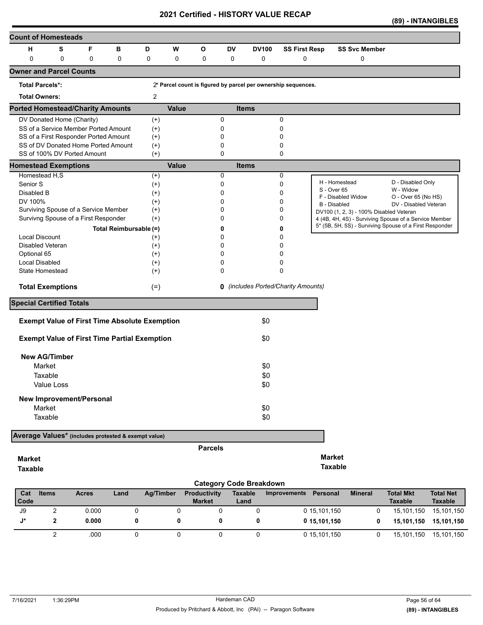| <b>Count of Homesteads</b>                          |             |              |   |                                                      |                  |              |                     |                |                                                               |                      |                              |                                                                                                                  |                                |                  |
|-----------------------------------------------------|-------------|--------------|---|------------------------------------------------------|------------------|--------------|---------------------|----------------|---------------------------------------------------------------|----------------------|------------------------------|------------------------------------------------------------------------------------------------------------------|--------------------------------|------------------|
| н                                                   | S           |              | F | в                                                    | D                | W            | O                   | <b>DV</b>      | <b>DV100</b>                                                  | <b>SS First Resp</b> |                              | <b>SS Svc Member</b>                                                                                             |                                |                  |
| $\mathbf 0$                                         | $\mathbf 0$ |              | 0 | $\mathbf 0$                                          | $\pmb{0}$        | 0            | 0                   | 0              | 0                                                             | 0                    |                              | 0                                                                                                                |                                |                  |
| <b>Owner and Parcel Counts</b>                      |             |              |   |                                                      |                  |              |                     |                |                                                               |                      |                              |                                                                                                                  |                                |                  |
| <b>Total Parcels*:</b>                              |             |              |   |                                                      |                  |              |                     |                | 2* Parcel count is figured by parcel per ownership sequences. |                      |                              |                                                                                                                  |                                |                  |
| <b>Total Owners:</b>                                |             |              |   |                                                      | 2                |              |                     |                |                                                               |                      |                              |                                                                                                                  |                                |                  |
| <b>Ported Homestead/Charity Amounts</b>             |             |              |   |                                                      |                  | <b>Value</b> |                     |                | <b>Items</b>                                                  |                      |                              |                                                                                                                  |                                |                  |
| DV Donated Home (Charity)                           |             |              |   |                                                      | $(+)$            |              |                     | 0              |                                                               | 0                    |                              |                                                                                                                  |                                |                  |
| SS of a Service Member Ported Amount                |             |              |   |                                                      | $(+)$            |              |                     | 0              |                                                               | 0                    |                              |                                                                                                                  |                                |                  |
| SS of a First Responder Ported Amount               |             |              |   |                                                      | $^{(+)}$         |              |                     | 0              |                                                               | 0                    |                              |                                                                                                                  |                                |                  |
| SS of DV Donated Home Ported Amount                 |             |              |   |                                                      | $(+)$            |              |                     | 0              |                                                               | 0                    |                              |                                                                                                                  |                                |                  |
| SS of 100% DV Ported Amount                         |             |              |   |                                                      | $(+)$            |              |                     | 0              |                                                               | 0                    |                              |                                                                                                                  |                                |                  |
| <b>Homestead Exemptions</b>                         |             |              |   |                                                      |                  | <b>Value</b> |                     |                | <b>Items</b>                                                  |                      |                              |                                                                                                                  |                                |                  |
| Homestead H,S                                       |             |              |   |                                                      | $(+)$            |              |                     | 0              |                                                               | 0                    |                              |                                                                                                                  |                                |                  |
| Senior <sub>S</sub>                                 |             |              |   |                                                      | $(+)$            |              |                     | 0              |                                                               | 0                    | H - Homestead<br>S - Over 65 |                                                                                                                  | D - Disabled Only<br>W - Widow |                  |
| Disabled B                                          |             |              |   |                                                      | $^{(+)}$         |              |                     | 0              |                                                               | 0                    |                              | F - Disabled Widow                                                                                               | O - Over 65 (No HS)            |                  |
| DV 100%                                             |             |              |   |                                                      | $^{(+)}$         |              |                     | 0              |                                                               | 0                    | B - Disabled                 |                                                                                                                  | DV - Disabled Veteran          |                  |
| Surviving Spouse of a Service Member                |             |              |   |                                                      | $^{(+)}$         |              |                     | ŋ              |                                                               | 0                    |                              | DV100 (1, 2, 3) - 100% Disabled Veteran                                                                          |                                |                  |
| Survivng Spouse of a First Responder                |             |              |   |                                                      | $(+)$            |              |                     | 0              |                                                               | 0                    |                              | 4 (4B, 4H, 4S) - Surviving Spouse of a Service Member<br>5* (5B, 5H, 5S) - Surviving Spouse of a First Responder |                                |                  |
|                                                     |             |              |   | Total Reimbursable (=)                               |                  |              |                     |                |                                                               | 0                    |                              |                                                                                                                  |                                |                  |
| <b>Local Discount</b>                               |             |              |   |                                                      | $^{(+)}$         |              |                     | 0              |                                                               | 0                    |                              |                                                                                                                  |                                |                  |
| Disabled Veteran                                    |             |              |   |                                                      | $^{(+)}$         |              |                     | U              |                                                               | 0                    |                              |                                                                                                                  |                                |                  |
| Optional 65                                         |             |              |   |                                                      | $(+)$            |              |                     | 0              |                                                               | 0                    |                              |                                                                                                                  |                                |                  |
| <b>Local Disabled</b>                               |             |              |   |                                                      | $^{(+)}$         |              |                     | 0              |                                                               | 0                    |                              |                                                                                                                  |                                |                  |
| State Homestead                                     |             |              |   |                                                      | $^{(+)}$         |              |                     | 0              |                                                               | 0                    |                              |                                                                                                                  |                                |                  |
| <b>Total Exemptions</b>                             |             |              |   |                                                      | $(=)$            |              |                     |                | <b>0</b> (includes Ported/Charity Amounts)                    |                      |                              |                                                                                                                  |                                |                  |
| <b>Special Certified Totals</b>                     |             |              |   |                                                      |                  |              |                     |                |                                                               |                      |                              |                                                                                                                  |                                |                  |
|                                                     |             |              |   | <b>Exempt Value of First Time Absolute Exemption</b> |                  |              |                     |                | \$0                                                           |                      |                              |                                                                                                                  |                                |                  |
|                                                     |             |              |   | <b>Exempt Value of First Time Partial Exemption</b>  |                  |              |                     |                | \$0                                                           |                      |                              |                                                                                                                  |                                |                  |
|                                                     |             |              |   |                                                      |                  |              |                     |                |                                                               |                      |                              |                                                                                                                  |                                |                  |
| <b>New AG/Timber</b>                                |             |              |   |                                                      |                  |              |                     |                |                                                               |                      |                              |                                                                                                                  |                                |                  |
| Market                                              |             |              |   |                                                      |                  |              |                     |                | \$0                                                           |                      |                              |                                                                                                                  |                                |                  |
| Taxable                                             |             |              |   |                                                      |                  |              |                     |                | \$0                                                           |                      |                              |                                                                                                                  |                                |                  |
|                                                     | Value Loss  |              |   |                                                      |                  |              |                     |                | \$0                                                           |                      |                              |                                                                                                                  |                                |                  |
| New Improvement/Personal                            |             |              |   |                                                      |                  |              |                     |                |                                                               |                      |                              |                                                                                                                  |                                |                  |
| Market                                              |             |              |   |                                                      |                  |              |                     |                | \$0                                                           |                      |                              |                                                                                                                  |                                |                  |
| Taxable                                             |             |              |   |                                                      |                  |              |                     |                | \$0                                                           |                      |                              |                                                                                                                  |                                |                  |
|                                                     |             |              |   |                                                      |                  |              |                     |                |                                                               |                      |                              |                                                                                                                  |                                |                  |
| Average Values* (includes protested & exempt value) |             |              |   |                                                      |                  |              |                     |                |                                                               |                      |                              |                                                                                                                  |                                |                  |
|                                                     |             |              |   |                                                      |                  |              | <b>Parcels</b>      |                |                                                               |                      |                              |                                                                                                                  |                                |                  |
| <b>Market</b>                                       |             |              |   |                                                      |                  |              |                     |                |                                                               |                      | <b>Market</b>                |                                                                                                                  |                                |                  |
| <b>Taxable</b>                                      |             |              |   |                                                      |                  |              |                     |                |                                                               |                      | <b>Taxable</b>               |                                                                                                                  |                                |                  |
|                                                     |             |              |   |                                                      |                  |              |                     |                |                                                               |                      |                              |                                                                                                                  |                                |                  |
|                                                     |             |              |   |                                                      |                  |              |                     |                | <b>Category Code Breakdown</b>                                |                      |                              |                                                                                                                  |                                |                  |
| Cat                                                 | Items       | <b>Acres</b> |   | Land                                                 | <b>Ag/Timber</b> |              | <b>Productivity</b> | <b>Taxable</b> |                                                               | Improvements         | Personal                     | <b>Mineral</b>                                                                                                   | <b>Total Mkt</b>               | <b>Total Net</b> |

| Cat<br>l Code | ltems | <b>Acres</b> | Land | Ad/Timber | <b>Productivity</b><br><b>Market</b> | Taxable<br>Land | Improvements<br>Personal | Mineral | Total Mkt<br><b>Taxable</b> | <b>Total Net</b><br><b>Taxable</b> |
|---------------|-------|--------------|------|-----------|--------------------------------------|-----------------|--------------------------|---------|-----------------------------|------------------------------------|
| J9            |       | 0.000        |      |           |                                      |                 | 0 15.101.150             |         | 15,101,150                  | 15,101,150                         |
|               |       | 0.000        |      |           |                                      |                 | 0 15.101.150             |         | 15.101.150                  | 15.101.150                         |
|               |       | .000         |      |           |                                      |                 | 0 15,101,150             |         | 15,101,150                  | 15,101,150                         |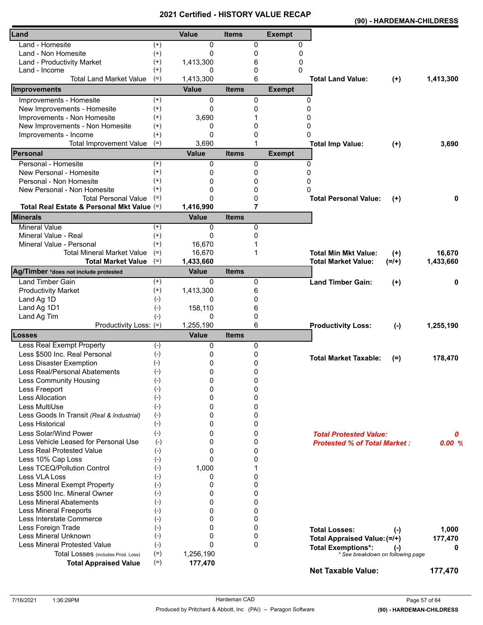|                                            |          | VEI UIIEU - FIIJ I VN I |              |              |               |                                     |           | (90) - HARDEMAN-CHILDRESS |
|--------------------------------------------|----------|-------------------------|--------------|--------------|---------------|-------------------------------------|-----------|---------------------------|
| Land                                       |          | Value                   | <b>Items</b> |              | <b>Exempt</b> |                                     |           |                           |
| Land - Homesite                            | $^{(+)}$ | 0                       |              | 0            | 0             |                                     |           |                           |
| Land - Non Homesite                        | $(+)$    | 0                       |              | 0            | 0             |                                     |           |                           |
| Land - Productivity Market                 | $^{(+)}$ | 1,413,300               |              | 6            | 0             |                                     |           |                           |
| Land - Income                              | $^{(+)}$ | 0                       |              | 0            | 0             |                                     |           |                           |
| <b>Total Land Market Value</b>             | $(=)$    | 1,413,300               |              | 6            |               | <b>Total Land Value:</b>            | $(+)$     | 1,413,300                 |
| Improvements                               |          | <b>Value</b>            | <b>Items</b> |              | <b>Exempt</b> |                                     |           |                           |
| Improvements - Homesite                    | $(+)$    | 0                       |              | 0            | 0             |                                     |           |                           |
| New Improvements - Homesite                | $(+)$    | 0                       |              | 0            | 0             |                                     |           |                           |
| Improvements - Non Homesite                | $^{(+)}$ | 3,690                   |              |              | 0             |                                     |           |                           |
| New Improvements - Non Homesite            | $^{(+)}$ | 0                       |              | 0            | 0             |                                     |           |                           |
| Improvements - Income                      | $^{(+)}$ | 0                       |              | 0            | 0             |                                     |           |                           |
| <b>Total Improvement Value</b>             | $(=)$    | 3,690                   |              | 1            |               | <b>Total Imp Value:</b>             | $(+)$     | 3,690                     |
| Personal                                   |          | <b>Value</b>            | <b>Items</b> |              | <b>Exempt</b> |                                     |           |                           |
| Personal - Homesite                        | $^{(+)}$ | 0                       |              | 0            | $\mathbf{0}$  |                                     |           |                           |
| New Personal - Homesite                    | $^{(+)}$ | 0                       |              | 0            | 0             |                                     |           |                           |
| Personal - Non Homesite                    | $^{(+)}$ | 0                       |              | 0            | 0             |                                     |           |                           |
| New Personal - Non Homesite                | $^{(+)}$ | 0                       |              | 0            | $\Omega$      |                                     |           |                           |
| <b>Total Personal Value</b>                | $(=)$    | $\Omega$                |              | 0            |               | <b>Total Personal Value:</b>        | $^{(+)}$  | 0                         |
| Total Real Estate & Personal Mkt Value (=) |          | 1,416,990               |              | 7            |               |                                     |           |                           |
| <b>Minerals</b>                            |          | <b>Value</b>            | <b>Items</b> |              |               |                                     |           |                           |
| <b>Mineral Value</b>                       | $(+)$    | 0                       |              | 0            |               |                                     |           |                           |
| Mineral Value - Real                       | $^{(+)}$ | 0                       |              | 0            |               |                                     |           |                           |
| Mineral Value - Personal                   | $^{(+)}$ | 16,670                  |              |              |               |                                     |           |                           |
| <b>Total Mineral Market Value</b>          | $(=)$    | 16,670                  |              | 1            |               | <b>Total Min Mkt Value:</b>         | $(+)$     | 16,670                    |
| <b>Total Market Value</b>                  | $(=)$    | 1,433,660               |              |              |               | <b>Total Market Value:</b>          | $(=/+)$   | 1,433,660                 |
| Ag/Timber *does not include protested      |          | <b>Value</b>            | <b>Items</b> |              |               |                                     |           |                           |
| <b>Land Timber Gain</b>                    | $^{(+)}$ | 0                       |              | 0            |               | <b>Land Timber Gain:</b>            | $^{(+)}$  | 0                         |
| <b>Productivity Market</b>                 | $(+)$    | 1,413,300               |              | 6            |               |                                     |           |                           |
| Land Ag 1D                                 | $(-)$    | 0                       |              | 0            |               |                                     |           |                           |
| Land Ag 1D1                                | $(-)$    | 158,110                 |              | 6            |               |                                     |           |                           |
| Land Ag Tim                                | $(-)$    | 0                       |              | 0            |               |                                     |           |                           |
| Productivity Loss: (=)                     |          | 1,255,190               |              | 6            |               | <b>Productivity Loss:</b>           | $(-)$     | 1,255,190                 |
| Losses                                     |          | <b>Value</b>            | <b>Items</b> |              |               |                                     |           |                           |
| Less Real Exempt Property                  | $(-)$    | 0                       |              | 0            |               |                                     |           |                           |
| Less \$500 Inc. Real Personal              | $(-)$    | 0                       |              | 0            |               | <b>Total Market Taxable:</b>        | $(=)$     | 178,470                   |
| Less Disaster Exemption                    | $(-)$    | 0                       |              | 0            |               |                                     |           |                           |
| Less Real/Personal Abatements              | $(-)$    | 0                       |              | 0            |               |                                     |           |                           |
| Less Community Housing                     | $(-)$    | 0                       |              | 0            |               |                                     |           |                           |
| Less Freeport                              | $(-)$    | 0                       |              | 0            |               |                                     |           |                           |
| Less Allocation                            | $(-)$    | 0                       |              | 0            |               |                                     |           |                           |
| Less MultiUse                              | $(-)$    | 0                       |              | 0            |               |                                     |           |                           |
| Less Goods In Transit (Real & Industrial)  | $(-)$    | 0                       |              | 0            |               |                                     |           |                           |
| Less Historical                            | $(-)$    | 0                       |              | 0            |               |                                     |           |                           |
| Less Solar/Wind Power                      | $(-)$    | 0                       |              | 0            |               | <b>Total Protested Value:</b>       |           | 0                         |
| Less Vehicle Leased for Personal Use       | $(-)$    | 0                       |              | 0            |               | <b>Protested % of Total Market:</b> |           | 0.00%                     |
| <b>Less Real Protested Value</b>           | $(-)$    | 0                       |              | 0            |               |                                     |           |                           |
| Less 10% Cap Loss                          | $(-)$    | 0                       |              | 0            |               |                                     |           |                           |
| Less TCEQ/Pollution Control                | $(-)$    | 1,000                   |              | 1            |               |                                     |           |                           |
| Less VLA Loss                              | $(-)$    | 0                       |              | 0            |               |                                     |           |                           |
| Less Mineral Exempt Property               | $(-)$    | 0                       |              | 0            |               |                                     |           |                           |
| Less \$500 Inc. Mineral Owner              | $(-)$    | 0                       |              | 0            |               |                                     |           |                           |
| <b>Less Mineral Abatements</b>             | $(-)$    | 0                       |              | 0            |               |                                     |           |                           |
| <b>Less Mineral Freeports</b>              | $(-)$    | 0                       |              | 0            |               |                                     |           |                           |
| Less Interstate Commerce                   | $(-)$    | 0                       |              | 0            |               |                                     |           |                           |
| Less Foreign Trade                         | $(-)$    | 0                       |              | 0            |               | <b>Total Losses:</b>                | $(\cdot)$ | 1,000                     |
| Less Mineral Unknown                       | $(-)$    | 0                       |              | 0            |               | Total Appraised Value: (=/+)        |           | 177,470                   |
| Less Mineral Protested Value               | $(-)$    | 0                       |              | $\mathbf{0}$ |               | <b>Total Exemptions*:</b>           | $(-)$     | 0                         |
| Total Losses (includes Prod. Loss)         | $(=)$    | 1,256,190               |              |              |               | * See breakdown on following page   |           |                           |
| <b>Total Appraised Value</b>               | $(=)$    | 177,470                 |              |              |               |                                     |           |                           |
|                                            |          |                         |              |              |               | <b>Net Taxable Value:</b>           |           | 177,470                   |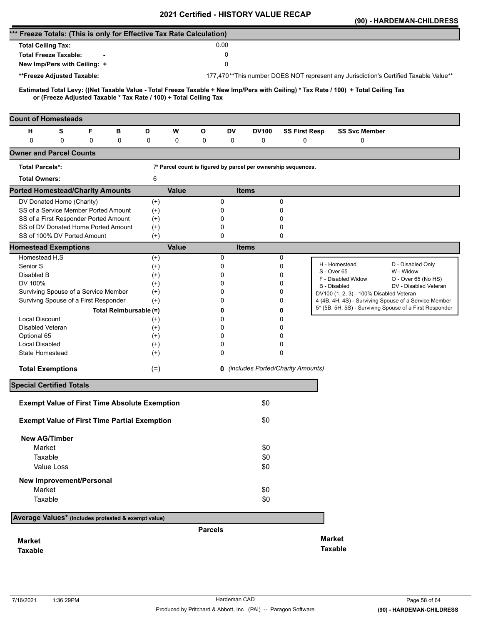|                                                                                                                                                                                                          |                        |              | <b>VEILIIIEU - FIIJTUNT VALUE</b>                             |                                            |                      |                                         | (90) - HARDEMAN-CHILDRESS                                                                                        |
|----------------------------------------------------------------------------------------------------------------------------------------------------------------------------------------------------------|------------------------|--------------|---------------------------------------------------------------|--------------------------------------------|----------------------|-----------------------------------------|------------------------------------------------------------------------------------------------------------------|
| *** Freeze Totals: (This is only for Effective Tax Rate Calculation)                                                                                                                                     |                        |              |                                                               |                                            |                      |                                         |                                                                                                                  |
| <b>Total Ceiling Tax:</b>                                                                                                                                                                                |                        |              | 0.00                                                          |                                            |                      |                                         |                                                                                                                  |
| <b>Total Freeze Taxable:</b>                                                                                                                                                                             |                        |              | 0                                                             |                                            |                      |                                         |                                                                                                                  |
| New Imp/Pers with Ceiling: +                                                                                                                                                                             |                        |              | 0                                                             |                                            |                      |                                         |                                                                                                                  |
| **Freeze Adjusted Taxable:                                                                                                                                                                               |                        |              |                                                               |                                            |                      |                                         | 177,470**This number DOES NOT represent any Jurisdiction's Certified Taxable Value**                             |
|                                                                                                                                                                                                          |                        |              |                                                               |                                            |                      |                                         |                                                                                                                  |
| Estimated Total Levy: ((Net Taxable Value - Total Freeze Taxable + New Imp/Pers with Ceiling) * Tax Rate / 100) + Total Ceiling Tax<br>or (Freeze Adjusted Taxable * Tax Rate / 100) + Total Ceiling Tax |                        |              |                                                               |                                            |                      |                                         |                                                                                                                  |
|                                                                                                                                                                                                          |                        |              |                                                               |                                            |                      |                                         |                                                                                                                  |
| <b>Count of Homesteads</b>                                                                                                                                                                               |                        |              |                                                               |                                            |                      |                                         |                                                                                                                  |
| F<br>н<br>s                                                                                                                                                                                              | в<br>D                 | W            | O<br>DV                                                       | <b>DV100</b>                               | <b>SS First Resp</b> | <b>SS Svc Member</b>                    |                                                                                                                  |
| $\mathbf 0$<br>0<br>0                                                                                                                                                                                    | 0<br>0                 | 0            | 0<br>0                                                        | 0                                          | 0                    | 0                                       |                                                                                                                  |
| <b>Owner and Parcel Counts</b>                                                                                                                                                                           |                        |              |                                                               |                                            |                      |                                         |                                                                                                                  |
| <b>Total Parcels*:</b>                                                                                                                                                                                   |                        |              | 7* Parcel count is figured by parcel per ownership sequences. |                                            |                      |                                         |                                                                                                                  |
| <b>Total Owners:</b>                                                                                                                                                                                     |                        | 6            |                                                               |                                            |                      |                                         |                                                                                                                  |
| <b>Ported Homestead/Charity Amounts</b>                                                                                                                                                                  |                        | <b>Value</b> |                                                               | <b>Items</b>                               |                      |                                         |                                                                                                                  |
| DV Donated Home (Charity)                                                                                                                                                                                |                        | $^{(+)}$     | 0                                                             |                                            | 0                    |                                         |                                                                                                                  |
| SS of a Service Member Ported Amount                                                                                                                                                                     |                        | $(+)$        | 0                                                             |                                            | 0                    |                                         |                                                                                                                  |
| SS of a First Responder Ported Amount                                                                                                                                                                    |                        | $^{(+)}$     | 0                                                             |                                            | 0                    |                                         |                                                                                                                  |
| SS of DV Donated Home Ported Amount                                                                                                                                                                      |                        | $^{(+)}$     | 0                                                             |                                            | 0                    |                                         |                                                                                                                  |
| SS of 100% DV Ported Amount                                                                                                                                                                              |                        | $(+)$        | 0                                                             |                                            | 0                    |                                         |                                                                                                                  |
| <b>Homestead Exemptions</b>                                                                                                                                                                              |                        | <b>Value</b> |                                                               | <b>Items</b>                               |                      |                                         |                                                                                                                  |
| Homestead H,S                                                                                                                                                                                            |                        | $^{(+)}$     | 0                                                             |                                            | 0                    | H - Homestead                           |                                                                                                                  |
| Senior S                                                                                                                                                                                                 |                        | $^{(+)}$     | 0                                                             |                                            | 0                    | S - Over 65                             | D - Disabled Only<br>W - Widow                                                                                   |
| Disabled B                                                                                                                                                                                               |                        | $^{(+)}$     | 0                                                             |                                            | 0                    | F - Disabled Widow                      | O - Over 65 (No HS)                                                                                              |
| DV 100%                                                                                                                                                                                                  |                        | $(+)$        | 0                                                             |                                            | 0                    | B - Disabled                            | DV - Disabled Veteran                                                                                            |
| Surviving Spouse of a Service Member                                                                                                                                                                     |                        | $^{(+)}$     | 0                                                             |                                            | 0                    | DV100 (1, 2, 3) - 100% Disabled Veteran |                                                                                                                  |
| Survivng Spouse of a First Responder                                                                                                                                                                     |                        | $(+)$        | 0                                                             |                                            | 0                    |                                         | 4 (4B, 4H, 4S) - Surviving Spouse of a Service Member<br>5* (5B, 5H, 5S) - Surviving Spouse of a First Responder |
|                                                                                                                                                                                                          | Total Reimbursable (=) |              | 0                                                             |                                            | 0                    |                                         |                                                                                                                  |
| <b>Local Discount</b>                                                                                                                                                                                    |                        | $^{(+)}$     | 0                                                             |                                            | 0                    |                                         |                                                                                                                  |
| Disabled Veteran                                                                                                                                                                                         |                        | $^{(+)}$     | 0                                                             |                                            | 0                    |                                         |                                                                                                                  |
| Optional 65                                                                                                                                                                                              |                        | $^{(+)}$     | 0                                                             |                                            | 0                    |                                         |                                                                                                                  |
| Local Disabled                                                                                                                                                                                           |                        | $^{(+)}$     | 0                                                             |                                            | 0                    |                                         |                                                                                                                  |
| State Homestead                                                                                                                                                                                          |                        | $(+)$        | 0                                                             |                                            | 0                    |                                         |                                                                                                                  |
| <b>Total Exemptions</b>                                                                                                                                                                                  |                        | $(=)$        |                                                               | <b>0</b> (includes Ported/Charity Amounts) |                      |                                         |                                                                                                                  |
| <b>Special Certified Totals</b>                                                                                                                                                                          |                        |              |                                                               |                                            |                      |                                         |                                                                                                                  |
|                                                                                                                                                                                                          |                        |              |                                                               |                                            |                      |                                         |                                                                                                                  |
| <b>Exempt Value of First Time Absolute Exemption</b>                                                                                                                                                     |                        |              |                                                               | \$0                                        |                      |                                         |                                                                                                                  |
| <b>Exempt Value of First Time Partial Exemption</b>                                                                                                                                                      |                        |              |                                                               | \$0                                        |                      |                                         |                                                                                                                  |
| <b>New AG/Timber</b>                                                                                                                                                                                     |                        |              |                                                               |                                            |                      |                                         |                                                                                                                  |
| Market                                                                                                                                                                                                   |                        |              |                                                               | \$0                                        |                      |                                         |                                                                                                                  |
| Taxable                                                                                                                                                                                                  |                        |              |                                                               | \$0                                        |                      |                                         |                                                                                                                  |
| Value Loss                                                                                                                                                                                               |                        |              |                                                               | \$0                                        |                      |                                         |                                                                                                                  |
| <b>New Improvement/Personal</b>                                                                                                                                                                          |                        |              |                                                               |                                            |                      |                                         |                                                                                                                  |
| Market                                                                                                                                                                                                   |                        |              |                                                               | \$0                                        |                      |                                         |                                                                                                                  |
| Taxable                                                                                                                                                                                                  |                        |              |                                                               | \$0                                        |                      |                                         |                                                                                                                  |
| Average Values* (includes protested & exempt value)                                                                                                                                                      |                        |              |                                                               |                                            |                      |                                         |                                                                                                                  |
|                                                                                                                                                                                                          |                        |              |                                                               |                                            |                      |                                         |                                                                                                                  |
|                                                                                                                                                                                                          |                        |              | <b>Parcels</b>                                                |                                            |                      |                                         |                                                                                                                  |
| <b>Market</b>                                                                                                                                                                                            |                        |              |                                                               |                                            |                      | <b>Market</b>                           |                                                                                                                  |
| <b>Taxable</b>                                                                                                                                                                                           |                        |              |                                                               |                                            |                      | <b>Taxable</b>                          |                                                                                                                  |
|                                                                                                                                                                                                          |                        |              |                                                               |                                            |                      |                                         |                                                                                                                  |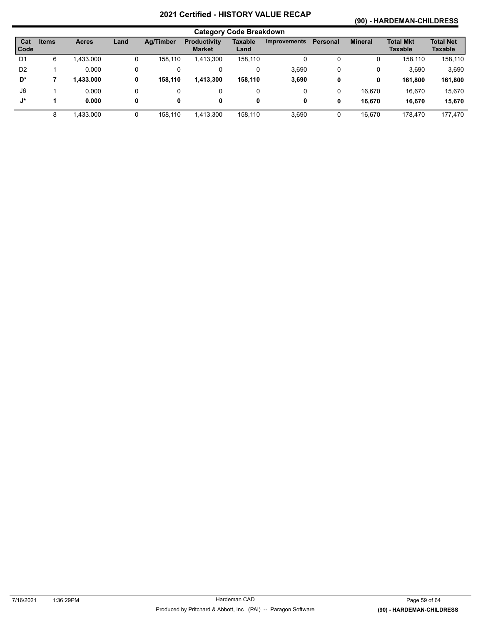# **(90) - HARDEMAN-CHILDRESS**

|                    | <b>Category Code Breakdown</b> |              |      |                  |                                      |                 |                     |                 |                |                                    |                             |  |
|--------------------|--------------------------------|--------------|------|------------------|--------------------------------------|-----------------|---------------------|-----------------|----------------|------------------------------------|-----------------------------|--|
| Cat<br><b>Code</b> | <b>Items</b>                   | <b>Acres</b> | Land | <b>Ag/Timber</b> | <b>Productivity</b><br><b>Market</b> | Taxable<br>Land | <b>Improvements</b> | <b>Personal</b> | <b>Mineral</b> | <b>Total Mkt</b><br><b>Taxable</b> | <b>Total Net</b><br>Taxable |  |
| D <sub>1</sub>     | 6                              | 1.433.000    | 0    | 158.110          | 1,413,300                            | 158,110         | 0                   | 0               | 0              | 158.110                            | 158,110                     |  |
| D <sub>2</sub>     |                                | 0.000        | 0    |                  | 0                                    | 0               | 3,690               | 0               | 0              | 3,690                              | 3,690                       |  |
| D*                 |                                | 1,433.000    | 0    | 158,110          | 1,413,300                            | 158,110         | 3,690               | 0               | 0              | 161.800                            | 161,800                     |  |
| J <sub>6</sub>     |                                | 0.000        | 0    |                  | 0                                    | 0               | 0                   | 0               | 16,670         | 16,670                             | 15,670                      |  |
| J*                 |                                | 0.000        | 0    | 0                | 0                                    | 0               | 0                   | 0               | 16.670         | 16.670                             | 15,670                      |  |
|                    | 8                              | 1,433.000    | 0    | 158,110          | 1,413,300                            | 158,110         | 3,690               | 0               | 16,670         | 178,470                            | 177,470                     |  |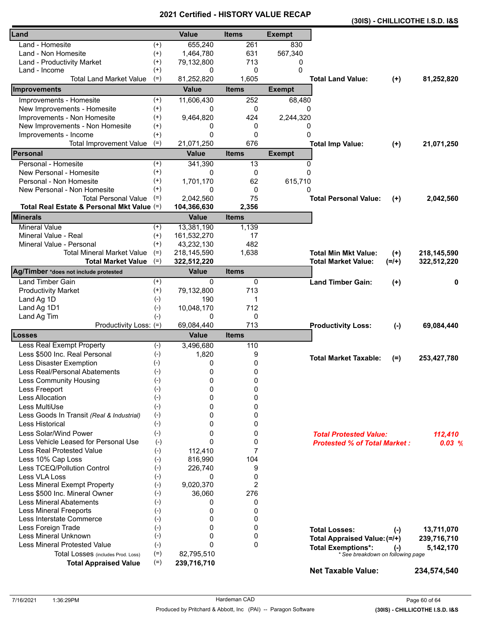|                                            |                    |              |              |               |                                                                |           | (30IS) - CHILLICOTHE I.S.D. I&S |
|--------------------------------------------|--------------------|--------------|--------------|---------------|----------------------------------------------------------------|-----------|---------------------------------|
| Land                                       |                    | <b>Value</b> | <b>Items</b> | <b>Exempt</b> |                                                                |           |                                 |
| Land - Homesite                            | $^{(+)}$           | 655,240      | 261          | 830           |                                                                |           |                                 |
| Land - Non Homesite                        | $^{(+)}$           | 1,464,780    | 631          | 567,340       |                                                                |           |                                 |
| Land - Productivity Market                 | $^{(+)}$           | 79,132,800   | 713          | 0             |                                                                |           |                                 |
| Land - Income                              | $^{(+)}$           | 0            | 0            | $\Omega$      |                                                                |           |                                 |
| <b>Total Land Market Value</b>             | $(=)$              | 81,252,820   | 1,605        |               | <b>Total Land Value:</b>                                       | $(+)$     | 81,252,820                      |
| <b>Improvements</b>                        |                    | <b>Value</b> | <b>Items</b> | <b>Exempt</b> |                                                                |           |                                 |
| Improvements - Homesite                    | $^{(+)}$           | 11,606,430   | 252          | 68,480        |                                                                |           |                                 |
| New Improvements - Homesite                | $^{(+)}$           | 0            | 0            | $\Omega$      |                                                                |           |                                 |
| Improvements - Non Homesite                | $^{(+)}$           | 9,464,820    | 424          | 2,244,320     |                                                                |           |                                 |
| New Improvements - Non Homesite            | $^{(+)}$           | 0            | 0            | 0             |                                                                |           |                                 |
| Improvements - Income                      | $^{(+)}$           | 0            | 0            | $\mathbf{0}$  |                                                                |           |                                 |
| <b>Total Improvement Value</b>             | $(=)$              | 21,071,250   | 676          |               | <b>Total Imp Value:</b>                                        | $(+)$     | 21,071,250                      |
| Personal                                   |                    | <b>Value</b> | <b>Items</b> | <b>Exempt</b> |                                                                |           |                                 |
| Personal - Homesite                        | $^{(+)}$           | 341,390      | 13           | 0             |                                                                |           |                                 |
| New Personal - Homesite                    | $^{(+)}$           | 0            | 0            | $\Omega$      |                                                                |           |                                 |
| Personal - Non Homesite                    | $^{(+)}$           | 1,701,170    | 62           | 615,710       |                                                                |           |                                 |
| New Personal - Non Homesite                | $^{(+)}$           | 0            | 0            | 0             |                                                                |           |                                 |
| <b>Total Personal Value</b>                | $(=)$              | 2,042,560    | 75           |               | <b>Total Personal Value:</b>                                   | $(+)$     | 2,042,560                       |
| Total Real Estate & Personal Mkt Value (=) |                    | 104,366,630  | 2,356        |               |                                                                |           |                                 |
| <b>Minerals</b>                            |                    | <b>Value</b> | <b>Items</b> |               |                                                                |           |                                 |
| <b>Mineral Value</b>                       | $^{(+)}$           | 13,381,190   | 1,139        |               |                                                                |           |                                 |
| Mineral Value - Real                       | $^{(+)}$           | 161,532,270  | 17           |               |                                                                |           |                                 |
| Mineral Value - Personal                   | $(+)$              | 43,232,130   | 482          |               |                                                                |           |                                 |
| <b>Total Mineral Market Value</b>          | $(=)$              | 218,145,590  | 1,638        |               | <b>Total Min Mkt Value:</b>                                    | $(+)$     | 218,145,590                     |
| <b>Total Market Value</b>                  | $(=)$              | 322,512,220  |              |               | <b>Total Market Value:</b>                                     | $(=/+)$   | 322,512,220                     |
| Ag/Timber *does not include protested      |                    | <b>Value</b> | <b>Items</b> |               |                                                                |           |                                 |
| <b>Land Timber Gain</b>                    | $^{(+)}$           | 0            | 0            |               | <b>Land Timber Gain:</b>                                       | $(+)$     | 0                               |
| <b>Productivity Market</b>                 | $^{(+)}$           | 79,132,800   | 713          |               |                                                                |           |                                 |
| Land Ag 1D                                 | $(-)$              | 190          | 1            |               |                                                                |           |                                 |
| Land Ag 1D1                                | $(-)$              | 10,048,170   | 712          |               |                                                                |           |                                 |
| Land Ag Tim                                | $(-)$              | 0            | 0            |               |                                                                |           |                                 |
| Productivity Loss: (=)                     |                    | 69,084,440   | 713          |               | <b>Productivity Loss:</b>                                      | $(-)$     | 69,084,440                      |
| <b>Losses</b>                              |                    | <b>Value</b> | <b>Items</b> |               |                                                                |           |                                 |
| <b>Less Real Exempt Property</b>           | $(\textnormal{-})$ | 3,496,680    | 110          |               |                                                                |           |                                 |
| Less \$500 Inc. Real Personal              | $(-)$              | 1,820        | 9            |               | <b>Total Market Taxable:</b>                                   |           |                                 |
| Less Disaster Exemption                    | $(-)$              | 0            | 0            |               |                                                                | $(=)$     | 253,427,780                     |
| Less Real/Personal Abatements              | $(-)$              | $\mathbf 0$  | 0            |               |                                                                |           |                                 |
| <b>Less Community Housing</b>              | $(-)$              | 0            | 0            |               |                                                                |           |                                 |
| Less Freeport                              | $(-)$              | 0            | 0            |               |                                                                |           |                                 |
| Less Allocation                            | $(-)$              | 0            | 0            |               |                                                                |           |                                 |
| Less MultiUse                              | $(-)$              | 0            | 0            |               |                                                                |           |                                 |
| Less Goods In Transit (Real & Industrial)  | $(-)$              | 0            | 0            |               |                                                                |           |                                 |
| Less Historical                            | $(-)$              | 0            | 0            |               |                                                                |           |                                 |
| Less Solar/Wind Power                      | $(-)$              | 0            | 0            |               | <b>Total Protested Value:</b>                                  |           | 112,410                         |
| Less Vehicle Leased for Personal Use       | $(-)$              | $\mathbf{0}$ | 0            |               | <b>Protested % of Total Market:</b>                            |           | 0.03%                           |
| <b>Less Real Protested Value</b>           | $(-)$              | 112.410      | 7            |               |                                                                |           |                                 |
| Less 10% Cap Loss                          | $(-)$              | 816,990      | 104          |               |                                                                |           |                                 |
| Less TCEQ/Pollution Control                | $(-)$              | 226,740      | 9            |               |                                                                |           |                                 |
| Less VLA Loss                              | $(-)$              | 0            | 0            |               |                                                                |           |                                 |
| Less Mineral Exempt Property               | $(-)$              | 9,020,370    | 2            |               |                                                                |           |                                 |
| Less \$500 Inc. Mineral Owner              | $(-)$              | 36,060       | 276          |               |                                                                |           |                                 |
| <b>Less Mineral Abatements</b>             | $(-)$              | 0            | 0            |               |                                                                |           |                                 |
| <b>Less Mineral Freeports</b>              | $(-)$              | 0            | 0            |               |                                                                |           |                                 |
| Less Interstate Commerce                   | $(-)$              | 0            | 0            |               |                                                                |           |                                 |
| Less Foreign Trade                         | $(-)$              | 0            | 0            |               | <b>Total Losses:</b>                                           |           | 13,711,070                      |
| Less Mineral Unknown                       | $(-)$              | 0            | 0            |               | Total Appraised Value: (=/+)                                   | $(-)$     |                                 |
| <b>Less Mineral Protested Value</b>        | $(-)$              | 0            | $\Omega$     |               |                                                                |           | 239,716,710                     |
| Total Losses (includes Prod. Loss)         | $(=)$              | 82,795,510   |              |               | <b>Total Exemptions*:</b><br>* See breakdown on following page | $(\cdot)$ | 5,142,170                       |
| <b>Total Appraised Value</b>               | $(=)$              | 239,716,710  |              |               |                                                                |           |                                 |
|                                            |                    |              |              |               | <b>Net Taxable Value:</b>                                      |           | 234,574,540                     |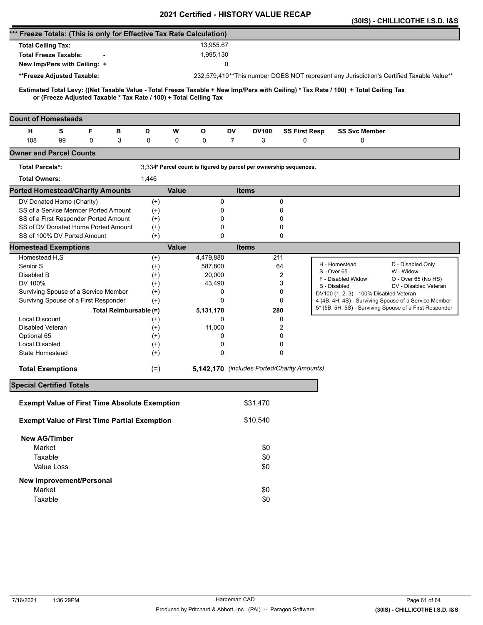|                                                                                                                                                                                                          |                   |              |                  |                                                                   |                      |                                         | (30IS) - CHILLICOTHE I.S.D. 1&S                                                          |
|----------------------------------------------------------------------------------------------------------------------------------------------------------------------------------------------------------|-------------------|--------------|------------------|-------------------------------------------------------------------|----------------------|-----------------------------------------|------------------------------------------------------------------------------------------|
| *** Freeze Totals: (This is only for Effective Tax Rate Calculation)                                                                                                                                     |                   |              |                  |                                                                   |                      |                                         |                                                                                          |
| <b>Total Ceiling Tax:</b>                                                                                                                                                                                |                   |              | 13.955.67        |                                                                   |                      |                                         |                                                                                          |
| <b>Total Freeze Taxable:</b>                                                                                                                                                                             |                   |              | 1,995,130        |                                                                   |                      |                                         |                                                                                          |
| New Imp/Pers with Ceiling: +                                                                                                                                                                             |                   |              |                  | 0                                                                 |                      |                                         |                                                                                          |
| **Freeze Adjusted Taxable:                                                                                                                                                                               |                   |              |                  |                                                                   |                      |                                         | 232,579,410**This number DOES NOT represent any Jurisdiction's Certified Taxable Value** |
|                                                                                                                                                                                                          |                   |              |                  |                                                                   |                      |                                         |                                                                                          |
| Estimated Total Levy: ((Net Taxable Value - Total Freeze Taxable + New Imp/Pers with Ceiling) * Tax Rate / 100) + Total Ceiling Tax<br>or (Freeze Adjusted Taxable * Tax Rate / 100) + Total Ceiling Tax |                   |              |                  |                                                                   |                      |                                         |                                                                                          |
|                                                                                                                                                                                                          |                   |              |                  |                                                                   |                      |                                         |                                                                                          |
| <b>Count of Homesteads</b>                                                                                                                                                                               |                   |              |                  |                                                                   |                      |                                         |                                                                                          |
| F<br>н<br>s<br>в                                                                                                                                                                                         | D                 | W            | $\mathbf{o}$     | DV<br><b>DV100</b>                                                | <b>SS First Resp</b> | <b>SS Svc Member</b>                    |                                                                                          |
| 108<br>99<br>0<br>3                                                                                                                                                                                      | 0                 | $\mathbf 0$  | 0                | 7<br>3                                                            | 0                    | 0                                       |                                                                                          |
| <b>Owner and Parcel Counts</b>                                                                                                                                                                           |                   |              |                  |                                                                   |                      |                                         |                                                                                          |
| <b>Total Parcels*:</b>                                                                                                                                                                                   |                   |              |                  | 3,334* Parcel count is figured by parcel per ownership sequences. |                      |                                         |                                                                                          |
| <b>Total Owners:</b>                                                                                                                                                                                     | 1,446             |              |                  |                                                                   |                      |                                         |                                                                                          |
| <b>Ported Homestead/Charity Amounts</b>                                                                                                                                                                  |                   | <b>Value</b> |                  | <b>Items</b>                                                      |                      |                                         |                                                                                          |
| DV Donated Home (Charity)                                                                                                                                                                                | $^{(+)}$          |              | 0                |                                                                   | 0                    |                                         |                                                                                          |
| SS of a Service Member Ported Amount                                                                                                                                                                     | $(+)$             |              | 0                |                                                                   | 0                    |                                         |                                                                                          |
| SS of a First Responder Ported Amount                                                                                                                                                                    | $^{(+)}$          |              | 0                |                                                                   | 0                    |                                         |                                                                                          |
| SS of DV Donated Home Ported Amount                                                                                                                                                                      | $^{(+)}$          |              | 0                |                                                                   | 0                    |                                         |                                                                                          |
| SS of 100% DV Ported Amount                                                                                                                                                                              | $(+)$             |              | $\mathbf 0$      |                                                                   | 0                    |                                         |                                                                                          |
| <b>Homestead Exemptions</b>                                                                                                                                                                              |                   | <b>Value</b> |                  | <b>Items</b>                                                      |                      |                                         |                                                                                          |
| Homestead H,S                                                                                                                                                                                            | $^{(+)}$          |              | 4,479,880        | 211                                                               |                      | H - Homestead                           | D - Disabled Only                                                                        |
| Senior S                                                                                                                                                                                                 | $(+)$             |              | 587,800          |                                                                   | 64<br>2              | S - Over 65                             | W - Widow                                                                                |
| Disabled B<br>DV 100%                                                                                                                                                                                    | $^{(+)}$          |              | 20,000<br>43,490 |                                                                   | 3                    | F - Disabled Widow                      | O - Over 65 (No HS)                                                                      |
| Surviving Spouse of a Service Member                                                                                                                                                                     | $(+)$<br>$^{(+)}$ |              | 0                |                                                                   | 0                    | B - Disabled                            | DV - Disabled Veteran                                                                    |
| Survivng Spouse of a First Responder                                                                                                                                                                     | $(+)$             |              | 0                |                                                                   | 0                    | DV100 (1, 2, 3) - 100% Disabled Veteran | 4 (4B, 4H, 4S) - Surviving Spouse of a Service Member                                    |
| Total Reimbursable (=)                                                                                                                                                                                   |                   |              | 5,131,170        | 280                                                               |                      |                                         | 5* (5B, 5H, 5S) - Surviving Spouse of a First Responder                                  |
| <b>Local Discount</b>                                                                                                                                                                                    | $^{(+)}$          |              | 0                |                                                                   | 0                    |                                         |                                                                                          |
| Disabled Veteran                                                                                                                                                                                         | $^{(+)}$          |              | 11,000           |                                                                   | 2                    |                                         |                                                                                          |
| Optional 65                                                                                                                                                                                              | $(+)$             |              | 0                |                                                                   | 0                    |                                         |                                                                                          |
| Local Disabled                                                                                                                                                                                           | $^{(+)}$          |              | 0                |                                                                   | 0                    |                                         |                                                                                          |
| State Homestead                                                                                                                                                                                          | $^{(+)}$          |              | $\mathbf 0$      |                                                                   | 0                    |                                         |                                                                                          |
| <b>Total Exemptions</b>                                                                                                                                                                                  | $(=)$             |              |                  | 5,142,170 (includes Ported/Charity Amounts)                       |                      |                                         |                                                                                          |
| <b>Special Certified Totals</b>                                                                                                                                                                          |                   |              |                  |                                                                   |                      |                                         |                                                                                          |
|                                                                                                                                                                                                          |                   |              |                  |                                                                   |                      |                                         |                                                                                          |
| <b>Exempt Value of First Time Absolute Exemption</b>                                                                                                                                                     |                   |              |                  | \$31,470                                                          |                      |                                         |                                                                                          |
| <b>Exempt Value of First Time Partial Exemption</b>                                                                                                                                                      |                   |              |                  | \$10,540                                                          |                      |                                         |                                                                                          |
| <b>New AG/Timber</b>                                                                                                                                                                                     |                   |              |                  |                                                                   |                      |                                         |                                                                                          |
| Market                                                                                                                                                                                                   |                   |              |                  | \$0                                                               |                      |                                         |                                                                                          |
| Taxable                                                                                                                                                                                                  |                   |              |                  | \$0                                                               |                      |                                         |                                                                                          |
| Value Loss                                                                                                                                                                                               |                   |              |                  | \$0                                                               |                      |                                         |                                                                                          |
| <b>New Improvement/Personal</b>                                                                                                                                                                          |                   |              |                  |                                                                   |                      |                                         |                                                                                          |
| Market                                                                                                                                                                                                   |                   |              |                  | \$0                                                               |                      |                                         |                                                                                          |
| Taxable                                                                                                                                                                                                  |                   |              |                  | \$0                                                               |                      |                                         |                                                                                          |
|                                                                                                                                                                                                          |                   |              |                  |                                                                   |                      |                                         |                                                                                          |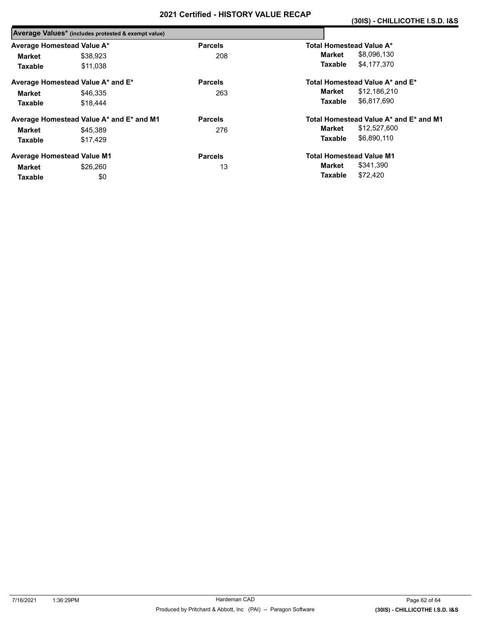|                            | Average Values* (includes protested & exempt value) |                |                                        |  |
|----------------------------|-----------------------------------------------------|----------------|----------------------------------------|--|
| Average Homestead Value A* |                                                     | <b>Parcels</b> | Total Homestead Value A*               |  |
| Market                     | \$38.923                                            | 208            | \$8,096,130<br>Market                  |  |
| <b>Taxable</b>             | \$11.038                                            |                | \$4,177,370<br>Taxable                 |  |
|                            | Average Homestead Value A* and E*                   | <b>Parcels</b> | Total Homestead Value A* and E*        |  |
| Market                     | \$46,335                                            | 263            | \$12,186,210<br>Market                 |  |
| <b>Taxable</b>             | \$18,444                                            |                | \$6,817,690<br>Taxable                 |  |
|                            | Average Homestead Value A* and E* and M1            | <b>Parcels</b> | Total Homestead Value A* and E* and M1 |  |
| Market                     | \$45,389                                            | 276            | \$12,527,600<br>Market                 |  |
| Taxable                    | \$17.429                                            |                | \$6,890,110<br>Taxable                 |  |
|                            | <b>Average Homestead Value M1</b>                   | <b>Parcels</b> | <b>Total Homestead Value M1</b>        |  |
| Market                     | \$26,260                                            | 13             | \$341,390<br>Market                    |  |
| Taxable                    | \$0                                                 |                | \$72.420<br>Taxable                    |  |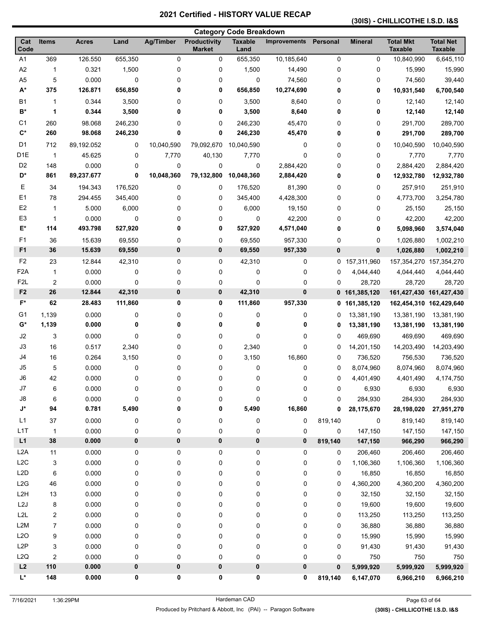#### **(30IS) - CHILLICOTHE I.S.D. I&S**

|                  |                  |              |         |                  |                                      | <b>Category Code Breakdown</b> |                     |             |                |                                    |                                    |
|------------------|------------------|--------------|---------|------------------|--------------------------------------|--------------------------------|---------------------|-------------|----------------|------------------------------------|------------------------------------|
| Cat<br>Code      | <b>Items</b>     | <b>Acres</b> | Land    | <b>Ag/Timber</b> | <b>Productivity</b><br><b>Market</b> | <b>Taxable</b><br>Land         | <b>Improvements</b> | Personal    | <b>Mineral</b> | <b>Total Mkt</b><br><b>Taxable</b> | <b>Total Net</b><br><b>Taxable</b> |
| A1               | 369              | 126.550      | 655,350 | $\mathbf 0$      | 0                                    | 655,350                        | 10,185,640          | 0           | 0              | 10,840,990                         | 6,645,110                          |
| A2               | 1                | 0.321        | 1,500   | 0                | 0                                    | 1,500                          | 14,490              | 0           | 0              | 15,990                             | 15,990                             |
| A <sub>5</sub>   | 5                | 0.000        | 0       | 0                | 0                                    | 0                              | 74,560              | 0           | 0              | 74,560                             | 39,440                             |
| $A^*$            | 375              | 126.871      | 656,850 | 0                | 0                                    | 656,850                        | 10,274,690          | 0           | 0              | 10,931,540                         | 6,700,540                          |
| <b>B1</b>        | 1                | 0.344        | 3,500   | 0                | 0                                    | 3,500                          | 8,640               | 0           | 0              | 12,140                             | 12,140                             |
| B*               | 1                | 0.344        | 3,500   | 0                | 0                                    | 3,500                          | 8,640               | 0           | 0              | 12,140                             | 12,140                             |
| C <sub>1</sub>   | 260              | 98.068       | 246,230 | 0                | 0                                    | 246,230                        | 45,470              | 0           | 0              | 291,700                            | 289,700                            |
| $\mathbf{C}^*$   | 260              | 98.068       | 246,230 | 0                | 0                                    | 246,230                        | 45,470              | 0           | 0              | 291,700                            | 289,700                            |
| D <sub>1</sub>   | 712              | 89,192.052   | 0       | 10,040,590       | 79,092,670                           | 10,040,590                     | 0                   | 0           | 0              | 10,040,590                         | 10,040,590                         |
| D <sub>1E</sub>  | $\overline{1}$   | 45.625       | 0       | 7,770            | 40,130                               | 7,770                          | 0                   | 0           | 0              | 7,770                              | 7,770                              |
| D <sub>2</sub>   | 148              | 0.000        | 0       | 0                | 0                                    | 0                              | 2,884,420           | 0           | 0              | 2,884,420                          | 2,884,420                          |
| D*               | 861              | 89,237.677   | 0       | 10,048,360       | 79,132,800                           | 10,048,360                     | 2,884,420           | 0           | 0              | 12,932,780                         | 12,932,780                         |
| Е                | 34               | 194.343      | 176,520 | 0                | 0                                    | 176,520                        | 81,390              | 0           | 0              | 257,910                            | 251,910                            |
| E1               | 78               | 294.455      | 345,400 | 0                | 0                                    | 345,400                        | 4,428,300           | 0           | 0              | 4,773,700                          | 3,254,780                          |
| E <sub>2</sub>   | $\mathbf{1}$     | 5.000        | 6,000   | 0                | 0                                    | 6,000                          | 19,150              | 0           | 0              | 25,150                             | 25,150                             |
| E <sub>3</sub>   | 1                | 0.000        | 0       | 0                | 0                                    | 0                              | 42,200              | 0           | 0              | 42,200                             | 42,200                             |
| E*               | 114              | 493.798      | 527,920 | 0                | 0                                    | 527,920                        | 4,571,040           | 0           | 0              | 5,098,960                          | 3,574,040                          |
| F <sub>1</sub>   | 36               | 15.639       | 69,550  | 0                | 0                                    | 69,550                         | 957,330             | 0           | 0              | 1,026,880                          | 1,002,210                          |
| F1               | 36               | 15.639       | 69,550  | 0                | 0                                    | 69,550                         | 957,330             | $\bf{0}$    | 0              | 1,026,880                          | 1,002,210                          |
| F <sub>2</sub>   | 23               | 12.844       | 42,310  | 0                | 0                                    | 42,310                         | 0                   | 0           | 157,311,960    | 157,354,270 157,354,270            |                                    |
| F <sub>2</sub> A | $\mathbf{1}$     | 0.000        | 0       | 0                | 0                                    | 0                              | 0                   | 0           | 4,044,440      | 4,044,440                          | 4,044,440                          |
| F <sub>2L</sub>  | 2                | 0.000        | 0       | 0                | 0                                    | 0                              | 0                   | 0           | 28,720         | 28,720                             | 28,720                             |
| F <sub>2</sub>   | 26               | 12.844       | 42,310  | $\bf{0}$         | 0                                    | 42,310                         | 0                   | 0           | 161,385,120    | 161,427,430                        | 161,427,430                        |
| F*               | 62               | 28.483       | 111,860 | 0                | 0                                    | 111,860                        | 957,330             | 0           | 161,385,120    | 162,454,310 162,429,640            |                                    |
| G1               | 1,139            | 0.000        | 0       | 0                | 0                                    | 0                              | 0                   | 0           | 13,381,190     | 13,381,190                         | 13,381,190                         |
| G*               | 1,139            | 0.000        | 0       | 0                | 0                                    | 0                              | 0                   | 0           | 13,381,190     | 13,381,190                         | 13,381,190                         |
| J <sub>2</sub>   | 3                | 0.000        | 0       | 0                | 0                                    | 0                              | 0                   | 0           | 469,690        | 469,690                            | 469,690                            |
| J3               | 16               | 0.517        | 2,340   | 0                | 0                                    | 2,340                          | 0                   | 0           | 14,201,150     | 14,203,490                         | 14,203,490                         |
| J4               | 16               | 0.264        | 3,150   | 0                | 0                                    | 3,150                          | 16,860              | 0           | 736,520        | 756,530                            | 736,520                            |
| J5               | 5                | 0.000        | 0       | 0                | 0                                    | 0                              | 0                   | 0           | 8,074,960      | 8,074,960                          | 8,074,960                          |
| J6               | 42               | 0.000        | 0       | 0                | 0                                    | 0                              | 0                   | 0           | 4,401,490      | 4,401,490                          | 4,174,750                          |
| J7               | 6                | 0.000        | 0       | 0                | 0                                    | $\pmb{0}$                      | $\pmb{0}$           | 0           | 6,930          | 6,930                              | 6,930                              |
| ${\sf J}8$       | 6                | 0.000        | 0       | 0                | 0                                    | $\pmb{0}$                      | 0                   | 0           | 284,930        | 284,930                            | 284,930                            |
| J*               | 94               | 0.781        | 5,490   | 0                | 0                                    | 5,490                          | 16,860              | 0           | 28,175,670     | 28,198,020                         | 27,951,270                         |
| L1               | 37               | 0.000        | 0       | 0                | 0                                    | $\pmb{0}$                      | 0                   | 819,140     | 0              | 819,140                            | 819,140                            |
| L <sub>1</sub> T | $\mathbf{1}$     | 0.000        | 0       | 0                | 0                                    | $\pmb{0}$                      | 0                   | 0           | 147,150        | 147,150                            | 147,150                            |
| L1               | 38               | 0.000        | 0       | 0                | $\pmb{0}$                            | $\pmb{0}$                      | 0                   | 819,140     | 147,150        | 966,290                            | 966,290                            |
| L2A              | 11               | 0.000        | 0       | 0                | 0                                    | $\pmb{0}$                      | 0                   | 0           | 206,460        | 206,460                            | 206,460                            |
| L2C              | 3                | 0.000        | 0       | 0                | 0                                    | $\pmb{0}$                      | 0                   | 0           | 1,106,360      | 1,106,360                          | 1,106,360                          |
| L2D              | 6                | 0.000        | 0       | 0                | 0                                    | 0                              | 0                   | $\pmb{0}$   | 16,850         | 16,850                             | 16,850                             |
| L2G              | 46               | 0.000        | 0       | 0                | 0                                    | 0                              | 0                   | 0           | 4,360,200      | 4,360,200                          | 4,360,200                          |
| L <sub>2</sub> H | 13               | 0.000        | 0       | 0                | 0                                    | 0                              | 0                   | 0           | 32,150         | 32,150                             | 32,150                             |
| L2J              | 8                | 0.000        | 0       | 0                | 0                                    | 0                              | 0                   | 0           | 19,600         | 19,600                             | 19,600                             |
| L2L              | $\boldsymbol{2}$ | 0.000        | 0       | 0                | 0                                    | 0                              | 0                   | 0           | 113,250        | 113,250                            | 113,250                            |
| L <sub>2</sub> M | $\overline{7}$   | 0.000        | 0       | 0                | 0                                    | $\pmb{0}$                      | 0                   | 0           | 36,880         | 36,880                             | 36,880                             |
| L2O              | 9                | 0.000        | 0       | 0                | 0                                    | $\pmb{0}$                      | 0                   | 0           | 15,990         | 15,990                             | 15,990                             |
| L <sub>2</sub> P | 3                | 0.000        | 0       | 0                | 0                                    | $\pmb{0}$                      | 0                   | 0           | 91,430         | 91,430                             | 91,430                             |
| L2Q              | 2                | 0.000        | 0       | 0                | 0                                    | 0                              | 0                   | 0           | 750            | 750                                | 750                                |
| L2               | 110              | 0.000        | 0       | $\pmb{0}$        | $\pmb{0}$                            | $\pmb{0}$                      | 0                   | $\mathbf 0$ | 5,999,920      | 5,999,920                          | 5,999,920                          |
| L*               | 148              | 0.000        | 0       | 0                | 0                                    | 0                              | 0                   | 819,140     | 6,147,070      | 6,966,210                          | 6,966,210                          |